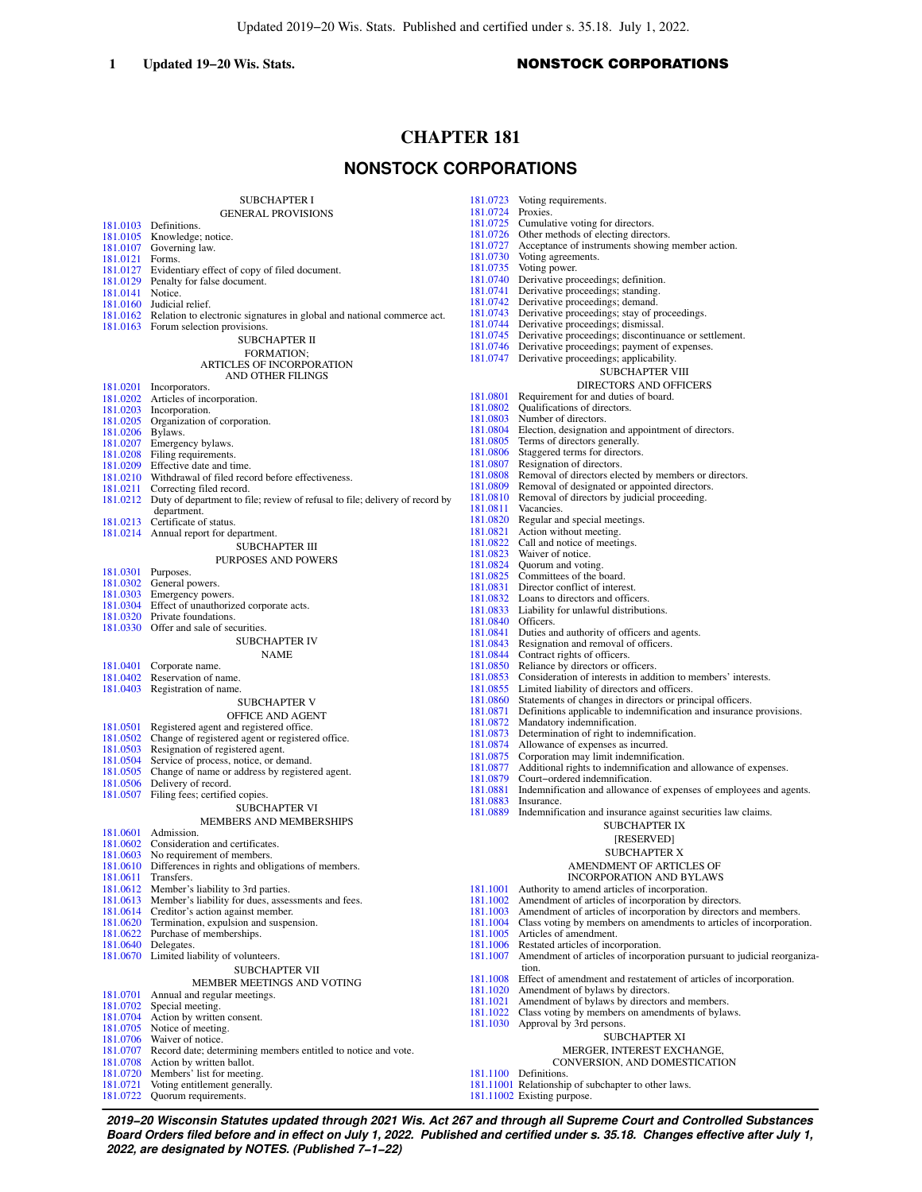## 1 **Updated 19−20 Wis. Stats.** NONSTOCK CORPORATIONS

# **CHAPTER 181**

# **NONSTOCK CORPORATIONS**

|                      | <b>SUBCHAPTER I</b><br><b>GENERAL PROVISIONS</b>                                                                        | 181.0<br>181.0 |
|----------------------|-------------------------------------------------------------------------------------------------------------------------|----------------|
|                      | 181.0103 Definitions.                                                                                                   | 181.0          |
|                      | 181.0105 Knowledge; notice.                                                                                             | 181.<br>181.0  |
| 181.0107<br>181.0121 | Governing law.<br>Forms.                                                                                                | 181.           |
| 181.0127             | Evidentiary effect of copy of filed document.                                                                           | 181.           |
|                      | 181.0129 Penalty for false document.                                                                                    | 181.           |
| 181.0141             | Notice.                                                                                                                 | 181.0          |
|                      | 181.0160 Judicial relief.                                                                                               | 181.0<br>181.  |
|                      | 181.0162 Relation to electronic signatures in global and national commerce act.<br>181.0163 Forum selection provisions. | 181.0          |
|                      | SUBCHAPTER II                                                                                                           | 181.0          |
|                      | <b>FORMATION:</b>                                                                                                       | 181.0          |
|                      | <b>ARTICLES OF INCORPORATION</b><br>AND OTHER FILINGS                                                                   | 181.0          |
| 181.0201             | Incorporators.<br>181.0202 Articles of incorporation.                                                                   | 181.           |
|                      | 181.0203 Incorporation.                                                                                                 | 181.           |
|                      | 181.0205 Organization of corporation.                                                                                   | 181.           |
| 181.0206 Bylaws.     |                                                                                                                         | 181.<br>181.   |
|                      | 181.0207 Emergency bylaws.<br>181.0208 Filing requirements.                                                             | 181.           |
|                      | 181.0209 Effective date and time.                                                                                       | 181.           |
|                      | 181.0210 Withdrawal of filed record before effectiveness.                                                               | 181.<br>181.   |
| 181.0211<br>181.0212 | Correcting filed record.<br>Duty of department to file; review of refusal to file; delivery of record by                | 181.           |
|                      | department.                                                                                                             | 181.0          |
|                      | 181.0213 Certificate of status.                                                                                         | 181.           |
|                      | 181.0214 Annual report for department.                                                                                  | 181.<br>181.   |
|                      | SUBCHAPTER III                                                                                                          | 181.           |
| 181.0301             | PURPOSES AND POWERS<br>Purposes.                                                                                        | 181.           |
|                      | 181.0302 General powers.                                                                                                | 181.<br>181.   |
|                      | 181.0303 Emergency powers.                                                                                              | 181.           |
|                      | 181.0304 Effect of unauthorized corporate acts.<br>181.0320 Private foundations.                                        | 181.           |
|                      | 181.0330 Offer and sale of securities.                                                                                  | 181.           |
|                      | <b>SUBCHAPTER IV</b>                                                                                                    | 181.<br>181.   |
|                      | <b>NAME</b>                                                                                                             | 181.           |
|                      | 181.0401 Corporate name.                                                                                                | 181.           |
|                      | 181.0402 Reservation of name.<br>181.0403 Registration of name.                                                         | 181.0<br>181.0 |
|                      | <b>SUBCHAPTER V</b>                                                                                                     | 181.           |
|                      | OFFICE AND AGENT                                                                                                        | 181.           |
| 181.0501             | Registered agent and registered office.                                                                                 | 181.<br>181.0  |
| 181.0502             | Change of registered agent or registered office.                                                                        | 181.           |
| 181.0503<br>181.0504 | Resignation of registered agent.<br>Service of process, notice, or demand.                                              | 181.           |
| 181.0505             | Change of name or address by registered agent.                                                                          | 181.           |
| 181.0506             | Delivery of record.                                                                                                     | 181.<br>181.   |
| 181.0507             | Filing fees; certified copies.                                                                                          | 181.0          |
|                      | <b>SUBCHAPTER VI</b>                                                                                                    | 181.           |
| 181.0601             | MEMBERS AND MEMBERSHIPS<br>Admission.                                                                                   |                |
| 181.0602             | Consideration and certificates.                                                                                         |                |
| 181.0603             | No requirement of members.                                                                                              |                |
| 181.0611             | 181.0610 Differences in rights and obligations of members.<br>Transfers.                                                |                |
| 181.0612             | Member's liability to 3rd parties.                                                                                      | 181.           |
| 181.0613             | Member's liability for dues, assessments and fees.                                                                      | 181.           |
| 181.0614             | Creditor's action against member.                                                                                       | 181.           |
| 181.0620<br>181.0622 | Termination, expulsion and suspension.<br>Purchase of memberships.                                                      | 181.<br>181.   |
|                      | 181.0640 Delegates.                                                                                                     | 181.           |
|                      | 181.0670 Limited liability of volunteers.                                                                               | 181.           |
|                      | <b>SUBCHAPTER VII</b>                                                                                                   | 181.           |
| 181.0701             | MEMBER MEETINGS AND VOTING<br>Annual and regular meetings.                                                              | 181.           |
| 181.0702             | Special meeting.                                                                                                        | 181.           |
| 181.0704             | Action by written consent.                                                                                              | 181.<br>181.   |
| 181.0705             | Notice of meeting.                                                                                                      |                |
| 181.0706<br>181.0707 | Waiver of notice.<br>Record date; determining members entitled to notice and vote.                                      |                |
| 181.0708             | Action by written ballot.                                                                                               |                |
| 181.0720             | Members' list for meeting.                                                                                              | 181.           |
|                      | 181.0721 Voting entitlement generally.                                                                                  | 181.           |

[181.0722](https://docs.legis.wisconsin.gov/document/statutes/181.0722) Quorum requirements.

0723 Voting requirements.<br>0724 Proxies 0724 Proxies.<br>0725 Cumula Cumulative voting for directors. 0726 Other methods of electing directors.<br>0727 Acceptance of instruments showing Acceptance of instruments showing member action. 0730 Voting agreements. 0735 Voting power. 0740 Derivative proceedings; definition. 0741 Derivative proceedings; standing. 0742 Derivative proceedings; demand.<br>0743 Derivative proceedings; stay of p Derivative proceedings; stay of proceedings. [181.0744](https://docs.legis.wisconsin.gov/document/statutes/181.0744) Derivative proceedings; dismissal. [181.0745](https://docs.legis.wisconsin.gov/document/statutes/181.0745) Derivative proceedings; discontinuance or settlement. [181.0746](https://docs.legis.wisconsin.gov/document/statutes/181.0746) Derivative proceedings; payment of expenses. [181.0747](https://docs.legis.wisconsin.gov/document/statutes/181.0747) Derivative proceedings; applicability. SUBCHAPTER VIII DIRECTORS AND OFFICERS 0801 Requirement for and duties of board.<br>0802 Oualifications of directors 0802 Qualifications of directors.<br>0803 Number of directors. Number of directors. 0804 Election, designation and appointment of directors. 0805 Terms of directors generally.<br>0806 Staggered terms for directors 0806 Staggered terms for directors.<br>0807 Resignation of directors 0807 Resignation of directors.<br>0808 Removal of directors electors. Removal of directors elected by members or directors. [181.0809](https://docs.legis.wisconsin.gov/document/statutes/181.0809) Removal of designated or appointed directors. [181.0810](https://docs.legis.wisconsin.gov/document/statutes/181.0810) Removal of directors by judicial proceeding. 0811 Vacancies. 0820 Regular and special meetings 0821 Action without meeting.<br>0822 Call and notice of meeting. Call and notice of meetings. 0823 Waiver of notice. 0824 Quorum and voting.<br>0825 Committees of the b. Committees of the board. 0831 Director conflict of interest. 0832 Loans to directors and officers [181.0833](https://docs.legis.wisconsin.gov/document/statutes/181.0833) Liability for unlawful distributions. [181.0840](https://docs.legis.wisconsin.gov/document/statutes/181.0840) Officers. 0841 Duties and authority of officers and agents.<br>0843 Resignation and removal of officers. [181.0843](https://docs.legis.wisconsin.gov/document/statutes/181.0843) Resignation and removal of officers.<br>0844 Contract rights of officers. Contract rights of officers. 0850 Reliance by directors or officers. 0853 Consideration of interests in addition to members' interests. [181.0855](https://docs.legis.wisconsin.gov/document/statutes/181.0855) Limited liability of directors and officers. 0860 Statements of changes in directors or principal officers. 0871 Definitions applicable to indemnification and insurance provisions.<br>0872 Mandatory indemnification. Mandatory indemnification. 0873 Determination of right to indemnification. 0874 Allowance of expenses as incurred.<br>0875 Corporation may limit indemnificat 0875 Corporation may limit indemnification.<br>0877 Additional rights to indemnification and 0877 Additional rights to indemnification and allowance of expenses.<br>0879 Court-ordered indemnification. [181.0879](https://docs.legis.wisconsin.gov/document/statutes/181.0879) Court–ordered indemnification.<br>181.0881 Indemnification and allowance 0881 Indemnification and allowance of expenses of employees and agents. Insurance. 0889 Indemnification and insurance against securities law claims. SUBCHAPTER IX [RESERVED] SUBCHAPTER X AMENDMENT OF ARTICLES OF INCORPORATION AND BYLAWS 1001 Authority to amend articles of incorporation. 1002 Amendment of articles of incorporation by directors. 1003 Amendment of articles of incorporation by directors and members. 1004 Class voting by members on amendments to articles of incorporation.<br>1005 Articles of amendment. Articles of amendment. 1006 Restated articles of incorporation.<br>1007 Amendment of articles of incorpor Amendment of articles of incorporation pursuant to judicial reorganization. [181.1008](https://docs.legis.wisconsin.gov/document/statutes/181.1008) Effect of amendment and restatement of articles of incorporation. 1020 Amendment of bylaws by directors. 1021 Amendment of bylaws by directors and members. 1022 Class voting by members on amendments of bylaws. 1030 Approval by 3rd persons. SUBCHAPTER XI

# MERGER, INTEREST EXCHANGE,

- CONVERSION, AND DOMESTICATION
- 1100 Definitions.
- [181.11001](https://docs.legis.wisconsin.gov/document/statutes/181.11001) Relationship of subchapter to other laws.
- [181.11002](https://docs.legis.wisconsin.gov/document/statutes/181.11002) Existing purpose.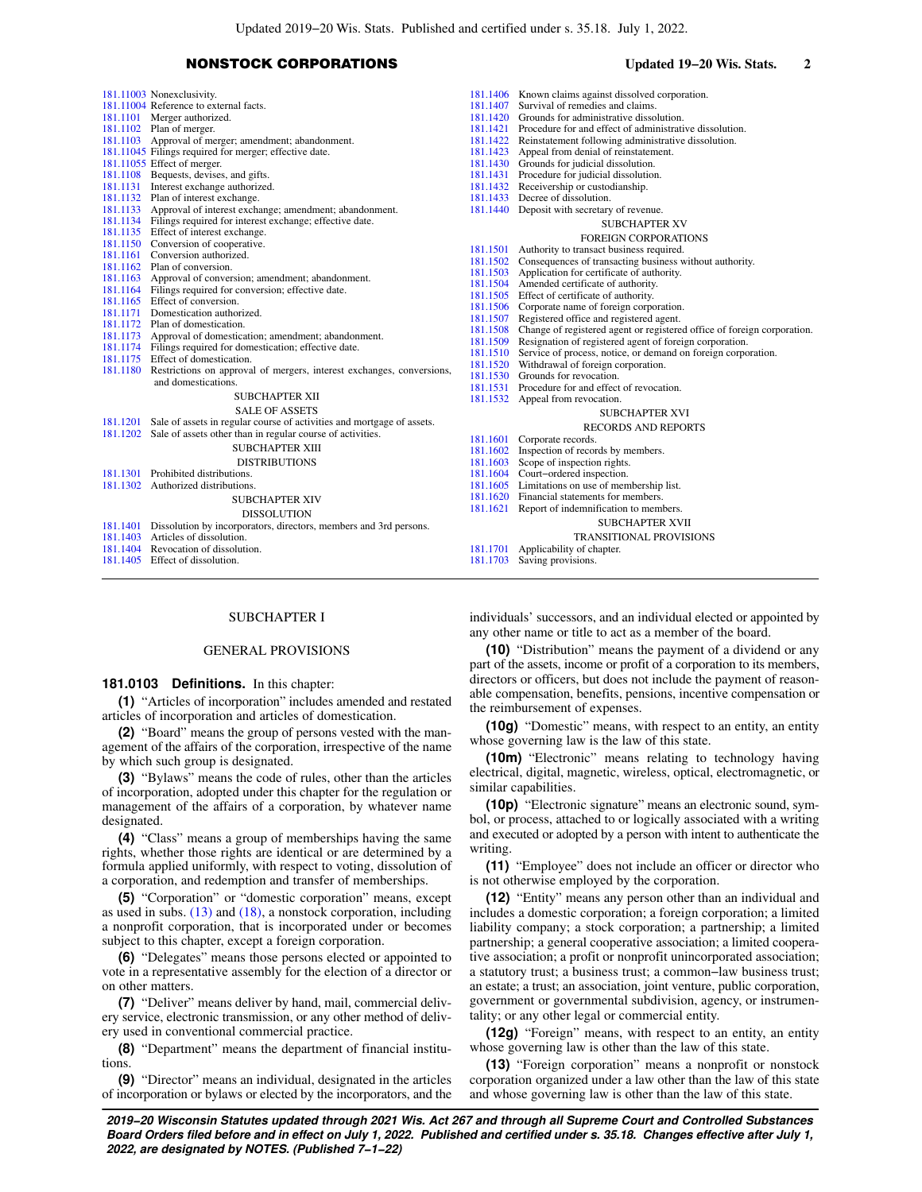## NONSTOCK CORPORATIONS **Updated 19−20 Wis. Stats. 2**

| 181.11003 Nonexclusivity.                                                       |          | 181.1406 Known claims against dissolved corporation.                            |
|---------------------------------------------------------------------------------|----------|---------------------------------------------------------------------------------|
| 181.11004 Reference to external facts.                                          | 181.1407 | Survival of remedies and claims.                                                |
| 181.1101 Merger authorized.                                                     |          | 181.1420 Grounds for administrative dissolution.                                |
| 181.1102 Plan of merger.                                                        |          | 181.1421 Procedure for and effect of administrative dissolution.                |
| 181.1103 Approval of merger; amendment; abandonment.                            |          | 181.1422 Reinstatement following administrative dissolution.                    |
| 181.11045 Filings required for merger; effective date.                          |          | 181.1423 Appeal from denial of reinstatement.                                   |
| 181.11055 Effect of merger.                                                     |          | 181.1430 Grounds for judicial dissolution.                                      |
| 181.1108 Bequests, devises, and gifts.                                          |          | 181.1431 Procedure for judicial dissolution.                                    |
| 181.1131 Interest exchange authorized.                                          |          | 181.1432 Receivership or custodianship.                                         |
| 181.1132 Plan of interest exchange.                                             |          | 181.1433 Decree of dissolution.                                                 |
| 181.1133 Approval of interest exchange; amendment; abandonment.                 |          | 181.1440 Deposit with secretary of revenue.                                     |
| 181.1134 Filings required for interest exchange; effective date.                |          | <b>SUBCHAPTER XV</b>                                                            |
| 181.1135 Effect of interest exchange.                                           |          | <b>FOREIGN CORPORATIONS</b>                                                     |
| 181.1150 Conversion of cooperative.                                             |          | 181.1501 Authority to transact business required.                               |
| 181.1161 Conversion authorized.                                                 |          | 181.1502 Consequences of transacting business without authority.                |
| 181.1162 Plan of conversion.                                                    |          | 181.1503 Application for certificate of authority.                              |
| 181.1163 Approval of conversion; amendment; abandonment.                        |          | 181.1504 Amended certificate of authority.                                      |
| 181.1164 Filings required for conversion; effective date.                       |          | 181.1505 Effect of certificate of authority.                                    |
| 181.1165 Effect of conversion.                                                  |          | 181.1506 Corporate name of foreign corporation.                                 |
| 181.1171 Domestication authorized.                                              |          | 181.1507 Registered office and registered agent.                                |
| 181.1172 Plan of domestication.                                                 |          | 181.1508 Change of registered agent or registered office of foreign corporation |
| 181.1173 Approval of domestication; amendment; abandonment.                     |          | 181.1509 Resignation of registered agent of foreign corporation.                |
| 181.1174 Filings required for domestication; effective date.                    |          | 181.1510 Service of process, notice, or demand on foreign corporation.          |
| 181.1175 Effect of domestication.                                               |          | 181.1520 Withdrawal of foreign corporation.                                     |
| 181.1180 Restrictions on approval of mergers, interest exchanges, conversions,  |          | 181.1530 Grounds for revocation.                                                |
| and domestications.                                                             |          | 181.1531 Procedure for and effect of revocation.                                |
| <b>SUBCHAPTER XII</b>                                                           |          | 181.1532 Appeal from revocation.                                                |
| <b>SALE OF ASSETS</b>                                                           |          | <b>SUBCHAPTER XVI</b>                                                           |
| 181.1201 Sale of assets in regular course of activities and mortgage of assets. |          | <b>RECORDS AND REPORTS</b>                                                      |
| 181.1202 Sale of assets other than in regular course of activities.             | 181.1601 | Corporate records.                                                              |
| <b>SUBCHAPTER XIII</b>                                                          | 181.1602 | Inspection of records by members.                                               |
| <b>DISTRIBUTIONS</b>                                                            | 181.1603 | Scope of inspection rights.                                                     |
| 181.1301 Prohibited distributions.                                              |          | 181.1604 Court-ordered inspection.                                              |
| 181.1302 Authorized distributions.                                              |          | 181.1605 Limitations on use of membership list.                                 |
| <b>SUBCHAPTER XIV</b>                                                           |          | 181.1620 Financial statements for members.                                      |
|                                                                                 | 181.1621 | Report of indemnification to members.                                           |
| <b>DISSOLUTION</b>                                                              |          | SUBCHAPTER XVII                                                                 |
| 181.1401 Dissolution by incorporators, directors, members and 3rd persons.      |          |                                                                                 |
| 181.1403 Articles of dissolution.                                               |          | <b>TRANSITIONAL PROVISIONS</b>                                                  |
| 181.1404 Revocation of dissolution.                                             | 181.1701 | Applicability of chapter.                                                       |
| 181.1405 Effect of dissolution.                                                 |          | 181.1703 Saving provisions.                                                     |
|                                                                                 |          |                                                                                 |

# SUBCHAPTER I

## GENERAL PROVISIONS

### **181.0103 Definitions.** In this chapter:

**(1)** "Articles of incorporation" includes amended and restated articles of incorporation and articles of domestication.

**(2)** "Board" means the group of persons vested with the management of the affairs of the corporation, irrespective of the name by which such group is designated.

**(3)** "Bylaws" means the code of rules, other than the articles of incorporation, adopted under this chapter for the regulation or management of the affairs of a corporation, by whatever name designated.

**(4)** "Class" means a group of memberships having the same rights, whether those rights are identical or are determined by a formula applied uniformly, with respect to voting, dissolution of a corporation, and redemption and transfer of memberships.

**(5)** "Corporation" or "domestic corporation" means, except as used in subs. [\(13\)](https://docs.legis.wisconsin.gov/document/statutes/181.0103(13)) and [\(18\),](https://docs.legis.wisconsin.gov/document/statutes/181.0103(18)) a nonstock corporation, including a nonprofit corporation, that is incorporated under or becomes subject to this chapter, except a foreign corporation.

**(6)** "Delegates" means those persons elected or appointed to vote in a representative assembly for the election of a director or on other matters.

**(7)** "Deliver" means deliver by hand, mail, commercial delivery service, electronic transmission, or any other method of delivery used in conventional commercial practice.

**(8)** "Department" means the department of financial institutions

**(9)** "Director" means an individual, designated in the articles of incorporation or bylaws or elected by the incorporators, and the individuals' successors, and an individual elected or appointed by any other name or title to act as a member of the board.

**(10)** "Distribution" means the payment of a dividend or any part of the assets, income or profit of a corporation to its members, directors or officers, but does not include the payment of reasonable compensation, benefits, pensions, incentive compensation or the reimbursement of expenses.

**(10g)** "Domestic" means, with respect to an entity, an entity whose governing law is the law of this state.

**(10m)** "Electronic" means relating to technology having electrical, digital, magnetic, wireless, optical, electromagnetic, or similar capabilities.

**(10p)** "Electronic signature" means an electronic sound, symbol, or process, attached to or logically associated with a writing and executed or adopted by a person with intent to authenticate the writing.

**(11)** "Employee" does not include an officer or director who is not otherwise employed by the corporation.

**(12)** "Entity" means any person other than an individual and includes a domestic corporation; a foreign corporation; a limited liability company; a stock corporation; a partnership; a limited partnership; a general cooperative association; a limited cooperative association; a profit or nonprofit unincorporated association; a statutory trust; a business trust; a common−law business trust; an estate; a trust; an association, joint venture, public corporation, government or governmental subdivision, agency, or instrumentality; or any other legal or commercial entity.

**(12g)** "Foreign" means, with respect to an entity, an entity whose governing law is other than the law of this state.

**(13)** "Foreign corporation" means a nonprofit or nonstock corporation organized under a law other than the law of this state and whose governing law is other than the law of this state.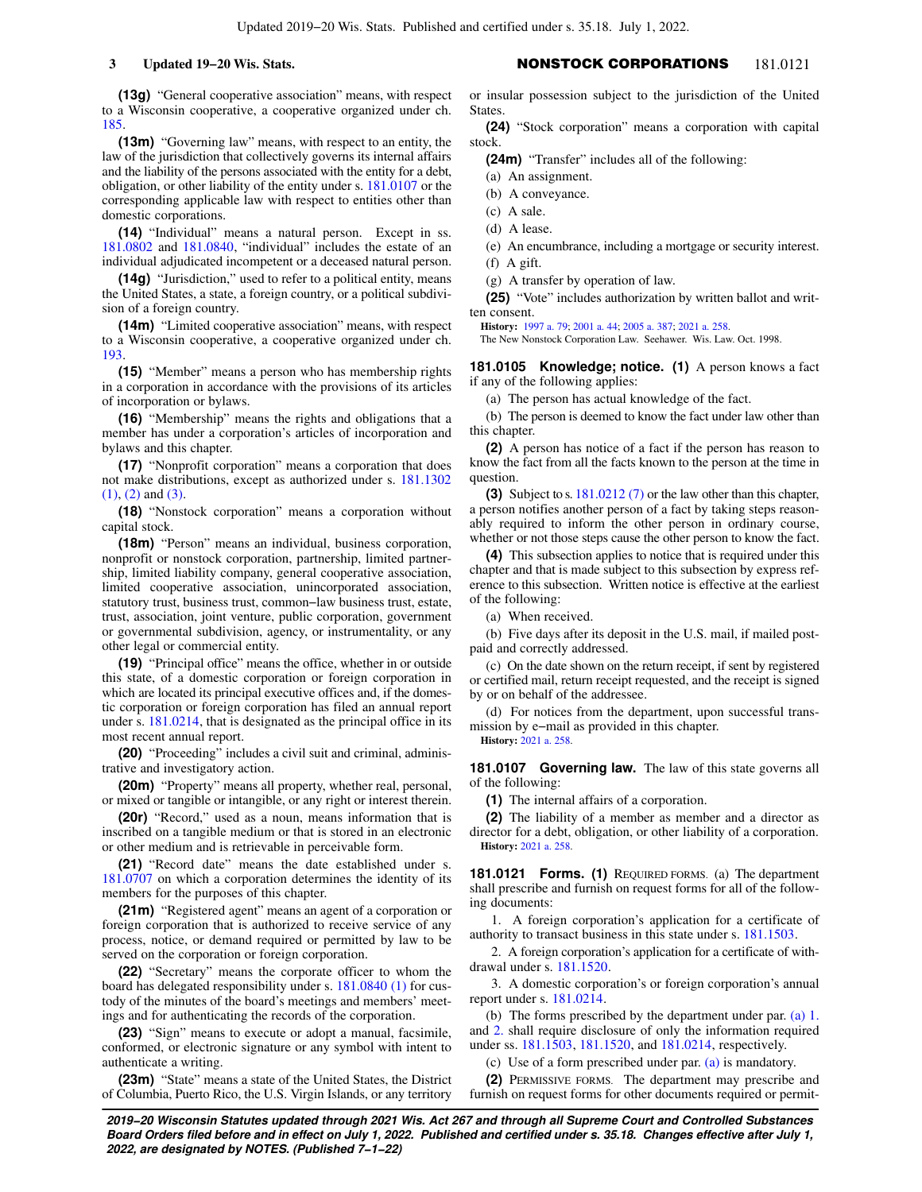**(13g)** "General cooperative association" means, with respect to a Wisconsin cooperative, a cooperative organized under ch. [185](https://docs.legis.wisconsin.gov/document/statutes/ch.%20185).

**(13m)** "Governing law" means, with respect to an entity, the law of the jurisdiction that collectively governs its internal affairs and the liability of the persons associated with the entity for a debt, obligation, or other liability of the entity under s. [181.0107](https://docs.legis.wisconsin.gov/document/statutes/181.0107) or the corresponding applicable law with respect to entities other than domestic corporations.

**(14)** "Individual" means a natural person. Except in ss. [181.0802](https://docs.legis.wisconsin.gov/document/statutes/181.0802) and [181.0840](https://docs.legis.wisconsin.gov/document/statutes/181.0840), "individual" includes the estate of an individual adjudicated incompetent or a deceased natural person.

**(14g)** "Jurisdiction," used to refer to a political entity, means the United States, a state, a foreign country, or a political subdivision of a foreign country.

**(14m)** "Limited cooperative association" means, with respect to a Wisconsin cooperative, a cooperative organized under ch. [193](https://docs.legis.wisconsin.gov/document/statutes/ch.%20193).

**(15)** "Member" means a person who has membership rights in a corporation in accordance with the provisions of its articles of incorporation or bylaws.

**(16)** "Membership" means the rights and obligations that a member has under a corporation's articles of incorporation and bylaws and this chapter.

**(17)** "Nonprofit corporation" means a corporation that does not make distributions, except as authorized under s. [181.1302](https://docs.legis.wisconsin.gov/document/statutes/181.1302(1)) [\(1\)](https://docs.legis.wisconsin.gov/document/statutes/181.1302(1)), [\(2\)](https://docs.legis.wisconsin.gov/document/statutes/181.1302(2)) and [\(3\).](https://docs.legis.wisconsin.gov/document/statutes/181.1302(3))

**(18)** "Nonstock corporation" means a corporation without capital stock.

**(18m)** "Person" means an individual, business corporation, nonprofit or nonstock corporation, partnership, limited partnership, limited liability company, general cooperative association, limited cooperative association, unincorporated association, statutory trust, business trust, common−law business trust, estate, trust, association, joint venture, public corporation, government or governmental subdivision, agency, or instrumentality, or any other legal or commercial entity.

**(19)** "Principal office" means the office, whether in or outside this state, of a domestic corporation or foreign corporation in which are located its principal executive offices and, if the domestic corporation or foreign corporation has filed an annual report under s. [181.0214,](https://docs.legis.wisconsin.gov/document/statutes/181.0214) that is designated as the principal office in its most recent annual report.

**(20)** "Proceeding" includes a civil suit and criminal, administrative and investigatory action.

**(20m)** "Property" means all property, whether real, personal, or mixed or tangible or intangible, or any right or interest therein.

**(20r)** "Record," used as a noun, means information that is inscribed on a tangible medium or that is stored in an electronic or other medium and is retrievable in perceivable form.

**(21)** "Record date" means the date established under s. [181.0707](https://docs.legis.wisconsin.gov/document/statutes/181.0707) on which a corporation determines the identity of its members for the purposes of this chapter.

**(21m)** "Registered agent" means an agent of a corporation or foreign corporation that is authorized to receive service of any process, notice, or demand required or permitted by law to be served on the corporation or foreign corporation.

**(22)** "Secretary" means the corporate officer to whom the board has delegated responsibility under s. [181.0840 \(1\)](https://docs.legis.wisconsin.gov/document/statutes/181.0840(1)) for custody of the minutes of the board's meetings and members' meetings and for authenticating the records of the corporation.

**(23)** "Sign" means to execute or adopt a manual, facsimile, conformed, or electronic signature or any symbol with intent to authenticate a writing.

**(23m)** "State" means a state of the United States, the District of Columbia, Puerto Rico, the U.S. Virgin Islands, or any territory

# **3 Updated 19−20 Wis. Stats.** NONSTOCK CORPORATIONS 181.0121

or insular possession subject to the jurisdiction of the United **States** 

**(24)** "Stock corporation" means a corporation with capital stock.

**(24m)** "Transfer" includes all of the following:

(a) An assignment.

(b) A conveyance.

(c) A sale.

(d) A lease.

(e) An encumbrance, including a mortgage or security interest.

(f) A gift. (g) A transfer by operation of law.

**(25)** "Vote" includes authorization by written ballot and written consent.

**History:** [1997 a. 79](https://docs.legis.wisconsin.gov/document/acts/1997/79); [2001 a. 44](https://docs.legis.wisconsin.gov/document/acts/2001/44); [2005 a. 387;](https://docs.legis.wisconsin.gov/document/acts/2005/387) [2021 a. 258.](https://docs.legis.wisconsin.gov/document/acts/2021/258)

The New Nonstock Corporation Law. Seehawer. Wis. Law. Oct. 1998.

**181.0105 Knowledge; notice. (1)** A person knows a fact if any of the following applies:

(a) The person has actual knowledge of the fact.

(b) The person is deemed to know the fact under law other than this chapter.

**(2)** A person has notice of a fact if the person has reason to know the fact from all the facts known to the person at the time in question.

**(3)** Subject to s. [181.0212 \(7\)](https://docs.legis.wisconsin.gov/document/statutes/181.0212(7)) or the law other than this chapter, a person notifies another person of a fact by taking steps reasonably required to inform the other person in ordinary course, whether or not those steps cause the other person to know the fact.

**(4)** This subsection applies to notice that is required under this chapter and that is made subject to this subsection by express reference to this subsection. Written notice is effective at the earliest of the following:

(a) When received.

(b) Five days after its deposit in the U.S. mail, if mailed postpaid and correctly addressed.

(c) On the date shown on the return receipt, if sent by registered or certified mail, return receipt requested, and the receipt is signed by or on behalf of the addressee.

(d) For notices from the department, upon successful transmission by e−mail as provided in this chapter. **History:** [2021 a. 258.](https://docs.legis.wisconsin.gov/document/acts/2021/258)

**181.0107 Governing law.** The law of this state governs all of the following:

**(1)** The internal affairs of a corporation.

**(2)** The liability of a member as member and a director as director for a debt, obligation, or other liability of a corporation. **History:** [2021 a. 258.](https://docs.legis.wisconsin.gov/document/acts/2021/258)

**181.0121 Forms. (1)** REQUIRED FORMS. (a) The department shall prescribe and furnish on request forms for all of the following documents:

1. A foreign corporation's application for a certificate of authority to transact business in this state under s. [181.1503.](https://docs.legis.wisconsin.gov/document/statutes/181.1503)

2. A foreign corporation's application for a certificate of withdrawal under s. [181.1520.](https://docs.legis.wisconsin.gov/document/statutes/181.1520)

3. A domestic corporation's or foreign corporation's annual report under s. [181.0214.](https://docs.legis.wisconsin.gov/document/statutes/181.0214)

(b) The forms prescribed by the department under par. [\(a\) 1.](https://docs.legis.wisconsin.gov/document/statutes/181.0121(1)(a)1.) and [2.](https://docs.legis.wisconsin.gov/document/statutes/181.0121(1)(a)2.) shall require disclosure of only the information required under ss. [181.1503](https://docs.legis.wisconsin.gov/document/statutes/181.1503), [181.1520](https://docs.legis.wisconsin.gov/document/statutes/181.1520), and [181.0214,](https://docs.legis.wisconsin.gov/document/statutes/181.0214) respectively.

(c) Use of a form prescribed under par. [\(a\)](https://docs.legis.wisconsin.gov/document/statutes/181.0121(1)(a)) is mandatory.

**(2)** PERMISSIVE FORMS. The department may prescribe and furnish on request forms for other documents required or permit-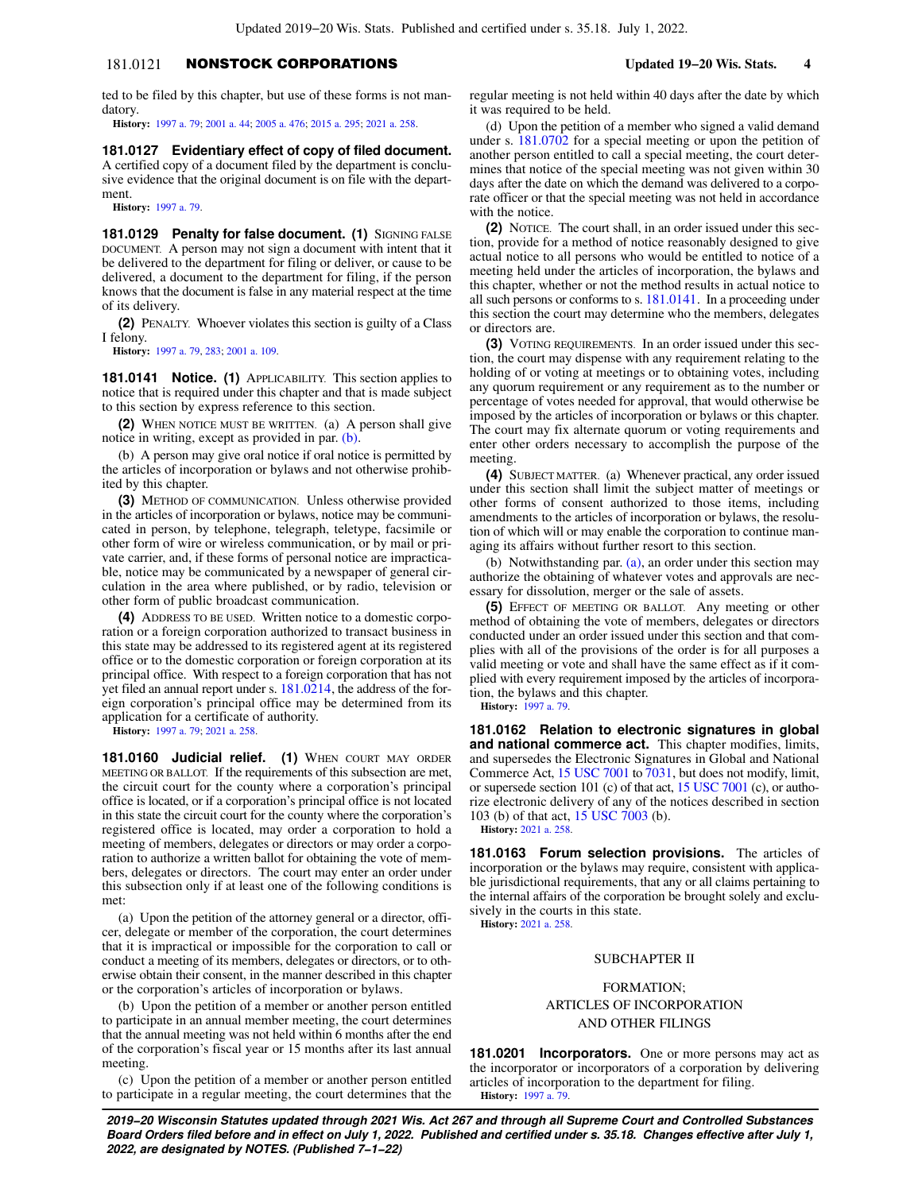# 181.0121 NONSTOCK CORPORATIONS **Updated 19−20 Wis. Stats. 4**

ted to be filed by this chapter, but use of these forms is not mandatory.

**History:** [1997 a. 79;](https://docs.legis.wisconsin.gov/document/acts/1997/79) [2001 a. 44;](https://docs.legis.wisconsin.gov/document/acts/2001/44) [2005 a. 476;](https://docs.legis.wisconsin.gov/document/acts/2005/476) [2015 a. 295](https://docs.legis.wisconsin.gov/document/acts/2015/295); [2021 a. 258](https://docs.legis.wisconsin.gov/document/acts/2021/258).

**181.0127 Evidentiary effect of copy of filed document.** A certified copy of a document filed by the department is conclusive evidence that the original document is on file with the department.

**History:** [1997 a. 79.](https://docs.legis.wisconsin.gov/document/acts/1997/79)

**181.0129 Penalty for false document. (1)** SIGNING FALSE DOCUMENT. A person may not sign a document with intent that it be delivered to the department for filing or deliver, or cause to be delivered, a document to the department for filing, if the person knows that the document is false in any material respect at the time of its delivery.

**(2)** PENALTY. Whoever violates this section is guilty of a Class I felony.

**History:** [1997 a. 79,](https://docs.legis.wisconsin.gov/document/acts/1997/79) [283;](https://docs.legis.wisconsin.gov/document/acts/1997/283) [2001 a. 109.](https://docs.legis.wisconsin.gov/document/acts/2001/109)

**181.0141 Notice. (1)** APPLICABILITY. This section applies to notice that is required under this chapter and that is made subject to this section by express reference to this section.

**(2)** WHEN NOTICE MUST BE WRITTEN. (a) A person shall give notice in writing, except as provided in par. [\(b\).](https://docs.legis.wisconsin.gov/document/statutes/181.0141(2)(b))

(b) A person may give oral notice if oral notice is permitted by the articles of incorporation or bylaws and not otherwise prohibited by this chapter.

**(3)** METHOD OF COMMUNICATION. Unless otherwise provided in the articles of incorporation or bylaws, notice may be communicated in person, by telephone, telegraph, teletype, facsimile or other form of wire or wireless communication, or by mail or private carrier, and, if these forms of personal notice are impracticable, notice may be communicated by a newspaper of general circulation in the area where published, or by radio, television or other form of public broadcast communication.

**(4)** ADDRESS TO BE USED. Written notice to a domestic corporation or a foreign corporation authorized to transact business in this state may be addressed to its registered agent at its registered office or to the domestic corporation or foreign corporation at its principal office. With respect to a foreign corporation that has not yet filed an annual report under s. [181.0214](https://docs.legis.wisconsin.gov/document/statutes/181.0214), the address of the foreign corporation's principal office may be determined from its application for a certificate of authority.

**History:** [1997 a. 79;](https://docs.legis.wisconsin.gov/document/acts/1997/79) [2021 a. 258.](https://docs.legis.wisconsin.gov/document/acts/2021/258)

**181.0160 Judicial relief. (1)** WHEN COURT MAY ORDER MEETING OR BALLOT. If the requirements of this subsection are met, the circuit court for the county where a corporation's principal office is located, or if a corporation's principal office is not located in this state the circuit court for the county where the corporation's registered office is located, may order a corporation to hold a meeting of members, delegates or directors or may order a corporation to authorize a written ballot for obtaining the vote of members, delegates or directors. The court may enter an order under this subsection only if at least one of the following conditions is met:

(a) Upon the petition of the attorney general or a director, officer, delegate or member of the corporation, the court determines that it is impractical or impossible for the corporation to call or conduct a meeting of its members, delegates or directors, or to otherwise obtain their consent, in the manner described in this chapter or the corporation's articles of incorporation or bylaws.

(b) Upon the petition of a member or another person entitled to participate in an annual member meeting, the court determines that the annual meeting was not held within 6 months after the end of the corporation's fiscal year or 15 months after its last annual meeting.

(c) Upon the petition of a member or another person entitled to participate in a regular meeting, the court determines that the regular meeting is not held within 40 days after the date by which it was required to be held.

(d) Upon the petition of a member who signed a valid demand under s. [181.0702](https://docs.legis.wisconsin.gov/document/statutes/181.0702) for a special meeting or upon the petition of another person entitled to call a special meeting, the court determines that notice of the special meeting was not given within 30 days after the date on which the demand was delivered to a corporate officer or that the special meeting was not held in accordance with the notice.

**(2)** NOTICE. The court shall, in an order issued under this section, provide for a method of notice reasonably designed to give actual notice to all persons who would be entitled to notice of a meeting held under the articles of incorporation, the bylaws and this chapter, whether or not the method results in actual notice to all such persons or conforms to s. [181.0141.](https://docs.legis.wisconsin.gov/document/statutes/181.0141) In a proceeding under this section the court may determine who the members, delegates or directors are.

**(3)** VOTING REQUIREMENTS. In an order issued under this section, the court may dispense with any requirement relating to the holding of or voting at meetings or to obtaining votes, including any quorum requirement or any requirement as to the number or percentage of votes needed for approval, that would otherwise be imposed by the articles of incorporation or bylaws or this chapter. The court may fix alternate quorum or voting requirements and enter other orders necessary to accomplish the purpose of the meeting.

**(4)** SUBJECT MATTER. (a) Whenever practical, any order issued under this section shall limit the subject matter of meetings or other forms of consent authorized to those items, including amendments to the articles of incorporation or bylaws, the resolution of which will or may enable the corporation to continue managing its affairs without further resort to this section.

(b) Notwithstanding par. [\(a\),](https://docs.legis.wisconsin.gov/document/statutes/181.0160(4)(a)) an order under this section may authorize the obtaining of whatever votes and approvals are necessary for dissolution, merger or the sale of assets.

**(5)** EFFECT OF MEETING OR BALLOT. Any meeting or other method of obtaining the vote of members, delegates or directors conducted under an order issued under this section and that complies with all of the provisions of the order is for all purposes a valid meeting or vote and shall have the same effect as if it complied with every requirement imposed by the articles of incorporation, the bylaws and this chapter.

**History:** [1997 a. 79](https://docs.legis.wisconsin.gov/document/acts/1997/79).

**181.0162 Relation to electronic signatures in global and national commerce act.** This chapter modifies, limits, and supersedes the Electronic Signatures in Global and National Commerce Act, [15 USC 7001](https://docs.legis.wisconsin.gov/document/usc/15%20USC%207001) to [7031,](https://docs.legis.wisconsin.gov/document/usc/15%20USC%207031) but does not modify, limit, or supersede section 101 (c) of that act, [15 USC 7001](https://docs.legis.wisconsin.gov/document/usc/15%20USC%207001) (c), or authorize electronic delivery of any of the notices described in section 103 (b) of that act, [15 USC 7003](https://docs.legis.wisconsin.gov/document/usc/15%20USC%207003) (b).

**History:** [2021 a. 258.](https://docs.legis.wisconsin.gov/document/acts/2021/258)

**181.0163 Forum selection provisions.** The articles of incorporation or the bylaws may require, consistent with applicable jurisdictional requirements, that any or all claims pertaining to the internal affairs of the corporation be brought solely and exclusively in the courts in this state.

**History:** [2021 a. 258.](https://docs.legis.wisconsin.gov/document/acts/2021/258)

## SUBCHAPTER II

FORMATION; ARTICLES OF INCORPORATION AND OTHER FILINGS

**181.0201 Incorporators.** One or more persons may act as the incorporator or incorporators of a corporation by delivering articles of incorporation to the department for filing. **History:** [1997 a. 79](https://docs.legis.wisconsin.gov/document/acts/1997/79).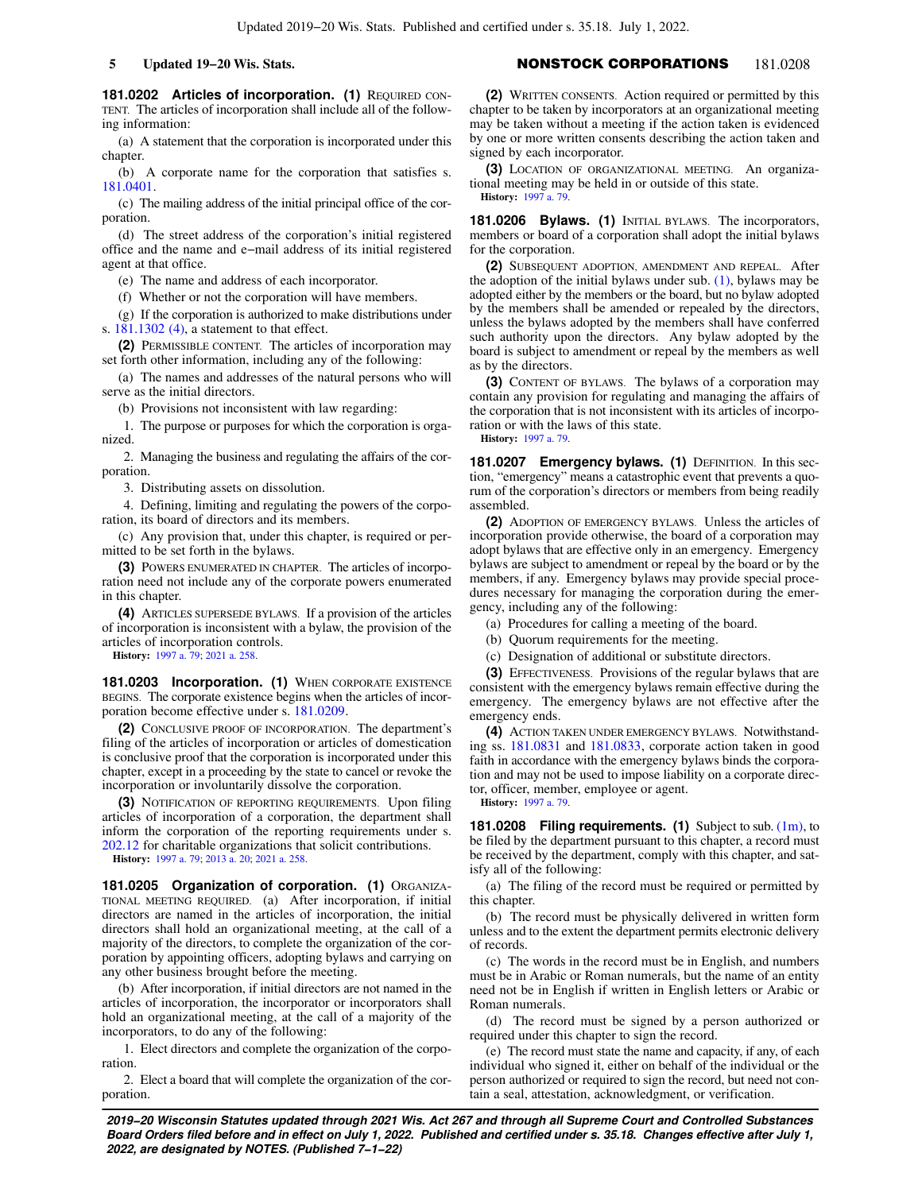**181.0202 Articles of incorporation. (1) REQUIRED CON-**TENT. The articles of incorporation shall include all of the following information:

(a) A statement that the corporation is incorporated under this chapter.

(b) A corporate name for the corporation that satisfies s. [181.0401.](https://docs.legis.wisconsin.gov/document/statutes/181.0401)

(c) The mailing address of the initial principal office of the corporation.

(d) The street address of the corporation's initial registered office and the name and e−mail address of its initial registered agent at that office.

(e) The name and address of each incorporator.

(f) Whether or not the corporation will have members.

(g) If the corporation is authorized to make distributions under s. [181.1302 \(4\),](https://docs.legis.wisconsin.gov/document/statutes/181.1302(4)) a statement to that effect.

**(2)** PERMISSIBLE CONTENT. The articles of incorporation may set forth other information, including any of the following:

(a) The names and addresses of the natural persons who will serve as the initial directors.

(b) Provisions not inconsistent with law regarding:

1. The purpose or purposes for which the corporation is organized.

2. Managing the business and regulating the affairs of the corporation.

3. Distributing assets on dissolution.

4. Defining, limiting and regulating the powers of the corporation, its board of directors and its members.

(c) Any provision that, under this chapter, is required or permitted to be set forth in the bylaws.

**(3)** POWERS ENUMERATED IN CHAPTER. The articles of incorporation need not include any of the corporate powers enumerated in this chapter.

**(4)** ARTICLES SUPERSEDE BYLAWS. If a provision of the articles of incorporation is inconsistent with a bylaw, the provision of the articles of incorporation controls.

**History:** [1997 a. 79;](https://docs.legis.wisconsin.gov/document/acts/1997/79) [2021 a. 258.](https://docs.legis.wisconsin.gov/document/acts/2021/258)

**181.0203 Incorporation. (1)** WHEN CORPORATE EXISTENCE BEGINS. The corporate existence begins when the articles of incorporation become effective under s. [181.0209](https://docs.legis.wisconsin.gov/document/statutes/181.0209).

**(2)** CONCLUSIVE PROOF OF INCORPORATION. The department's filing of the articles of incorporation or articles of domestication is conclusive proof that the corporation is incorporated under this chapter, except in a proceeding by the state to cancel or revoke the incorporation or involuntarily dissolve the corporation.

**(3)** NOTIFICATION OF REPORTING REQUIREMENTS. Upon filing articles of incorporation of a corporation, the department shall inform the corporation of the reporting requirements under s. [202.12](https://docs.legis.wisconsin.gov/document/statutes/202.12) for charitable organizations that solicit contributions.

**History:** [1997 a. 79;](https://docs.legis.wisconsin.gov/document/acts/1997/79) [2013 a. 20;](https://docs.legis.wisconsin.gov/document/acts/2013/20) [2021 a. 258.](https://docs.legis.wisconsin.gov/document/acts/2021/258)

**181.0205 Organization of corporation. (1)** ORGANIZA-TIONAL MEETING REQUIRED. (a) After incorporation, if initial directors are named in the articles of incorporation, the initial directors shall hold an organizational meeting, at the call of a majority of the directors, to complete the organization of the corporation by appointing officers, adopting bylaws and carrying on any other business brought before the meeting.

(b) After incorporation, if initial directors are not named in the articles of incorporation, the incorporator or incorporators shall hold an organizational meeting, at the call of a majority of the incorporators, to do any of the following:

1. Elect directors and complete the organization of the corporation.

2. Elect a board that will complete the organization of the corporation.

# **5 Updated 19−20 Wis. Stats.** NONSTOCK CORPORATIONS 181.0208

**(2)** WRITTEN CONSENTS. Action required or permitted by this chapter to be taken by incorporators at an organizational meeting may be taken without a meeting if the action taken is evidenced by one or more written consents describing the action taken and signed by each incorporator.

**(3)** LOCATION OF ORGANIZATIONAL MEETING. An organizational meeting may be held in or outside of this state. **History:** [1997 a. 79](https://docs.legis.wisconsin.gov/document/acts/1997/79).

**181.0206 Bylaws. (1)** INITIAL BYLAWS. The incorporators, members or board of a corporation shall adopt the initial bylaws for the corporation.

**(2)** SUBSEQUENT ADOPTION, AMENDMENT AND REPEAL. After the adoption of the initial bylaws under sub.  $(1)$ , bylaws may be adopted either by the members or the board, but no bylaw adopted by the members shall be amended or repealed by the directors, unless the bylaws adopted by the members shall have conferred such authority upon the directors. Any bylaw adopted by the board is subject to amendment or repeal by the members as well as by the directors.

**(3)** CONTENT OF BYLAWS. The bylaws of a corporation may contain any provision for regulating and managing the affairs of the corporation that is not inconsistent with its articles of incorporation or with the laws of this state. **History:** [1997 a. 79](https://docs.legis.wisconsin.gov/document/acts/1997/79).

**181.0207 Emergency bylaws. (1)** DEFINITION. In this section, "emergency" means a catastrophic event that prevents a quorum of the corporation's directors or members from being readily assembled.

**(2)** ADOPTION OF EMERGENCY BYLAWS. Unless the articles of incorporation provide otherwise, the board of a corporation may adopt bylaws that are effective only in an emergency. Emergency bylaws are subject to amendment or repeal by the board or by the members, if any. Emergency bylaws may provide special procedures necessary for managing the corporation during the emergency, including any of the following:

(a) Procedures for calling a meeting of the board.

(b) Quorum requirements for the meeting.

(c) Designation of additional or substitute directors.

**(3)** EFFECTIVENESS. Provisions of the regular bylaws that are consistent with the emergency bylaws remain effective during the emergency. The emergency bylaws are not effective after the emergency ends.

**(4)** ACTION TAKEN UNDER EMERGENCY BYLAWS. Notwithstanding ss. [181.0831](https://docs.legis.wisconsin.gov/document/statutes/181.0831) and [181.0833,](https://docs.legis.wisconsin.gov/document/statutes/181.0833) corporate action taken in good faith in accordance with the emergency bylaws binds the corporation and may not be used to impose liability on a corporate director, officer, member, employee or agent.

**History:** [1997 a. 79](https://docs.legis.wisconsin.gov/document/acts/1997/79).

**181.0208 Filing requirements. (1)** Subject to sub. [\(1m\)](https://docs.legis.wisconsin.gov/document/statutes/181.0208(1m)), to be filed by the department pursuant to this chapter, a record must be received by the department, comply with this chapter, and satisfy all of the following:

(a) The filing of the record must be required or permitted by this chapter.

(b) The record must be physically delivered in written form unless and to the extent the department permits electronic delivery of records.

(c) The words in the record must be in English, and numbers must be in Arabic or Roman numerals, but the name of an entity need not be in English if written in English letters or Arabic or Roman numerals.

(d) The record must be signed by a person authorized or required under this chapter to sign the record.

(e) The record must state the name and capacity, if any, of each individual who signed it, either on behalf of the individual or the person authorized or required to sign the record, but need not contain a seal, attestation, acknowledgment, or verification.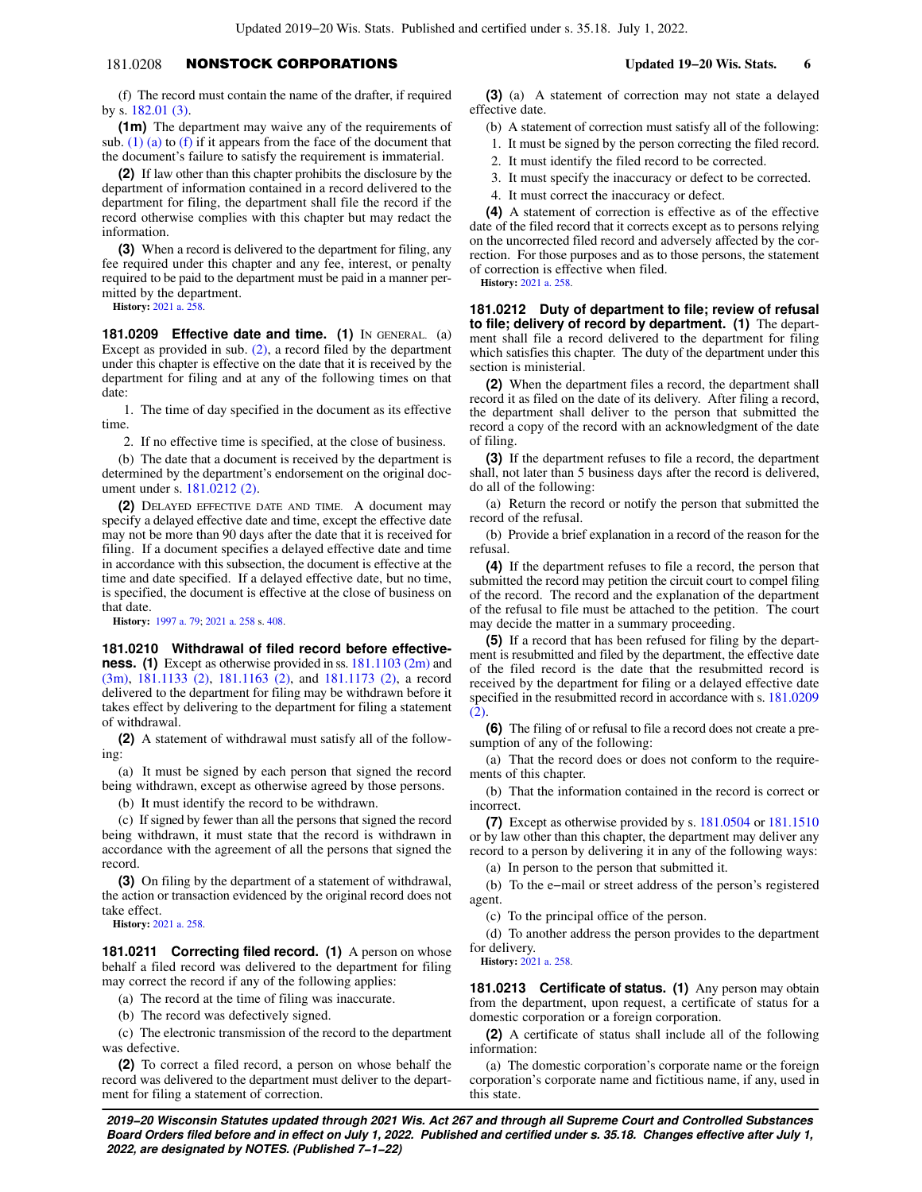# 181.0208 NONSTOCK CORPORATIONS **Updated 19−20 Wis. Stats. 6**

(f) The record must contain the name of the drafter, if required by s. [182.01 \(3\).](https://docs.legis.wisconsin.gov/document/statutes/182.01(3))

**(1m)** The department may waive any of the requirements of sub.  $(1)$  (a) to [\(f\)](https://docs.legis.wisconsin.gov/document/statutes/181.0208(1)(f)) if it appears from the face of the document that the document's failure to satisfy the requirement is immaterial.

**(2)** If law other than this chapter prohibits the disclosure by the department of information contained in a record delivered to the department for filing, the department shall file the record if the record otherwise complies with this chapter but may redact the information.

**(3)** When a record is delivered to the department for filing, any fee required under this chapter and any fee, interest, or penalty required to be paid to the department must be paid in a manner permitted by the department.

**History:** [2021 a. 258.](https://docs.legis.wisconsin.gov/document/acts/2021/258)

**181.0209 Effective date and time. (1)** IN GENERAL. (a) Except as provided in sub. [\(2\),](https://docs.legis.wisconsin.gov/document/statutes/181.0209(2)) a record filed by the department under this chapter is effective on the date that it is received by the department for filing and at any of the following times on that date:

1. The time of day specified in the document as its effective time.

2. If no effective time is specified, at the close of business.

(b) The date that a document is received by the department is determined by the department's endorsement on the original document under s. [181.0212 \(2\)](https://docs.legis.wisconsin.gov/document/statutes/181.0212(2)).

**(2)** DELAYED EFFECTIVE DATE AND TIME. A document may specify a delayed effective date and time, except the effective date may not be more than 90 days after the date that it is received for filing. If a document specifies a delayed effective date and time in accordance with this subsection, the document is effective at the time and date specified. If a delayed effective date, but no time, is specified, the document is effective at the close of business on that date.

**History:** [1997 a. 79;](https://docs.legis.wisconsin.gov/document/acts/1997/79) [2021 a. 258](https://docs.legis.wisconsin.gov/document/acts/2021/258) s. [408](https://docs.legis.wisconsin.gov/document/acts/2021/258,%20s.%20408).

**181.0210 Withdrawal of filed record before effectiveness.** (1) Except as otherwise provided in ss. [181.1103 \(2m\)](https://docs.legis.wisconsin.gov/document/statutes/181.1103(2m)) and [\(3m\)](https://docs.legis.wisconsin.gov/document/statutes/181.1103(3m)), [181.1133 \(2\)](https://docs.legis.wisconsin.gov/document/statutes/181.1133(2)), [181.1163 \(2\),](https://docs.legis.wisconsin.gov/document/statutes/181.1163(2)) and [181.1173 \(2\)](https://docs.legis.wisconsin.gov/document/statutes/181.1173(2)), a record delivered to the department for filing may be withdrawn before it takes effect by delivering to the department for filing a statement of withdrawal.

**(2)** A statement of withdrawal must satisfy all of the following:

(a) It must be signed by each person that signed the record being withdrawn, except as otherwise agreed by those persons.

(b) It must identify the record to be withdrawn.

(c) If signed by fewer than all the persons that signed the record being withdrawn, it must state that the record is withdrawn in accordance with the agreement of all the persons that signed the record.

**(3)** On filing by the department of a statement of withdrawal, the action or transaction evidenced by the original record does not take effect.

**History:** [2021 a. 258.](https://docs.legis.wisconsin.gov/document/acts/2021/258)

**181.0211 Correcting filed record. (1)** A person on whose behalf a filed record was delivered to the department for filing may correct the record if any of the following applies:

(a) The record at the time of filing was inaccurate.

(b) The record was defectively signed.

(c) The electronic transmission of the record to the department was defective.

**(2)** To correct a filed record, a person on whose behalf the record was delivered to the department must deliver to the department for filing a statement of correction.

**(3)** (a) A statement of correction may not state a delayed effective date.

(b) A statement of correction must satisfy all of the following:

1. It must be signed by the person correcting the filed record.

2. It must identify the filed record to be corrected.

3. It must specify the inaccuracy or defect to be corrected.

4. It must correct the inaccuracy or defect.

**(4)** A statement of correction is effective as of the effective date of the filed record that it corrects except as to persons relying on the uncorrected filed record and adversely affected by the correction. For those purposes and as to those persons, the statement of correction is effective when filed.

**History:** [2021 a. 258.](https://docs.legis.wisconsin.gov/document/acts/2021/258)

**181.0212 Duty of department to file; review of refusal to file; delivery of record by department. (1)** The department shall file a record delivered to the department for filing which satisfies this chapter. The duty of the department under this section is ministerial.

**(2)** When the department files a record, the department shall record it as filed on the date of its delivery. After filing a record, the department shall deliver to the person that submitted the record a copy of the record with an acknowledgment of the date of filing.

**(3)** If the department refuses to file a record, the department shall, not later than 5 business days after the record is delivered, do all of the following:

(a) Return the record or notify the person that submitted the record of the refusal.

(b) Provide a brief explanation in a record of the reason for the refusal.

**(4)** If the department refuses to file a record, the person that submitted the record may petition the circuit court to compel filing of the record. The record and the explanation of the department of the refusal to file must be attached to the petition. The court may decide the matter in a summary proceeding.

**(5)** If a record that has been refused for filing by the department is resubmitted and filed by the department, the effective date of the filed record is the date that the resubmitted record is received by the department for filing or a delayed effective date specified in the resubmitted record in accordance with s.  $181.0209$  $(2)$ .

**(6)** The filing of or refusal to file a record does not create a presumption of any of the following:

(a) That the record does or does not conform to the requirements of this chapter.

(b) That the information contained in the record is correct or incorrect.

**(7)** Except as otherwise provided by s. [181.0504](https://docs.legis.wisconsin.gov/document/statutes/181.0504) or [181.1510](https://docs.legis.wisconsin.gov/document/statutes/181.1510) or by law other than this chapter, the department may deliver any record to a person by delivering it in any of the following ways:

(a) In person to the person that submitted it.

(b) To the e−mail or street address of the person's registered agent.

(c) To the principal office of the person.

(d) To another address the person provides to the department for delivery.

**History:** [2021 a. 258.](https://docs.legis.wisconsin.gov/document/acts/2021/258)

**181.0213 Certificate of status. (1)** Any person may obtain from the department, upon request, a certificate of status for a domestic corporation or a foreign corporation.

**(2)** A certificate of status shall include all of the following information:

(a) The domestic corporation's corporate name or the foreign corporation's corporate name and fictitious name, if any, used in this state.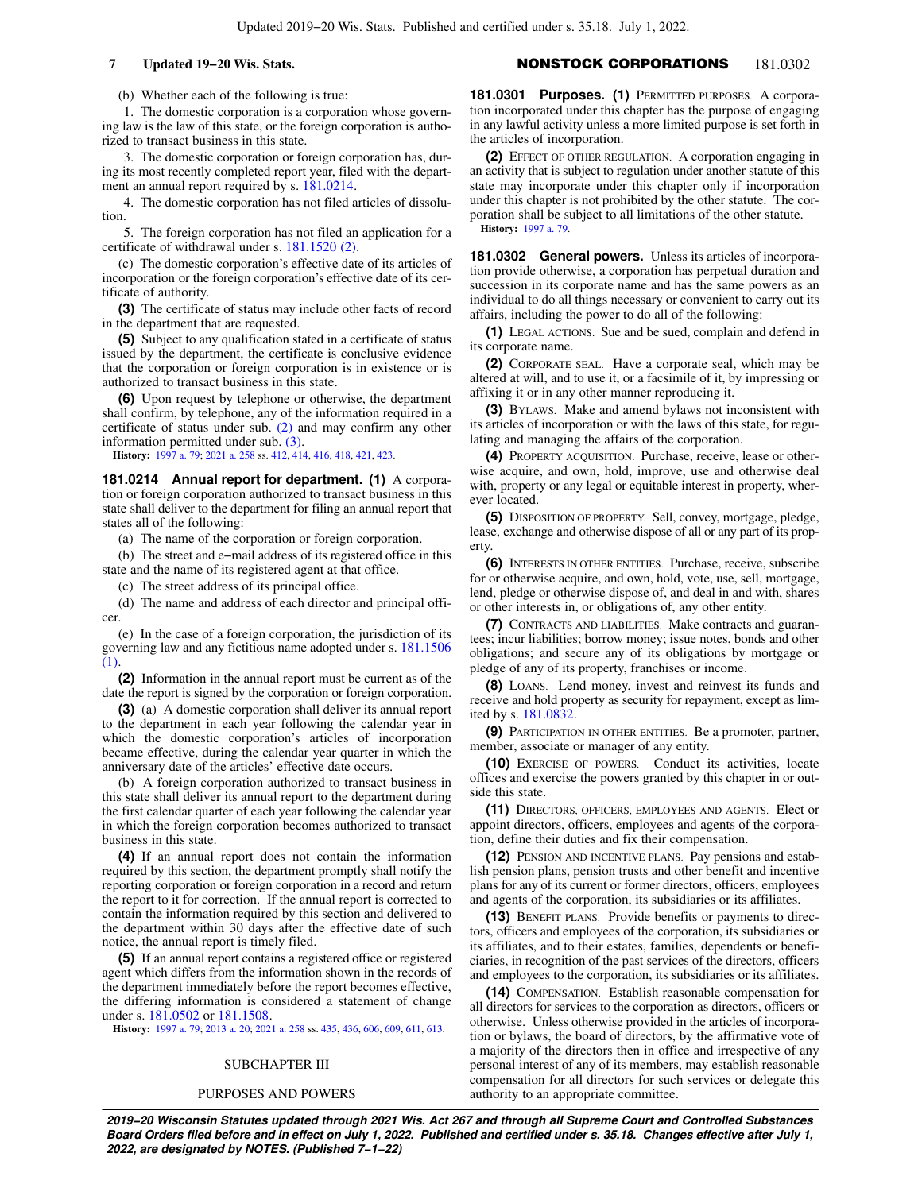# **7 Updated 19−20 Wis. Stats.** NONSTOCK CORPORATIONS 181.0302

(b) Whether each of the following is true:

1. The domestic corporation is a corporation whose governing law is the law of this state, or the foreign corporation is authorized to transact business in this state.

3. The domestic corporation or foreign corporation has, during its most recently completed report year, filed with the department an annual report required by s. [181.0214](https://docs.legis.wisconsin.gov/document/statutes/181.0214).

4. The domestic corporation has not filed articles of dissolution.

5. The foreign corporation has not filed an application for a certificate of withdrawal under s. [181.1520 \(2\).](https://docs.legis.wisconsin.gov/document/statutes/181.1520(2))

(c) The domestic corporation's effective date of its articles of incorporation or the foreign corporation's effective date of its certificate of authority.

**(3)** The certificate of status may include other facts of record in the department that are requested.

**(5)** Subject to any qualification stated in a certificate of status issued by the department, the certificate is conclusive evidence that the corporation or foreign corporation is in existence or is authorized to transact business in this state.

**(6)** Upon request by telephone or otherwise, the department shall confirm, by telephone, any of the information required in a certificate of status under sub. [\(2\)](https://docs.legis.wisconsin.gov/document/statutes/181.0213(2)) and may confirm any other information permitted under sub. [\(3\)](https://docs.legis.wisconsin.gov/document/statutes/181.0213(3)).

**History:** [1997 a. 79;](https://docs.legis.wisconsin.gov/document/acts/1997/79) [2021 a. 258](https://docs.legis.wisconsin.gov/document/acts/2021/258) ss. [412,](https://docs.legis.wisconsin.gov/document/acts/2021/258,%20s.%20412) [414,](https://docs.legis.wisconsin.gov/document/acts/2021/258,%20s.%20414) [416,](https://docs.legis.wisconsin.gov/document/acts/2021/258,%20s.%20416) [418,](https://docs.legis.wisconsin.gov/document/acts/2021/258,%20s.%20418) [421](https://docs.legis.wisconsin.gov/document/acts/2021/258,%20s.%20421), [423](https://docs.legis.wisconsin.gov/document/acts/2021/258,%20s.%20423).

**181.0214 Annual report for department. (1)** A corporation or foreign corporation authorized to transact business in this state shall deliver to the department for filing an annual report that states all of the following:

(a) The name of the corporation or foreign corporation.

(b) The street and e−mail address of its registered office in this state and the name of its registered agent at that office.

(c) The street address of its principal office.

(d) The name and address of each director and principal officer.

(e) In the case of a foreign corporation, the jurisdiction of its governing law and any fictitious name adopted under s. [181.1506](https://docs.legis.wisconsin.gov/document/statutes/181.1506(1)) [\(1\)](https://docs.legis.wisconsin.gov/document/statutes/181.1506(1)).

**(2)** Information in the annual report must be current as of the date the report is signed by the corporation or foreign corporation.

**(3)** (a) A domestic corporation shall deliver its annual report to the department in each year following the calendar year in which the domestic corporation's articles of incorporation became effective, during the calendar year quarter in which the anniversary date of the articles' effective date occurs.

(b) A foreign corporation authorized to transact business in this state shall deliver its annual report to the department during the first calendar quarter of each year following the calendar year in which the foreign corporation becomes authorized to transact business in this state.

**(4)** If an annual report does not contain the information required by this section, the department promptly shall notify the reporting corporation or foreign corporation in a record and return the report to it for correction. If the annual report is corrected to contain the information required by this section and delivered to the department within 30 days after the effective date of such notice, the annual report is timely filed.

**(5)** If an annual report contains a registered office or registered agent which differs from the information shown in the records of the department immediately before the report becomes effective, the differing information is considered a statement of change under s. [181.0502](https://docs.legis.wisconsin.gov/document/statutes/181.0502) or [181.1508.](https://docs.legis.wisconsin.gov/document/statutes/181.1508)

**History:** [1997 a. 79;](https://docs.legis.wisconsin.gov/document/acts/1997/79) [2013 a. 20;](https://docs.legis.wisconsin.gov/document/acts/2013/20) [2021 a. 258](https://docs.legis.wisconsin.gov/document/acts/2021/258) ss. [435,](https://docs.legis.wisconsin.gov/document/acts/2021/258,%20s.%20435) [436,](https://docs.legis.wisconsin.gov/document/acts/2021/258,%20s.%20436) [606](https://docs.legis.wisconsin.gov/document/acts/2021/258,%20s.%20606), [609](https://docs.legis.wisconsin.gov/document/acts/2021/258,%20s.%20609), [611,](https://docs.legis.wisconsin.gov/document/acts/2021/258,%20s.%20611) [613.](https://docs.legis.wisconsin.gov/document/acts/2021/258,%20s.%20613)

### SUBCHAPTER III

# PURPOSES AND POWERS

**181.0301 Purposes. (1)** PERMITTED PURPOSES. A corporation incorporated under this chapter has the purpose of engaging in any lawful activity unless a more limited purpose is set forth in the articles of incorporation.

**(2)** EFFECT OF OTHER REGULATION. A corporation engaging in an activity that is subject to regulation under another statute of this state may incorporate under this chapter only if incorporation under this chapter is not prohibited by the other statute. The corporation shall be subject to all limitations of the other statute. **History:** [1997 a. 79](https://docs.legis.wisconsin.gov/document/acts/1997/79).

**181.0302 General powers.** Unless its articles of incorporation provide otherwise, a corporation has perpetual duration and succession in its corporate name and has the same powers as an individual to do all things necessary or convenient to carry out its affairs, including the power to do all of the following:

**(1)** LEGAL ACTIONS. Sue and be sued, complain and defend in its corporate name.

**(2)** CORPORATE SEAL. Have a corporate seal, which may be altered at will, and to use it, or a facsimile of it, by impressing or affixing it or in any other manner reproducing it.

**(3)** BYLAWS. Make and amend bylaws not inconsistent with its articles of incorporation or with the laws of this state, for regulating and managing the affairs of the corporation.

**(4)** PROPERTY ACQUISITION. Purchase, receive, lease or otherwise acquire, and own, hold, improve, use and otherwise deal with, property or any legal or equitable interest in property, wherever located.

**(5)** DISPOSITION OF PROPERTY. Sell, convey, mortgage, pledge, lease, exchange and otherwise dispose of all or any part of its property

**(6)** INTERESTS IN OTHER ENTITIES. Purchase, receive, subscribe for or otherwise acquire, and own, hold, vote, use, sell, mortgage, lend, pledge or otherwise dispose of, and deal in and with, shares or other interests in, or obligations of, any other entity.

**(7)** CONTRACTS AND LIABILITIES. Make contracts and guarantees; incur liabilities; borrow money; issue notes, bonds and other obligations; and secure any of its obligations by mortgage or pledge of any of its property, franchises or income.

**(8)** LOANS. Lend money, invest and reinvest its funds and receive and hold property as security for repayment, except as limited by s. [181.0832](https://docs.legis.wisconsin.gov/document/statutes/181.0832).

**(9)** PARTICIPATION IN OTHER ENTITIES. Be a promoter, partner, member, associate or manager of any entity.

**(10)** EXERCISE OF POWERS. Conduct its activities, locate offices and exercise the powers granted by this chapter in or outside this state.

**(11)** DIRECTORS, OFFICERS, EMPLOYEES AND AGENTS. Elect or appoint directors, officers, employees and agents of the corporation, define their duties and fix their compensation.

**(12)** PENSION AND INCENTIVE PLANS. Pay pensions and establish pension plans, pension trusts and other benefit and incentive plans for any of its current or former directors, officers, employees and agents of the corporation, its subsidiaries or its affiliates.

**(13)** BENEFIT PLANS. Provide benefits or payments to directors, officers and employees of the corporation, its subsidiaries or its affiliates, and to their estates, families, dependents or beneficiaries, in recognition of the past services of the directors, officers and employees to the corporation, its subsidiaries or its affiliates.

**(14)** COMPENSATION. Establish reasonable compensation for all directors for services to the corporation as directors, officers or otherwise. Unless otherwise provided in the articles of incorporation or bylaws, the board of directors, by the affirmative vote of a majority of the directors then in office and irrespective of any personal interest of any of its members, may establish reasonable compensation for all directors for such services or delegate this authority to an appropriate committee.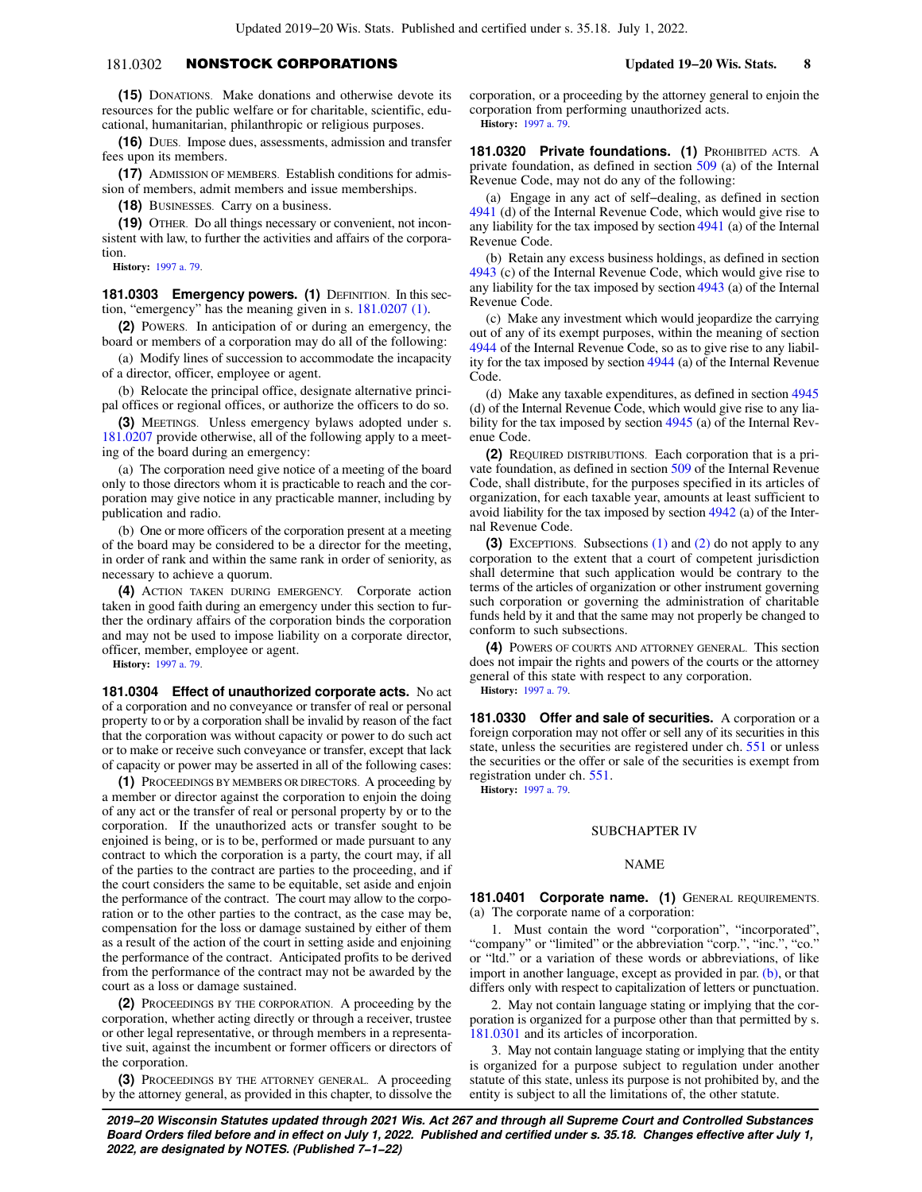# 181.0302 NONSTOCK CORPORATIONS **Updated 19−20 Wis. Stats. 8**

**(15)** DONATIONS. Make donations and otherwise devote its resources for the public welfare or for charitable, scientific, educational, humanitarian, philanthropic or religious purposes.

**(16)** DUES. Impose dues, assessments, admission and transfer fees upon its members.

**(17)** ADMISSION OF MEMBERS. Establish conditions for admission of members, admit members and issue memberships.

**(18)** BUSINESSES. Carry on a business.

**(19)** OTHER. Do all things necessary or convenient, not inconsistent with law, to further the activities and affairs of the corporation.

**History:** [1997 a. 79.](https://docs.legis.wisconsin.gov/document/acts/1997/79)

**181.0303 Emergency powers. (1)** DEFINITION. In this section, "emergency" has the meaning given in s. [181.0207 \(1\).](https://docs.legis.wisconsin.gov/document/statutes/181.0207(1))

**(2)** POWERS. In anticipation of or during an emergency, the board or members of a corporation may do all of the following:

(a) Modify lines of succession to accommodate the incapacity of a director, officer, employee or agent.

(b) Relocate the principal office, designate alternative principal offices or regional offices, or authorize the officers to do so.

**(3)** MEETINGS. Unless emergency bylaws adopted under s. [181.0207](https://docs.legis.wisconsin.gov/document/statutes/181.0207) provide otherwise, all of the following apply to a meeting of the board during an emergency:

(a) The corporation need give notice of a meeting of the board only to those directors whom it is practicable to reach and the corporation may give notice in any practicable manner, including by publication and radio.

(b) One or more officers of the corporation present at a meeting of the board may be considered to be a director for the meeting, in order of rank and within the same rank in order of seniority, as necessary to achieve a quorum.

**(4)** ACTION TAKEN DURING EMERGENCY. Corporate action taken in good faith during an emergency under this section to further the ordinary affairs of the corporation binds the corporation and may not be used to impose liability on a corporate director, officer, member, employee or agent.

**History:** [1997 a. 79.](https://docs.legis.wisconsin.gov/document/acts/1997/79)

**181.0304 Effect of unauthorized corporate acts.** No act of a corporation and no conveyance or transfer of real or personal property to or by a corporation shall be invalid by reason of the fact that the corporation was without capacity or power to do such act or to make or receive such conveyance or transfer, except that lack of capacity or power may be asserted in all of the following cases:

**(1)** PROCEEDINGS BY MEMBERS OR DIRECTORS. A proceeding by a member or director against the corporation to enjoin the doing of any act or the transfer of real or personal property by or to the corporation. If the unauthorized acts or transfer sought to be enjoined is being, or is to be, performed or made pursuant to any contract to which the corporation is a party, the court may, if all of the parties to the contract are parties to the proceeding, and if the court considers the same to be equitable, set aside and enjoin the performance of the contract. The court may allow to the corporation or to the other parties to the contract, as the case may be, compensation for the loss or damage sustained by either of them as a result of the action of the court in setting aside and enjoining the performance of the contract. Anticipated profits to be derived from the performance of the contract may not be awarded by the court as a loss or damage sustained.

**(2)** PROCEEDINGS BY THE CORPORATION. A proceeding by the corporation, whether acting directly or through a receiver, trustee or other legal representative, or through members in a representative suit, against the incumbent or former officers or directors of the corporation.

**(3)** PROCEEDINGS BY THE ATTORNEY GENERAL. A proceeding by the attorney general, as provided in this chapter, to dissolve the corporation, or a proceeding by the attorney general to enjoin the corporation from performing unauthorized acts. **History:** [1997 a. 79](https://docs.legis.wisconsin.gov/document/acts/1997/79).

**181.0320 Private foundations. (1)** PROHIBITED ACTS. A private foundation, as defined in section [509](https://docs.legis.wisconsin.gov/document/usc/26%20USC%20509) (a) of the Internal Revenue Code, may not do any of the following:

(a) Engage in any act of self−dealing, as defined in section [4941](https://docs.legis.wisconsin.gov/document/usc/26%20USC%204941) (d) of the Internal Revenue Code, which would give rise to any liability for the tax imposed by section [4941](https://docs.legis.wisconsin.gov/document/usc/26%20USC%204941) (a) of the Internal Revenue Code.

(b) Retain any excess business holdings, as defined in section [4943](https://docs.legis.wisconsin.gov/document/usc/26%20USC%204943) (c) of the Internal Revenue Code, which would give rise to any liability for the tax imposed by section [4943](https://docs.legis.wisconsin.gov/document/usc/26%20USC%204943) (a) of the Internal Revenue Code.

(c) Make any investment which would jeopardize the carrying out of any of its exempt purposes, within the meaning of section [4944](https://docs.legis.wisconsin.gov/document/usc/26%20USC%204944) of the Internal Revenue Code, so as to give rise to any liability for the tax imposed by section [4944](https://docs.legis.wisconsin.gov/document/usc/26%20USC%204944) (a) of the Internal Revenue Code.

(d) Make any taxable expenditures, as defined in section [4945](https://docs.legis.wisconsin.gov/document/usc/26%20USC%204945) (d) of the Internal Revenue Code, which would give rise to any liability for the tax imposed by section [4945](https://docs.legis.wisconsin.gov/document/usc/26%20USC%204945) (a) of the Internal Revenue Code.

**(2)** REQUIRED DISTRIBUTIONS. Each corporation that is a private foundation, as defined in section [509](https://docs.legis.wisconsin.gov/document/usc/26%20USC%20509) of the Internal Revenue Code, shall distribute, for the purposes specified in its articles of organization, for each taxable year, amounts at least sufficient to avoid liability for the tax imposed by section [4942](https://docs.legis.wisconsin.gov/document/usc/26%20USC%204942) (a) of the Internal Revenue Code.

**(3)** EXCEPTIONS. Subsections [\(1\)](https://docs.legis.wisconsin.gov/document/statutes/181.0320(1)) and [\(2\)](https://docs.legis.wisconsin.gov/document/statutes/181.0320(2)) do not apply to any corporation to the extent that a court of competent jurisdiction shall determine that such application would be contrary to the terms of the articles of organization or other instrument governing such corporation or governing the administration of charitable funds held by it and that the same may not properly be changed to conform to such subsections.

**(4)** POWERS OF COURTS AND ATTORNEY GENERAL. This section does not impair the rights and powers of the courts or the attorney general of this state with respect to any corporation. **History:** [1997 a. 79](https://docs.legis.wisconsin.gov/document/acts/1997/79).

**181.0330 Offer and sale of securities.** A corporation or a foreign corporation may not offer or sell any of its securities in this state, unless the securities are registered under ch. [551](https://docs.legis.wisconsin.gov/document/statutes/ch.%20551) or unless the securities or the offer or sale of the securities is exempt from registration under ch. [551](https://docs.legis.wisconsin.gov/document/statutes/ch.%20551).

**History:** [1997 a. 79](https://docs.legis.wisconsin.gov/document/acts/1997/79).

## SUBCHAPTER IV

### NAME

**181.0401 Corporate name. (1)** GENERAL REQUIREMENTS. (a) The corporate name of a corporation:

1. Must contain the word "corporation", "incorporated", "company" or "limited" or the abbreviation "corp.", "inc.", "co." or "ltd." or a variation of these words or abbreviations, of like import in another language, except as provided in par. [\(b\),](https://docs.legis.wisconsin.gov/document/statutes/181.0401(1)(b)) or that differs only with respect to capitalization of letters or punctuation.

2. May not contain language stating or implying that the corporation is organized for a purpose other than that permitted by s. [181.0301](https://docs.legis.wisconsin.gov/document/statutes/181.0301) and its articles of incorporation.

3. May not contain language stating or implying that the entity is organized for a purpose subject to regulation under another statute of this state, unless its purpose is not prohibited by, and the entity is subject to all the limitations of, the other statute.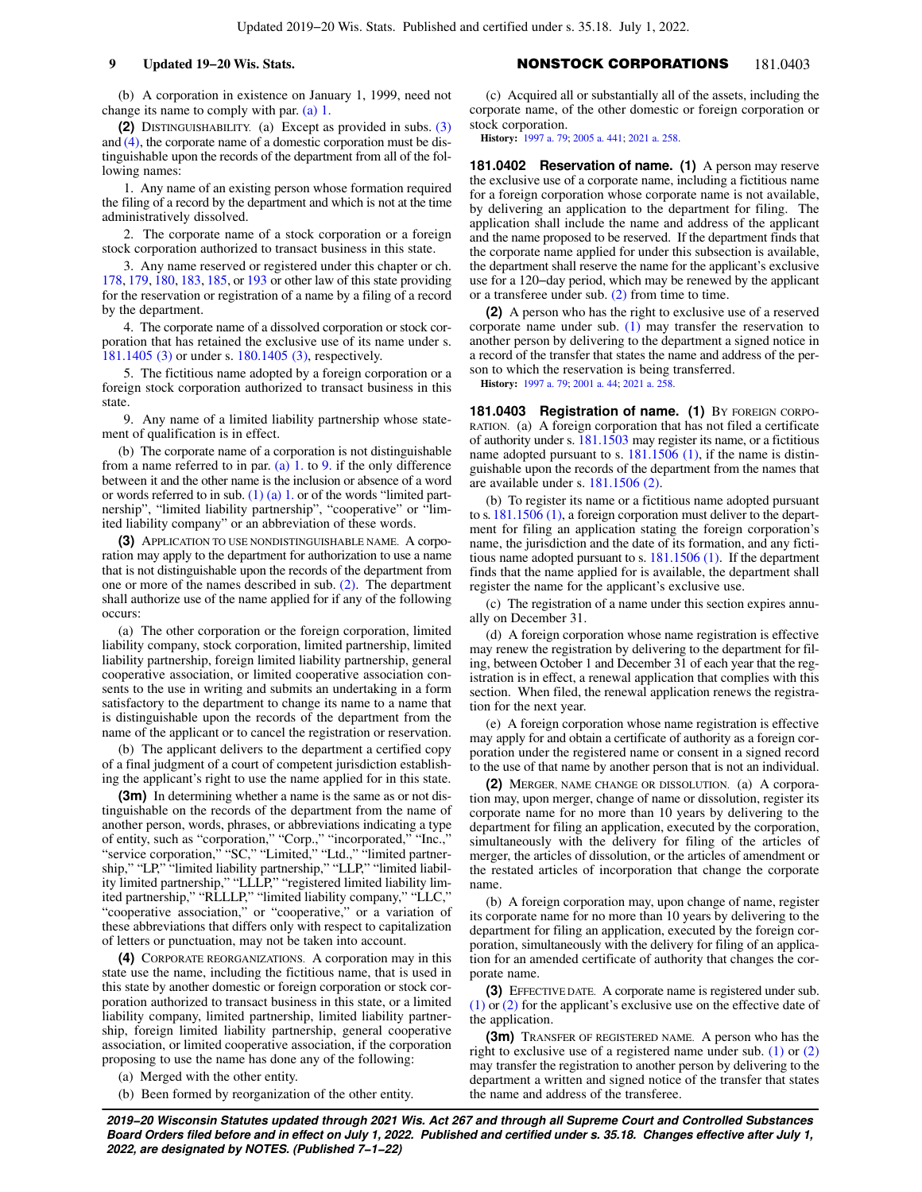(b) A corporation in existence on January 1, 1999, need not change its name to comply with par. [\(a\) 1.](https://docs.legis.wisconsin.gov/document/statutes/181.0401(1)(a)1.)

**(2)** DISTINGUISHABILITY. (a) Except as provided in subs. [\(3\)](https://docs.legis.wisconsin.gov/document/statutes/181.0401(3)) and [\(4\),](https://docs.legis.wisconsin.gov/document/statutes/181.0401(4)) the corporate name of a domestic corporation must be distinguishable upon the records of the department from all of the following names:

1. Any name of an existing person whose formation required the filing of a record by the department and which is not at the time administratively dissolved.

2. The corporate name of a stock corporation or a foreign stock corporation authorized to transact business in this state.

3. Any name reserved or registered under this chapter or ch. [178](https://docs.legis.wisconsin.gov/document/statutes/ch.%20178), [179,](https://docs.legis.wisconsin.gov/document/statutes/ch.%20179) [180](https://docs.legis.wisconsin.gov/document/statutes/ch.%20180), [183,](https://docs.legis.wisconsin.gov/document/statutes/ch.%20183) [185](https://docs.legis.wisconsin.gov/document/statutes/ch.%20185), or [193](https://docs.legis.wisconsin.gov/document/statutes/ch.%20193) or other law of this state providing for the reservation or registration of a name by a filing of a record by the department.

4. The corporate name of a dissolved corporation or stock corporation that has retained the exclusive use of its name under s. [181.1405 \(3\)](https://docs.legis.wisconsin.gov/document/statutes/181.1405(3)) or under s. [180.1405 \(3\)](https://docs.legis.wisconsin.gov/document/statutes/180.1405(3)), respectively.

5. The fictitious name adopted by a foreign corporation or a foreign stock corporation authorized to transact business in this state.

9. Any name of a limited liability partnership whose statement of qualification is in effect.

(b) The corporate name of a corporation is not distinguishable from a name referred to in par. [\(a\) 1.](https://docs.legis.wisconsin.gov/document/statutes/181.0401(2)(a)1.) to [9.](https://docs.legis.wisconsin.gov/document/statutes/181.0401(2)(a)9.) if the only difference between it and the other name is the inclusion or absence of a word or words referred to in sub.  $(1)$  (a) 1. or of the words "limited partnership", "limited liability partnership", "cooperative" or "limited liability company" or an abbreviation of these words.

**(3)** APPLICATION TO USE NONDISTINGUISHABLE NAME. A corporation may apply to the department for authorization to use a name that is not distinguishable upon the records of the department from one or more of the names described in sub. [\(2\)](https://docs.legis.wisconsin.gov/document/statutes/181.0401(2)). The department shall authorize use of the name applied for if any of the following occurs:

(a) The other corporation or the foreign corporation, limited liability company, stock corporation, limited partnership, limited liability partnership, foreign limited liability partnership, general cooperative association, or limited cooperative association consents to the use in writing and submits an undertaking in a form satisfactory to the department to change its name to a name that is distinguishable upon the records of the department from the name of the applicant or to cancel the registration or reservation.

(b) The applicant delivers to the department a certified copy of a final judgment of a court of competent jurisdiction establishing the applicant's right to use the name applied for in this state.

**(3m)** In determining whether a name is the same as or not distinguishable on the records of the department from the name of another person, words, phrases, or abbreviations indicating a type of entity, such as "corporation," "Corp.," "incorporated," "Inc.," "service corporation," "SC," "Limited," "Ltd.," "limited partnership," "LP," "limited liability partnership," "LLP," "limited liability limited partnership," "LLLP," "registered limited liability limited partnership," "RLLLP," "limited liability company," "LLC, "cooperative association," or "cooperative," or a variation of these abbreviations that differs only with respect to capitalization of letters or punctuation, may not be taken into account.

**(4)** CORPORATE REORGANIZATIONS. A corporation may in this state use the name, including the fictitious name, that is used in this state by another domestic or foreign corporation or stock corporation authorized to transact business in this state, or a limited liability company, limited partnership, limited liability partnership, foreign limited liability partnership, general cooperative association, or limited cooperative association, if the corporation proposing to use the name has done any of the following:

(a) Merged with the other entity.

(b) Been formed by reorganization of the other entity.

# **9 Updated 19−20 Wis. Stats.** NONSTOCK CORPORATIONS 181.0403

(c) Acquired all or substantially all of the assets, including the corporate name, of the other domestic or foreign corporation or stock corporation.

**History:** [1997 a. 79](https://docs.legis.wisconsin.gov/document/acts/1997/79); [2005 a. 441;](https://docs.legis.wisconsin.gov/document/acts/2005/441) [2021 a. 258](https://docs.legis.wisconsin.gov/document/acts/2021/258).

**181.0402 Reservation of name. (1)** A person may reserve the exclusive use of a corporate name, including a fictitious name for a foreign corporation whose corporate name is not available, by delivering an application to the department for filing. The application shall include the name and address of the applicant and the name proposed to be reserved. If the department finds that the corporate name applied for under this subsection is available, the department shall reserve the name for the applicant's exclusive use for a 120−day period, which may be renewed by the applicant or a transferee under sub. [\(2\)](https://docs.legis.wisconsin.gov/document/statutes/181.0402(2)) from time to time.

**(2)** A person who has the right to exclusive use of a reserved corporate name under sub. [\(1\)](https://docs.legis.wisconsin.gov/document/statutes/181.0402(1)) may transfer the reservation to another person by delivering to the department a signed notice in a record of the transfer that states the name and address of the person to which the reservation is being transferred.

**History:** [1997 a. 79](https://docs.legis.wisconsin.gov/document/acts/1997/79); [2001 a. 44](https://docs.legis.wisconsin.gov/document/acts/2001/44); [2021 a. 258.](https://docs.legis.wisconsin.gov/document/acts/2021/258)

181.0403 Registration of name. (1) BY FOREIGN CORPO-RATION. (a) A foreign corporation that has not filed a certificate of authority under s. [181.1503](https://docs.legis.wisconsin.gov/document/statutes/181.1503) may register its name, or a fictitious name adopted pursuant to s.  $181.1506$  (1), if the name is distinguishable upon the records of the department from the names that are available under s. [181.1506 \(2\)](https://docs.legis.wisconsin.gov/document/statutes/181.1506(2)).

(b) To register its name or a fictitious name adopted pursuant to s. [181.1506 \(1\)](https://docs.legis.wisconsin.gov/document/statutes/181.1506(1)), a foreign corporation must deliver to the department for filing an application stating the foreign corporation's name, the jurisdiction and the date of its formation, and any fictitious name adopted pursuant to s. [181.1506 \(1\).](https://docs.legis.wisconsin.gov/document/statutes/181.1506(1)) If the department finds that the name applied for is available, the department shall register the name for the applicant's exclusive use.

(c) The registration of a name under this section expires annually on December 31.

(d) A foreign corporation whose name registration is effective may renew the registration by delivering to the department for filing, between October 1 and December 31 of each year that the registration is in effect, a renewal application that complies with this section. When filed, the renewal application renews the registration for the next year.

(e) A foreign corporation whose name registration is effective may apply for and obtain a certificate of authority as a foreign corporation under the registered name or consent in a signed record to the use of that name by another person that is not an individual.

**(2)** MERGER, NAME CHANGE OR DISSOLUTION. (a) A corporation may, upon merger, change of name or dissolution, register its corporate name for no more than 10 years by delivering to the department for filing an application, executed by the corporation, simultaneously with the delivery for filing of the articles of merger, the articles of dissolution, or the articles of amendment or the restated articles of incorporation that change the corporate name.

(b) A foreign corporation may, upon change of name, register its corporate name for no more than 10 years by delivering to the department for filing an application, executed by the foreign corporation, simultaneously with the delivery for filing of an application for an amended certificate of authority that changes the corporate name.

**(3)** EFFECTIVE DATE. A corporate name is registered under sub. [\(1\)](https://docs.legis.wisconsin.gov/document/statutes/181.0403(1)) or [\(2\)](https://docs.legis.wisconsin.gov/document/statutes/181.0403(2)) for the applicant's exclusive use on the effective date of the application.

**(3m)** TRANSFER OF REGISTERED NAME. A person who has the right to exclusive use of a registered name under sub. [\(1\)](https://docs.legis.wisconsin.gov/document/statutes/181.0403(1)) or [\(2\)](https://docs.legis.wisconsin.gov/document/statutes/181.0403(2)) may transfer the registration to another person by delivering to the department a written and signed notice of the transfer that states the name and address of the transferee.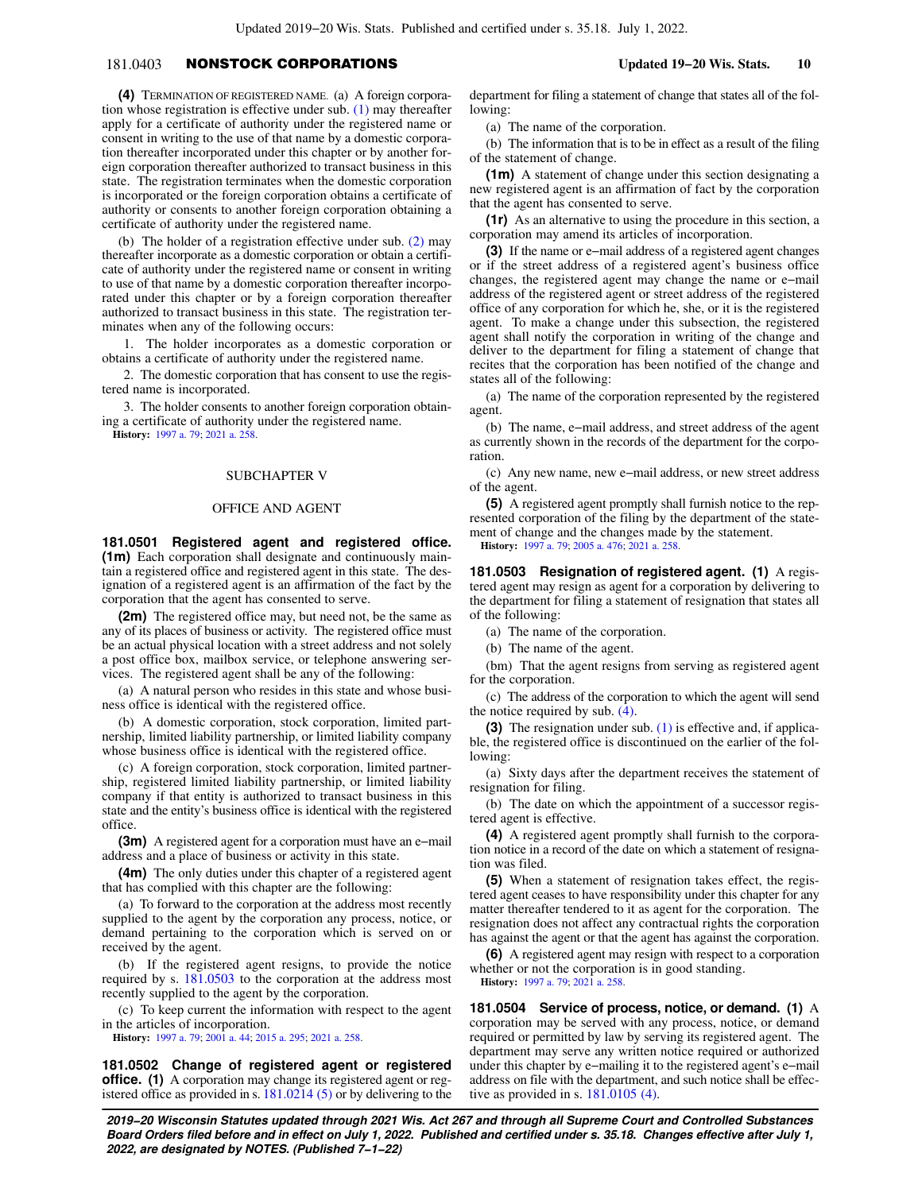# 181.0403 NONSTOCK CORPORATIONS **Updated 19−20 Wis. Stats. 10**

**(4)** TERMINATION OF REGISTERED NAME. (a) A foreign corporation whose registration is effective under sub. [\(1\)](https://docs.legis.wisconsin.gov/document/statutes/181.0403(1)) may thereafter apply for a certificate of authority under the registered name or consent in writing to the use of that name by a domestic corporation thereafter incorporated under this chapter or by another foreign corporation thereafter authorized to transact business in this state. The registration terminates when the domestic corporation is incorporated or the foreign corporation obtains a certificate of authority or consents to another foreign corporation obtaining a certificate of authority under the registered name.

(b) The holder of a registration effective under sub. [\(2\)](https://docs.legis.wisconsin.gov/document/statutes/181.0403(2)) may thereafter incorporate as a domestic corporation or obtain a certificate of authority under the registered name or consent in writing to use of that name by a domestic corporation thereafter incorporated under this chapter or by a foreign corporation thereafter authorized to transact business in this state. The registration terminates when any of the following occurs:

1. The holder incorporates as a domestic corporation or obtains a certificate of authority under the registered name.

2. The domestic corporation that has consent to use the registered name is incorporated.

3. The holder consents to another foreign corporation obtaining a certificate of authority under the registered name.

**History:** [1997 a. 79;](https://docs.legis.wisconsin.gov/document/acts/1997/79) [2021 a. 258.](https://docs.legis.wisconsin.gov/document/acts/2021/258)

### SUBCHAPTER V

### OFFICE AND AGENT

**181.0501 Registered agent and registered office. (1m)** Each corporation shall designate and continuously maintain a registered office and registered agent in this state. The designation of a registered agent is an affirmation of the fact by the corporation that the agent has consented to serve.

**(2m)** The registered office may, but need not, be the same as any of its places of business or activity. The registered office must be an actual physical location with a street address and not solely a post office box, mailbox service, or telephone answering services. The registered agent shall be any of the following:

(a) A natural person who resides in this state and whose business office is identical with the registered office.

(b) A domestic corporation, stock corporation, limited partnership, limited liability partnership, or limited liability company whose business office is identical with the registered office.

(c) A foreign corporation, stock corporation, limited partnership, registered limited liability partnership, or limited liability company if that entity is authorized to transact business in this state and the entity's business office is identical with the registered office.

**(3m)** A registered agent for a corporation must have an e−mail address and a place of business or activity in this state.

**(4m)** The only duties under this chapter of a registered agent that has complied with this chapter are the following:

(a) To forward to the corporation at the address most recently supplied to the agent by the corporation any process, notice, or demand pertaining to the corporation which is served on or received by the agent.

(b) If the registered agent resigns, to provide the notice required by s. [181.0503](https://docs.legis.wisconsin.gov/document/statutes/181.0503) to the corporation at the address most recently supplied to the agent by the corporation.

(c) To keep current the information with respect to the agent in the articles of incorporation.

**History:** [1997 a. 79;](https://docs.legis.wisconsin.gov/document/acts/1997/79) [2001 a. 44;](https://docs.legis.wisconsin.gov/document/acts/2001/44) [2015 a. 295;](https://docs.legis.wisconsin.gov/document/acts/2015/295) [2021 a. 258](https://docs.legis.wisconsin.gov/document/acts/2021/258).

**181.0502 Change of registered agent or registered office.** (1) A corporation may change its registered agent or registered office as provided in s. [181.0214 \(5\)](https://docs.legis.wisconsin.gov/document/statutes/181.0214(5)) or by delivering to the

department for filing a statement of change that states all of the following:

(a) The name of the corporation.

(b) The information that is to be in effect as a result of the filing of the statement of change.

**(1m)** A statement of change under this section designating a new registered agent is an affirmation of fact by the corporation that the agent has consented to serve.

**(1r)** As an alternative to using the procedure in this section, a corporation may amend its articles of incorporation.

**(3)** If the name or e−mail address of a registered agent changes or if the street address of a registered agent's business office changes, the registered agent may change the name or e−mail address of the registered agent or street address of the registered office of any corporation for which he, she, or it is the registered agent. To make a change under this subsection, the registered agent shall notify the corporation in writing of the change and deliver to the department for filing a statement of change that recites that the corporation has been notified of the change and states all of the following:

(a) The name of the corporation represented by the registered agent.

(b) The name, e−mail address, and street address of the agent as currently shown in the records of the department for the corporation.

(c) Any new name, new e−mail address, or new street address of the agent.

**(5)** A registered agent promptly shall furnish notice to the represented corporation of the filing by the department of the statement of change and the changes made by the statement. **History:** [1997 a. 79](https://docs.legis.wisconsin.gov/document/acts/1997/79); [2005 a. 476;](https://docs.legis.wisconsin.gov/document/acts/2005/476) [2021 a. 258](https://docs.legis.wisconsin.gov/document/acts/2021/258).

**181.0503 Resignation of registered agent. (1)** A registered agent may resign as agent for a corporation by delivering to the department for filing a statement of resignation that states all of the following:

(a) The name of the corporation.

(b) The name of the agent.

(bm) That the agent resigns from serving as registered agent for the corporation.

(c) The address of the corporation to which the agent will send the notice required by sub. [\(4\)](https://docs.legis.wisconsin.gov/document/statutes/181.0503(4)).

**(3)** The resignation under sub. [\(1\)](https://docs.legis.wisconsin.gov/document/statutes/181.0503(1)) is effective and, if applicable, the registered office is discontinued on the earlier of the following:

(a) Sixty days after the department receives the statement of resignation for filing.

(b) The date on which the appointment of a successor registered agent is effective.

**(4)** A registered agent promptly shall furnish to the corporation notice in a record of the date on which a statement of resignation was filed.

**(5)** When a statement of resignation takes effect, the registered agent ceases to have responsibility under this chapter for any matter thereafter tendered to it as agent for the corporation. The resignation does not affect any contractual rights the corporation has against the agent or that the agent has against the corporation.

**(6)** A registered agent may resign with respect to a corporation whether or not the corporation is in good standing. **History:** [1997 a. 79](https://docs.legis.wisconsin.gov/document/acts/1997/79); [2021 a. 258.](https://docs.legis.wisconsin.gov/document/acts/2021/258)

**181.0504 Service of process, notice, or demand. (1)** A corporation may be served with any process, notice, or demand required or permitted by law by serving its registered agent. The department may serve any written notice required or authorized under this chapter by e−mailing it to the registered agent's e−mail address on file with the department, and such notice shall be effective as provided in s. [181.0105 \(4\)](https://docs.legis.wisconsin.gov/document/statutes/181.0105(4)).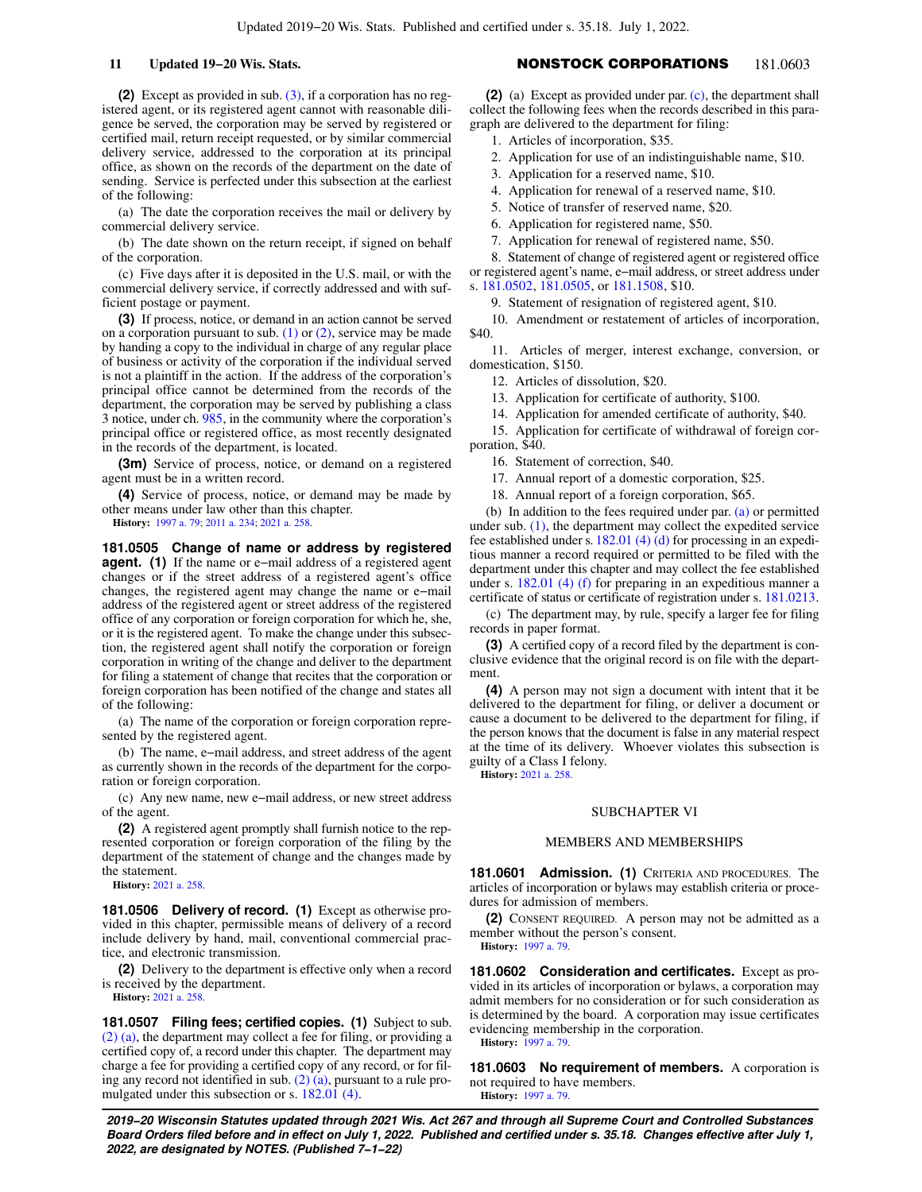**(2)** Except as provided in sub. [\(3\)](https://docs.legis.wisconsin.gov/document/statutes/181.0504(3)), if a corporation has no registered agent, or its registered agent cannot with reasonable diligence be served, the corporation may be served by registered or certified mail, return receipt requested, or by similar commercial delivery service, addressed to the corporation at its principal office, as shown on the records of the department on the date of sending. Service is perfected under this subsection at the earliest of the following:

(a) The date the corporation receives the mail or delivery by commercial delivery service.

(b) The date shown on the return receipt, if signed on behalf of the corporation.

(c) Five days after it is deposited in the U.S. mail, or with the commercial delivery service, if correctly addressed and with sufficient postage or payment.

**(3)** If process, notice, or demand in an action cannot be served on a corporation pursuant to sub.  $(1)$  or  $(2)$ , service may be made by handing a copy to the individual in charge of any regular place of business or activity of the corporation if the individual served is not a plaintiff in the action. If the address of the corporation's principal office cannot be determined from the records of the department, the corporation may be served by publishing a class 3 notice, under ch. [985](https://docs.legis.wisconsin.gov/document/statutes/ch.%20985), in the community where the corporation's principal office or registered office, as most recently designated in the records of the department, is located.

**(3m)** Service of process, notice, or demand on a registered agent must be in a written record.

**(4)** Service of process, notice, or demand may be made by other means under law other than this chapter.

**History:** [1997 a. 79;](https://docs.legis.wisconsin.gov/document/acts/1997/79) [2011 a. 234](https://docs.legis.wisconsin.gov/document/acts/2011/234); [2021 a. 258.](https://docs.legis.wisconsin.gov/document/acts/2021/258)

**181.0505 Change of name or address by registered agent. (1)** If the name or e−mail address of a registered agent changes or if the street address of a registered agent's office changes, the registered agent may change the name or e−mail address of the registered agent or street address of the registered office of any corporation or foreign corporation for which he, she, or it is the registered agent. To make the change under this subsection, the registered agent shall notify the corporation or foreign corporation in writing of the change and deliver to the department for filing a statement of change that recites that the corporation or foreign corporation has been notified of the change and states all of the following:

(a) The name of the corporation or foreign corporation represented by the registered agent.

(b) The name, e−mail address, and street address of the agent as currently shown in the records of the department for the corporation or foreign corporation.

(c) Any new name, new e−mail address, or new street address of the agent.

**(2)** A registered agent promptly shall furnish notice to the represented corporation or foreign corporation of the filing by the department of the statement of change and the changes made by the statement.

**History:** [2021 a. 258.](https://docs.legis.wisconsin.gov/document/acts/2021/258)

**181.0506 Delivery of record. (1)** Except as otherwise provided in this chapter, permissible means of delivery of a record include delivery by hand, mail, conventional commercial practice, and electronic transmission.

**(2)** Delivery to the department is effective only when a record is received by the department.

**History:** [2021 a. 258.](https://docs.legis.wisconsin.gov/document/acts/2021/258)

**181.0507 Filing fees; certified copies. (1)** Subject to sub. [\(2\) \(a\)](https://docs.legis.wisconsin.gov/document/statutes/181.0507(2)(a)), the department may collect a fee for filing, or providing a certified copy of, a record under this chapter. The department may charge a fee for providing a certified copy of any record, or for filing any record not identified in sub. [\(2\) \(a\),](https://docs.legis.wisconsin.gov/document/statutes/181.0507(2)(a)) pursuant to a rule promulgated under this subsection or s. [182.01 \(4\).](https://docs.legis.wisconsin.gov/document/statutes/182.01(4))

# **11 Updated 19−20 Wis. Stats.** NONSTOCK CORPORATIONS 181.0603

**(2)** (a) Except as provided under par. [\(c\)](https://docs.legis.wisconsin.gov/document/statutes/181.0507(2)(c)), the department shall collect the following fees when the records described in this paragraph are delivered to the department for filing:

1. Articles of incorporation, \$35.

2. Application for use of an indistinguishable name, \$10.

- 3. Application for a reserved name, \$10.
- 4. Application for renewal of a reserved name, \$10.

5. Notice of transfer of reserved name, \$20.

6. Application for registered name, \$50.

7. Application for renewal of registered name, \$50.

8. Statement of change of registered agent or registered office

or registered agent's name, e−mail address, or street address under s. [181.0502](https://docs.legis.wisconsin.gov/document/statutes/181.0502), [181.0505,](https://docs.legis.wisconsin.gov/document/statutes/181.0505) or [181.1508,](https://docs.legis.wisconsin.gov/document/statutes/181.1508) \$10.

9. Statement of resignation of registered agent, \$10.

10. Amendment or restatement of articles of incorporation, \$40.

11. Articles of merger, interest exchange, conversion, or domestication, \$150.

12. Articles of dissolution, \$20.

13. Application for certificate of authority, \$100.

14. Application for amended certificate of authority, \$40.

15. Application for certificate of withdrawal of foreign corporation, \$40.

16. Statement of correction, \$40.

17. Annual report of a domestic corporation, \$25.

18. Annual report of a foreign corporation, \$65.

(b) In addition to the fees required under par. [\(a\)](https://docs.legis.wisconsin.gov/document/statutes/181.0507(2)(a)) or permitted under sub.  $(1)$ , the department may collect the expedited service fee established under s. [182.01 \(4\) \(d\)](https://docs.legis.wisconsin.gov/document/statutes/182.01(4)(d)) for processing in an expeditious manner a record required or permitted to be filed with the department under this chapter and may collect the fee established under s. [182.01 \(4\) \(f\)](https://docs.legis.wisconsin.gov/document/statutes/182.01(4)(f)) for preparing in an expeditious manner a certificate of status or certificate of registration under s. [181.0213.](https://docs.legis.wisconsin.gov/document/statutes/181.0213)

(c) The department may, by rule, specify a larger fee for filing records in paper format.

**(3)** A certified copy of a record filed by the department is conclusive evidence that the original record is on file with the department.

**(4)** A person may not sign a document with intent that it be delivered to the department for filing, or deliver a document or cause a document to be delivered to the department for filing, if the person knows that the document is false in any material respect at the time of its delivery. Whoever violates this subsection is guilty of a Class I felony.

**History:** [2021 a. 258.](https://docs.legis.wisconsin.gov/document/acts/2021/258)

# SUBCHAPTER VI

## MEMBERS AND MEMBERSHIPS

**181.0601 Admission. (1)** CRITERIA AND PROCEDURES. The articles of incorporation or bylaws may establish criteria or procedures for admission of members.

**(2)** CONSENT REQUIRED. A person may not be admitted as a member without the person's consent. **History:** [1997 a. 79](https://docs.legis.wisconsin.gov/document/acts/1997/79).

**181.0602 Consideration and certificates.** Except as provided in its articles of incorporation or bylaws, a corporation may admit members for no consideration or for such consideration as is determined by the board. A corporation may issue certificates evidencing membership in the corporation. **History:** [1997 a. 79](https://docs.legis.wisconsin.gov/document/acts/1997/79).

**181.0603 No requirement of members.** A corporation is not required to have members. **History:** [1997 a. 79](https://docs.legis.wisconsin.gov/document/acts/1997/79).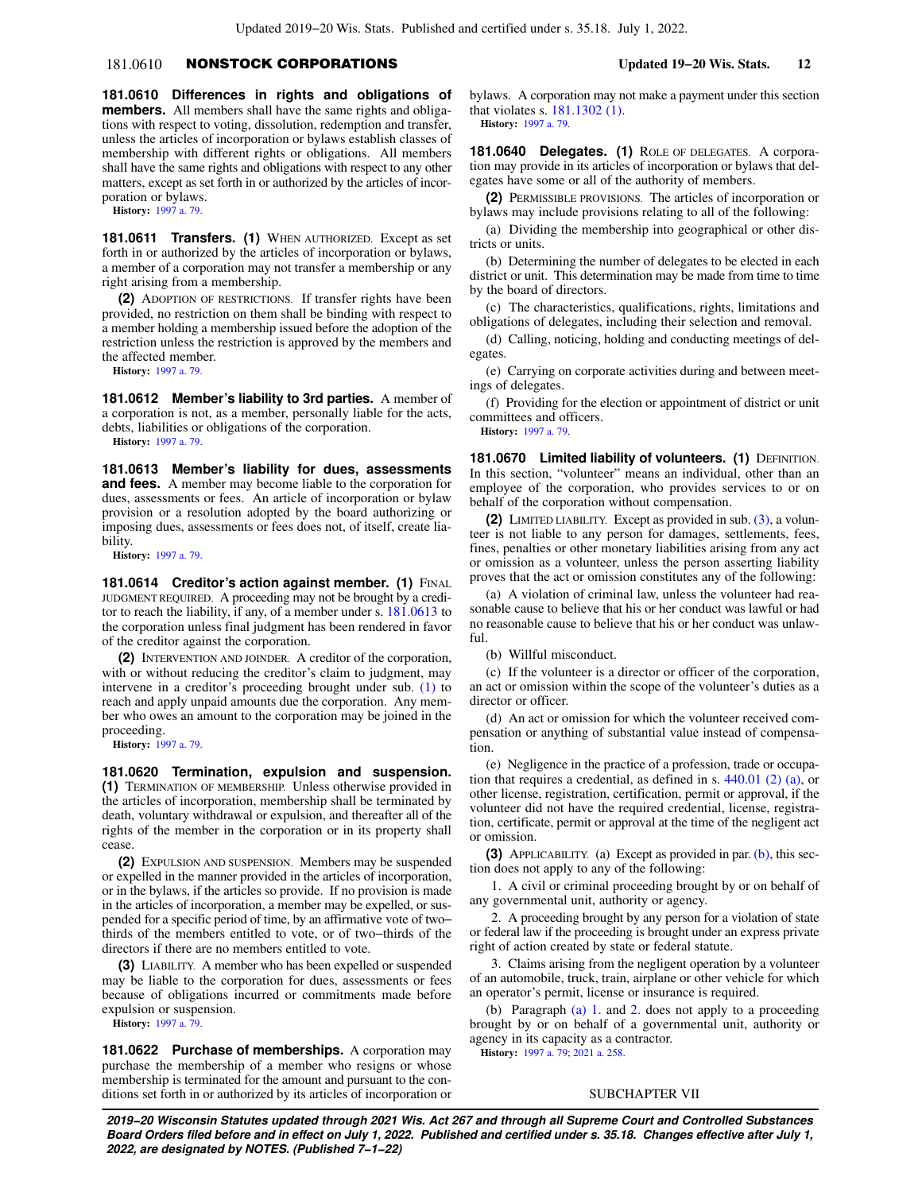# 181.0610 NONSTOCK CORPORATIONS **Updated 19−20 Wis. Stats. 12**

**181.0610 Differences in rights and obligations of members.** All members shall have the same rights and obligations with respect to voting, dissolution, redemption and transfer, unless the articles of incorporation or bylaws establish classes of membership with different rights or obligations. All members shall have the same rights and obligations with respect to any other matters, except as set forth in or authorized by the articles of incorporation or bylaws.

**History:** [1997 a. 79.](https://docs.legis.wisconsin.gov/document/acts/1997/79)

**181.0611 Transfers. (1)** WHEN AUTHORIZED. Except as set forth in or authorized by the articles of incorporation or bylaws, a member of a corporation may not transfer a membership or any right arising from a membership.

**(2)** ADOPTION OF RESTRICTIONS. If transfer rights have been provided, no restriction on them shall be binding with respect to a member holding a membership issued before the adoption of the restriction unless the restriction is approved by the members and the affected member.

**History:** [1997 a. 79.](https://docs.legis.wisconsin.gov/document/acts/1997/79)

**181.0612 Member's liability to 3rd parties.** A member of a corporation is not, as a member, personally liable for the acts, debts, liabilities or obligations of the corporation.

**History:** [1997 a. 79.](https://docs.legis.wisconsin.gov/document/acts/1997/79)

**181.0613 Member's liability for dues, assessments and fees.** A member may become liable to the corporation for dues, assessments or fees. An article of incorporation or bylaw provision or a resolution adopted by the board authorizing or imposing dues, assessments or fees does not, of itself, create liability.

**History:** [1997 a. 79.](https://docs.legis.wisconsin.gov/document/acts/1997/79)

**181.0614 Creditor's action against member. (1) FINAL** JUDGMENT REQUIRED. A proceeding may not be brought by a creditor to reach the liability, if any, of a member under s. [181.0613](https://docs.legis.wisconsin.gov/document/statutes/181.0613) to the corporation unless final judgment has been rendered in favor of the creditor against the corporation.

**(2)** INTERVENTION AND JOINDER. A creditor of the corporation, with or without reducing the creditor's claim to judgment, may intervene in a creditor's proceeding brought under sub. [\(1\)](https://docs.legis.wisconsin.gov/document/statutes/181.0614(1)) to reach and apply unpaid amounts due the corporation. Any member who owes an amount to the corporation may be joined in the proceeding.

**History:** [1997 a. 79.](https://docs.legis.wisconsin.gov/document/acts/1997/79)

**181.0620 Termination, expulsion and suspension. (1)** TERMINATION OF MEMBERSHIP. Unless otherwise provided in the articles of incorporation, membership shall be terminated by death, voluntary withdrawal or expulsion, and thereafter all of the rights of the member in the corporation or in its property shall cease.

**(2)** EXPULSION AND SUSPENSION. Members may be suspended or expelled in the manner provided in the articles of incorporation, or in the bylaws, if the articles so provide. If no provision is made in the articles of incorporation, a member may be expelled, or suspended for a specific period of time, by an affirmative vote of two− thirds of the members entitled to vote, or of two−thirds of the directors if there are no members entitled to vote.

**(3)** LIABILITY. A member who has been expelled or suspended may be liable to the corporation for dues, assessments or fees because of obligations incurred or commitments made before expulsion or suspension.

**History:** [1997 a. 79.](https://docs.legis.wisconsin.gov/document/acts/1997/79)

**181.0622 Purchase of memberships.** A corporation may purchase the membership of a member who resigns or whose membership is terminated for the amount and pursuant to the conditions set forth in or authorized by its articles of incorporation or bylaws. A corporation may not make a payment under this section that violates s. [181.1302 \(1\)](https://docs.legis.wisconsin.gov/document/statutes/181.1302(1)). **History:** [1997 a. 79](https://docs.legis.wisconsin.gov/document/acts/1997/79).

**181.0640 Delegates. (1)** ROLE OF DELEGATES. A corporation may provide in its articles of incorporation or bylaws that delegates have some or all of the authority of members.

**(2)** PERMISSIBLE PROVISIONS. The articles of incorporation or bylaws may include provisions relating to all of the following:

(a) Dividing the membership into geographical or other districts or units.

(b) Determining the number of delegates to be elected in each district or unit. This determination may be made from time to time by the board of directors.

(c) The characteristics, qualifications, rights, limitations and obligations of delegates, including their selection and removal.

(d) Calling, noticing, holding and conducting meetings of delegates.

(e) Carrying on corporate activities during and between meetings of delegates.

(f) Providing for the election or appointment of district or unit committees and officers.

**History:** [1997 a. 79](https://docs.legis.wisconsin.gov/document/acts/1997/79).

**181.0670 Limited liability of volunteers. (1) DEFINITION.** In this section, "volunteer" means an individual, other than an employee of the corporation, who provides services to or on behalf of the corporation without compensation.

**(2)** LIMITED LIABILITY. Except as provided in sub. [\(3\)](https://docs.legis.wisconsin.gov/document/statutes/181.0670(3)), a volunteer is not liable to any person for damages, settlements, fees, fines, penalties or other monetary liabilities arising from any act or omission as a volunteer, unless the person asserting liability proves that the act or omission constitutes any of the following:

(a) A violation of criminal law, unless the volunteer had reasonable cause to believe that his or her conduct was lawful or had no reasonable cause to believe that his or her conduct was unlawful.

(b) Willful misconduct.

(c) If the volunteer is a director or officer of the corporation, an act or omission within the scope of the volunteer's duties as a director or officer.

(d) An act or omission for which the volunteer received compensation or anything of substantial value instead of compensation.

(e) Negligence in the practice of a profession, trade or occupation that requires a credential, as defined in s. [440.01 \(2\) \(a\),](https://docs.legis.wisconsin.gov/document/statutes/440.01(2)(a)) or other license, registration, certification, permit or approval, if the volunteer did not have the required credential, license, registration, certificate, permit or approval at the time of the negligent act or omission.

**(3)** APPLICABILITY. (a) Except as provided in par. [\(b\)](https://docs.legis.wisconsin.gov/document/statutes/181.0670(3)(b)), this section does not apply to any of the following:

1. A civil or criminal proceeding brought by or on behalf of any governmental unit, authority or agency.

2. A proceeding brought by any person for a violation of state or federal law if the proceeding is brought under an express private right of action created by state or federal statute.

3. Claims arising from the negligent operation by a volunteer of an automobile, truck, train, airplane or other vehicle for which an operator's permit, license or insurance is required.

(b) Paragraph [\(a\) 1.](https://docs.legis.wisconsin.gov/document/statutes/181.0670(3)(a)1.) and [2.](https://docs.legis.wisconsin.gov/document/statutes/181.0670(3)(a)2.) does not apply to a proceeding brought by or on behalf of a governmental unit, authority or agency in its capacity as a contractor.

**History:** [1997 a. 79](https://docs.legis.wisconsin.gov/document/acts/1997/79); [2021 a. 258.](https://docs.legis.wisconsin.gov/document/acts/2021/258)

# SUBCHAPTER VII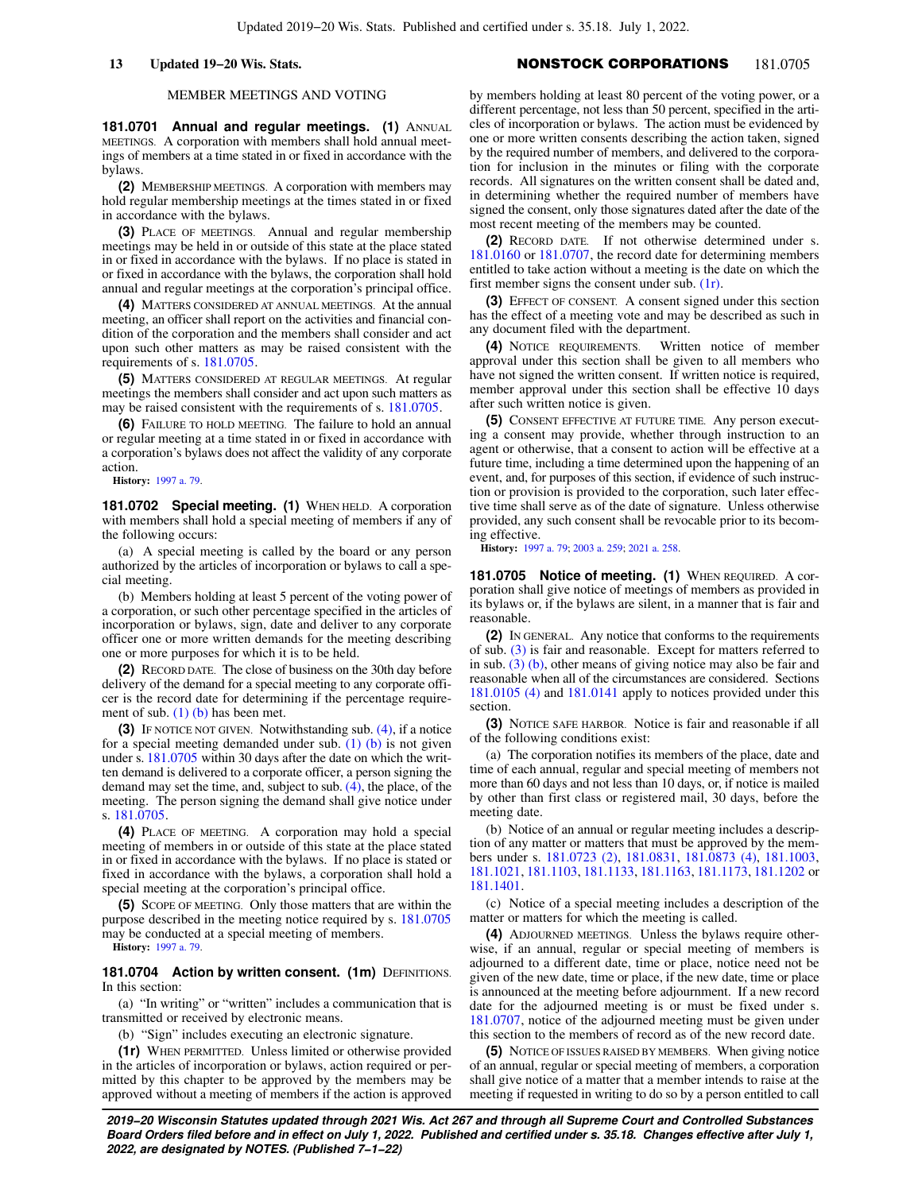# **13 Updated 19−20 Wis. Stats.** NONSTOCK CORPORATIONS 181.0705

## MEMBER MEETINGS AND VOTING

**181.0701 Annual and regular meetings. (1) ANNUAL** MEETINGS. A corporation with members shall hold annual meetings of members at a time stated in or fixed in accordance with the bylaws.

**(2)** MEMBERSHIP MEETINGS. A corporation with members may hold regular membership meetings at the times stated in or fixed in accordance with the bylaws.

**(3)** PLACE OF MEETINGS. Annual and regular membership meetings may be held in or outside of this state at the place stated in or fixed in accordance with the bylaws. If no place is stated in or fixed in accordance with the bylaws, the corporation shall hold annual and regular meetings at the corporation's principal office.

**(4)** MATTERS CONSIDERED AT ANNUAL MEETINGS. At the annual meeting, an officer shall report on the activities and financial condition of the corporation and the members shall consider and act upon such other matters as may be raised consistent with the requirements of s. [181.0705](https://docs.legis.wisconsin.gov/document/statutes/181.0705).

**(5)** MATTERS CONSIDERED AT REGULAR MEETINGS. At regular meetings the members shall consider and act upon such matters as may be raised consistent with the requirements of s.  $181.0705$ .

**(6)** FAILURE TO HOLD MEETING. The failure to hold an annual or regular meeting at a time stated in or fixed in accordance with a corporation's bylaws does not affect the validity of any corporate action.

**History:** [1997 a. 79.](https://docs.legis.wisconsin.gov/document/acts/1997/79)

181.0702 Special meeting. (1) WHEN HELD. A corporation with members shall hold a special meeting of members if any of the following occurs:

(a) A special meeting is called by the board or any person authorized by the articles of incorporation or bylaws to call a special meeting.

(b) Members holding at least 5 percent of the voting power of a corporation, or such other percentage specified in the articles of incorporation or bylaws, sign, date and deliver to any corporate officer one or more written demands for the meeting describing one or more purposes for which it is to be held.

**(2)** RECORD DATE. The close of business on the 30th day before delivery of the demand for a special meeting to any corporate officer is the record date for determining if the percentage requirement of sub.  $(1)$  (b) has been met.

**(3)** IF NOTICE NOT GIVEN. Notwithstanding sub. [\(4\),](https://docs.legis.wisconsin.gov/document/statutes/181.0702(4)) if a notice for a special meeting demanded under sub. [\(1\) \(b\)](https://docs.legis.wisconsin.gov/document/statutes/181.0702(1)(b)) is not given under s. [181.0705](https://docs.legis.wisconsin.gov/document/statutes/181.0705) within 30 days after the date on which the written demand is delivered to a corporate officer, a person signing the demand may set the time, and, subject to sub. [\(4\)](https://docs.legis.wisconsin.gov/document/statutes/181.0702(4)), the place, of the meeting. The person signing the demand shall give notice under s. [181.0705.](https://docs.legis.wisconsin.gov/document/statutes/181.0705)

**(4)** PLACE OF MEETING. A corporation may hold a special meeting of members in or outside of this state at the place stated in or fixed in accordance with the bylaws. If no place is stated or fixed in accordance with the bylaws, a corporation shall hold a special meeting at the corporation's principal office.

**(5)** SCOPE OF MEETING. Only those matters that are within the purpose described in the meeting notice required by s. [181.0705](https://docs.legis.wisconsin.gov/document/statutes/181.0705) may be conducted at a special meeting of members.

**History:** [1997 a. 79.](https://docs.legis.wisconsin.gov/document/acts/1997/79)

**181.0704 Action by written consent. (1m) DEFINITIONS.** In this section:

(a) "In writing" or "written" includes a communication that is transmitted or received by electronic means.

(b) "Sign" includes executing an electronic signature.

**(1r)** WHEN PERMITTED. Unless limited or otherwise provided in the articles of incorporation or bylaws, action required or permitted by this chapter to be approved by the members may be approved without a meeting of members if the action is approved

by members holding at least 80 percent of the voting power, or a different percentage, not less than 50 percent, specified in the articles of incorporation or bylaws. The action must be evidenced by one or more written consents describing the action taken, signed by the required number of members, and delivered to the corporation for inclusion in the minutes or filing with the corporate records. All signatures on the written consent shall be dated and, in determining whether the required number of members have signed the consent, only those signatures dated after the date of the most recent meeting of the members may be counted.

**(2)** RECORD DATE. If not otherwise determined under s. [181.0160](https://docs.legis.wisconsin.gov/document/statutes/181.0160) or [181.0707,](https://docs.legis.wisconsin.gov/document/statutes/181.0707) the record date for determining members entitled to take action without a meeting is the date on which the first member signs the consent under sub.  $(1r)$ .

**(3)** EFFECT OF CONSENT. A consent signed under this section has the effect of a meeting vote and may be described as such in any document filed with the department.

**(4)** NOTICE REQUIREMENTS. Written notice of member approval under this section shall be given to all members who have not signed the written consent. If written notice is required, member approval under this section shall be effective 10 days after such written notice is given.

**(5)** CONSENT EFFECTIVE AT FUTURE TIME. Any person executing a consent may provide, whether through instruction to an agent or otherwise, that a consent to action will be effective at a future time, including a time determined upon the happening of an event, and, for purposes of this section, if evidence of such instruction or provision is provided to the corporation, such later effective time shall serve as of the date of signature. Unless otherwise provided, any such consent shall be revocable prior to its becoming effective.

**History:** [1997 a. 79](https://docs.legis.wisconsin.gov/document/acts/1997/79); [2003 a. 259;](https://docs.legis.wisconsin.gov/document/acts/2003/259) [2021 a. 258](https://docs.legis.wisconsin.gov/document/acts/2021/258).

**181.0705 Notice of meeting. (1)** WHEN REQUIRED. A corporation shall give notice of meetings of members as provided in its bylaws or, if the bylaws are silent, in a manner that is fair and reasonable.

**(2)** IN GENERAL. Any notice that conforms to the requirements of sub. [\(3\)](https://docs.legis.wisconsin.gov/document/statutes/181.0705(3)) is fair and reasonable. Except for matters referred to in sub. [\(3\) \(b\)](https://docs.legis.wisconsin.gov/document/statutes/181.0705(3)(b)), other means of giving notice may also be fair and reasonable when all of the circumstances are considered. Sections [181.0105 \(4\)](https://docs.legis.wisconsin.gov/document/statutes/181.0105(4)) and [181.0141](https://docs.legis.wisconsin.gov/document/statutes/181.0141) apply to notices provided under this section.

**(3)** NOTICE SAFE HARBOR. Notice is fair and reasonable if all of the following conditions exist:

(a) The corporation notifies its members of the place, date and time of each annual, regular and special meeting of members not more than 60 days and not less than 10 days, or, if notice is mailed by other than first class or registered mail, 30 days, before the meeting date.

(b) Notice of an annual or regular meeting includes a description of any matter or matters that must be approved by the members under s. [181.0723 \(2\)](https://docs.legis.wisconsin.gov/document/statutes/181.0723(2)), [181.0831,](https://docs.legis.wisconsin.gov/document/statutes/181.0831) [181.0873 \(4\),](https://docs.legis.wisconsin.gov/document/statutes/181.0873(4)) [181.1003,](https://docs.legis.wisconsin.gov/document/statutes/181.1003) [181.1021,](https://docs.legis.wisconsin.gov/document/statutes/181.1021) [181.1103,](https://docs.legis.wisconsin.gov/document/statutes/181.1103) [181.1133](https://docs.legis.wisconsin.gov/document/statutes/181.1133), [181.1163](https://docs.legis.wisconsin.gov/document/statutes/181.1163), [181.1173,](https://docs.legis.wisconsin.gov/document/statutes/181.1173) [181.1202](https://docs.legis.wisconsin.gov/document/statutes/181.1202) or [181.1401.](https://docs.legis.wisconsin.gov/document/statutes/181.1401)

(c) Notice of a special meeting includes a description of the matter or matters for which the meeting is called.

**(4)** ADJOURNED MEETINGS. Unless the bylaws require otherwise, if an annual, regular or special meeting of members is adjourned to a different date, time or place, notice need not be given of the new date, time or place, if the new date, time or place is announced at the meeting before adjournment. If a new record date for the adjourned meeting is or must be fixed under s. [181.0707,](https://docs.legis.wisconsin.gov/document/statutes/181.0707) notice of the adjourned meeting must be given under this section to the members of record as of the new record date.

**(5)** NOTICE OF ISSUES RAISED BY MEMBERS. When giving notice of an annual, regular or special meeting of members, a corporation shall give notice of a matter that a member intends to raise at the meeting if requested in writing to do so by a person entitled to call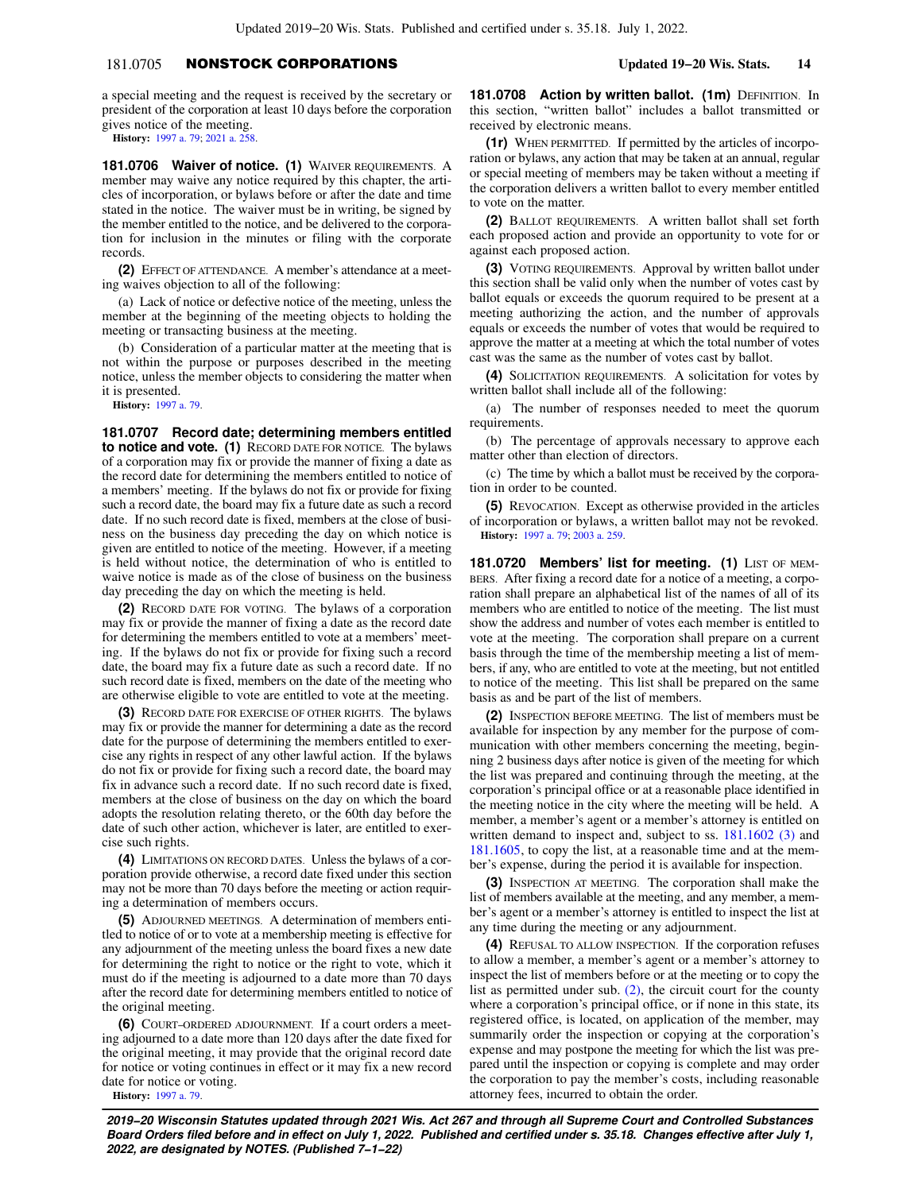# 181.0705 NONSTOCK CORPORATIONS **Updated 19−20 Wis. Stats. 14**

a special meeting and the request is received by the secretary or president of the corporation at least 10 days before the corporation gives notice of the meeting.

**History:** [1997 a. 79;](https://docs.legis.wisconsin.gov/document/acts/1997/79) [2021 a. 258.](https://docs.legis.wisconsin.gov/document/acts/2021/258)

**181.0706 Waiver of notice. (1)** WAIVER REQUIREMENTS. A member may waive any notice required by this chapter, the articles of incorporation, or bylaws before or after the date and time stated in the notice. The waiver must be in writing, be signed by the member entitled to the notice, and be delivered to the corporation for inclusion in the minutes or filing with the corporate records.

**(2)** EFFECT OF ATTENDANCE. A member's attendance at a meeting waives objection to all of the following:

(a) Lack of notice or defective notice of the meeting, unless the member at the beginning of the meeting objects to holding the meeting or transacting business at the meeting.

(b) Consideration of a particular matter at the meeting that is not within the purpose or purposes described in the meeting notice, unless the member objects to considering the matter when it is presented.

**History:** [1997 a. 79.](https://docs.legis.wisconsin.gov/document/acts/1997/79)

**181.0707 Record date; determining members entitled to notice and vote. (1)** RECORD DATE FOR NOTICE. The bylaws of a corporation may fix or provide the manner of fixing a date as the record date for determining the members entitled to notice of a members' meeting. If the bylaws do not fix or provide for fixing such a record date, the board may fix a future date as such a record date. If no such record date is fixed, members at the close of business on the business day preceding the day on which notice is given are entitled to notice of the meeting. However, if a meeting is held without notice, the determination of who is entitled to waive notice is made as of the close of business on the business day preceding the day on which the meeting is held.

**(2)** RECORD DATE FOR VOTING. The bylaws of a corporation may fix or provide the manner of fixing a date as the record date for determining the members entitled to vote at a members' meeting. If the bylaws do not fix or provide for fixing such a record date, the board may fix a future date as such a record date. If no such record date is fixed, members on the date of the meeting who are otherwise eligible to vote are entitled to vote at the meeting.

**(3)** RECORD DATE FOR EXERCISE OF OTHER RIGHTS. The bylaws may fix or provide the manner for determining a date as the record date for the purpose of determining the members entitled to exercise any rights in respect of any other lawful action. If the bylaws do not fix or provide for fixing such a record date, the board may fix in advance such a record date. If no such record date is fixed, members at the close of business on the day on which the board adopts the resolution relating thereto, or the 60th day before the date of such other action, whichever is later, are entitled to exercise such rights.

**(4)** LIMITATIONS ON RECORD DATES. Unless the bylaws of a corporation provide otherwise, a record date fixed under this section may not be more than 70 days before the meeting or action requiring a determination of members occurs.

**(5)** ADJOURNED MEETINGS. A determination of members entitled to notice of or to vote at a membership meeting is effective for any adjournment of the meeting unless the board fixes a new date for determining the right to notice or the right to vote, which it must do if the meeting is adjourned to a date more than 70 days after the record date for determining members entitled to notice of the original meeting.

**(6)** COURT−ORDERED ADJOURNMENT. If a court orders a meeting adjourned to a date more than 120 days after the date fixed for the original meeting, it may provide that the original record date for notice or voting continues in effect or it may fix a new record date for notice or voting.

**History:** [1997 a. 79.](https://docs.legis.wisconsin.gov/document/acts/1997/79)

**181.0708 Action by written ballot. (1m) DEFINITION. In** this section, "written ballot" includes a ballot transmitted or received by electronic means.

**(1r)** WHEN PERMITTED. If permitted by the articles of incorporation or bylaws, any action that may be taken at an annual, regular or special meeting of members may be taken without a meeting if the corporation delivers a written ballot to every member entitled to vote on the matter.

**(2)** BALLOT REQUIREMENTS. A written ballot shall set forth each proposed action and provide an opportunity to vote for or against each proposed action.

**(3)** VOTING REQUIREMENTS. Approval by written ballot under this section shall be valid only when the number of votes cast by ballot equals or exceeds the quorum required to be present at a meeting authorizing the action, and the number of approvals equals or exceeds the number of votes that would be required to approve the matter at a meeting at which the total number of votes cast was the same as the number of votes cast by ballot.

**(4)** SOLICITATION REQUIREMENTS. A solicitation for votes by written ballot shall include all of the following:

(a) The number of responses needed to meet the quorum requirements.

(b) The percentage of approvals necessary to approve each matter other than election of directors.

(c) The time by which a ballot must be received by the corporation in order to be counted.

**(5)** REVOCATION. Except as otherwise provided in the articles of incorporation or bylaws, a written ballot may not be revoked. **History:** [1997 a. 79](https://docs.legis.wisconsin.gov/document/acts/1997/79); [2003 a. 259.](https://docs.legis.wisconsin.gov/document/acts/2003/259)

**181.0720 Members' list for meeting. (1)** LIST OF MEM-BERS. After fixing a record date for a notice of a meeting, a corporation shall prepare an alphabetical list of the names of all of its members who are entitled to notice of the meeting. The list must show the address and number of votes each member is entitled to vote at the meeting. The corporation shall prepare on a current basis through the time of the membership meeting a list of members, if any, who are entitled to vote at the meeting, but not entitled to notice of the meeting. This list shall be prepared on the same basis as and be part of the list of members.

**(2)** INSPECTION BEFORE MEETING. The list of members must be available for inspection by any member for the purpose of communication with other members concerning the meeting, beginning 2 business days after notice is given of the meeting for which the list was prepared and continuing through the meeting, at the corporation's principal office or at a reasonable place identified in the meeting notice in the city where the meeting will be held. A member, a member's agent or a member's attorney is entitled on written demand to inspect and, subject to ss. [181.1602 \(3\)](https://docs.legis.wisconsin.gov/document/statutes/181.1602(3)) and [181.1605,](https://docs.legis.wisconsin.gov/document/statutes/181.1605) to copy the list, at a reasonable time and at the member's expense, during the period it is available for inspection.

**(3)** INSPECTION AT MEETING. The corporation shall make the list of members available at the meeting, and any member, a member's agent or a member's attorney is entitled to inspect the list at any time during the meeting or any adjournment.

**(4)** REFUSAL TO ALLOW INSPECTION. If the corporation refuses to allow a member, a member's agent or a member's attorney to inspect the list of members before or at the meeting or to copy the list as permitted under sub. [\(2\),](https://docs.legis.wisconsin.gov/document/statutes/181.0720(2)) the circuit court for the county where a corporation's principal office, or if none in this state, its registered office, is located, on application of the member, may summarily order the inspection or copying at the corporation's expense and may postpone the meeting for which the list was prepared until the inspection or copying is complete and may order the corporation to pay the member's costs, including reasonable attorney fees, incurred to obtain the order.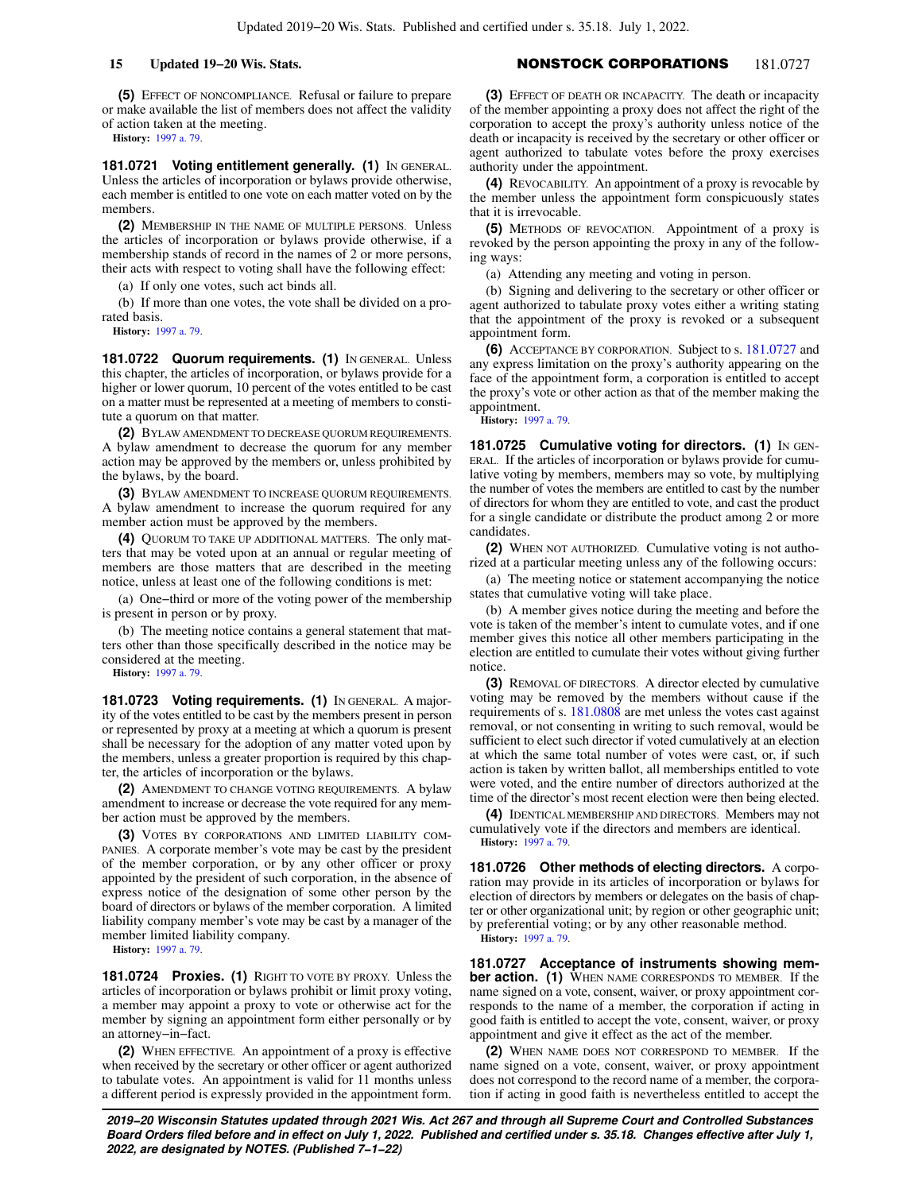**(5)** EFFECT OF NONCOMPLIANCE. Refusal or failure to prepare or make available the list of members does not affect the validity of action taken at the meeting.

**History:** [1997 a. 79.](https://docs.legis.wisconsin.gov/document/acts/1997/79)

**181.0721 Voting entitlement generally. (1)** IN GENERAL. Unless the articles of incorporation or bylaws provide otherwise, each member is entitled to one vote on each matter voted on by the members.

**(2)** MEMBERSHIP IN THE NAME OF MULTIPLE PERSONS. Unless the articles of incorporation or bylaws provide otherwise, if a membership stands of record in the names of 2 or more persons, their acts with respect to voting shall have the following effect:

(a) If only one votes, such act binds all.

(b) If more than one votes, the vote shall be divided on a prorated basis.

**History:** [1997 a. 79.](https://docs.legis.wisconsin.gov/document/acts/1997/79)

181.0722 Quorum requirements. (1) IN GENERAL. Unless this chapter, the articles of incorporation, or bylaws provide for a higher or lower quorum, 10 percent of the votes entitled to be cast on a matter must be represented at a meeting of members to constitute a quorum on that matter.

**(2)** BYLAW AMENDMENT TO DECREASE QUORUM REQUIREMENTS. A bylaw amendment to decrease the quorum for any member action may be approved by the members or, unless prohibited by the bylaws, by the board.

**(3)** BYLAW AMENDMENT TO INCREASE QUORUM REQUIREMENTS. A bylaw amendment to increase the quorum required for any member action must be approved by the members.

**(4)** QUORUM TO TAKE UP ADDITIONAL MATTERS. The only matters that may be voted upon at an annual or regular meeting of members are those matters that are described in the meeting notice, unless at least one of the following conditions is met:

(a) One−third or more of the voting power of the membership is present in person or by proxy.

(b) The meeting notice contains a general statement that matters other than those specifically described in the notice may be considered at the meeting.

**History:** [1997 a. 79.](https://docs.legis.wisconsin.gov/document/acts/1997/79)

**181.0723 Voting requirements. (1)** IN GENERAL. A majority of the votes entitled to be cast by the members present in person or represented by proxy at a meeting at which a quorum is present shall be necessary for the adoption of any matter voted upon by the members, unless a greater proportion is required by this chapter, the articles of incorporation or the bylaws.

**(2)** AMENDMENT TO CHANGE VOTING REQUIREMENTS. A bylaw amendment to increase or decrease the vote required for any member action must be approved by the members.

**(3)** VOTES BY CORPORATIONS AND LIMITED LIABILITY COM-PANIES. A corporate member's vote may be cast by the president of the member corporation, or by any other officer or proxy appointed by the president of such corporation, in the absence of express notice of the designation of some other person by the board of directors or bylaws of the member corporation. A limited liability company member's vote may be cast by a manager of the member limited liability company.

**History:** [1997 a. 79.](https://docs.legis.wisconsin.gov/document/acts/1997/79)

**181.0724 Proxies. (1)** RIGHT TO VOTE BY PROXY. Unless the articles of incorporation or bylaws prohibit or limit proxy voting, a member may appoint a proxy to vote or otherwise act for the member by signing an appointment form either personally or by an attorney−in−fact.

**(2)** WHEN EFFECTIVE. An appointment of a proxy is effective when received by the secretary or other officer or agent authorized to tabulate votes. An appointment is valid for 11 months unless a different period is expressly provided in the appointment form.

# **15 Updated 19−20 Wis. Stats.** NONSTOCK CORPORATIONS 181.0727

**(3)** EFFECT OF DEATH OR INCAPACITY. The death or incapacity of the member appointing a proxy does not affect the right of the corporation to accept the proxy's authority unless notice of the death or incapacity is received by the secretary or other officer or agent authorized to tabulate votes before the proxy exercises authority under the appointment.

**(4)** REVOCABILITY. An appointment of a proxy is revocable by the member unless the appointment form conspicuously states that it is irrevocable.

**(5)** METHODS OF REVOCATION. Appointment of a proxy is revoked by the person appointing the proxy in any of the following ways:

(a) Attending any meeting and voting in person.

(b) Signing and delivering to the secretary or other officer or agent authorized to tabulate proxy votes either a writing stating that the appointment of the proxy is revoked or a subsequent appointment form.

**(6)** ACCEPTANCE BY CORPORATION. Subject to s. [181.0727](https://docs.legis.wisconsin.gov/document/statutes/181.0727) and any express limitation on the proxy's authority appearing on the face of the appointment form, a corporation is entitled to accept the proxy's vote or other action as that of the member making the appointment.

**History:** [1997 a. 79](https://docs.legis.wisconsin.gov/document/acts/1997/79).

**181.0725 Cumulative voting for directors. (1)** IN GEN-ERAL. If the articles of incorporation or bylaws provide for cumulative voting by members, members may so vote, by multiplying the number of votes the members are entitled to cast by the number of directors for whom they are entitled to vote, and cast the product for a single candidate or distribute the product among 2 or more candidates.

**(2)** WHEN NOT AUTHORIZED. Cumulative voting is not authorized at a particular meeting unless any of the following occurs:

(a) The meeting notice or statement accompanying the notice states that cumulative voting will take place.

(b) A member gives notice during the meeting and before the vote is taken of the member's intent to cumulate votes, and if one member gives this notice all other members participating in the election are entitled to cumulate their votes without giving further notice.

**(3)** REMOVAL OF DIRECTORS. A director elected by cumulative voting may be removed by the members without cause if the requirements of s. [181.0808](https://docs.legis.wisconsin.gov/document/statutes/181.0808) are met unless the votes cast against removal, or not consenting in writing to such removal, would be sufficient to elect such director if voted cumulatively at an election at which the same total number of votes were cast, or, if such action is taken by written ballot, all memberships entitled to vote were voted, and the entire number of directors authorized at the time of the director's most recent election were then being elected.

**(4)** IDENTICAL MEMBERSHIP AND DIRECTORS. Members may not cumulatively vote if the directors and members are identical. **History:** [1997 a. 79](https://docs.legis.wisconsin.gov/document/acts/1997/79).

**181.0726 Other methods of electing directors.** A corporation may provide in its articles of incorporation or bylaws for election of directors by members or delegates on the basis of chapter or other organizational unit; by region or other geographic unit; by preferential voting; or by any other reasonable method. **History:** [1997 a. 79](https://docs.legis.wisconsin.gov/document/acts/1997/79).

**181.0727 Acceptance of instruments showing mem-**

**ber action. (1)** WHEN NAME CORRESPONDS TO MEMBER. If the name signed on a vote, consent, waiver, or proxy appointment corresponds to the name of a member, the corporation if acting in good faith is entitled to accept the vote, consent, waiver, or proxy appointment and give it effect as the act of the member.

**(2)** WHEN NAME DOES NOT CORRESPOND TO MEMBER. If the name signed on a vote, consent, waiver, or proxy appointment does not correspond to the record name of a member, the corporation if acting in good faith is nevertheless entitled to accept the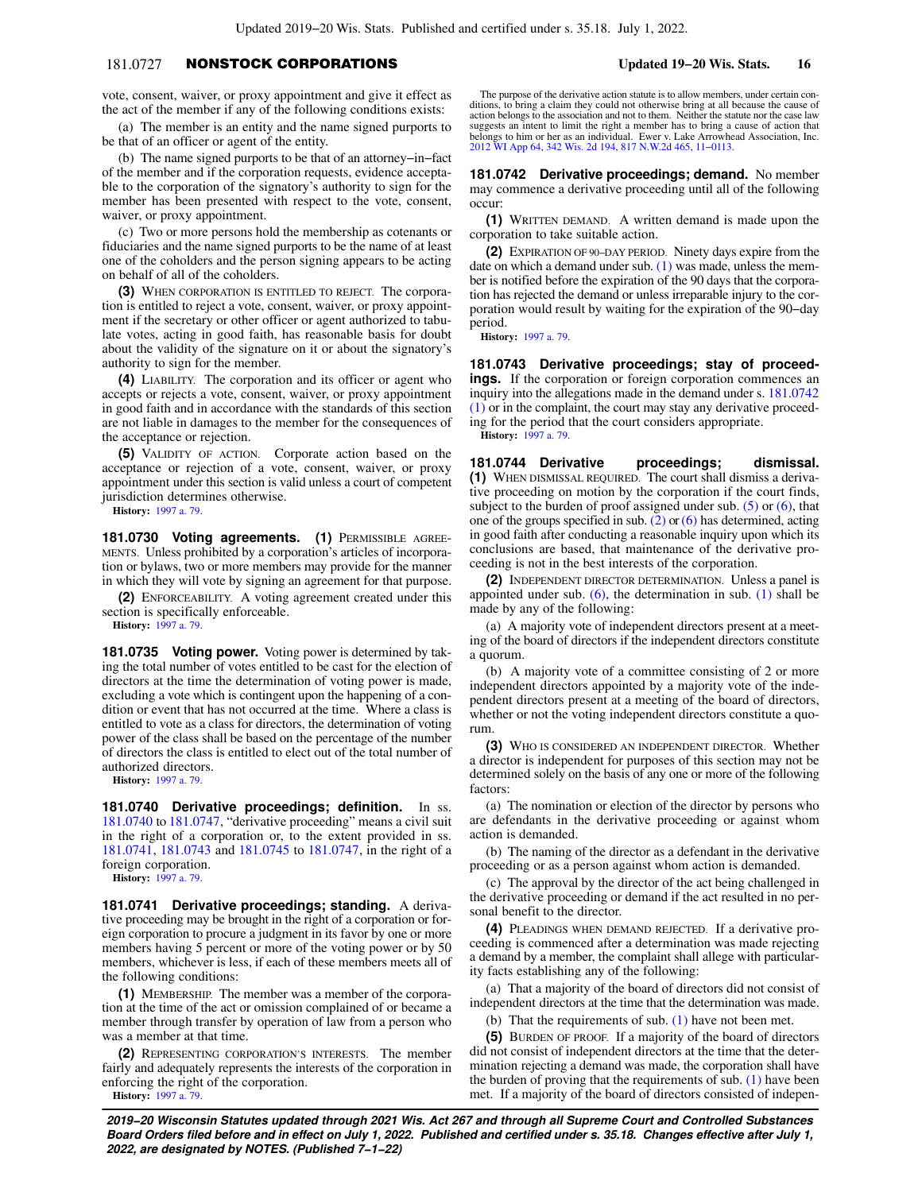# 181.0727 NONSTOCK CORPORATIONS **Updated 19−20 Wis. Stats. 16**

vote, consent, waiver, or proxy appointment and give it effect as the act of the member if any of the following conditions exists:

(a) The member is an entity and the name signed purports to be that of an officer or agent of the entity.

(b) The name signed purports to be that of an attorney−in−fact of the member and if the corporation requests, evidence acceptable to the corporation of the signatory's authority to sign for the member has been presented with respect to the vote, consent, waiver, or proxy appointment.

(c) Two or more persons hold the membership as cotenants or fiduciaries and the name signed purports to be the name of at least one of the coholders and the person signing appears to be acting on behalf of all of the coholders.

**(3)** WHEN CORPORATION IS ENTITLED TO REJECT. The corporation is entitled to reject a vote, consent, waiver, or proxy appointment if the secretary or other officer or agent authorized to tabulate votes, acting in good faith, has reasonable basis for doubt about the validity of the signature on it or about the signatory's authority to sign for the member.

**(4)** LIABILITY. The corporation and its officer or agent who accepts or rejects a vote, consent, waiver, or proxy appointment in good faith and in accordance with the standards of this section are not liable in damages to the member for the consequences of the acceptance or rejection.

**(5)** VALIDITY OF ACTION. Corporate action based on the acceptance or rejection of a vote, consent, waiver, or proxy appointment under this section is valid unless a court of competent jurisdiction determines otherwise.

**History:** [1997 a. 79.](https://docs.legis.wisconsin.gov/document/acts/1997/79)

181.0730 Voting agreements. (1) PERMISSIBLE AGREE-MENTS. Unless prohibited by a corporation's articles of incorporation or bylaws, two or more members may provide for the manner in which they will vote by signing an agreement for that purpose.

**(2)** ENFORCEABILITY. A voting agreement created under this section is specifically enforceable.

**History:** [1997 a. 79.](https://docs.legis.wisconsin.gov/document/acts/1997/79)

**181.0735 Voting power.** Voting power is determined by taking the total number of votes entitled to be cast for the election of directors at the time the determination of voting power is made, excluding a vote which is contingent upon the happening of a condition or event that has not occurred at the time. Where a class is entitled to vote as a class for directors, the determination of voting power of the class shall be based on the percentage of the number of directors the class is entitled to elect out of the total number of authorized directors.

**History:** [1997 a. 79.](https://docs.legis.wisconsin.gov/document/acts/1997/79)

**181.0740 Derivative proceedings; definition.** In ss. [181.0740](https://docs.legis.wisconsin.gov/document/statutes/181.0740) to [181.0747](https://docs.legis.wisconsin.gov/document/statutes/181.0747), "derivative proceeding" means a civil suit in the right of a corporation or, to the extent provided in ss. [181.0741,](https://docs.legis.wisconsin.gov/document/statutes/181.0741) [181.0743](https://docs.legis.wisconsin.gov/document/statutes/181.0743) and [181.0745](https://docs.legis.wisconsin.gov/document/statutes/181.0745) to [181.0747,](https://docs.legis.wisconsin.gov/document/statutes/181.0747) in the right of a foreign corporation.

**History:** [1997 a. 79.](https://docs.legis.wisconsin.gov/document/acts/1997/79)

**181.0741 Derivative proceedings; standing.** A derivative proceeding may be brought in the right of a corporation or foreign corporation to procure a judgment in its favor by one or more members having 5 percent or more of the voting power or by 50 members, whichever is less, if each of these members meets all of the following conditions:

**(1)** MEMBERSHIP. The member was a member of the corporation at the time of the act or omission complained of or became a member through transfer by operation of law from a person who was a member at that time.

**(2)** REPRESENTING CORPORATION'S INTERESTS. The member fairly and adequately represents the interests of the corporation in enforcing the right of the corporation. **History:** [1997 a. 79.](https://docs.legis.wisconsin.gov/document/acts/1997/79)

The purpose of the derivative action statute is to allow members, under certain conditions, to bring a claim they could not otherwise bring at all because the cause of action belongs to the association and not to them. Neither the statute nor the case law suggests an intent to limit the right a member has to bring a cause of action that belongs to him or her as an individual. Ewer v. Lake Arrowhead Association, Inc. [2012 WI App 64](https://docs.legis.wisconsin.gov/document/courts/2012%20WI%20App%2064), [342 Wis. 2d 194,](https://docs.legis.wisconsin.gov/document/courts/342%20Wis.%202d%20194) [817 N.W.2d 465,](https://docs.legis.wisconsin.gov/document/courts/817%20N.W.2d%20465) [11−0113](https://docs.legis.wisconsin.gov/document/wicourtofappeals/11-0113).

**181.0742 Derivative proceedings; demand.** No member may commence a derivative proceeding until all of the following occur:

**(1)** WRITTEN DEMAND. A written demand is made upon the corporation to take suitable action.

**(2)** EXPIRATION OF 90−DAY PERIOD. Ninety days expire from the date on which a demand under sub.  $(1)$  was made, unless the member is notified before the expiration of the 90 days that the corporation has rejected the demand or unless irreparable injury to the corporation would result by waiting for the expiration of the 90−day period.

**History:** [1997 a. 79](https://docs.legis.wisconsin.gov/document/acts/1997/79).

**181.0743 Derivative proceedings; stay of proceedings.** If the corporation or foreign corporation commences an inquiry into the allegations made in the demand under s. [181.0742](https://docs.legis.wisconsin.gov/document/statutes/181.0742(1)) [\(1\)](https://docs.legis.wisconsin.gov/document/statutes/181.0742(1)) or in the complaint, the court may stay any derivative proceeding for the period that the court considers appropriate. **History:** [1997 a. 79](https://docs.legis.wisconsin.gov/document/acts/1997/79).

**181.0744 Derivative proceedings; dismissal. (1)** WHEN DISMISSAL REQUIRED. The court shall dismiss a derivative proceeding on motion by the corporation if the court finds, subject to the burden of proof assigned under sub.  $(5)$  or  $(6)$ , that one of the groups specified in sub.  $(2)$  or  $(6)$  has determined, acting in good faith after conducting a reasonable inquiry upon which its conclusions are based, that maintenance of the derivative proceeding is not in the best interests of the corporation.

**(2)** INDEPENDENT DIRECTOR DETERMINATION. Unless a panel is appointed under sub.  $(6)$ , the determination in sub.  $(1)$  shall be made by any of the following:

(a) A majority vote of independent directors present at a meeting of the board of directors if the independent directors constitute a quorum.

(b) A majority vote of a committee consisting of 2 or more independent directors appointed by a majority vote of the independent directors present at a meeting of the board of directors, whether or not the voting independent directors constitute a quorum.

**(3)** WHO IS CONSIDERED AN INDEPENDENT DIRECTOR. Whether a director is independent for purposes of this section may not be determined solely on the basis of any one or more of the following factors:

(a) The nomination or election of the director by persons who are defendants in the derivative proceeding or against whom action is demanded.

(b) The naming of the director as a defendant in the derivative proceeding or as a person against whom action is demanded.

(c) The approval by the director of the act being challenged in the derivative proceeding or demand if the act resulted in no personal benefit to the director.

**(4)** PLEADINGS WHEN DEMAND REJECTED. If a derivative proceeding is commenced after a determination was made rejecting a demand by a member, the complaint shall allege with particularity facts establishing any of the following:

(a) That a majority of the board of directors did not consist of independent directors at the time that the determination was made.

(b) That the requirements of sub. [\(1\)](https://docs.legis.wisconsin.gov/document/statutes/181.0744(1)) have not been met.

**(5)** BURDEN OF PROOF. If a majority of the board of directors did not consist of independent directors at the time that the determination rejecting a demand was made, the corporation shall have the burden of proving that the requirements of sub.  $(1)$  have been met. If a majority of the board of directors consisted of indepen-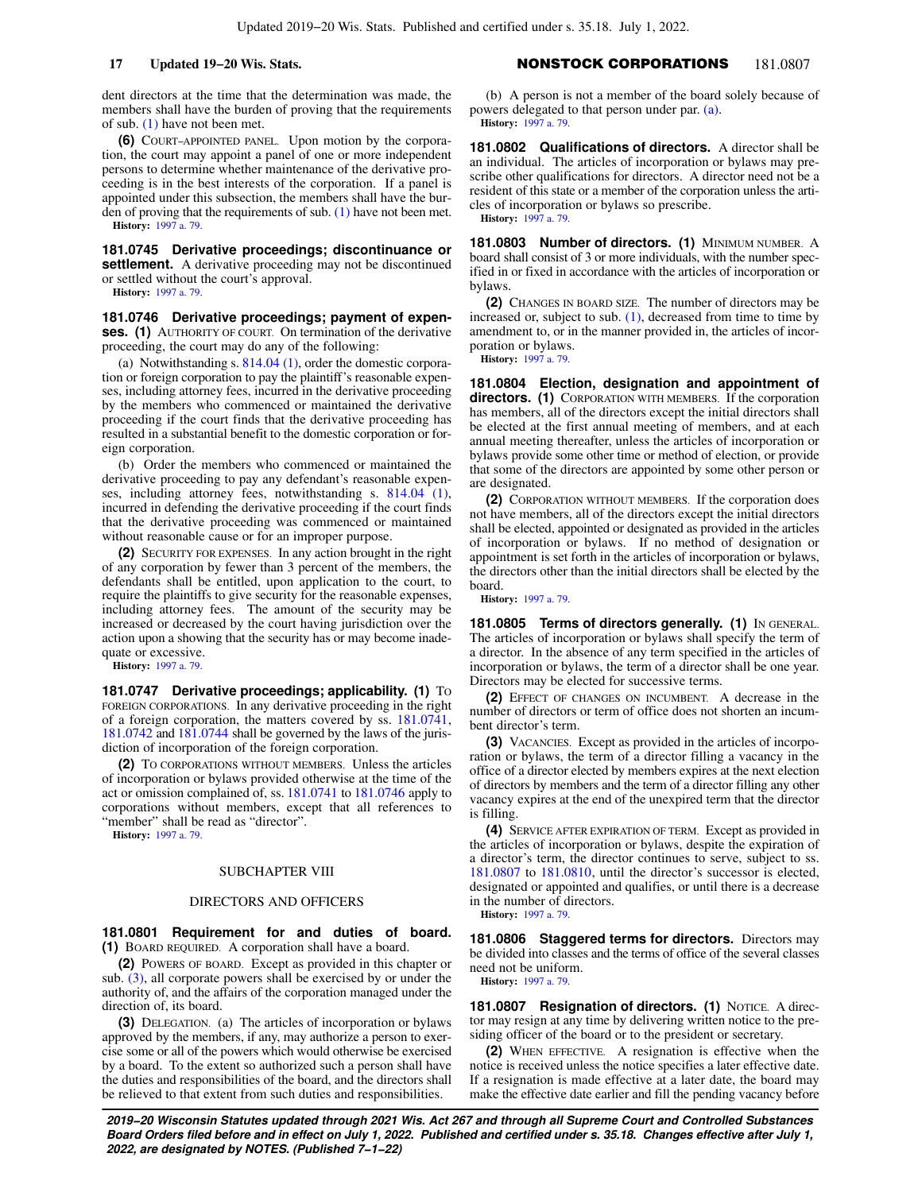dent directors at the time that the determination was made, the members shall have the burden of proving that the requirements of sub. [\(1\)](https://docs.legis.wisconsin.gov/document/statutes/181.0744(1)) have not been met.

**(6)** COURT−APPOINTED PANEL. Upon motion by the corporation, the court may appoint a panel of one or more independent persons to determine whether maintenance of the derivative proceeding is in the best interests of the corporation. If a panel is appointed under this subsection, the members shall have the burden of proving that the requirements of sub. [\(1\)](https://docs.legis.wisconsin.gov/document/statutes/181.0744(1)) have not been met. **History:** [1997 a. 79.](https://docs.legis.wisconsin.gov/document/acts/1997/79)

**181.0745 Derivative proceedings; discontinuance or settlement.** A derivative proceeding may not be discontinued or settled without the court's approval. **History:** [1997 a. 79.](https://docs.legis.wisconsin.gov/document/acts/1997/79)

**181.0746 Derivative proceedings; payment of expenses. (1)** AUTHORITY OF COURT. On termination of the derivative proceeding, the court may do any of the following:

(a) Notwithstanding s. [814.04 \(1\)](https://docs.legis.wisconsin.gov/document/statutes/814.04(1)), order the domestic corporation or foreign corporation to pay the plaintiff's reasonable expenses, including attorney fees, incurred in the derivative proceeding by the members who commenced or maintained the derivative proceeding if the court finds that the derivative proceeding has resulted in a substantial benefit to the domestic corporation or foreign corporation.

(b) Order the members who commenced or maintained the derivative proceeding to pay any defendant's reasonable expenses, including attorney fees, notwithstanding s. [814.04 \(1\),](https://docs.legis.wisconsin.gov/document/statutes/814.04(1)) incurred in defending the derivative proceeding if the court finds that the derivative proceeding was commenced or maintained without reasonable cause or for an improper purpose.

**(2)** SECURITY FOR EXPENSES. In any action brought in the right of any corporation by fewer than 3 percent of the members, the defendants shall be entitled, upon application to the court, to require the plaintiffs to give security for the reasonable expenses, including attorney fees. The amount of the security may be increased or decreased by the court having jurisdiction over the action upon a showing that the security has or may become inadequate or excessive.

**History:** [1997 a. 79.](https://docs.legis.wisconsin.gov/document/acts/1997/79)

**181.0747 Derivative proceedings; applicability. (1)** To FOREIGN CORPORATIONS. In any derivative proceeding in the right of a foreign corporation, the matters covered by ss. [181.0741,](https://docs.legis.wisconsin.gov/document/statutes/181.0741) [181.0742](https://docs.legis.wisconsin.gov/document/statutes/181.0742) and [181.0744](https://docs.legis.wisconsin.gov/document/statutes/181.0744) shall be governed by the laws of the jurisdiction of incorporation of the foreign corporation.

**(2)** TO CORPORATIONS WITHOUT MEMBERS. Unless the articles of incorporation or bylaws provided otherwise at the time of the act or omission complained of, ss. [181.0741](https://docs.legis.wisconsin.gov/document/statutes/181.0741) to [181.0746](https://docs.legis.wisconsin.gov/document/statutes/181.0746) apply to corporations without members, except that all references to "member" shall be read as "director".

**History:** [1997 a. 79.](https://docs.legis.wisconsin.gov/document/acts/1997/79)

## SUBCHAPTER VIII

## DIRECTORS AND OFFICERS

**181.0801 Requirement for and duties of board. (1)** BOARD REQUIRED. A corporation shall have a board.

**(2)** POWERS OF BOARD. Except as provided in this chapter or sub. [\(3\),](https://docs.legis.wisconsin.gov/document/statutes/181.0801(3)) all corporate powers shall be exercised by or under the authority of, and the affairs of the corporation managed under the direction of, its board.

**(3)** DELEGATION. (a) The articles of incorporation or bylaws approved by the members, if any, may authorize a person to exercise some or all of the powers which would otherwise be exercised by a board. To the extent so authorized such a person shall have the duties and responsibilities of the board, and the directors shall be relieved to that extent from such duties and responsibilities.

# **17 Updated 19−20 Wis. Stats.** NONSTOCK CORPORATIONS 181.0807

(b) A person is not a member of the board solely because of powers delegated to that person under par. [\(a\)](https://docs.legis.wisconsin.gov/document/statutes/181.0801(3)(a)). **History:** [1997 a. 79](https://docs.legis.wisconsin.gov/document/acts/1997/79).

**181.0802 Qualifications of directors.** A director shall be an individual. The articles of incorporation or bylaws may prescribe other qualifications for directors. A director need not be a resident of this state or a member of the corporation unless the articles of incorporation or bylaws so prescribe. **History:** [1997 a. 79](https://docs.legis.wisconsin.gov/document/acts/1997/79).

**181.0803 Number of directors. (1) MINIMUM NUMBER. A** board shall consist of 3 or more individuals, with the number specified in or fixed in accordance with the articles of incorporation or bylaws.

**(2)** CHANGES IN BOARD SIZE. The number of directors may be increased or, subject to sub. [\(1\),](https://docs.legis.wisconsin.gov/document/statutes/181.0803(1)) decreased from time to time by amendment to, or in the manner provided in, the articles of incorporation or bylaws.

**History:** [1997 a. 79](https://docs.legis.wisconsin.gov/document/acts/1997/79).

**181.0804 Election, designation and appointment of directors. (1)** CORPORATION WITH MEMBERS. If the corporation has members, all of the directors except the initial directors shall be elected at the first annual meeting of members, and at each annual meeting thereafter, unless the articles of incorporation or bylaws provide some other time or method of election, or provide that some of the directors are appointed by some other person or are designated.

**(2)** CORPORATION WITHOUT MEMBERS. If the corporation does not have members, all of the directors except the initial directors shall be elected, appointed or designated as provided in the articles of incorporation or bylaws. If no method of designation or appointment is set forth in the articles of incorporation or bylaws, the directors other than the initial directors shall be elected by the board.

**History:** [1997 a. 79](https://docs.legis.wisconsin.gov/document/acts/1997/79).

**181.0805 Terms of directors generally. (1)** IN GENERAL. The articles of incorporation or bylaws shall specify the term of a director. In the absence of any term specified in the articles of incorporation or bylaws, the term of a director shall be one year. Directors may be elected for successive terms.

**(2)** EFFECT OF CHANGES ON INCUMBENT. A decrease in the number of directors or term of office does not shorten an incumbent director's term.

**(3)** VACANCIES. Except as provided in the articles of incorporation or bylaws, the term of a director filling a vacancy in the office of a director elected by members expires at the next election of directors by members and the term of a director filling any other vacancy expires at the end of the unexpired term that the director is filling.

**(4)** SERVICE AFTER EXPIRATION OF TERM. Except as provided in the articles of incorporation or bylaws, despite the expiration of a director's term, the director continues to serve, subject to ss. [181.0807](https://docs.legis.wisconsin.gov/document/statutes/181.0807) to [181.0810](https://docs.legis.wisconsin.gov/document/statutes/181.0810), until the director's successor is elected, designated or appointed and qualifies, or until there is a decrease in the number of directors.

**History:** [1997 a. 79](https://docs.legis.wisconsin.gov/document/acts/1997/79).

**181.0806 Staggered terms for directors.** Directors may be divided into classes and the terms of office of the several classes need not be uniform. **History:** [1997 a. 79](https://docs.legis.wisconsin.gov/document/acts/1997/79).

**181.0807 Resignation of directors. (1) NOTICE. A direc**tor may resign at any time by delivering written notice to the presiding officer of the board or to the president or secretary.

**(2)** WHEN EFFECTIVE. A resignation is effective when the notice is received unless the notice specifies a later effective date. If a resignation is made effective at a later date, the board may make the effective date earlier and fill the pending vacancy before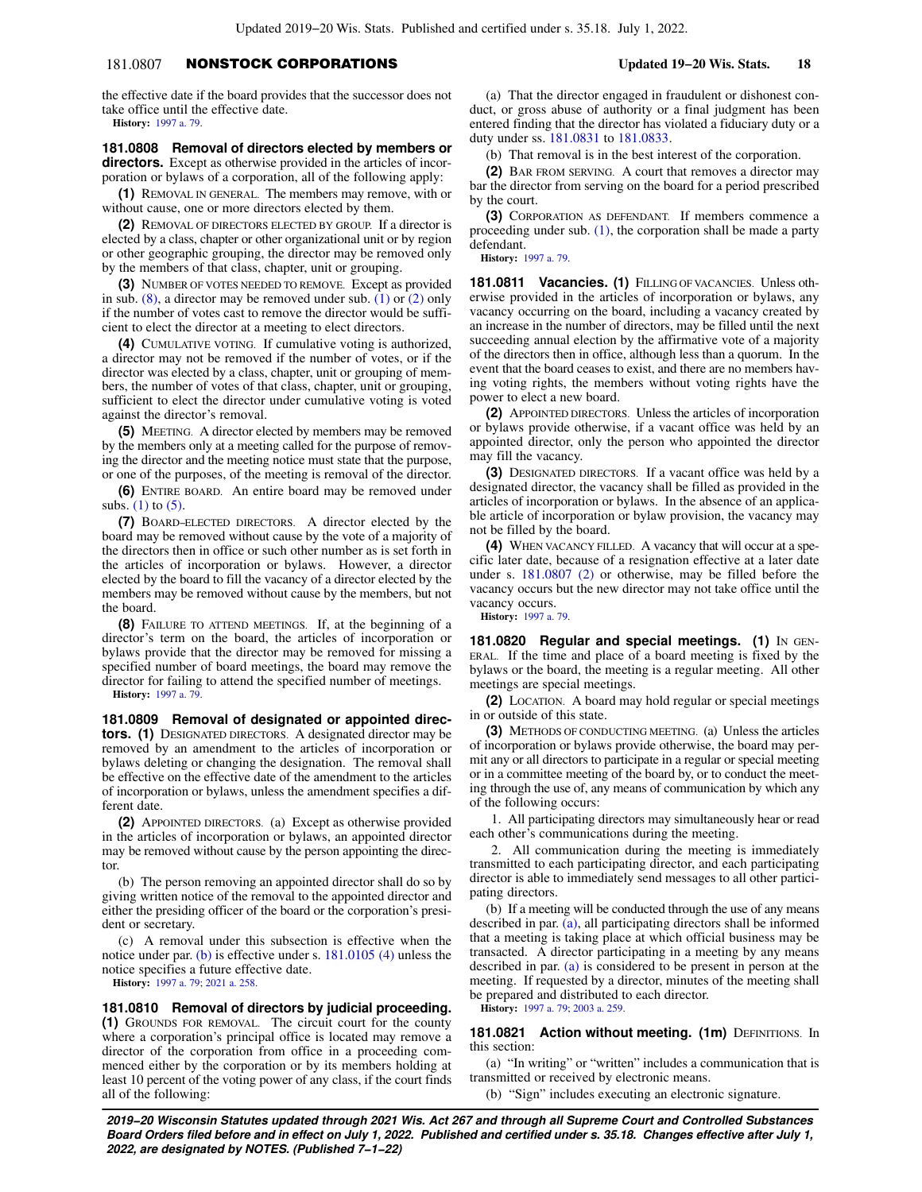# 181.0807 NONSTOCK CORPORATIONS **Updated 19−20 Wis. Stats. 18**

the effective date if the board provides that the successor does not take office until the effective date. **History:** [1997 a. 79.](https://docs.legis.wisconsin.gov/document/acts/1997/79)

**181.0808 Removal of directors elected by members or directors.** Except as otherwise provided in the articles of incorporation or bylaws of a corporation, all of the following apply:

**(1)** REMOVAL IN GENERAL. The members may remove, with or without cause, one or more directors elected by them.

**(2)** REMOVAL OF DIRECTORS ELECTED BY GROUP. If a director is elected by a class, chapter or other organizational unit or by region or other geographic grouping, the director may be removed only by the members of that class, chapter, unit or grouping.

**(3)** NUMBER OF VOTES NEEDED TO REMOVE. Except as provided in sub.  $(8)$ , a director may be removed under sub.  $(1)$  or  $(2)$  only if the number of votes cast to remove the director would be sufficient to elect the director at a meeting to elect directors.

**(4)** CUMULATIVE VOTING. If cumulative voting is authorized, a director may not be removed if the number of votes, or if the director was elected by a class, chapter, unit or grouping of members, the number of votes of that class, chapter, unit or grouping, sufficient to elect the director under cumulative voting is voted against the director's removal.

**(5)** MEETING. A director elected by members may be removed by the members only at a meeting called for the purpose of removing the director and the meeting notice must state that the purpose, or one of the purposes, of the meeting is removal of the director.

**(6)** ENTIRE BOARD. An entire board may be removed under subs.  $(1)$  to  $(5)$ .

**(7)** BOARD−ELECTED DIRECTORS. A director elected by the board may be removed without cause by the vote of a majority of the directors then in office or such other number as is set forth in the articles of incorporation or bylaws. However, a director elected by the board to fill the vacancy of a director elected by the members may be removed without cause by the members, but not the board.

**(8)** FAILURE TO ATTEND MEETINGS. If, at the beginning of a director's term on the board, the articles of incorporation or bylaws provide that the director may be removed for missing a specified number of board meetings, the board may remove the director for failing to attend the specified number of meetings. **History:** [1997 a. 79.](https://docs.legis.wisconsin.gov/document/acts/1997/79)

**181.0809 Removal of designated or appointed directors. (1)** DESIGNATED DIRECTORS. A designated director may be removed by an amendment to the articles of incorporation or bylaws deleting or changing the designation. The removal shall be effective on the effective date of the amendment to the articles of incorporation or bylaws, unless the amendment specifies a different date.

**(2)** APPOINTED DIRECTORS. (a) Except as otherwise provided in the articles of incorporation or bylaws, an appointed director may be removed without cause by the person appointing the director.

(b) The person removing an appointed director shall do so by giving written notice of the removal to the appointed director and either the presiding officer of the board or the corporation's president or secretary.

(c) A removal under this subsection is effective when the notice under par. [\(b\)](https://docs.legis.wisconsin.gov/document/statutes/181.0809(2)(b)) is effective under s. [181.0105 \(4\)](https://docs.legis.wisconsin.gov/document/statutes/181.0105(4)) unless the notice specifies a future effective date.

**History:** [1997 a. 79;](https://docs.legis.wisconsin.gov/document/acts/1997/79) [2021 a. 258.](https://docs.legis.wisconsin.gov/document/acts/2021/258)

**181.0810 Removal of directors by judicial proceeding.**

**(1)** GROUNDS FOR REMOVAL. The circuit court for the county where a corporation's principal office is located may remove a director of the corporation from office in a proceeding commenced either by the corporation or by its members holding at least 10 percent of the voting power of any class, if the court finds all of the following:

(a) That the director engaged in fraudulent or dishonest conduct, or gross abuse of authority or a final judgment has been entered finding that the director has violated a fiduciary duty or a duty under ss. [181.0831](https://docs.legis.wisconsin.gov/document/statutes/181.0831) to [181.0833](https://docs.legis.wisconsin.gov/document/statutes/181.0833).

(b) That removal is in the best interest of the corporation.

**(2)** BAR FROM SERVING. A court that removes a director may bar the director from serving on the board for a period prescribed by the court.

**(3)** CORPORATION AS DEFENDANT. If members commence a proceeding under sub. [\(1\)](https://docs.legis.wisconsin.gov/document/statutes/181.0810(1)), the corporation shall be made a party defendant.

**History:** [1997 a. 79](https://docs.legis.wisconsin.gov/document/acts/1997/79).

**181.0811 Vacancies. (1)** FILLING OF VACANCIES. Unless otherwise provided in the articles of incorporation or bylaws, any vacancy occurring on the board, including a vacancy created by an increase in the number of directors, may be filled until the next succeeding annual election by the affirmative vote of a majority of the directors then in office, although less than a quorum. In the event that the board ceases to exist, and there are no members having voting rights, the members without voting rights have the power to elect a new board.

**(2)** APPOINTED DIRECTORS. Unless the articles of incorporation or bylaws provide otherwise, if a vacant office was held by an appointed director, only the person who appointed the director may fill the vacancy.

**(3)** DESIGNATED DIRECTORS. If a vacant office was held by a designated director, the vacancy shall be filled as provided in the articles of incorporation or bylaws. In the absence of an applicable article of incorporation or bylaw provision, the vacancy may not be filled by the board.

**(4)** WHEN VACANCY FILLED. A vacancy that will occur at a specific later date, because of a resignation effective at a later date under s. [181.0807 \(2\)](https://docs.legis.wisconsin.gov/document/statutes/181.0807(2)) or otherwise, may be filled before the vacancy occurs but the new director may not take office until the vacancy occurs.

**History:** [1997 a. 79](https://docs.legis.wisconsin.gov/document/acts/1997/79).

**181.0820 Regular and special meetings. (1) IN GEN-**ERAL. If the time and place of a board meeting is fixed by the bylaws or the board, the meeting is a regular meeting. All other meetings are special meetings.

**(2)** LOCATION. A board may hold regular or special meetings in or outside of this state.

**(3)** METHODS OF CONDUCTING MEETING. (a) Unless the articles of incorporation or bylaws provide otherwise, the board may permit any or all directors to participate in a regular or special meeting or in a committee meeting of the board by, or to conduct the meeting through the use of, any means of communication by which any of the following occurs:

1. All participating directors may simultaneously hear or read each other's communications during the meeting.

2. All communication during the meeting is immediately transmitted to each participating director, and each participating director is able to immediately send messages to all other participating directors.

(b) If a meeting will be conducted through the use of any means described in par. [\(a\),](https://docs.legis.wisconsin.gov/document/statutes/181.0820(3)(a)) all participating directors shall be informed that a meeting is taking place at which official business may be transacted. A director participating in a meeting by any means described in par. [\(a\)](https://docs.legis.wisconsin.gov/document/statutes/181.0820(3)(a)) is considered to be present in person at the meeting. If requested by a director, minutes of the meeting shall be prepared and distributed to each director.

**History:** [1997 a. 79](https://docs.legis.wisconsin.gov/document/acts/1997/79); [2003 a. 259.](https://docs.legis.wisconsin.gov/document/acts/2003/259)

**181.0821 Action without meeting. (1m) DEFINITIONS. In** this section:

(a) "In writing" or "written" includes a communication that is transmitted or received by electronic means.

(b) "Sign" includes executing an electronic signature.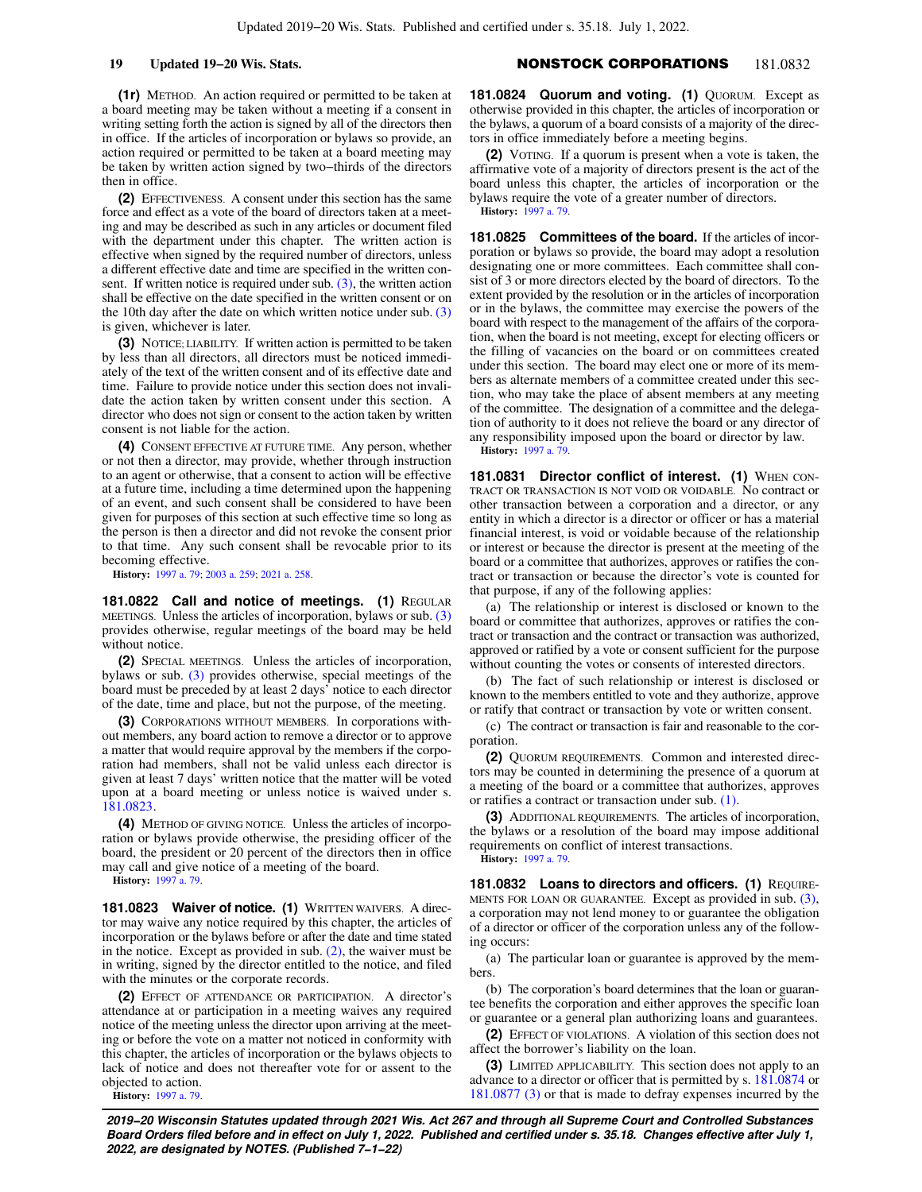# **19 Updated 19−20 Wis. Stats.** NONSTOCK CORPORATIONS 181.0832

**(1r)** METHOD. An action required or permitted to be taken at a board meeting may be taken without a meeting if a consent in writing setting forth the action is signed by all of the directors then in office. If the articles of incorporation or bylaws so provide, an action required or permitted to be taken at a board meeting may be taken by written action signed by two−thirds of the directors then in office.

**(2)** EFFECTIVENESS. A consent under this section has the same force and effect as a vote of the board of directors taken at a meeting and may be described as such in any articles or document filed with the department under this chapter. The written action is effective when signed by the required number of directors, unless a different effective date and time are specified in the written consent. If written notice is required under sub.  $(3)$ , the written action shall be effective on the date specified in the written consent or on the 10th day after the date on which written notice under sub. [\(3\)](https://docs.legis.wisconsin.gov/document/statutes/181.0821(3)) is given, whichever is later.

**(3)** NOTICE; LIABILITY. If written action is permitted to be taken by less than all directors, all directors must be noticed immediately of the text of the written consent and of its effective date and time. Failure to provide notice under this section does not invalidate the action taken by written consent under this section. A director who does not sign or consent to the action taken by written consent is not liable for the action.

**(4)** CONSENT EFFECTIVE AT FUTURE TIME. Any person, whether or not then a director, may provide, whether through instruction to an agent or otherwise, that a consent to action will be effective at a future time, including a time determined upon the happening of an event, and such consent shall be considered to have been given for purposes of this section at such effective time so long as the person is then a director and did not revoke the consent prior to that time. Any such consent shall be revocable prior to its becoming effective.

**History:** [1997 a. 79;](https://docs.legis.wisconsin.gov/document/acts/1997/79) [2003 a. 259;](https://docs.legis.wisconsin.gov/document/acts/2003/259) [2021 a. 258](https://docs.legis.wisconsin.gov/document/acts/2021/258).

181.0822 Call and notice of meetings. (1) REGULAR MEETINGS. Unless the articles of incorporation, bylaws or sub. [\(3\)](https://docs.legis.wisconsin.gov/document/statutes/181.0822(3)) provides otherwise, regular meetings of the board may be held without notice.

**(2)** SPECIAL MEETINGS. Unless the articles of incorporation, bylaws or sub. [\(3\)](https://docs.legis.wisconsin.gov/document/statutes/181.0822(3)) provides otherwise, special meetings of the board must be preceded by at least 2 days' notice to each director of the date, time and place, but not the purpose, of the meeting.

**(3)** CORPORATIONS WITHOUT MEMBERS. In corporations without members, any board action to remove a director or to approve a matter that would require approval by the members if the corporation had members, shall not be valid unless each director is given at least 7 days' written notice that the matter will be voted upon at a board meeting or unless notice is waived under s. [181.0823.](https://docs.legis.wisconsin.gov/document/statutes/181.0823)

**(4)** METHOD OF GIVING NOTICE. Unless the articles of incorporation or bylaws provide otherwise, the presiding officer of the board, the president or 20 percent of the directors then in office may call and give notice of a meeting of the board.

**History:** [1997 a. 79.](https://docs.legis.wisconsin.gov/document/acts/1997/79)

**181.0823 Waiver of notice. (1)** WRITTEN WAIVERS. A director may waive any notice required by this chapter, the articles of incorporation or the bylaws before or after the date and time stated in the notice. Except as provided in sub. [\(2\)](https://docs.legis.wisconsin.gov/document/statutes/181.0823(2)), the waiver must be in writing, signed by the director entitled to the notice, and filed with the minutes or the corporate records.

**(2)** EFFECT OF ATTENDANCE OR PARTICIPATION. A director's attendance at or participation in a meeting waives any required notice of the meeting unless the director upon arriving at the meeting or before the vote on a matter not noticed in conformity with this chapter, the articles of incorporation or the bylaws objects to lack of notice and does not thereafter vote for or assent to the objected to action.

**History:** [1997 a. 79.](https://docs.legis.wisconsin.gov/document/acts/1997/79)

**181.0824 Quorum and voting. (1)** QUORUM. Except as otherwise provided in this chapter, the articles of incorporation or the bylaws, a quorum of a board consists of a majority of the directors in office immediately before a meeting begins.

**(2)** VOTING. If a quorum is present when a vote is taken, the affirmative vote of a majority of directors present is the act of the board unless this chapter, the articles of incorporation or the bylaws require the vote of a greater number of directors. **History:** [1997 a. 79](https://docs.legis.wisconsin.gov/document/acts/1997/79).

**181.0825 Committees of the board.** If the articles of incorporation or bylaws so provide, the board may adopt a resolution designating one or more committees. Each committee shall consist of 3 or more directors elected by the board of directors. To the extent provided by the resolution or in the articles of incorporation or in the bylaws, the committee may exercise the powers of the board with respect to the management of the affairs of the corporation, when the board is not meeting, except for electing officers or the filling of vacancies on the board or on committees created under this section. The board may elect one or more of its members as alternate members of a committee created under this section, who may take the place of absent members at any meeting of the committee. The designation of a committee and the delegation of authority to it does not relieve the board or any director of any responsibility imposed upon the board or director by law. **History:** [1997 a. 79](https://docs.legis.wisconsin.gov/document/acts/1997/79).

**181.0831 Director conflict of interest. (1) WHEN CON-**TRACT OR TRANSACTION IS NOT VOID OR VOIDABLE. No contract or other transaction between a corporation and a director, or any entity in which a director is a director or officer or has a material financial interest, is void or voidable because of the relationship or interest or because the director is present at the meeting of the board or a committee that authorizes, approves or ratifies the contract or transaction or because the director's vote is counted for that purpose, if any of the following applies:

(a) The relationship or interest is disclosed or known to the board or committee that authorizes, approves or ratifies the contract or transaction and the contract or transaction was authorized, approved or ratified by a vote or consent sufficient for the purpose without counting the votes or consents of interested directors.

(b) The fact of such relationship or interest is disclosed or known to the members entitled to vote and they authorize, approve or ratify that contract or transaction by vote or written consent.

(c) The contract or transaction is fair and reasonable to the corporation.

**(2)** QUORUM REQUIREMENTS. Common and interested directors may be counted in determining the presence of a quorum at a meeting of the board or a committee that authorizes, approves or ratifies a contract or transaction under sub. [\(1\)](https://docs.legis.wisconsin.gov/document/statutes/181.0831(1)).

**(3)** ADDITIONAL REQUIREMENTS. The articles of incorporation, the bylaws or a resolution of the board may impose additional requirements on conflict of interest transactions.

**History:** [1997 a. 79](https://docs.legis.wisconsin.gov/document/acts/1997/79).

**181.0832 Loans to directors and officers. (1)** REQUIRE-MENTS FOR LOAN OR GUARANTEE. Except as provided in sub. [\(3\),](https://docs.legis.wisconsin.gov/document/statutes/181.0832(3)) a corporation may not lend money to or guarantee the obligation of a director or officer of the corporation unless any of the following occurs:

(a) The particular loan or guarantee is approved by the members.

(b) The corporation's board determines that the loan or guarantee benefits the corporation and either approves the specific loan or guarantee or a general plan authorizing loans and guarantees.

**(2)** EFFECT OF VIOLATIONS. A violation of this section does not affect the borrower's liability on the loan.

**(3)** LIMITED APPLICABILITY. This section does not apply to an advance to a director or officer that is permitted by s. [181.0874](https://docs.legis.wisconsin.gov/document/statutes/181.0874) or [181.0877 \(3\)](https://docs.legis.wisconsin.gov/document/statutes/181.0877(3)) or that is made to defray expenses incurred by the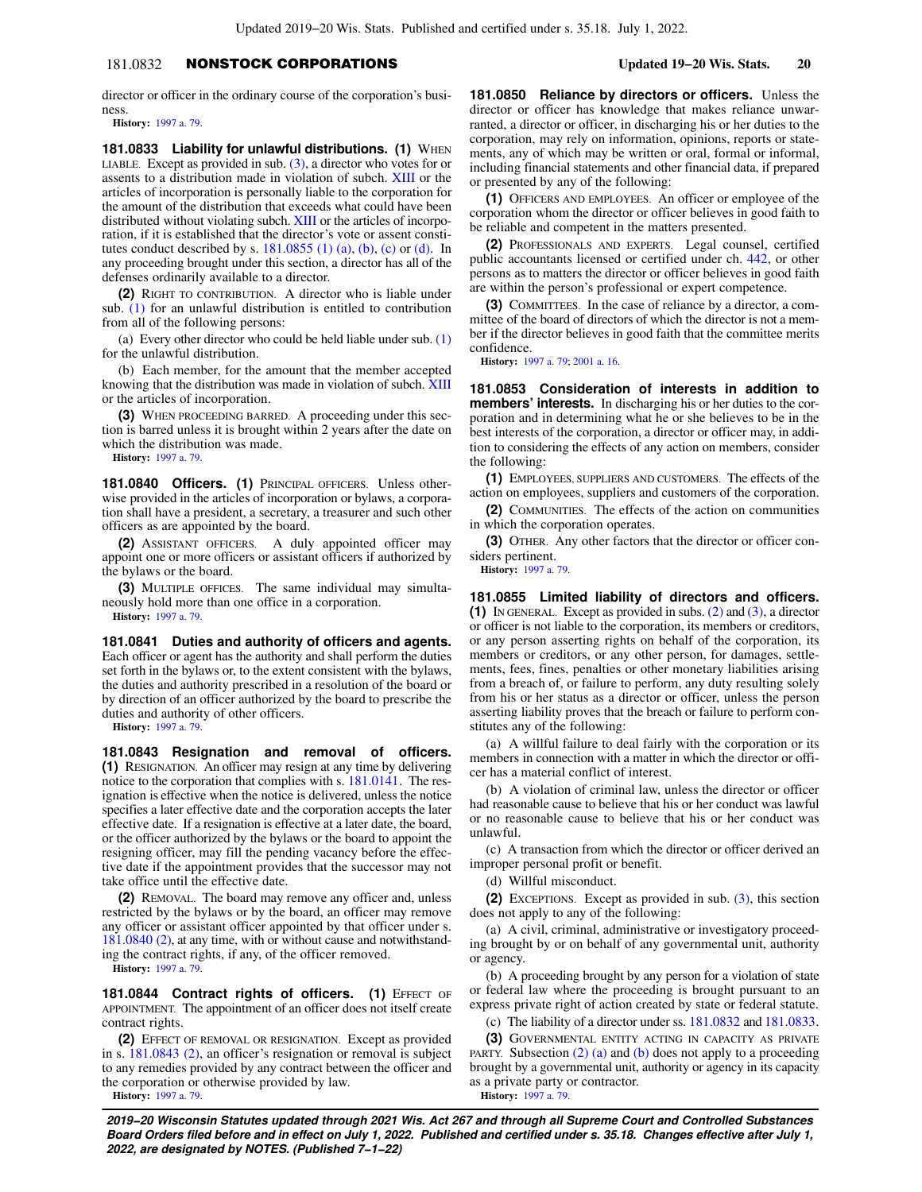# 181.0832 NONSTOCK CORPORATIONS **Updated 19−20 Wis. Stats. 20**

director or officer in the ordinary course of the corporation's business.

**History:** [1997 a. 79.](https://docs.legis.wisconsin.gov/document/acts/1997/79)

**181.0833 Liability for unlawful distributions. (1) WHEN** LIABLE. Except as provided in sub.  $(3)$ , a director who votes for or assents to a distribution made in violation of subch. [XIII](https://docs.legis.wisconsin.gov/document/statutes/subch.%20XIII%20of%20ch.%20181) or the articles of incorporation is personally liable to the corporation for the amount of the distribution that exceeds what could have been distributed without violating subch. [XIII](https://docs.legis.wisconsin.gov/document/statutes/subch.%20XIII%20of%20ch.%20181) or the articles of incorporation, if it is established that the director's vote or assent constitutes conduct described by s.  $181.0855$  (1) (a), [\(b\),](https://docs.legis.wisconsin.gov/document/statutes/181.0855(1)(b)) [\(c\)](https://docs.legis.wisconsin.gov/document/statutes/181.0855(1)(c)) or [\(d\).](https://docs.legis.wisconsin.gov/document/statutes/181.0855(1)(d)) In any proceeding brought under this section, a director has all of the defenses ordinarily available to a director.

**(2)** RIGHT TO CONTRIBUTION. A director who is liable under sub. [\(1\)](https://docs.legis.wisconsin.gov/document/statutes/181.0833(1)) for an unlawful distribution is entitled to contribution from all of the following persons:

(a) Every other director who could be held liable under sub. [\(1\)](https://docs.legis.wisconsin.gov/document/statutes/181.0833(1)) for the unlawful distribution.

(b) Each member, for the amount that the member accepted knowing that the distribution was made in violation of subch. [XIII](https://docs.legis.wisconsin.gov/document/statutes/subch.%20XIII%20of%20ch.%20181) or the articles of incorporation.

**(3)** WHEN PROCEEDING BARRED. A proceeding under this section is barred unless it is brought within 2 years after the date on which the distribution was made.

**History:** [1997 a. 79.](https://docs.legis.wisconsin.gov/document/acts/1997/79)

**181.0840 Officers. (1)** PRINCIPAL OFFICERS. Unless otherwise provided in the articles of incorporation or bylaws, a corporation shall have a president, a secretary, a treasurer and such other officers as are appointed by the board.

**(2)** ASSISTANT OFFICERS. A duly appointed officer may appoint one or more officers or assistant officers if authorized by the bylaws or the board.

**(3)** MULTIPLE OFFICES. The same individual may simultaneously hold more than one office in a corporation. **History:** [1997 a. 79.](https://docs.legis.wisconsin.gov/document/acts/1997/79)

**181.0841 Duties and authority of officers and agents.** Each officer or agent has the authority and shall perform the duties set forth in the bylaws or, to the extent consistent with the bylaws, the duties and authority prescribed in a resolution of the board or by direction of an officer authorized by the board to prescribe the duties and authority of other officers.

**History:** [1997 a. 79.](https://docs.legis.wisconsin.gov/document/acts/1997/79)

**181.0843 Resignation and removal of officers. (1)** RESIGNATION. An officer may resign at any time by delivering notice to the corporation that complies with s. [181.0141](https://docs.legis.wisconsin.gov/document/statutes/181.0141). The resignation is effective when the notice is delivered, unless the notice specifies a later effective date and the corporation accepts the later effective date. If a resignation is effective at a later date, the board, or the officer authorized by the bylaws or the board to appoint the resigning officer, may fill the pending vacancy before the effective date if the appointment provides that the successor may not take office until the effective date.

**(2)** REMOVAL. The board may remove any officer and, unless restricted by the bylaws or by the board, an officer may remove any officer or assistant officer appointed by that officer under s. [181.0840 \(2\),](https://docs.legis.wisconsin.gov/document/statutes/181.0840(2)) at any time, with or without cause and notwithstanding the contract rights, if any, of the officer removed.

**History:** [1997 a. 79.](https://docs.legis.wisconsin.gov/document/acts/1997/79)

**181.0844 Contract rights of officers. (1) EFFECT OF** APPOINTMENT. The appointment of an officer does not itself create contract rights.

**(2)** EFFECT OF REMOVAL OR RESIGNATION. Except as provided in s. [181.0843 \(2\),](https://docs.legis.wisconsin.gov/document/statutes/181.0843(2)) an officer's resignation or removal is subject to any remedies provided by any contract between the officer and the corporation or otherwise provided by law.

**History:** [1997 a. 79.](https://docs.legis.wisconsin.gov/document/acts/1997/79)

**181.0850 Reliance by directors or officers.** Unless the director or officer has knowledge that makes reliance unwarranted, a director or officer, in discharging his or her duties to the corporation, may rely on information, opinions, reports or statements, any of which may be written or oral, formal or informal, including financial statements and other financial data, if prepared or presented by any of the following:

**(1)** OFFICERS AND EMPLOYEES. An officer or employee of the corporation whom the director or officer believes in good faith to be reliable and competent in the matters presented.

**(2)** PROFESSIONALS AND EXPERTS. Legal counsel, certified public accountants licensed or certified under ch. [442](https://docs.legis.wisconsin.gov/document/statutes/ch.%20442), or other persons as to matters the director or officer believes in good faith are within the person's professional or expert competence.

**(3)** COMMITTEES. In the case of reliance by a director, a committee of the board of directors of which the director is not a member if the director believes in good faith that the committee merits confidence.

**History:** [1997 a. 79](https://docs.legis.wisconsin.gov/document/acts/1997/79); [2001 a. 16](https://docs.legis.wisconsin.gov/document/acts/2001/16).

**181.0853 Consideration of interests in addition to members' interests.** In discharging his or her duties to the corporation and in determining what he or she believes to be in the best interests of the corporation, a director or officer may, in addition to considering the effects of any action on members, consider the following:

**(1)** EMPLOYEES, SUPPLIERS AND CUSTOMERS. The effects of the action on employees, suppliers and customers of the corporation.

**(2)** COMMUNITIES. The effects of the action on communities in which the corporation operates.

**(3)** OTHER. Any other factors that the director or officer considers pertinent.

**History:** [1997 a. 79](https://docs.legis.wisconsin.gov/document/acts/1997/79).

**181.0855 Limited liability of directors and officers. (1)** IN GENERAL. Except as provided in subs. [\(2\)](https://docs.legis.wisconsin.gov/document/statutes/181.0855(2)) and [\(3\)](https://docs.legis.wisconsin.gov/document/statutes/181.0855(3)), a director or officer is not liable to the corporation, its members or creditors, or any person asserting rights on behalf of the corporation, its members or creditors, or any other person, for damages, settlements, fees, fines, penalties or other monetary liabilities arising from a breach of, or failure to perform, any duty resulting solely from his or her status as a director or officer, unless the person asserting liability proves that the breach or failure to perform constitutes any of the following:

(a) A willful failure to deal fairly with the corporation or its members in connection with a matter in which the director or officer has a material conflict of interest.

(b) A violation of criminal law, unless the director or officer had reasonable cause to believe that his or her conduct was lawful or no reasonable cause to believe that his or her conduct was unlawful.

(c) A transaction from which the director or officer derived an improper personal profit or benefit.

(d) Willful misconduct.

**(2)** EXCEPTIONS. Except as provided in sub. [\(3\)](https://docs.legis.wisconsin.gov/document/statutes/181.0855(3)), this section does not apply to any of the following:

(a) A civil, criminal, administrative or investigatory proceeding brought by or on behalf of any governmental unit, authority or agency.

(b) A proceeding brought by any person for a violation of state or federal law where the proceeding is brought pursuant to an express private right of action created by state or federal statute.

(c) The liability of a director under ss. [181.0832](https://docs.legis.wisconsin.gov/document/statutes/181.0832) and [181.0833.](https://docs.legis.wisconsin.gov/document/statutes/181.0833)

**(3)** GOVERNMENTAL ENTITY ACTING IN CAPACITY AS PRIVATE PARTY. Subsection  $(2)$  (a) and [\(b\)](https://docs.legis.wisconsin.gov/document/statutes/181.0855(2)(b)) does not apply to a proceeding brought by a governmental unit, authority or agency in its capacity as a private party or contractor. **History:** [1997 a. 79](https://docs.legis.wisconsin.gov/document/acts/1997/79).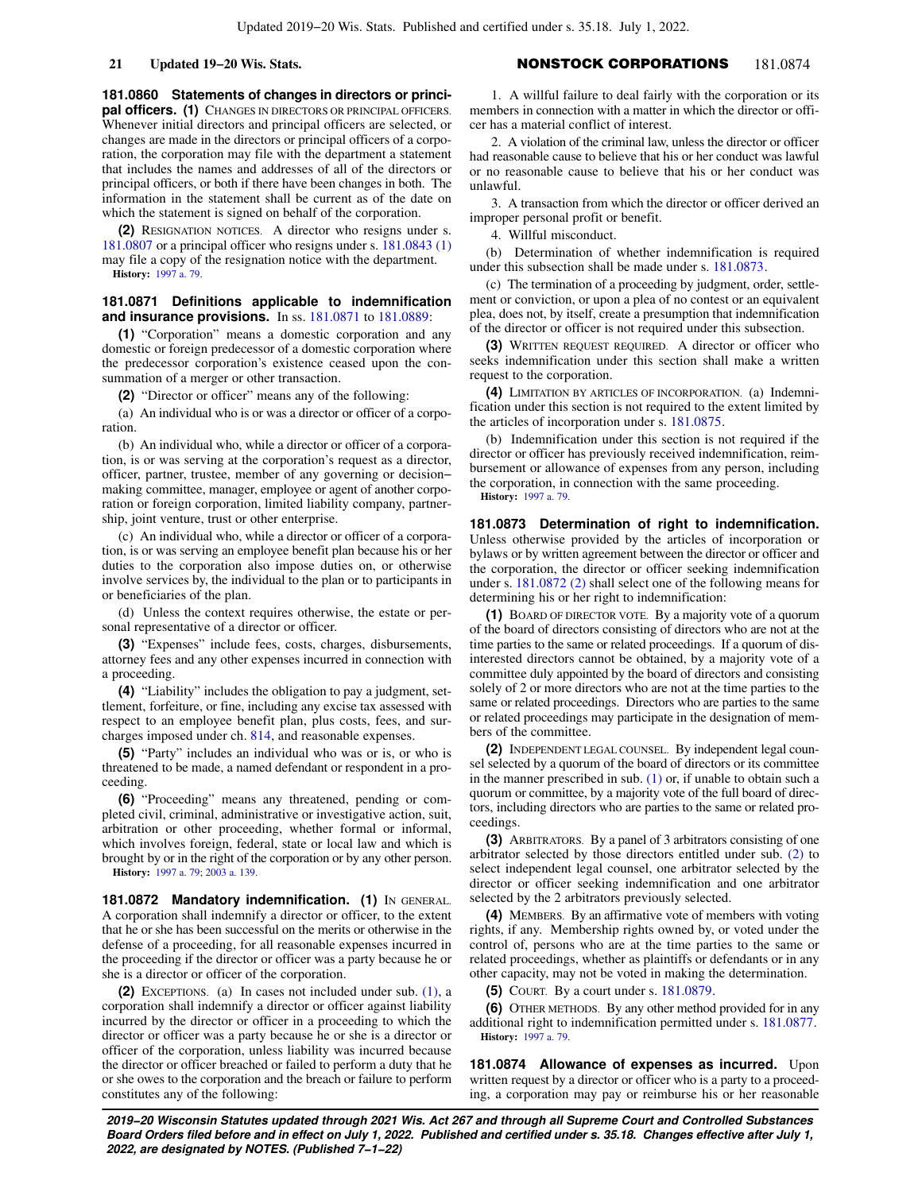**21 Updated 19−20 Wis. Stats.** NONSTOCK CORPORATIONS 181.0874

**181.0860 Statements of changes in directors or principal officers. (1)** CHANGES IN DIRECTORS OR PRINCIPAL OFFICERS. Whenever initial directors and principal officers are selected, or changes are made in the directors or principal officers of a corporation, the corporation may file with the department a statement that includes the names and addresses of all of the directors or principal officers, or both if there have been changes in both. The information in the statement shall be current as of the date on which the statement is signed on behalf of the corporation.

**(2)** RESIGNATION NOTICES. A director who resigns under s. [181.0807](https://docs.legis.wisconsin.gov/document/statutes/181.0807) or a principal officer who resigns under s. [181.0843 \(1\)](https://docs.legis.wisconsin.gov/document/statutes/181.0843(1)) may file a copy of the resignation notice with the department. **History:** [1997 a. 79.](https://docs.legis.wisconsin.gov/document/acts/1997/79)

## **181.0871 Definitions applicable to indemnification and insurance provisions.** In ss. [181.0871](https://docs.legis.wisconsin.gov/document/statutes/181.0871) to [181.0889](https://docs.legis.wisconsin.gov/document/statutes/181.0889):

**(1)** "Corporation" means a domestic corporation and any domestic or foreign predecessor of a domestic corporation where the predecessor corporation's existence ceased upon the consummation of a merger or other transaction.

**(2)** "Director or officer" means any of the following:

(a) An individual who is or was a director or officer of a corporation.

(b) An individual who, while a director or officer of a corporation, is or was serving at the corporation's request as a director, officer, partner, trustee, member of any governing or decision− making committee, manager, employee or agent of another corporation or foreign corporation, limited liability company, partnership, joint venture, trust or other enterprise.

(c) An individual who, while a director or officer of a corporation, is or was serving an employee benefit plan because his or her duties to the corporation also impose duties on, or otherwise involve services by, the individual to the plan or to participants in or beneficiaries of the plan.

(d) Unless the context requires otherwise, the estate or personal representative of a director or officer.

**(3)** "Expenses" include fees, costs, charges, disbursements, attorney fees and any other expenses incurred in connection with a proceeding.

**(4)** "Liability" includes the obligation to pay a judgment, settlement, forfeiture, or fine, including any excise tax assessed with respect to an employee benefit plan, plus costs, fees, and surcharges imposed under ch. [814](https://docs.legis.wisconsin.gov/document/statutes/ch.%20814), and reasonable expenses.

**(5)** "Party" includes an individual who was or is, or who is threatened to be made, a named defendant or respondent in a proceeding.

**(6)** "Proceeding" means any threatened, pending or completed civil, criminal, administrative or investigative action, suit, arbitration or other proceeding, whether formal or informal, which involves foreign, federal, state or local law and which is brought by or in the right of the corporation or by any other person. **History:** [1997 a. 79;](https://docs.legis.wisconsin.gov/document/acts/1997/79) [2003 a. 139.](https://docs.legis.wisconsin.gov/document/acts/2003/139)

181.0872 Mandatory indemnification. (1) IN GENERAL. A corporation shall indemnify a director or officer, to the extent that he or she has been successful on the merits or otherwise in the defense of a proceeding, for all reasonable expenses incurred in the proceeding if the director or officer was a party because he or she is a director or officer of the corporation.

**(2)** EXCEPTIONS. (a) In cases not included under sub. [\(1\)](https://docs.legis.wisconsin.gov/document/statutes/181.0872(1)), a corporation shall indemnify a director or officer against liability incurred by the director or officer in a proceeding to which the director or officer was a party because he or she is a director or officer of the corporation, unless liability was incurred because the director or officer breached or failed to perform a duty that he or she owes to the corporation and the breach or failure to perform constitutes any of the following:

1. A willful failure to deal fairly with the corporation or its members in connection with a matter in which the director or officer has a material conflict of interest.

2. A violation of the criminal law, unless the director or officer had reasonable cause to believe that his or her conduct was lawful or no reasonable cause to believe that his or her conduct was unlawful.

3. A transaction from which the director or officer derived an improper personal profit or benefit.

4. Willful misconduct.

(b) Determination of whether indemnification is required under this subsection shall be made under s. [181.0873.](https://docs.legis.wisconsin.gov/document/statutes/181.0873)

(c) The termination of a proceeding by judgment, order, settlement or conviction, or upon a plea of no contest or an equivalent plea, does not, by itself, create a presumption that indemnification of the director or officer is not required under this subsection.

**(3)** WRITTEN REQUEST REQUIRED. A director or officer who seeks indemnification under this section shall make a written request to the corporation.

**(4)** LIMITATION BY ARTICLES OF INCORPORATION. (a) Indemnification under this section is not required to the extent limited by the articles of incorporation under s. [181.0875](https://docs.legis.wisconsin.gov/document/statutes/181.0875).

(b) Indemnification under this section is not required if the director or officer has previously received indemnification, reimbursement or allowance of expenses from any person, including the corporation, in connection with the same proceeding. **History:** [1997 a. 79](https://docs.legis.wisconsin.gov/document/acts/1997/79).

**181.0873 Determination of right to indemnification.** Unless otherwise provided by the articles of incorporation or bylaws or by written agreement between the director or officer and the corporation, the director or officer seeking indemnification under s. [181.0872 \(2\)](https://docs.legis.wisconsin.gov/document/statutes/181.0872(2)) shall select one of the following means for determining his or her right to indemnification:

**(1)** BOARD OF DIRECTOR VOTE. By a majority vote of a quorum of the board of directors consisting of directors who are not at the time parties to the same or related proceedings. If a quorum of disinterested directors cannot be obtained, by a majority vote of a committee duly appointed by the board of directors and consisting solely of 2 or more directors who are not at the time parties to the same or related proceedings. Directors who are parties to the same or related proceedings may participate in the designation of members of the committee.

**(2)** INDEPENDENT LEGAL COUNSEL. By independent legal counsel selected by a quorum of the board of directors or its committee in the manner prescribed in sub. [\(1\)](https://docs.legis.wisconsin.gov/document/statutes/181.0873(1)) or, if unable to obtain such a quorum or committee, by a majority vote of the full board of directors, including directors who are parties to the same or related proceedings.

**(3)** ARBITRATORS. By a panel of 3 arbitrators consisting of one arbitrator selected by those directors entitled under sub. [\(2\)](https://docs.legis.wisconsin.gov/document/statutes/181.0873(2)) to select independent legal counsel, one arbitrator selected by the director or officer seeking indemnification and one arbitrator selected by the 2 arbitrators previously selected.

**(4)** MEMBERS. By an affirmative vote of members with voting rights, if any. Membership rights owned by, or voted under the control of, persons who are at the time parties to the same or related proceedings, whether as plaintiffs or defendants or in any other capacity, may not be voted in making the determination.

**(5)** COURT. By a court under s. [181.0879](https://docs.legis.wisconsin.gov/document/statutes/181.0879).

**(6)** OTHER METHODS. By any other method provided for in any additional right to indemnification permitted under s. [181.0877](https://docs.legis.wisconsin.gov/document/statutes/181.0877). **History:** [1997 a. 79](https://docs.legis.wisconsin.gov/document/acts/1997/79).

**181.0874 Allowance of expenses as incurred.** Upon written request by a director or officer who is a party to a proceeding, a corporation may pay or reimburse his or her reasonable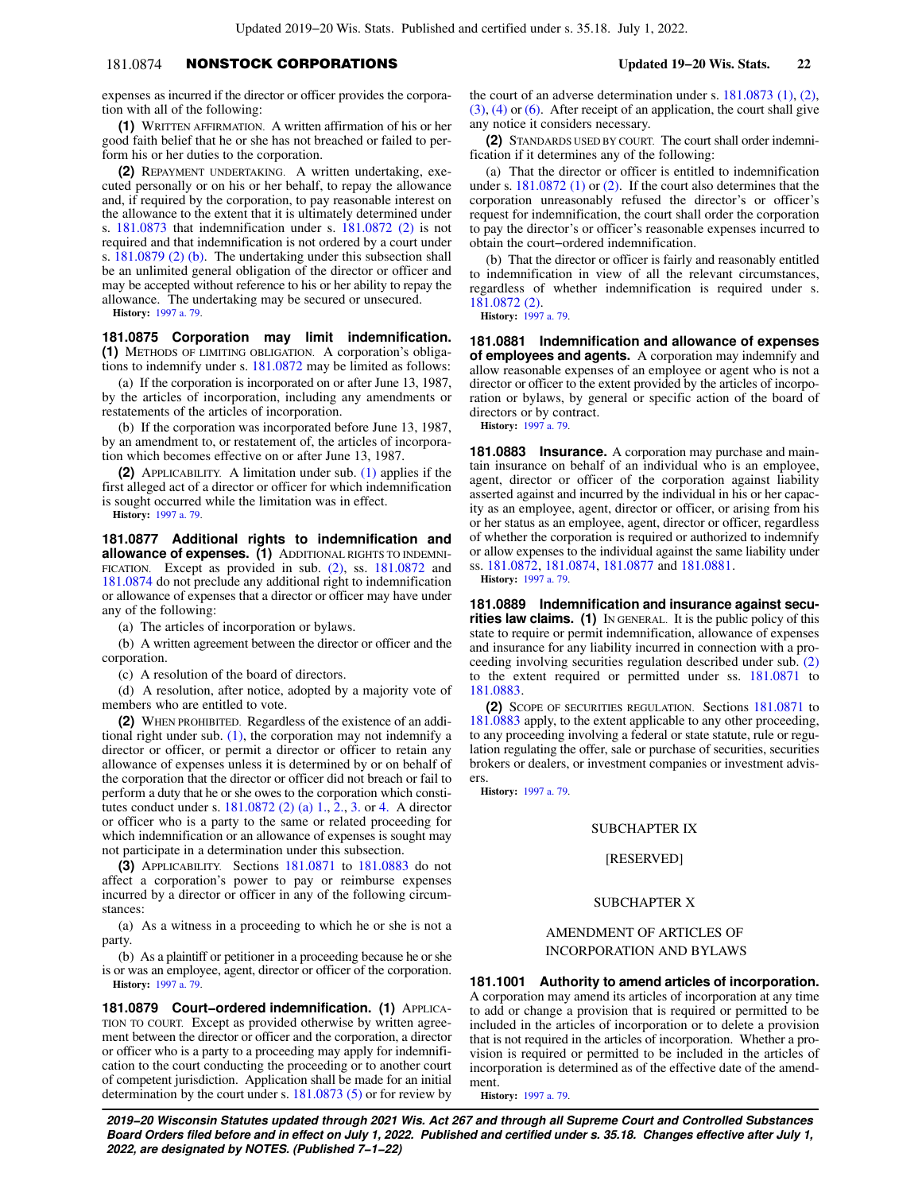# 181.0874 NONSTOCK CORPORATIONS **Updated 19−20 Wis. Stats. 22**

expenses as incurred if the director or officer provides the corporation with all of the following:

**(1)** WRITTEN AFFIRMATION. A written affirmation of his or her good faith belief that he or she has not breached or failed to perform his or her duties to the corporation.

**(2)** REPAYMENT UNDERTAKING. A written undertaking, executed personally or on his or her behalf, to repay the allowance and, if required by the corporation, to pay reasonable interest on the allowance to the extent that it is ultimately determined under s. [181.0873](https://docs.legis.wisconsin.gov/document/statutes/181.0873) that indemnification under s. [181.0872 \(2\)](https://docs.legis.wisconsin.gov/document/statutes/181.0872(2)) is not required and that indemnification is not ordered by a court under s. [181.0879 \(2\) \(b\)](https://docs.legis.wisconsin.gov/document/statutes/181.0879(2)(b)). The undertaking under this subsection shall be an unlimited general obligation of the director or officer and may be accepted without reference to his or her ability to repay the allowance. The undertaking may be secured or unsecured.

**History:** [1997 a. 79.](https://docs.legis.wisconsin.gov/document/acts/1997/79)

**181.0875 Corporation may limit indemnification. (1)** METHODS OF LIMITING OBLIGATION. A corporation's obligations to indemnify under s. [181.0872](https://docs.legis.wisconsin.gov/document/statutes/181.0872) may be limited as follows:

(a) If the corporation is incorporated on or after June 13, 1987, by the articles of incorporation, including any amendments or restatements of the articles of incorporation.

(b) If the corporation was incorporated before June 13, 1987, by an amendment to, or restatement of, the articles of incorporation which becomes effective on or after June 13, 1987.

**(2)** APPLICABILITY. A limitation under sub. [\(1\)](https://docs.legis.wisconsin.gov/document/statutes/181.0875(1)) applies if the first alleged act of a director or officer for which indemnification is sought occurred while the limitation was in effect.

**History:** [1997 a. 79.](https://docs.legis.wisconsin.gov/document/acts/1997/79)

**181.0877 Additional rights to indemnification and allowance of expenses. (1)** ADDITIONAL RIGHTS TO INDEMNI-FICATION. Except as provided in sub. [\(2\)](https://docs.legis.wisconsin.gov/document/statutes/181.0877(2)), ss.  $181.0872$  and [181.0874](https://docs.legis.wisconsin.gov/document/statutes/181.0874) do not preclude any additional right to indemnification or allowance of expenses that a director or officer may have under any of the following:

(a) The articles of incorporation or bylaws.

(b) A written agreement between the director or officer and the corporation.

(c) A resolution of the board of directors.

(d) A resolution, after notice, adopted by a majority vote of members who are entitled to vote.

**(2)** WHEN PROHIBITED. Regardless of the existence of an additional right under sub. [\(1\)](https://docs.legis.wisconsin.gov/document/statutes/181.0877(1)), the corporation may not indemnify a director or officer, or permit a director or officer to retain any allowance of expenses unless it is determined by or on behalf of the corporation that the director or officer did not breach or fail to perform a duty that he or she owes to the corporation which constitutes conduct under s. [181.0872 \(2\) \(a\) 1.](https://docs.legis.wisconsin.gov/document/statutes/181.0872(2)(a)1.), [2.,](https://docs.legis.wisconsin.gov/document/statutes/181.0872(2)(a)2.) [3.](https://docs.legis.wisconsin.gov/document/statutes/181.0872(2)(a)3.) or [4.](https://docs.legis.wisconsin.gov/document/statutes/181.0872(2)(a)4.) A director or officer who is a party to the same or related proceeding for which indemnification or an allowance of expenses is sought may not participate in a determination under this subsection.

**(3)** APPLICABILITY. Sections [181.0871](https://docs.legis.wisconsin.gov/document/statutes/181.0871) to [181.0883](https://docs.legis.wisconsin.gov/document/statutes/181.0883) do not affect a corporation's power to pay or reimburse expenses incurred by a director or officer in any of the following circumstances:

(a) As a witness in a proceeding to which he or she is not a party.

(b) As a plaintiff or petitioner in a proceeding because he or she is or was an employee, agent, director or officer of the corporation. **History:** [1997 a. 79.](https://docs.legis.wisconsin.gov/document/acts/1997/79)

**181.0879 Court−ordered indemnification. (1)** APPLICA-TION TO COURT. Except as provided otherwise by written agreement between the director or officer and the corporation, a director or officer who is a party to a proceeding may apply for indemnification to the court conducting the proceeding or to another court of competent jurisdiction. Application shall be made for an initial determination by the court under s. [181.0873 \(5\)](https://docs.legis.wisconsin.gov/document/statutes/181.0873(5)) or for review by

the court of an adverse determination under s. [181.0873 \(1\),](https://docs.legis.wisconsin.gov/document/statutes/181.0873(1)) [\(2\),](https://docs.legis.wisconsin.gov/document/statutes/181.0873(2))  $(3)$ ,  $(4)$  or  $(6)$ . After receipt of an application, the court shall give any notice it considers necessary.

**(2)** STANDARDS USED BY COURT. The court shall order indemnification if it determines any of the following:

(a) That the director or officer is entitled to indemnification under s. [181.0872 \(1\)](https://docs.legis.wisconsin.gov/document/statutes/181.0872(1)) or [\(2\)](https://docs.legis.wisconsin.gov/document/statutes/181.0872(2)). If the court also determines that the corporation unreasonably refused the director's or officer's request for indemnification, the court shall order the corporation to pay the director's or officer's reasonable expenses incurred to obtain the court−ordered indemnification.

(b) That the director or officer is fairly and reasonably entitled to indemnification in view of all the relevant circumstances, regardless of whether indemnification is required under s. [181.0872 \(2\).](https://docs.legis.wisconsin.gov/document/statutes/181.0872(2))

**History:** [1997 a. 79](https://docs.legis.wisconsin.gov/document/acts/1997/79).

**181.0881 Indemnification and allowance of expenses of employees and agents.** A corporation may indemnify and allow reasonable expenses of an employee or agent who is not a director or officer to the extent provided by the articles of incorporation or bylaws, by general or specific action of the board of directors or by contract.

**History:** [1997 a. 79](https://docs.legis.wisconsin.gov/document/acts/1997/79).

**181.0883 Insurance.** A corporation may purchase and maintain insurance on behalf of an individual who is an employee, agent, director or officer of the corporation against liability asserted against and incurred by the individual in his or her capacity as an employee, agent, director or officer, or arising from his or her status as an employee, agent, director or officer, regardless of whether the corporation is required or authorized to indemnify or allow expenses to the individual against the same liability under ss. [181.0872,](https://docs.legis.wisconsin.gov/document/statutes/181.0872) [181.0874](https://docs.legis.wisconsin.gov/document/statutes/181.0874), [181.0877](https://docs.legis.wisconsin.gov/document/statutes/181.0877) and [181.0881](https://docs.legis.wisconsin.gov/document/statutes/181.0881).

**History:** [1997 a. 79](https://docs.legis.wisconsin.gov/document/acts/1997/79).

**181.0889 Indemnification and insurance against securities law claims. (1)** IN GENERAL. It is the public policy of this state to require or permit indemnification, allowance of expenses and insurance for any liability incurred in connection with a proceeding involving securities regulation described under sub. [\(2\)](https://docs.legis.wisconsin.gov/document/statutes/181.0889(2)) to the extent required or permitted under ss. [181.0871](https://docs.legis.wisconsin.gov/document/statutes/181.0871) to [181.0883.](https://docs.legis.wisconsin.gov/document/statutes/181.0883)

**(2)** SCOPE OF SECURITIES REGULATION. Sections [181.0871](https://docs.legis.wisconsin.gov/document/statutes/181.0871) to [181.0883](https://docs.legis.wisconsin.gov/document/statutes/181.0883) apply, to the extent applicable to any other proceeding, to any proceeding involving a federal or state statute, rule or regulation regulating the offer, sale or purchase of securities, securities brokers or dealers, or investment companies or investment advisers.

**History:** [1997 a. 79](https://docs.legis.wisconsin.gov/document/acts/1997/79).

## SUBCHAPTER IX

[RESERVED]

# SUBCHAPTER X

AMENDMENT OF ARTICLES OF INCORPORATION AND BYLAWS

**181.1001 Authority to amend articles of incorporation.**

A corporation may amend its articles of incorporation at any time to add or change a provision that is required or permitted to be included in the articles of incorporation or to delete a provision that is not required in the articles of incorporation. Whether a provision is required or permitted to be included in the articles of incorporation is determined as of the effective date of the amendment.

**History:** [1997 a. 79](https://docs.legis.wisconsin.gov/document/acts/1997/79).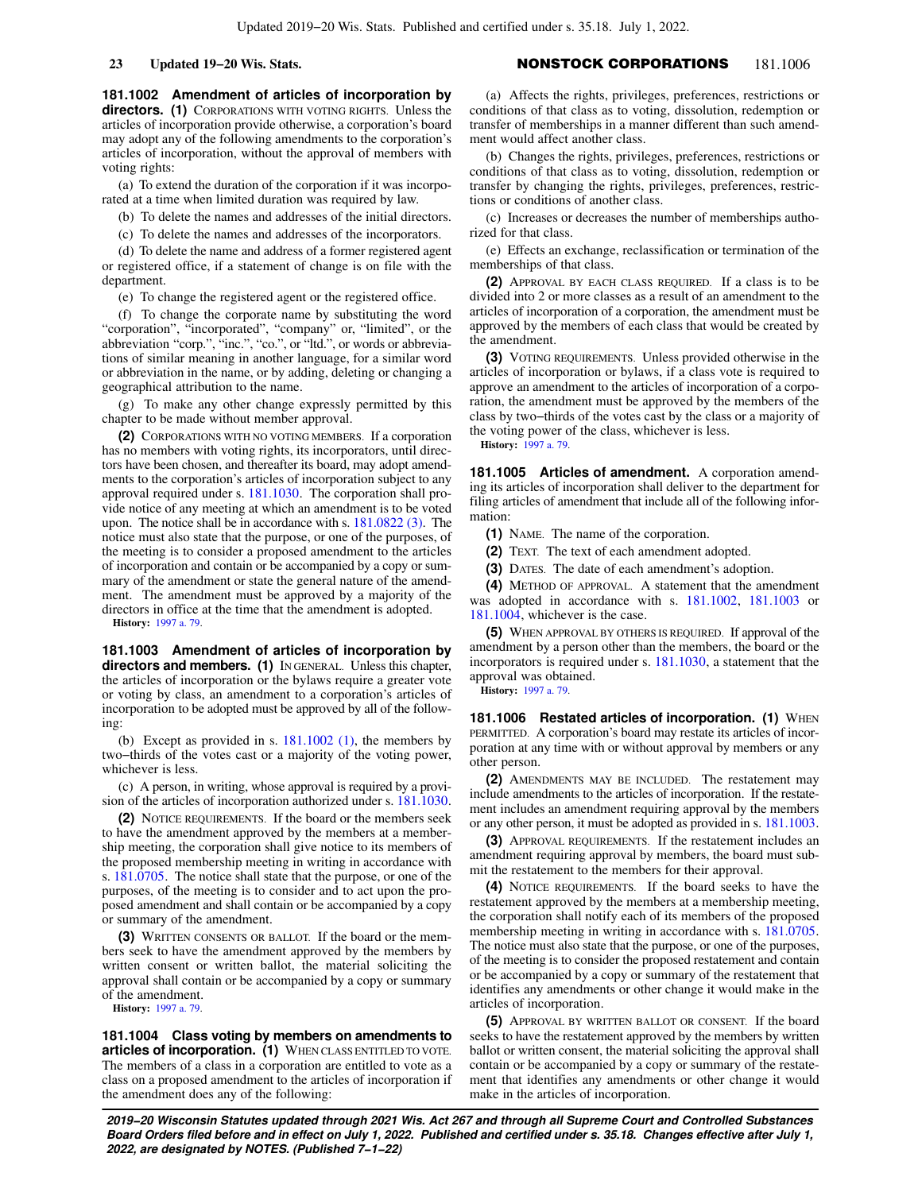**181.1002 Amendment of articles of incorporation by directors. (1)** CORPORATIONS WITH VOTING RIGHTS. Unless the articles of incorporation provide otherwise, a corporation's board may adopt any of the following amendments to the corporation's articles of incorporation, without the approval of members with voting rights:

(a) To extend the duration of the corporation if it was incorporated at a time when limited duration was required by law.

(b) To delete the names and addresses of the initial directors.

(c) To delete the names and addresses of the incorporators.

(d) To delete the name and address of a former registered agent or registered office, if a statement of change is on file with the department.

(e) To change the registered agent or the registered office.

(f) To change the corporate name by substituting the word "corporation", "incorporated", "company" or, "limited", or the abbreviation "corp.", "inc.", "co.", or "ltd.", or words or abbreviations of similar meaning in another language, for a similar word or abbreviation in the name, or by adding, deleting or changing a geographical attribution to the name.

(g) To make any other change expressly permitted by this chapter to be made without member approval.

**(2)** CORPORATIONS WITH NO VOTING MEMBERS. If a corporation has no members with voting rights, its incorporators, until directors have been chosen, and thereafter its board, may adopt amendments to the corporation's articles of incorporation subject to any approval required under s. [181.1030.](https://docs.legis.wisconsin.gov/document/statutes/181.1030) The corporation shall provide notice of any meeting at which an amendment is to be voted upon. The notice shall be in accordance with s. [181.0822 \(3\).](https://docs.legis.wisconsin.gov/document/statutes/181.0822(3)) The notice must also state that the purpose, or one of the purposes, of the meeting is to consider a proposed amendment to the articles of incorporation and contain or be accompanied by a copy or summary of the amendment or state the general nature of the amendment. The amendment must be approved by a majority of the directors in office at the time that the amendment is adopted.

**History:** [1997 a. 79.](https://docs.legis.wisconsin.gov/document/acts/1997/79)

**181.1003 Amendment of articles of incorporation by directors and members. (1)** IN GENERAL. Unless this chapter, the articles of incorporation or the bylaws require a greater vote or voting by class, an amendment to a corporation's articles of incorporation to be adopted must be approved by all of the following:

(b) Except as provided in s. [181.1002 \(1\)](https://docs.legis.wisconsin.gov/document/statutes/181.1002(1)), the members by two−thirds of the votes cast or a majority of the voting power, whichever is less.

(c) A person, in writing, whose approval is required by a provision of the articles of incorporation authorized under s. [181.1030.](https://docs.legis.wisconsin.gov/document/statutes/181.1030)

**(2)** NOTICE REQUIREMENTS. If the board or the members seek to have the amendment approved by the members at a membership meeting, the corporation shall give notice to its members of the proposed membership meeting in writing in accordance with s. [181.0705.](https://docs.legis.wisconsin.gov/document/statutes/181.0705) The notice shall state that the purpose, or one of the purposes, of the meeting is to consider and to act upon the proposed amendment and shall contain or be accompanied by a copy or summary of the amendment.

**(3)** WRITTEN CONSENTS OR BALLOT. If the board or the members seek to have the amendment approved by the members by written consent or written ballot, the material soliciting the approval shall contain or be accompanied by a copy or summary of the amendment.

**History:** [1997 a. 79.](https://docs.legis.wisconsin.gov/document/acts/1997/79)

**181.1004 Class voting by members on amendments to articles of incorporation. (1)** WHEN CLASS ENTITLED TO VOTE. The members of a class in a corporation are entitled to vote as a class on a proposed amendment to the articles of incorporation if the amendment does any of the following:

(a) Affects the rights, privileges, preferences, restrictions or conditions of that class as to voting, dissolution, redemption or transfer of memberships in a manner different than such amendment would affect another class.

(b) Changes the rights, privileges, preferences, restrictions or conditions of that class as to voting, dissolution, redemption or transfer by changing the rights, privileges, preferences, restrictions or conditions of another class.

(c) Increases or decreases the number of memberships authorized for that class.

(e) Effects an exchange, reclassification or termination of the memberships of that class.

**(2)** APPROVAL BY EACH CLASS REQUIRED. If a class is to be divided into 2 or more classes as a result of an amendment to the articles of incorporation of a corporation, the amendment must be approved by the members of each class that would be created by the amendment.

**(3)** VOTING REQUIREMENTS. Unless provided otherwise in the articles of incorporation or bylaws, if a class vote is required to approve an amendment to the articles of incorporation of a corporation, the amendment must be approved by the members of the class by two−thirds of the votes cast by the class or a majority of the voting power of the class, whichever is less.

**History:** [1997 a. 79](https://docs.legis.wisconsin.gov/document/acts/1997/79).

**181.1005 Articles of amendment.** A corporation amending its articles of incorporation shall deliver to the department for filing articles of amendment that include all of the following information:

**(1)** NAME. The name of the corporation.

**(2)** TEXT. The text of each amendment adopted.

**(3)** DATES. The date of each amendment's adoption.

**(4)** METHOD OF APPROVAL. A statement that the amendment was adopted in accordance with s. [181.1002,](https://docs.legis.wisconsin.gov/document/statutes/181.1002) [181.1003](https://docs.legis.wisconsin.gov/document/statutes/181.1003) or [181.1004,](https://docs.legis.wisconsin.gov/document/statutes/181.1004) whichever is the case.

**(5)** WHEN APPROVAL BY OTHERS IS REQUIRED. If approval of the amendment by a person other than the members, the board or the incorporators is required under s. [181.1030](https://docs.legis.wisconsin.gov/document/statutes/181.1030), a statement that the approval was obtained.

**History:** [1997 a. 79](https://docs.legis.wisconsin.gov/document/acts/1997/79).

**181.1006 Restated articles of incorporation. (1) WHEN** PERMITTED. A corporation's board may restate its articles of incorporation at any time with or without approval by members or any other person.

**(2)** AMENDMENTS MAY BE INCLUDED. The restatement may include amendments to the articles of incorporation. If the restatement includes an amendment requiring approval by the members or any other person, it must be adopted as provided in s. [181.1003.](https://docs.legis.wisconsin.gov/document/statutes/181.1003)

**(3)** APPROVAL REQUIREMENTS. If the restatement includes an amendment requiring approval by members, the board must submit the restatement to the members for their approval.

**(4)** NOTICE REQUIREMENTS. If the board seeks to have the restatement approved by the members at a membership meeting, the corporation shall notify each of its members of the proposed membership meeting in writing in accordance with s. [181.0705.](https://docs.legis.wisconsin.gov/document/statutes/181.0705) The notice must also state that the purpose, or one of the purposes, of the meeting is to consider the proposed restatement and contain or be accompanied by a copy or summary of the restatement that identifies any amendments or other change it would make in the articles of incorporation.

**(5)** APPROVAL BY WRITTEN BALLOT OR CONSENT. If the board seeks to have the restatement approved by the members by written ballot or written consent, the material soliciting the approval shall contain or be accompanied by a copy or summary of the restatement that identifies any amendments or other change it would make in the articles of incorporation.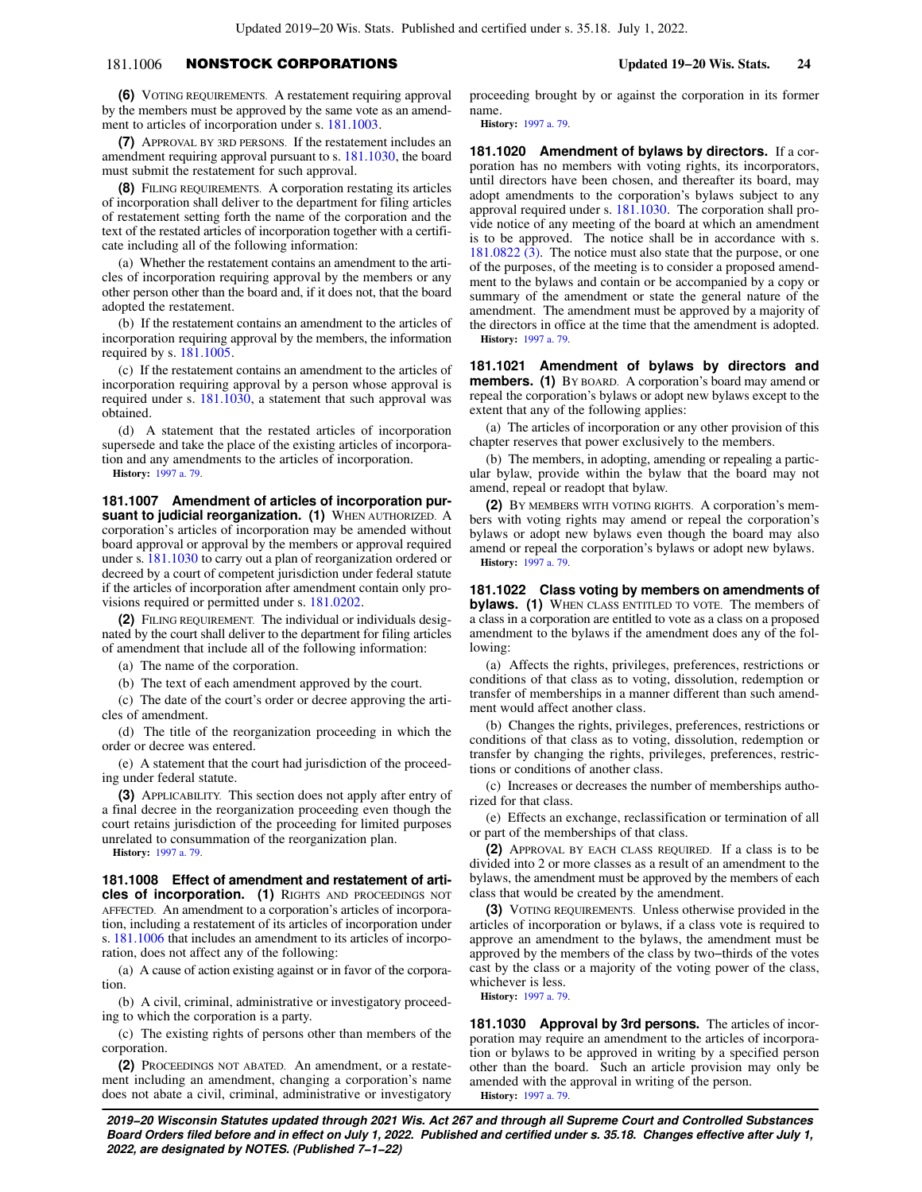# 181.1006 NONSTOCK CORPORATIONS **Updated 19−20 Wis. Stats. 24**

**(6)** VOTING REQUIREMENTS. A restatement requiring approval by the members must be approved by the same vote as an amendment to articles of incorporation under s. [181.1003.](https://docs.legis.wisconsin.gov/document/statutes/181.1003)

**(7)** APPROVAL BY 3RD PERSONS. If the restatement includes an amendment requiring approval pursuant to s. [181.1030,](https://docs.legis.wisconsin.gov/document/statutes/181.1030) the board must submit the restatement for such approval.

**(8)** FILING REQUIREMENTS. A corporation restating its articles of incorporation shall deliver to the department for filing articles of restatement setting forth the name of the corporation and the text of the restated articles of incorporation together with a certificate including all of the following information:

(a) Whether the restatement contains an amendment to the articles of incorporation requiring approval by the members or any other person other than the board and, if it does not, that the board adopted the restatement.

(b) If the restatement contains an amendment to the articles of incorporation requiring approval by the members, the information required by s. [181.1005.](https://docs.legis.wisconsin.gov/document/statutes/181.1005)

(c) If the restatement contains an amendment to the articles of incorporation requiring approval by a person whose approval is required under s. [181.1030,](https://docs.legis.wisconsin.gov/document/statutes/181.1030) a statement that such approval was obtained.

(d) A statement that the restated articles of incorporation supersede and take the place of the existing articles of incorporation and any amendments to the articles of incorporation.

**History:** [1997 a. 79.](https://docs.legis.wisconsin.gov/document/acts/1997/79)

**181.1007 Amendment of articles of incorporation pursuant to judicial reorganization. (1)** WHEN AUTHORIZED. A corporation's articles of incorporation may be amended without board approval or approval by the members or approval required under s. [181.1030](https://docs.legis.wisconsin.gov/document/statutes/181.1030) to carry out a plan of reorganization ordered or decreed by a court of competent jurisdiction under federal statute if the articles of incorporation after amendment contain only provisions required or permitted under s. [181.0202.](https://docs.legis.wisconsin.gov/document/statutes/181.0202)

**(2)** FILING REQUIREMENT. The individual or individuals designated by the court shall deliver to the department for filing articles of amendment that include all of the following information:

(a) The name of the corporation.

(b) The text of each amendment approved by the court.

(c) The date of the court's order or decree approving the articles of amendment.

(d) The title of the reorganization proceeding in which the order or decree was entered.

(e) A statement that the court had jurisdiction of the proceeding under federal statute.

**(3)** APPLICABILITY. This section does not apply after entry of a final decree in the reorganization proceeding even though the court retains jurisdiction of the proceeding for limited purposes unrelated to consummation of the reorganization plan.

**History:** [1997 a. 79.](https://docs.legis.wisconsin.gov/document/acts/1997/79)

**181.1008 Effect of amendment and restatement of articles of incorporation. (1)** RIGHTS AND PROCEEDINGS NOT AFFECTED. An amendment to a corporation's articles of incorporation, including a restatement of its articles of incorporation under s. [181.1006](https://docs.legis.wisconsin.gov/document/statutes/181.1006) that includes an amendment to its articles of incorporation, does not affect any of the following:

(a) A cause of action existing against or in favor of the corporation.

(b) A civil, criminal, administrative or investigatory proceeding to which the corporation is a party.

(c) The existing rights of persons other than members of the corporation.

**(2)** PROCEEDINGS NOT ABATED. An amendment, or a restatement including an amendment, changing a corporation's name does not abate a civil, criminal, administrative or investigatory

proceeding brought by or against the corporation in its former name.

**History:** [1997 a. 79](https://docs.legis.wisconsin.gov/document/acts/1997/79).

**181.1020 Amendment of bylaws by directors.** If a corporation has no members with voting rights, its incorporators, until directors have been chosen, and thereafter its board, may adopt amendments to the corporation's bylaws subject to any approval required under s. [181.1030](https://docs.legis.wisconsin.gov/document/statutes/181.1030). The corporation shall provide notice of any meeting of the board at which an amendment is to be approved. The notice shall be in accordance with s. [181.0822 \(3\).](https://docs.legis.wisconsin.gov/document/statutes/181.0822(3)) The notice must also state that the purpose, or one of the purposes, of the meeting is to consider a proposed amendment to the bylaws and contain or be accompanied by a copy or summary of the amendment or state the general nature of the amendment. The amendment must be approved by a majority of the directors in office at the time that the amendment is adopted. **History:** [1997 a. 79](https://docs.legis.wisconsin.gov/document/acts/1997/79).

**181.1021 Amendment of bylaws by directors and members. (1)** BY BOARD. A corporation's board may amend or repeal the corporation's bylaws or adopt new bylaws except to the extent that any of the following applies:

(a) The articles of incorporation or any other provision of this chapter reserves that power exclusively to the members.

(b) The members, in adopting, amending or repealing a particular bylaw, provide within the bylaw that the board may not amend, repeal or readopt that bylaw.

**(2)** BY MEMBERS WITH VOTING RIGHTS. A corporation's members with voting rights may amend or repeal the corporation's bylaws or adopt new bylaws even though the board may also amend or repeal the corporation's bylaws or adopt new bylaws. **History:** [1997 a. 79](https://docs.legis.wisconsin.gov/document/acts/1997/79).

**181.1022 Class voting by members on amendments of bylaws. (1)** WHEN CLASS ENTITLED TO VOTE. The members of a class in a corporation are entitled to vote as a class on a proposed amendment to the bylaws if the amendment does any of the following:

(a) Affects the rights, privileges, preferences, restrictions or conditions of that class as to voting, dissolution, redemption or transfer of memberships in a manner different than such amendment would affect another class.

(b) Changes the rights, privileges, preferences, restrictions or conditions of that class as to voting, dissolution, redemption or transfer by changing the rights, privileges, preferences, restrictions or conditions of another class.

(c) Increases or decreases the number of memberships authorized for that class.

(e) Effects an exchange, reclassification or termination of all or part of the memberships of that class.

**(2)** APPROVAL BY EACH CLASS REQUIRED. If a class is to be divided into 2 or more classes as a result of an amendment to the bylaws, the amendment must be approved by the members of each class that would be created by the amendment.

**(3)** VOTING REQUIREMENTS. Unless otherwise provided in the articles of incorporation or bylaws, if a class vote is required to approve an amendment to the bylaws, the amendment must be approved by the members of the class by two−thirds of the votes cast by the class or a majority of the voting power of the class, whichever is less.

**History:** [1997 a. 79](https://docs.legis.wisconsin.gov/document/acts/1997/79).

**181.1030 Approval by 3rd persons.** The articles of incorporation may require an amendment to the articles of incorporation or bylaws to be approved in writing by a specified person other than the board. Such an article provision may only be amended with the approval in writing of the person. **History:** [1997 a. 79](https://docs.legis.wisconsin.gov/document/acts/1997/79).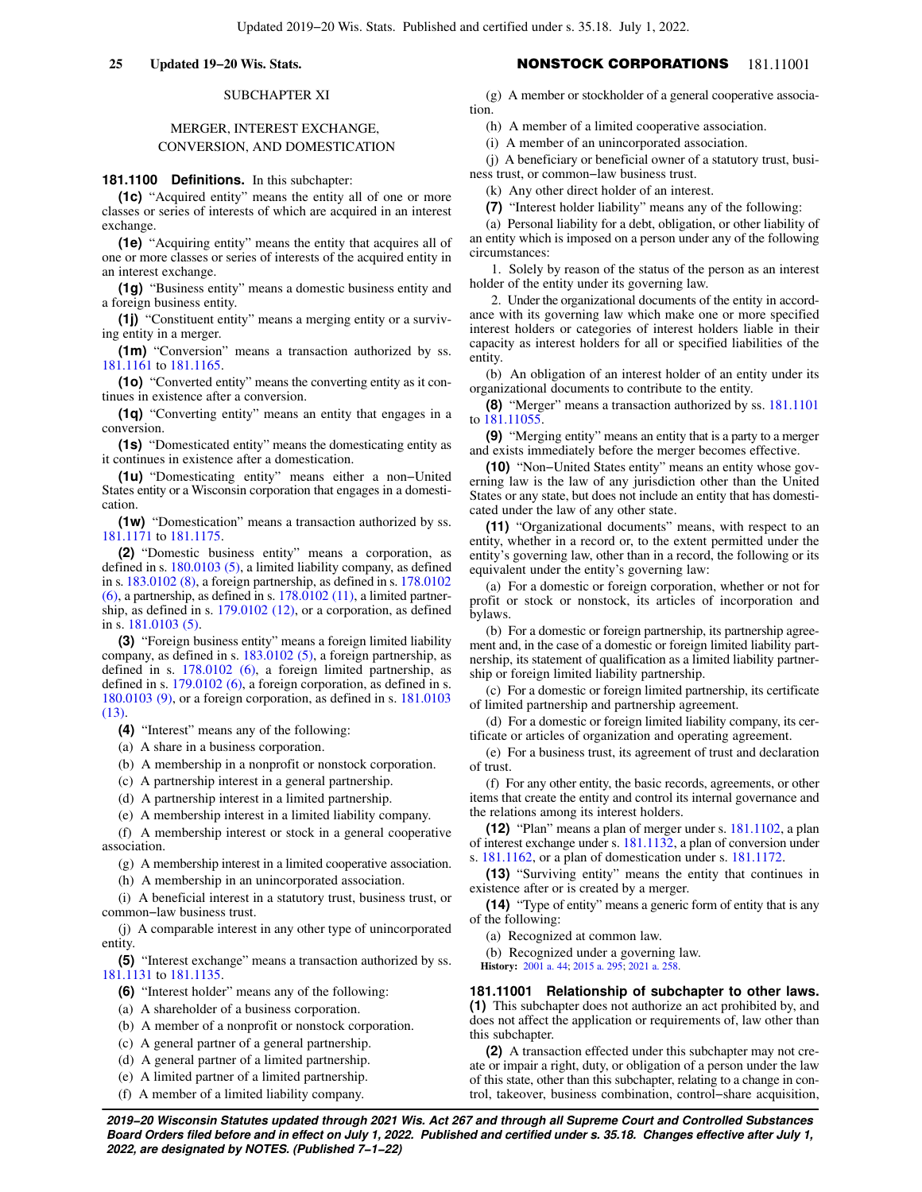# SUBCHAPTER XI

# MERGER, INTEREST EXCHANGE, CONVERSION, AND DOMESTICATION

# **181.1100 Definitions.** In this subchapter:

**(1c)** "Acquired entity" means the entity all of one or more classes or series of interests of which are acquired in an interest exchange.

**(1e)** "Acquiring entity" means the entity that acquires all of one or more classes or series of interests of the acquired entity in an interest exchange.

**(1g)** "Business entity" means a domestic business entity and a foreign business entity.

**(1j)** "Constituent entity" means a merging entity or a surviving entity in a merger.

**(1m)** "Conversion" means a transaction authorized by ss. [181.1161](https://docs.legis.wisconsin.gov/document/statutes/181.1161) to [181.1165.](https://docs.legis.wisconsin.gov/document/statutes/181.1165)

**(1o)** "Converted entity" means the converting entity as it continues in existence after a conversion.

**(1q)** "Converting entity" means an entity that engages in a conversion.

**(1s)** "Domesticated entity" means the domesticating entity as it continues in existence after a domestication.

**(1u)** "Domesticating entity" means either a non−United States entity or a Wisconsin corporation that engages in a domestication.

**(1w)** "Domestication" means a transaction authorized by ss. [181.1171](https://docs.legis.wisconsin.gov/document/statutes/181.1171) to [181.1175.](https://docs.legis.wisconsin.gov/document/statutes/181.1175)

**(2)** "Domestic business entity" means a corporation, as defined in s.  $180.0103$  (5), a limited liability company, as defined in s. [183.0102 \(8\)](https://docs.legis.wisconsin.gov/document/statutes/183.0102(8)), a foreign partnership, as defined in s. [178.0102](https://docs.legis.wisconsin.gov/document/statutes/178.0102(6)) [\(6\)](https://docs.legis.wisconsin.gov/document/statutes/178.0102(6)), a partnership, as defined in s. [178.0102 \(11\)](https://docs.legis.wisconsin.gov/document/statutes/178.0102(11)), a limited partnership, as defined in s. [179.0102 \(12\),](https://docs.legis.wisconsin.gov/document/statutes/179.0102(12)) or a corporation, as defined in s. [181.0103 \(5\).](https://docs.legis.wisconsin.gov/document/statutes/181.0103(5))

**(3)** "Foreign business entity" means a foreign limited liability company, as defined in s. [183.0102 \(5\)](https://docs.legis.wisconsin.gov/document/statutes/183.0102(5)), a foreign partnership, as defined in s. [178.0102 \(6\),](https://docs.legis.wisconsin.gov/document/statutes/178.0102(6)) a foreign limited partnership, as defined in s. [179.0102 \(6\),](https://docs.legis.wisconsin.gov/document/statutes/179.0102(6)) a foreign corporation, as defined in s. [180.0103 \(9\),](https://docs.legis.wisconsin.gov/document/statutes/180.0103(9)) or a foreign corporation, as defined in s. [181.0103](https://docs.legis.wisconsin.gov/document/statutes/181.0103(13)) [\(13\).](https://docs.legis.wisconsin.gov/document/statutes/181.0103(13))

**(4)** "Interest" means any of the following:

(a) A share in a business corporation.

(b) A membership in a nonprofit or nonstock corporation.

(c) A partnership interest in a general partnership.

(d) A partnership interest in a limited partnership.

(e) A membership interest in a limited liability company.

(f) A membership interest or stock in a general cooperative association.

(g) A membership interest in a limited cooperative association.

(h) A membership in an unincorporated association.

(i) A beneficial interest in a statutory trust, business trust, or common−law business trust.

(j) A comparable interest in any other type of unincorporated entity.

**(5)** "Interest exchange" means a transaction authorized by ss. [181.1131](https://docs.legis.wisconsin.gov/document/statutes/181.1131) to [181.1135.](https://docs.legis.wisconsin.gov/document/statutes/181.1135)

**(6)** "Interest holder" means any of the following:

(a) A shareholder of a business corporation.

(b) A member of a nonprofit or nonstock corporation.

(c) A general partner of a general partnership.

(d) A general partner of a limited partnership.

(e) A limited partner of a limited partnership.

(f) A member of a limited liability company.

# **25 Updated 19−20 Wis. Stats.** NONSTOCK CORPORATIONS 181.11001

(g) A member or stockholder of a general cooperative association.

(h) A member of a limited cooperative association.

(i) A member of an unincorporated association.

(j) A beneficiary or beneficial owner of a statutory trust, business trust, or common−law business trust.

(k) Any other direct holder of an interest.

**(7)** "Interest holder liability" means any of the following:

(a) Personal liability for a debt, obligation, or other liability of an entity which is imposed on a person under any of the following circumstances:

1. Solely by reason of the status of the person as an interest holder of the entity under its governing law.

2. Under the organizational documents of the entity in accordance with its governing law which make one or more specified interest holders or categories of interest holders liable in their capacity as interest holders for all or specified liabilities of the entity.

(b) An obligation of an interest holder of an entity under its organizational documents to contribute to the entity.

**(8)** "Merger" means a transaction authorized by ss. [181.1101](https://docs.legis.wisconsin.gov/document/statutes/181.1101) to [181.11055](https://docs.legis.wisconsin.gov/document/statutes/181.11055).

**(9)** "Merging entity" means an entity that is a party to a merger and exists immediately before the merger becomes effective.

**(10)** "Non−United States entity" means an entity whose governing law is the law of any jurisdiction other than the United States or any state, but does not include an entity that has domesticated under the law of any other state.

**(11)** "Organizational documents" means, with respect to an entity, whether in a record or, to the extent permitted under the entity's governing law, other than in a record, the following or its equivalent under the entity's governing law:

(a) For a domestic or foreign corporation, whether or not for profit or stock or nonstock, its articles of incorporation and bylaws.

(b) For a domestic or foreign partnership, its partnership agreement and, in the case of a domestic or foreign limited liability partnership, its statement of qualification as a limited liability partnership or foreign limited liability partnership.

(c) For a domestic or foreign limited partnership, its certificate of limited partnership and partnership agreement.

(d) For a domestic or foreign limited liability company, its certificate or articles of organization and operating agreement.

(e) For a business trust, its agreement of trust and declaration of trust.

(f) For any other entity, the basic records, agreements, or other items that create the entity and control its internal governance and the relations among its interest holders.

**(12)** "Plan" means a plan of merger under s. [181.1102,](https://docs.legis.wisconsin.gov/document/statutes/181.1102) a plan of interest exchange under s. [181.1132,](https://docs.legis.wisconsin.gov/document/statutes/181.1132) a plan of conversion under s. [181.1162,](https://docs.legis.wisconsin.gov/document/statutes/181.1162) or a plan of domestication under s. [181.1172.](https://docs.legis.wisconsin.gov/document/statutes/181.1172)

**(13)** "Surviving entity" means the entity that continues in existence after or is created by a merger.

**(14)** "Type of entity" means a generic form of entity that is any of the following:

(a) Recognized at common law.

(b) Recognized under a governing law.

**History:** [2001 a. 44](https://docs.legis.wisconsin.gov/document/acts/2001/44); [2015 a. 295;](https://docs.legis.wisconsin.gov/document/acts/2015/295) [2021 a. 258](https://docs.legis.wisconsin.gov/document/acts/2021/258).

**181.11001 Relationship of subchapter to other laws. (1)** This subchapter does not authorize an act prohibited by, and does not affect the application or requirements of, law other than this subchapter.

**(2)** A transaction effected under this subchapter may not create or impair a right, duty, or obligation of a person under the law of this state, other than this subchapter, relating to a change in control, takeover, business combination, control−share acquisition,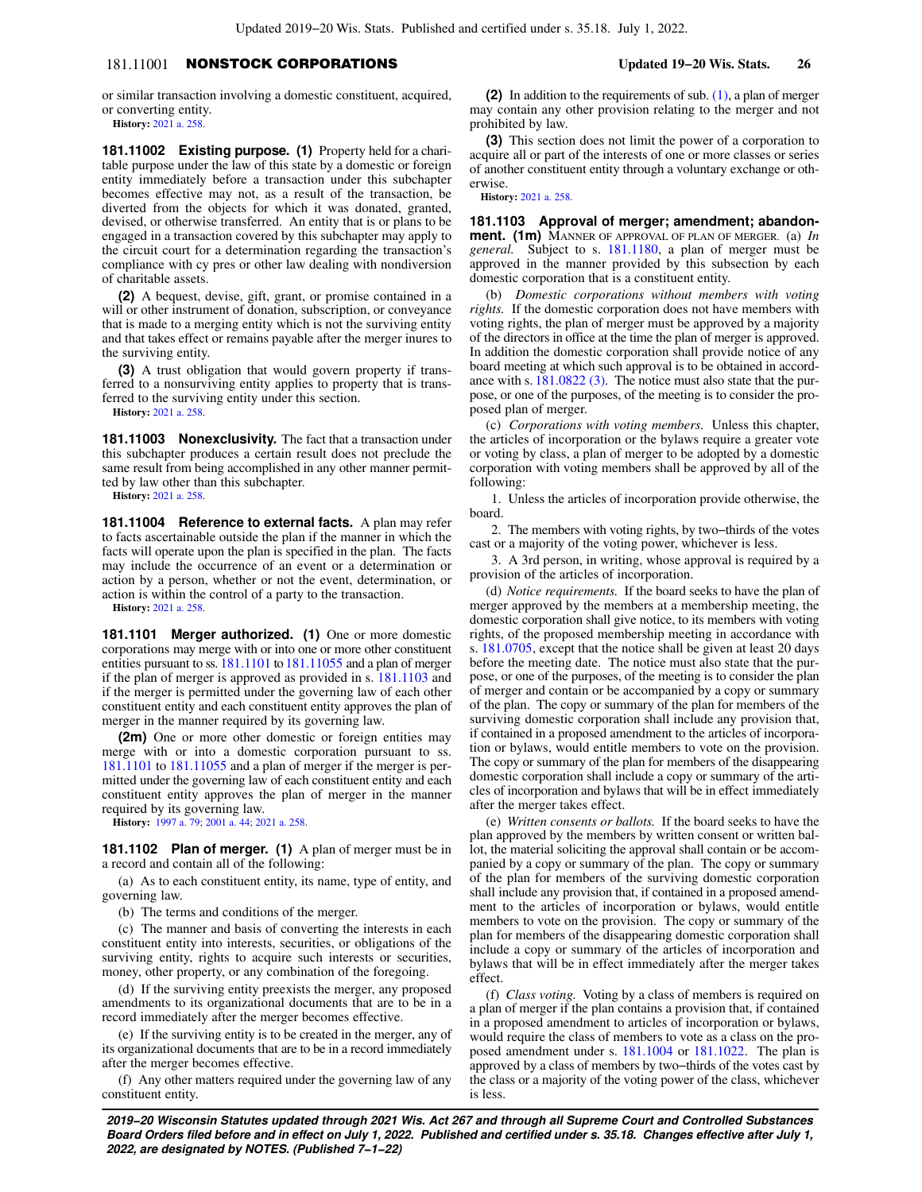# 181.11001 NONSTOCK CORPORATIONS **Updated 19−20 Wis. Stats. 26**

or similar transaction involving a domestic constituent, acquired, or converting entity.

**History:** [2021 a. 258.](https://docs.legis.wisconsin.gov/document/acts/2021/258)

**181.11002 Existing purpose. (1)** Property held for a charitable purpose under the law of this state by a domestic or foreign entity immediately before a transaction under this subchapter becomes effective may not, as a result of the transaction, be diverted from the objects for which it was donated, granted, devised, or otherwise transferred. An entity that is or plans to be engaged in a transaction covered by this subchapter may apply to the circuit court for a determination regarding the transaction's compliance with cy pres or other law dealing with nondiversion of charitable assets.

**(2)** A bequest, devise, gift, grant, or promise contained in a will or other instrument of donation, subscription, or conveyance that is made to a merging entity which is not the surviving entity and that takes effect or remains payable after the merger inures to the surviving entity.

**(3)** A trust obligation that would govern property if transferred to a nonsurviving entity applies to property that is transferred to the surviving entity under this section.

**History:** [2021 a. 258.](https://docs.legis.wisconsin.gov/document/acts/2021/258)

**181.11003 Nonexclusivity.** The fact that a transaction under this subchapter produces a certain result does not preclude the same result from being accomplished in any other manner permitted by law other than this subchapter.

**History:** [2021 a. 258.](https://docs.legis.wisconsin.gov/document/acts/2021/258)

**181.11004 Reference to external facts.** A plan may refer to facts ascertainable outside the plan if the manner in which the facts will operate upon the plan is specified in the plan. The facts may include the occurrence of an event or a determination or action by a person, whether or not the event, determination, or action is within the control of a party to the transaction.

**History:** [2021 a. 258.](https://docs.legis.wisconsin.gov/document/acts/2021/258)

**181.1101 Merger authorized. (1)** One or more domestic corporations may merge with or into one or more other constituent entities pursuant to ss. [181.1101](https://docs.legis.wisconsin.gov/document/statutes/181.1101) to [181.11055](https://docs.legis.wisconsin.gov/document/statutes/181.11055) and a plan of merger if the plan of merger is approved as provided in s. [181.1103](https://docs.legis.wisconsin.gov/document/statutes/181.1103) and if the merger is permitted under the governing law of each other constituent entity and each constituent entity approves the plan of merger in the manner required by its governing law.

**(2m)** One or more other domestic or foreign entities may merge with or into a domestic corporation pursuant to ss. [181.1101](https://docs.legis.wisconsin.gov/document/statutes/181.1101) to [181.11055](https://docs.legis.wisconsin.gov/document/statutes/181.11055) and a plan of merger if the merger is permitted under the governing law of each constituent entity and each constituent entity approves the plan of merger in the manner required by its governing law.

**History:** [1997 a. 79;](https://docs.legis.wisconsin.gov/document/acts/1997/79) [2001 a. 44;](https://docs.legis.wisconsin.gov/document/acts/2001/44) [2021 a. 258.](https://docs.legis.wisconsin.gov/document/acts/2021/258)

**181.1102 Plan of merger. (1)** A plan of merger must be in a record and contain all of the following:

(a) As to each constituent entity, its name, type of entity, and governing law.

(b) The terms and conditions of the merger.

(c) The manner and basis of converting the interests in each constituent entity into interests, securities, or obligations of the surviving entity, rights to acquire such interests or securities, money, other property, or any combination of the foregoing.

(d) If the surviving entity preexists the merger, any proposed amendments to its organizational documents that are to be in a record immediately after the merger becomes effective.

(e) If the surviving entity is to be created in the merger, any of its organizational documents that are to be in a record immediately after the merger becomes effective.

(f) Any other matters required under the governing law of any constituent entity.

**(2)** In addition to the requirements of sub. [\(1\),](https://docs.legis.wisconsin.gov/document/statutes/181.1102(1)) a plan of merger may contain any other provision relating to the merger and not prohibited by law.

**(3)** This section does not limit the power of a corporation to acquire all or part of the interests of one or more classes or series of another constituent entity through a voluntary exchange or otherwise.

**History:** [2021 a. 258.](https://docs.legis.wisconsin.gov/document/acts/2021/258)

**181.1103 Approval of merger; amendment; abandonment. (1m)** MANNER OF APPROVAL OF PLAN OF MERGER. (a) *In general.* Subject to s. [181.1180](https://docs.legis.wisconsin.gov/document/statutes/181.1180), a plan of merger must be approved in the manner provided by this subsection by each domestic corporation that is a constituent entity.

(b) *Domestic corporations without members with voting rights.* If the domestic corporation does not have members with voting rights, the plan of merger must be approved by a majority of the directors in office at the time the plan of merger is approved. In addition the domestic corporation shall provide notice of any board meeting at which such approval is to be obtained in accordance with s. [181.0822 \(3\).](https://docs.legis.wisconsin.gov/document/statutes/181.0822(3)) The notice must also state that the purpose, or one of the purposes, of the meeting is to consider the proposed plan of merger.

(c) *Corporations with voting members.* Unless this chapter, the articles of incorporation or the bylaws require a greater vote or voting by class, a plan of merger to be adopted by a domestic corporation with voting members shall be approved by all of the following:

1. Unless the articles of incorporation provide otherwise, the board.

2. The members with voting rights, by two−thirds of the votes cast or a majority of the voting power, whichever is less.

3. A 3rd person, in writing, whose approval is required by a provision of the articles of incorporation.

(d) *Notice requirements.* If the board seeks to have the plan of merger approved by the members at a membership meeting, the domestic corporation shall give notice, to its members with voting rights, of the proposed membership meeting in accordance with s. [181.0705,](https://docs.legis.wisconsin.gov/document/statutes/181.0705) except that the notice shall be given at least 20 days before the meeting date. The notice must also state that the purpose, or one of the purposes, of the meeting is to consider the plan of merger and contain or be accompanied by a copy or summary of the plan. The copy or summary of the plan for members of the surviving domestic corporation shall include any provision that, if contained in a proposed amendment to the articles of incorporation or bylaws, would entitle members to vote on the provision. The copy or summary of the plan for members of the disappearing domestic corporation shall include a copy or summary of the articles of incorporation and bylaws that will be in effect immediately after the merger takes effect.

(e) *Written consents or ballots.* If the board seeks to have the plan approved by the members by written consent or written ballot, the material soliciting the approval shall contain or be accompanied by a copy or summary of the plan. The copy or summary of the plan for members of the surviving domestic corporation shall include any provision that, if contained in a proposed amendment to the articles of incorporation or bylaws, would entitle members to vote on the provision. The copy or summary of the plan for members of the disappearing domestic corporation shall include a copy or summary of the articles of incorporation and bylaws that will be in effect immediately after the merger takes effect.

(f) *Class voting.* Voting by a class of members is required on a plan of merger if the plan contains a provision that, if contained in a proposed amendment to articles of incorporation or bylaws, would require the class of members to vote as a class on the proposed amendment under s. [181.1004](https://docs.legis.wisconsin.gov/document/statutes/181.1004) or [181.1022.](https://docs.legis.wisconsin.gov/document/statutes/181.1022) The plan is approved by a class of members by two−thirds of the votes cast by the class or a majority of the voting power of the class, whichever is less.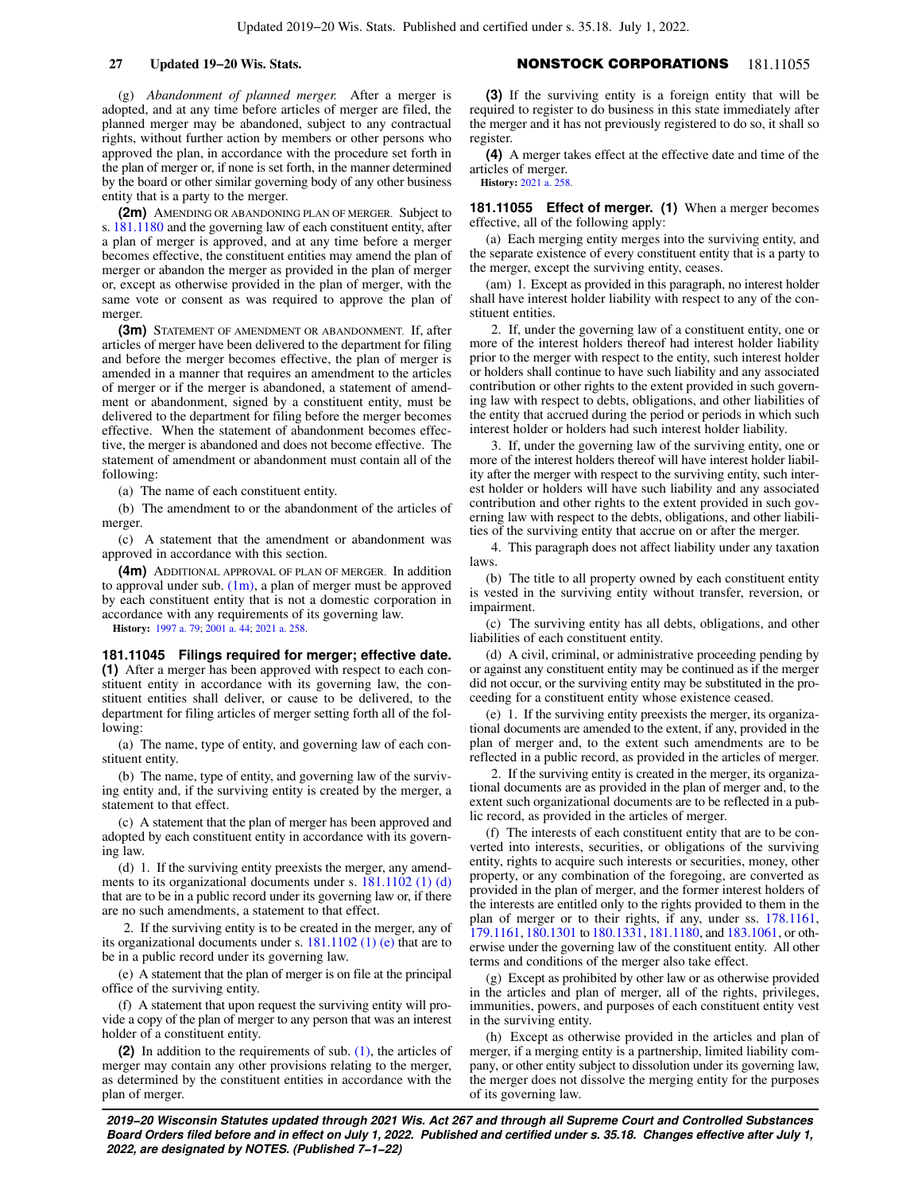(g) *Abandonment of planned merger.* After a merger is adopted, and at any time before articles of merger are filed, the planned merger may be abandoned, subject to any contractual rights, without further action by members or other persons who approved the plan, in accordance with the procedure set forth in the plan of merger or, if none is set forth, in the manner determined by the board or other similar governing body of any other business entity that is a party to the merger.

**(2m)** AMENDING OR ABANDONING PLAN OF MERGER. Subject to s. [181.1180](https://docs.legis.wisconsin.gov/document/statutes/181.1180) and the governing law of each constituent entity, after a plan of merger is approved, and at any time before a merger becomes effective, the constituent entities may amend the plan of merger or abandon the merger as provided in the plan of merger or, except as otherwise provided in the plan of merger, with the same vote or consent as was required to approve the plan of merger.

**(3m)** STATEMENT OF AMENDMENT OR ABANDONMENT. If, after articles of merger have been delivered to the department for filing and before the merger becomes effective, the plan of merger is amended in a manner that requires an amendment to the articles of merger or if the merger is abandoned, a statement of amendment or abandonment, signed by a constituent entity, must be delivered to the department for filing before the merger becomes effective. When the statement of abandonment becomes effective, the merger is abandoned and does not become effective. The statement of amendment or abandonment must contain all of the following:

(a) The name of each constituent entity.

(b) The amendment to or the abandonment of the articles of merger.

(c) A statement that the amendment or abandonment was approved in accordance with this section.

**(4m)** ADDITIONAL APPROVAL OF PLAN OF MERGER. In addition to approval under sub.  $(1m)$ , a plan of merger must be approved by each constituent entity that is not a domestic corporation in accordance with any requirements of its governing law.

**History:** [1997 a. 79;](https://docs.legis.wisconsin.gov/document/acts/1997/79) [2001 a. 44;](https://docs.legis.wisconsin.gov/document/acts/2001/44) [2021 a. 258.](https://docs.legis.wisconsin.gov/document/acts/2021/258)

## **181.11045 Filings required for merger; effective date. (1)** After a merger has been approved with respect to each constituent entity in accordance with its governing law, the constituent entities shall deliver, or cause to be delivered, to the department for filing articles of merger setting forth all of the following:

(a) The name, type of entity, and governing law of each constituent entity.

(b) The name, type of entity, and governing law of the surviving entity and, if the surviving entity is created by the merger, a statement to that effect.

(c) A statement that the plan of merger has been approved and adopted by each constituent entity in accordance with its governing law.

(d) 1. If the surviving entity preexists the merger, any amendments to its organizational documents under s. [181.1102 \(1\) \(d\)](https://docs.legis.wisconsin.gov/document/statutes/181.1102(1)(d)) that are to be in a public record under its governing law or, if there are no such amendments, a statement to that effect.

2. If the surviving entity is to be created in the merger, any of its organizational documents under s. [181.1102 \(1\) \(e\)](https://docs.legis.wisconsin.gov/document/statutes/181.1102(1)(e)) that are to be in a public record under its governing law.

(e) A statement that the plan of merger is on file at the principal office of the surviving entity.

(f) A statement that upon request the surviving entity will provide a copy of the plan of merger to any person that was an interest holder of a constituent entity.

**(2)** In addition to the requirements of sub. [\(1\)](https://docs.legis.wisconsin.gov/document/statutes/181.11045(1)), the articles of merger may contain any other provisions relating to the merger, as determined by the constituent entities in accordance with the plan of merger.

# **27 Updated 19−20 Wis. Stats.** NONSTOCK CORPORATIONS 181.11055

**(3)** If the surviving entity is a foreign entity that will be required to register to do business in this state immediately after the merger and it has not previously registered to do so, it shall so register.

**(4)** A merger takes effect at the effective date and time of the articles of merger. **History:** [2021 a. 258.](https://docs.legis.wisconsin.gov/document/acts/2021/258)

**181.11055 Effect of merger. (1)** When a merger becomes effective, all of the following apply:

(a) Each merging entity merges into the surviving entity, and the separate existence of every constituent entity that is a party to the merger, except the surviving entity, ceases.

(am) 1. Except as provided in this paragraph, no interest holder shall have interest holder liability with respect to any of the constituent entities.

2. If, under the governing law of a constituent entity, one or more of the interest holders thereof had interest holder liability prior to the merger with respect to the entity, such interest holder or holders shall continue to have such liability and any associated contribution or other rights to the extent provided in such governing law with respect to debts, obligations, and other liabilities of the entity that accrued during the period or periods in which such interest holder or holders had such interest holder liability.

3. If, under the governing law of the surviving entity, one or more of the interest holders thereof will have interest holder liability after the merger with respect to the surviving entity, such interest holder or holders will have such liability and any associated contribution and other rights to the extent provided in such governing law with respect to the debts, obligations, and other liabilities of the surviving entity that accrue on or after the merger.

4. This paragraph does not affect liability under any taxation laws.

(b) The title to all property owned by each constituent entity is vested in the surviving entity without transfer, reversion, or impairment.

(c) The surviving entity has all debts, obligations, and other liabilities of each constituent entity.

(d) A civil, criminal, or administrative proceeding pending by or against any constituent entity may be continued as if the merger did not occur, or the surviving entity may be substituted in the proceeding for a constituent entity whose existence ceased.

(e) 1. If the surviving entity preexists the merger, its organizational documents are amended to the extent, if any, provided in the plan of merger and, to the extent such amendments are to be reflected in a public record, as provided in the articles of merger.

2. If the surviving entity is created in the merger, its organizational documents are as provided in the plan of merger and, to the extent such organizational documents are to be reflected in a public record, as provided in the articles of merger.

(f) The interests of each constituent entity that are to be converted into interests, securities, or obligations of the surviving entity, rights to acquire such interests or securities, money, other property, or any combination of the foregoing, are converted as provided in the plan of merger, and the former interest holders of the interests are entitled only to the rights provided to them in the plan of merger or to their rights, if any, under ss. [178.1161,](https://docs.legis.wisconsin.gov/document/statutes/178.1161) [179.1161,](https://docs.legis.wisconsin.gov/document/statutes/179.1161) [180.1301](https://docs.legis.wisconsin.gov/document/statutes/180.1301) to [180.1331](https://docs.legis.wisconsin.gov/document/statutes/180.1331), [181.1180,](https://docs.legis.wisconsin.gov/document/statutes/181.1180) and [183.1061,](https://docs.legis.wisconsin.gov/document/statutes/183.1061) or otherwise under the governing law of the constituent entity. All other terms and conditions of the merger also take effect.

(g) Except as prohibited by other law or as otherwise provided in the articles and plan of merger, all of the rights, privileges, immunities, powers, and purposes of each constituent entity vest in the surviving entity.

(h) Except as otherwise provided in the articles and plan of merger, if a merging entity is a partnership, limited liability company, or other entity subject to dissolution under its governing law, the merger does not dissolve the merging entity for the purposes of its governing law.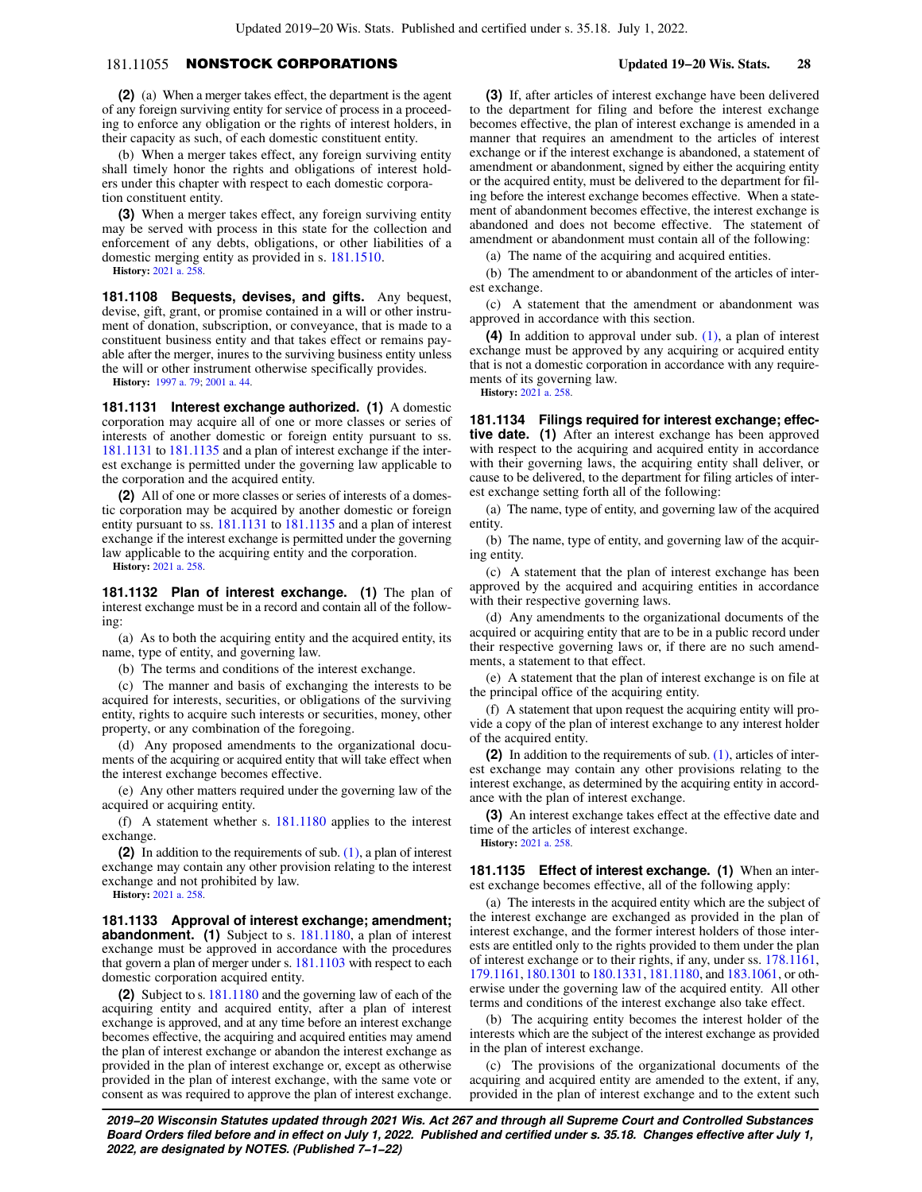# 181.11055 NONSTOCK CORPORATIONS **Updated 19−20 Wis. Stats. 28**

**(2)** (a) When a merger takes effect, the department is the agent of any foreign surviving entity for service of process in a proceeding to enforce any obligation or the rights of interest holders, in their capacity as such, of each domestic constituent entity.

(b) When a merger takes effect, any foreign surviving entity shall timely honor the rights and obligations of interest holders under this chapter with respect to each domestic corporation constituent entity.

**(3)** When a merger takes effect, any foreign surviving entity may be served with process in this state for the collection and enforcement of any debts, obligations, or other liabilities of a domestic merging entity as provided in s. [181.1510](https://docs.legis.wisconsin.gov/document/statutes/181.1510). **History:** [2021 a. 258.](https://docs.legis.wisconsin.gov/document/acts/2021/258)

**181.1108 Bequests, devises, and gifts.** Any bequest, devise, gift, grant, or promise contained in a will or other instrument of donation, subscription, or conveyance, that is made to a constituent business entity and that takes effect or remains payable after the merger, inures to the surviving business entity unless the will or other instrument otherwise specifically provides.

**History:** [1997 a. 79;](https://docs.legis.wisconsin.gov/document/acts/1997/79) [2001 a. 44.](https://docs.legis.wisconsin.gov/document/acts/2001/44)

**181.1131 Interest exchange authorized. (1)** A domestic corporation may acquire all of one or more classes or series of interests of another domestic or foreign entity pursuant to ss. [181.1131](https://docs.legis.wisconsin.gov/document/statutes/181.1131) to [181.1135](https://docs.legis.wisconsin.gov/document/statutes/181.1135) and a plan of interest exchange if the interest exchange is permitted under the governing law applicable to the corporation and the acquired entity.

**(2)** All of one or more classes or series of interests of a domestic corporation may be acquired by another domestic or foreign entity pursuant to ss. [181.1131](https://docs.legis.wisconsin.gov/document/statutes/181.1131) to [181.1135](https://docs.legis.wisconsin.gov/document/statutes/181.1135) and a plan of interest exchange if the interest exchange is permitted under the governing law applicable to the acquiring entity and the corporation.

**History:** [2021 a. 258.](https://docs.legis.wisconsin.gov/document/acts/2021/258)

**181.1132 Plan of interest exchange. (1)** The plan of interest exchange must be in a record and contain all of the following:

(a) As to both the acquiring entity and the acquired entity, its name, type of entity, and governing law.

(b) The terms and conditions of the interest exchange.

(c) The manner and basis of exchanging the interests to be acquired for interests, securities, or obligations of the surviving entity, rights to acquire such interests or securities, money, other property, or any combination of the foregoing.

(d) Any proposed amendments to the organizational documents of the acquiring or acquired entity that will take effect when the interest exchange becomes effective.

(e) Any other matters required under the governing law of the acquired or acquiring entity.

(f) A statement whether s. [181.1180](https://docs.legis.wisconsin.gov/document/statutes/181.1180) applies to the interest exchange.

**(2)** In addition to the requirements of sub. [\(1\),](https://docs.legis.wisconsin.gov/document/statutes/181.1132(1)) a plan of interest exchange may contain any other provision relating to the interest exchange and not prohibited by law.

**History:** [2021 a. 258.](https://docs.legis.wisconsin.gov/document/acts/2021/258)

**181.1133 Approval of interest exchange; amendment; abandonment. (1)** Subject to s. [181.1180,](https://docs.legis.wisconsin.gov/document/statutes/181.1180) a plan of interest exchange must be approved in accordance with the procedures that govern a plan of merger under s. [181.1103](https://docs.legis.wisconsin.gov/document/statutes/181.1103) with respect to each domestic corporation acquired entity.

**(2)** Subject to s. [181.1180](https://docs.legis.wisconsin.gov/document/statutes/181.1180) and the governing law of each of the acquiring entity and acquired entity, after a plan of interest exchange is approved, and at any time before an interest exchange becomes effective, the acquiring and acquired entities may amend the plan of interest exchange or abandon the interest exchange as provided in the plan of interest exchange or, except as otherwise provided in the plan of interest exchange, with the same vote or consent as was required to approve the plan of interest exchange.

**(3)** If, after articles of interest exchange have been delivered to the department for filing and before the interest exchange becomes effective, the plan of interest exchange is amended in a manner that requires an amendment to the articles of interest exchange or if the interest exchange is abandoned, a statement of amendment or abandonment, signed by either the acquiring entity or the acquired entity, must be delivered to the department for filing before the interest exchange becomes effective. When a statement of abandonment becomes effective, the interest exchange is abandoned and does not become effective. The statement of amendment or abandonment must contain all of the following:

(a) The name of the acquiring and acquired entities.

(b) The amendment to or abandonment of the articles of interest exchange.

(c) A statement that the amendment or abandonment was approved in accordance with this section.

**(4)** In addition to approval under sub. [\(1\)](https://docs.legis.wisconsin.gov/document/statutes/181.1133(1)), a plan of interest exchange must be approved by any acquiring or acquired entity that is not a domestic corporation in accordance with any requirements of its governing law. **History:** [2021 a. 258.](https://docs.legis.wisconsin.gov/document/acts/2021/258)

**181.1134 Filings required for interest exchange; effective date.** (1) After an interest exchange has been approved with respect to the acquiring and acquired entity in accordance with their governing laws, the acquiring entity shall deliver, or cause to be delivered, to the department for filing articles of interest exchange setting forth all of the following:

(a) The name, type of entity, and governing law of the acquired entity.

(b) The name, type of entity, and governing law of the acquiring entity.

(c) A statement that the plan of interest exchange has been approved by the acquired and acquiring entities in accordance with their respective governing laws.

(d) Any amendments to the organizational documents of the acquired or acquiring entity that are to be in a public record under their respective governing laws or, if there are no such amendments, a statement to that effect.

(e) A statement that the plan of interest exchange is on file at the principal office of the acquiring entity.

(f) A statement that upon request the acquiring entity will provide a copy of the plan of interest exchange to any interest holder of the acquired entity.

**(2)** In addition to the requirements of sub. [\(1\)](https://docs.legis.wisconsin.gov/document/statutes/181.1134(1)), articles of interest exchange may contain any other provisions relating to the interest exchange, as determined by the acquiring entity in accordance with the plan of interest exchange.

**(3)** An interest exchange takes effect at the effective date and time of the articles of interest exchange.

**History:** [2021 a. 258.](https://docs.legis.wisconsin.gov/document/acts/2021/258)

**181.1135 Effect of interest exchange. (1)** When an interest exchange becomes effective, all of the following apply:

(a) The interests in the acquired entity which are the subject of the interest exchange are exchanged as provided in the plan of interest exchange, and the former interest holders of those interests are entitled only to the rights provided to them under the plan of interest exchange or to their rights, if any, under ss. [178.1161,](https://docs.legis.wisconsin.gov/document/statutes/178.1161) [179.1161,](https://docs.legis.wisconsin.gov/document/statutes/179.1161) [180.1301](https://docs.legis.wisconsin.gov/document/statutes/180.1301) to [180.1331](https://docs.legis.wisconsin.gov/document/statutes/180.1331), [181.1180,](https://docs.legis.wisconsin.gov/document/statutes/181.1180) and [183.1061,](https://docs.legis.wisconsin.gov/document/statutes/183.1061) or otherwise under the governing law of the acquired entity. All other terms and conditions of the interest exchange also take effect.

(b) The acquiring entity becomes the interest holder of the interests which are the subject of the interest exchange as provided in the plan of interest exchange.

(c) The provisions of the organizational documents of the acquiring and acquired entity are amended to the extent, if any, provided in the plan of interest exchange and to the extent such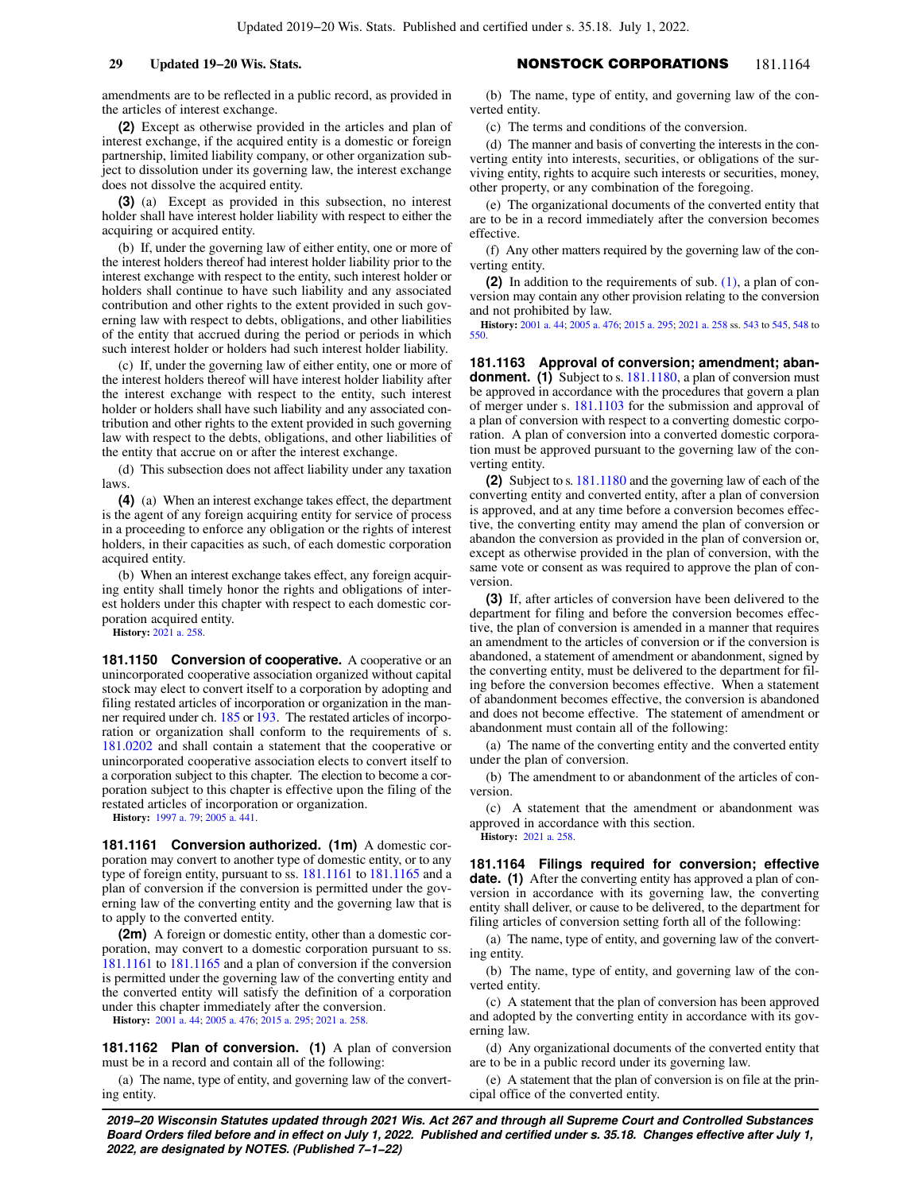amendments are to be reflected in a public record, as provided in the articles of interest exchange.

**(2)** Except as otherwise provided in the articles and plan of interest exchange, if the acquired entity is a domestic or foreign partnership, limited liability company, or other organization subject to dissolution under its governing law, the interest exchange does not dissolve the acquired entity.

**(3)** (a) Except as provided in this subsection, no interest holder shall have interest holder liability with respect to either the acquiring or acquired entity.

(b) If, under the governing law of either entity, one or more of the interest holders thereof had interest holder liability prior to the interest exchange with respect to the entity, such interest holder or holders shall continue to have such liability and any associated contribution and other rights to the extent provided in such governing law with respect to debts, obligations, and other liabilities of the entity that accrued during the period or periods in which such interest holder or holders had such interest holder liability.

(c) If, under the governing law of either entity, one or more of the interest holders thereof will have interest holder liability after the interest exchange with respect to the entity, such interest holder or holders shall have such liability and any associated contribution and other rights to the extent provided in such governing law with respect to the debts, obligations, and other liabilities of the entity that accrue on or after the interest exchange.

(d) This subsection does not affect liability under any taxation laws.

**(4)** (a) When an interest exchange takes effect, the department is the agent of any foreign acquiring entity for service of process in a proceeding to enforce any obligation or the rights of interest holders, in their capacities as such, of each domestic corporation acquired entity.

(b) When an interest exchange takes effect, any foreign acquiring entity shall timely honor the rights and obligations of interest holders under this chapter with respect to each domestic corporation acquired entity.

**History:** [2021 a. 258.](https://docs.legis.wisconsin.gov/document/acts/2021/258)

**181.1150 Conversion of cooperative.** A cooperative or an unincorporated cooperative association organized without capital stock may elect to convert itself to a corporation by adopting and filing restated articles of incorporation or organization in the manner required under ch. [185](https://docs.legis.wisconsin.gov/document/statutes/ch.%20185) or [193.](https://docs.legis.wisconsin.gov/document/statutes/ch.%20193) The restated articles of incorporation or organization shall conform to the requirements of s. [181.0202](https://docs.legis.wisconsin.gov/document/statutes/181.0202) and shall contain a statement that the cooperative or unincorporated cooperative association elects to convert itself to a corporation subject to this chapter. The election to become a corporation subject to this chapter is effective upon the filing of the restated articles of incorporation or organization.

**History:** [1997 a. 79;](https://docs.legis.wisconsin.gov/document/acts/1997/79) [2005 a. 441.](https://docs.legis.wisconsin.gov/document/acts/2005/441)

**181.1161 Conversion authorized. (1m)** A domestic corporation may convert to another type of domestic entity, or to any type of foreign entity, pursuant to ss. [181.1161](https://docs.legis.wisconsin.gov/document/statutes/181.1161) to [181.1165](https://docs.legis.wisconsin.gov/document/statutes/181.1165) and a plan of conversion if the conversion is permitted under the governing law of the converting entity and the governing law that is to apply to the converted entity.

**(2m)** A foreign or domestic entity, other than a domestic corporation, may convert to a domestic corporation pursuant to ss. [181.1161](https://docs.legis.wisconsin.gov/document/statutes/181.1161) to [181.1165](https://docs.legis.wisconsin.gov/document/statutes/181.1165) and a plan of conversion if the conversion is permitted under the governing law of the converting entity and the converted entity will satisfy the definition of a corporation under this chapter immediately after the conversion.

**History:** [2001 a. 44;](https://docs.legis.wisconsin.gov/document/acts/2001/44) [2005 a. 476;](https://docs.legis.wisconsin.gov/document/acts/2005/476) [2015 a. 295](https://docs.legis.wisconsin.gov/document/acts/2015/295); [2021 a. 258.](https://docs.legis.wisconsin.gov/document/acts/2021/258)

**181.1162 Plan of conversion. (1)** A plan of conversion must be in a record and contain all of the following:

(a) The name, type of entity, and governing law of the converting entity.

# **29 Updated 19−20 Wis. Stats.** NONSTOCK CORPORATIONS 181.1164

(b) The name, type of entity, and governing law of the converted entity.

(c) The terms and conditions of the conversion.

(d) The manner and basis of converting the interests in the converting entity into interests, securities, or obligations of the surviving entity, rights to acquire such interests or securities, money, other property, or any combination of the foregoing.

(e) The organizational documents of the converted entity that are to be in a record immediately after the conversion becomes effective.

(f) Any other matters required by the governing law of the converting entity.

**(2)** In addition to the requirements of sub. [\(1\),](https://docs.legis.wisconsin.gov/document/statutes/181.1162(1)) a plan of conversion may contain any other provision relating to the conversion and not prohibited by law.

**History:** [2001 a. 44;](https://docs.legis.wisconsin.gov/document/acts/2001/44) [2005 a. 476;](https://docs.legis.wisconsin.gov/document/acts/2005/476) [2015 a. 295](https://docs.legis.wisconsin.gov/document/acts/2015/295); [2021 a. 258](https://docs.legis.wisconsin.gov/document/acts/2021/258) ss. [543](https://docs.legis.wisconsin.gov/document/acts/2021/258,%20s.%20543) to [545](https://docs.legis.wisconsin.gov/document/acts/2021/258,%20s.%20545), [548](https://docs.legis.wisconsin.gov/document/acts/2021/258,%20s.%20548) to [550.](https://docs.legis.wisconsin.gov/document/acts/2021/258,%20s.%20550)

**181.1163 Approval of conversion; amendment; abandonment.** (1) Subject to s. [181.1180,](https://docs.legis.wisconsin.gov/document/statutes/181.1180) a plan of conversion must be approved in accordance with the procedures that govern a plan of merger under s. [181.1103](https://docs.legis.wisconsin.gov/document/statutes/181.1103) for the submission and approval of a plan of conversion with respect to a converting domestic corporation. A plan of conversion into a converted domestic corporation must be approved pursuant to the governing law of the converting entity.

**(2)** Subject to s. [181.1180](https://docs.legis.wisconsin.gov/document/statutes/181.1180) and the governing law of each of the converting entity and converted entity, after a plan of conversion is approved, and at any time before a conversion becomes effective, the converting entity may amend the plan of conversion or abandon the conversion as provided in the plan of conversion or, except as otherwise provided in the plan of conversion, with the same vote or consent as was required to approve the plan of conversion.

**(3)** If, after articles of conversion have been delivered to the department for filing and before the conversion becomes effective, the plan of conversion is amended in a manner that requires an amendment to the articles of conversion or if the conversion is abandoned, a statement of amendment or abandonment, signed by the converting entity, must be delivered to the department for filing before the conversion becomes effective. When a statement of abandonment becomes effective, the conversion is abandoned and does not become effective. The statement of amendment or abandonment must contain all of the following:

(a) The name of the converting entity and the converted entity under the plan of conversion.

(b) The amendment to or abandonment of the articles of conversion.

(c) A statement that the amendment or abandonment was approved in accordance with this section.

**History:** [2021 a. 258.](https://docs.legis.wisconsin.gov/document/acts/2021/258)

**181.1164 Filings required for conversion; effective date.** (1) After the converting entity has approved a plan of conversion in accordance with its governing law, the converting entity shall deliver, or cause to be delivered, to the department for filing articles of conversion setting forth all of the following:

(a) The name, type of entity, and governing law of the converting entity.

(b) The name, type of entity, and governing law of the converted entity.

(c) A statement that the plan of conversion has been approved and adopted by the converting entity in accordance with its governing law.

(d) Any organizational documents of the converted entity that are to be in a public record under its governing law.

(e) A statement that the plan of conversion is on file at the principal office of the converted entity.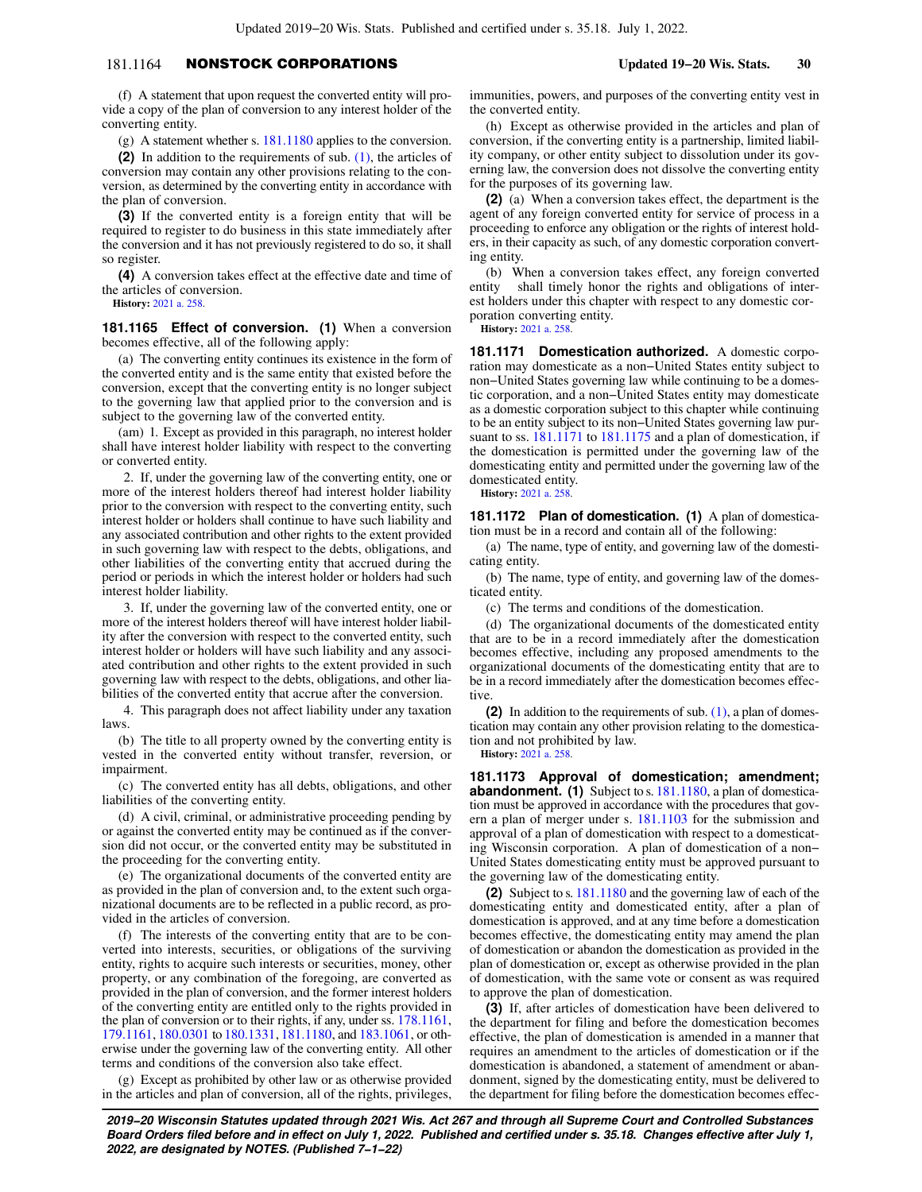# 181.1164 NONSTOCK CORPORATIONS **Updated 19−20 Wis. Stats. 30**

(f) A statement that upon request the converted entity will provide a copy of the plan of conversion to any interest holder of the converting entity.

(g) A statement whether s. [181.1180](https://docs.legis.wisconsin.gov/document/statutes/181.1180) applies to the conversion.

**(2)** In addition to the requirements of sub. [\(1\)](https://docs.legis.wisconsin.gov/document/statutes/181.1164(1)), the articles of conversion may contain any other provisions relating to the conversion, as determined by the converting entity in accordance with the plan of conversion.

**(3)** If the converted entity is a foreign entity that will be required to register to do business in this state immediately after the conversion and it has not previously registered to do so, it shall so register.

**(4)** A conversion takes effect at the effective date and time of the articles of conversion.

**History:** [2021 a. 258.](https://docs.legis.wisconsin.gov/document/acts/2021/258)

**181.1165 Effect of conversion. (1)** When a conversion becomes effective, all of the following apply:

(a) The converting entity continues its existence in the form of the converted entity and is the same entity that existed before the conversion, except that the converting entity is no longer subject to the governing law that applied prior to the conversion and is subject to the governing law of the converted entity.

(am) 1. Except as provided in this paragraph, no interest holder shall have interest holder liability with respect to the converting or converted entity.

2. If, under the governing law of the converting entity, one or more of the interest holders thereof had interest holder liability prior to the conversion with respect to the converting entity, such interest holder or holders shall continue to have such liability and any associated contribution and other rights to the extent provided in such governing law with respect to the debts, obligations, and other liabilities of the converting entity that accrued during the period or periods in which the interest holder or holders had such interest holder liability.

3. If, under the governing law of the converted entity, one or more of the interest holders thereof will have interest holder liability after the conversion with respect to the converted entity, such interest holder or holders will have such liability and any associated contribution and other rights to the extent provided in such governing law with respect to the debts, obligations, and other liabilities of the converted entity that accrue after the conversion.

4. This paragraph does not affect liability under any taxation laws.

(b) The title to all property owned by the converting entity is vested in the converted entity without transfer, reversion, or impairment.

(c) The converted entity has all debts, obligations, and other liabilities of the converting entity.

(d) A civil, criminal, or administrative proceeding pending by or against the converted entity may be continued as if the conversion did not occur, or the converted entity may be substituted in the proceeding for the converting entity.

(e) The organizational documents of the converted entity are as provided in the plan of conversion and, to the extent such organizational documents are to be reflected in a public record, as provided in the articles of conversion.

(f) The interests of the converting entity that are to be converted into interests, securities, or obligations of the surviving entity, rights to acquire such interests or securities, money, other property, or any combination of the foregoing, are converted as provided in the plan of conversion, and the former interest holders of the converting entity are entitled only to the rights provided in the plan of conversion or to their rights, if any, under ss. [178.1161,](https://docs.legis.wisconsin.gov/document/statutes/178.1161) [179.1161](https://docs.legis.wisconsin.gov/document/statutes/179.1161), [180.0301](https://docs.legis.wisconsin.gov/document/statutes/180.0301) to [180.1331](https://docs.legis.wisconsin.gov/document/statutes/180.1331), [181.1180](https://docs.legis.wisconsin.gov/document/statutes/181.1180), and [183.1061,](https://docs.legis.wisconsin.gov/document/statutes/183.1061) or otherwise under the governing law of the converting entity. All other terms and conditions of the conversion also take effect.

(g) Except as prohibited by other law or as otherwise provided in the articles and plan of conversion, all of the rights, privileges, immunities, powers, and purposes of the converting entity vest in the converted entity.

(h) Except as otherwise provided in the articles and plan of conversion, if the converting entity is a partnership, limited liability company, or other entity subject to dissolution under its governing law, the conversion does not dissolve the converting entity for the purposes of its governing law.

**(2)** (a) When a conversion takes effect, the department is the agent of any foreign converted entity for service of process in a proceeding to enforce any obligation or the rights of interest holders, in their capacity as such, of any domestic corporation converting entity.

(b) When a conversion takes effect, any foreign converted entity shall timely honor the rights and obligations of interest holders under this chapter with respect to any domestic corporation converting entity.

**History:** [2021 a. 258.](https://docs.legis.wisconsin.gov/document/acts/2021/258)

**181.1171 Domestication authorized.** A domestic corporation may domesticate as a non−United States entity subject to non−United States governing law while continuing to be a domestic corporation, and a non−United States entity may domesticate as a domestic corporation subject to this chapter while continuing to be an entity subject to its non−United States governing law pursuant to ss. [181.1171](https://docs.legis.wisconsin.gov/document/statutes/181.1171) to [181.1175](https://docs.legis.wisconsin.gov/document/statutes/181.1175) and a plan of domestication, if the domestication is permitted under the governing law of the domesticating entity and permitted under the governing law of the domesticated entity. **History:** [2021 a. 258.](https://docs.legis.wisconsin.gov/document/acts/2021/258)

**181.1172 Plan of domestication. (1)** A plan of domestication must be in a record and contain all of the following:

(a) The name, type of entity, and governing law of the domesticating entity.

(b) The name, type of entity, and governing law of the domesticated entity.

(c) The terms and conditions of the domestication.

(d) The organizational documents of the domesticated entity that are to be in a record immediately after the domestication becomes effective, including any proposed amendments to the organizational documents of the domesticating entity that are to be in a record immediately after the domestication becomes effective.

**(2)** In addition to the requirements of sub. [\(1\),](https://docs.legis.wisconsin.gov/document/statutes/181.1172(1)) a plan of domestication may contain any other provision relating to the domestication and not prohibited by law.

**History:** [2021 a. 258.](https://docs.legis.wisconsin.gov/document/acts/2021/258)

**181.1173 Approval of domestication; amendment; abandonment. (1)** Subject to s. [181.1180,](https://docs.legis.wisconsin.gov/document/statutes/181.1180) a plan of domestication must be approved in accordance with the procedures that govern a plan of merger under s. [181.1103](https://docs.legis.wisconsin.gov/document/statutes/181.1103) for the submission and approval of a plan of domestication with respect to a domesticating Wisconsin corporation. A plan of domestication of a non− United States domesticating entity must be approved pursuant to the governing law of the domesticating entity.

**(2)** Subject to s. [181.1180](https://docs.legis.wisconsin.gov/document/statutes/181.1180) and the governing law of each of the domesticating entity and domesticated entity, after a plan of domestication is approved, and at any time before a domestication becomes effective, the domesticating entity may amend the plan of domestication or abandon the domestication as provided in the plan of domestication or, except as otherwise provided in the plan of domestication, with the same vote or consent as was required to approve the plan of domestication.

**(3)** If, after articles of domestication have been delivered to the department for filing and before the domestication becomes effective, the plan of domestication is amended in a manner that requires an amendment to the articles of domestication or if the domestication is abandoned, a statement of amendment or abandonment, signed by the domesticating entity, must be delivered to the department for filing before the domestication becomes effec-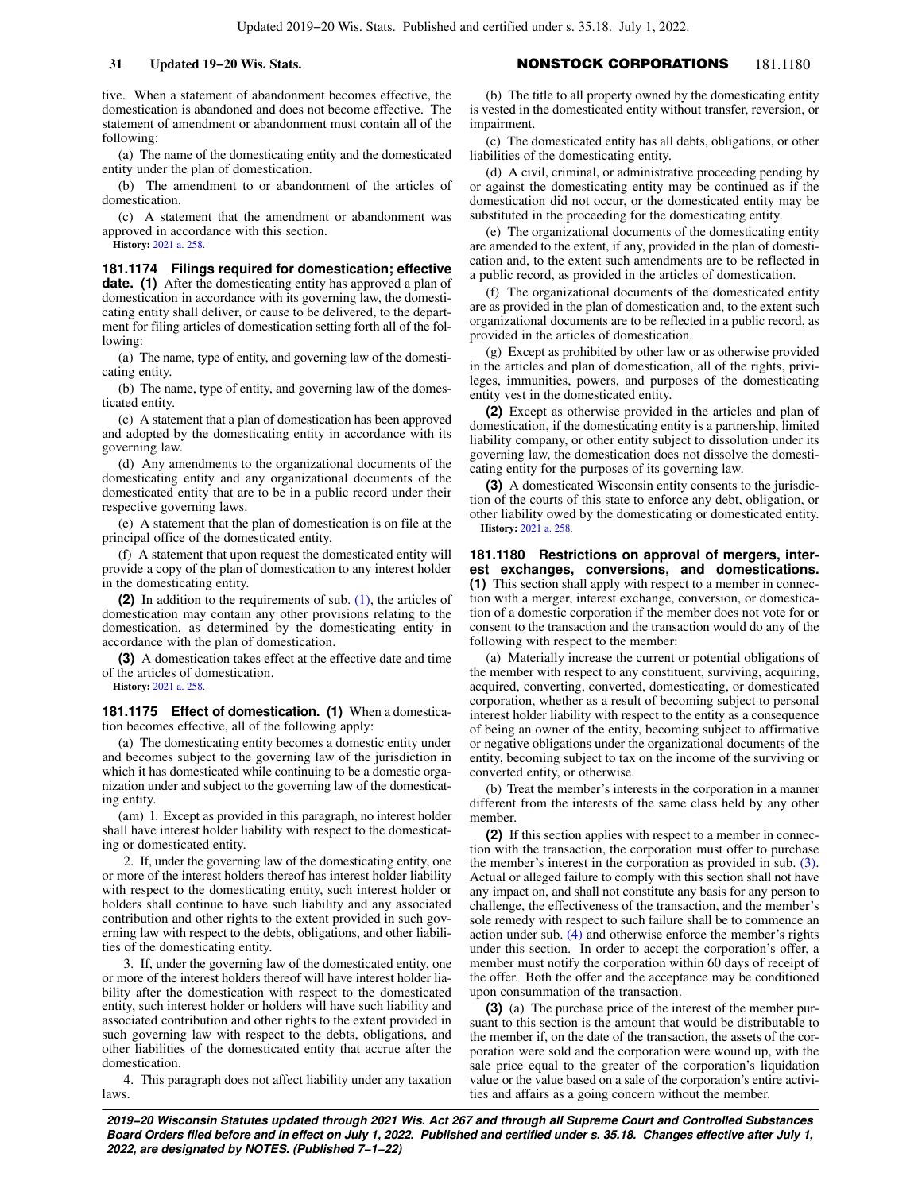tive. When a statement of abandonment becomes effective, the domestication is abandoned and does not become effective. The statement of amendment or abandonment must contain all of the following:

(a) The name of the domesticating entity and the domesticated entity under the plan of domestication.

(b) The amendment to or abandonment of the articles of domestication.

(c) A statement that the amendment or abandonment was approved in accordance with this section.

**History:** [2021 a. 258.](https://docs.legis.wisconsin.gov/document/acts/2021/258)

**181.1174 Filings required for domestication; effective date.** (1) After the domesticating entity has approved a plan of domestication in accordance with its governing law, the domesticating entity shall deliver, or cause to be delivered, to the department for filing articles of domestication setting forth all of the following:

(a) The name, type of entity, and governing law of the domesticating entity.

(b) The name, type of entity, and governing law of the domesticated entity.

(c) A statement that a plan of domestication has been approved and adopted by the domesticating entity in accordance with its governing law.

(d) Any amendments to the organizational documents of the domesticating entity and any organizational documents of the domesticated entity that are to be in a public record under their respective governing laws.

(e) A statement that the plan of domestication is on file at the principal office of the domesticated entity.

(f) A statement that upon request the domesticated entity will provide a copy of the plan of domestication to any interest holder in the domesticating entity.

**(2)** In addition to the requirements of sub. [\(1\)](https://docs.legis.wisconsin.gov/document/statutes/181.1174(1)), the articles of domestication may contain any other provisions relating to the domestication, as determined by the domesticating entity in accordance with the plan of domestication.

**(3)** A domestication takes effect at the effective date and time of the articles of domestication. **History:** [2021 a. 258.](https://docs.legis.wisconsin.gov/document/acts/2021/258)

**181.1175 Effect of domestication. (1)** When a domestication becomes effective, all of the following apply:

(a) The domesticating entity becomes a domestic entity under and becomes subject to the governing law of the jurisdiction in which it has domesticated while continuing to be a domestic organization under and subject to the governing law of the domesticating entity.

(am) 1. Except as provided in this paragraph, no interest holder shall have interest holder liability with respect to the domesticating or domesticated entity.

2. If, under the governing law of the domesticating entity, one or more of the interest holders thereof has interest holder liability with respect to the domesticating entity, such interest holder or holders shall continue to have such liability and any associated contribution and other rights to the extent provided in such governing law with respect to the debts, obligations, and other liabilities of the domesticating entity.

3. If, under the governing law of the domesticated entity, one or more of the interest holders thereof will have interest holder liability after the domestication with respect to the domesticated entity, such interest holder or holders will have such liability and associated contribution and other rights to the extent provided in such governing law with respect to the debts, obligations, and other liabilities of the domesticated entity that accrue after the domestication.

4. This paragraph does not affect liability under any taxation laws.

# **31 Updated 19−20 Wis. Stats.** NONSTOCK CORPORATIONS 181.1180

(b) The title to all property owned by the domesticating entity is vested in the domesticated entity without transfer, reversion, or impairment.

(c) The domesticated entity has all debts, obligations, or other liabilities of the domesticating entity.

(d) A civil, criminal, or administrative proceeding pending by or against the domesticating entity may be continued as if the domestication did not occur, or the domesticated entity may be substituted in the proceeding for the domesticating entity.

(e) The organizational documents of the domesticating entity are amended to the extent, if any, provided in the plan of domestication and, to the extent such amendments are to be reflected in a public record, as provided in the articles of domestication.

(f) The organizational documents of the domesticated entity are as provided in the plan of domestication and, to the extent such organizational documents are to be reflected in a public record, as provided in the articles of domestication.

(g) Except as prohibited by other law or as otherwise provided in the articles and plan of domestication, all of the rights, privileges, immunities, powers, and purposes of the domesticating entity vest in the domesticated entity.

**(2)** Except as otherwise provided in the articles and plan of domestication, if the domesticating entity is a partnership, limited liability company, or other entity subject to dissolution under its governing law, the domestication does not dissolve the domesticating entity for the purposes of its governing law.

**(3)** A domesticated Wisconsin entity consents to the jurisdiction of the courts of this state to enforce any debt, obligation, or other liability owed by the domesticating or domesticated entity. **History:** [2021 a. 258.](https://docs.legis.wisconsin.gov/document/acts/2021/258)

**181.1180 Restrictions on approval of mergers, interest exchanges, conversions, and domestications. (1)** This section shall apply with respect to a member in connection with a merger, interest exchange, conversion, or domestication of a domestic corporation if the member does not vote for or consent to the transaction and the transaction would do any of the following with respect to the member:

(a) Materially increase the current or potential obligations of the member with respect to any constituent, surviving, acquiring, acquired, converting, converted, domesticating, or domesticated corporation, whether as a result of becoming subject to personal interest holder liability with respect to the entity as a consequence of being an owner of the entity, becoming subject to affirmative or negative obligations under the organizational documents of the entity, becoming subject to tax on the income of the surviving or converted entity, or otherwise.

(b) Treat the member's interests in the corporation in a manner different from the interests of the same class held by any other member.

**(2)** If this section applies with respect to a member in connection with the transaction, the corporation must offer to purchase the member's interest in the corporation as provided in sub. [\(3\).](https://docs.legis.wisconsin.gov/document/statutes/181.1180(3)) Actual or alleged failure to comply with this section shall not have any impact on, and shall not constitute any basis for any person to challenge, the effectiveness of the transaction, and the member's sole remedy with respect to such failure shall be to commence an action under sub. [\(4\)](https://docs.legis.wisconsin.gov/document/statutes/181.1180(4)) and otherwise enforce the member's rights under this section. In order to accept the corporation's offer, a member must notify the corporation within 60 days of receipt of the offer. Both the offer and the acceptance may be conditioned upon consummation of the transaction.

**(3)** (a) The purchase price of the interest of the member pursuant to this section is the amount that would be distributable to the member if, on the date of the transaction, the assets of the corporation were sold and the corporation were wound up, with the sale price equal to the greater of the corporation's liquidation value or the value based on a sale of the corporation's entire activities and affairs as a going concern without the member.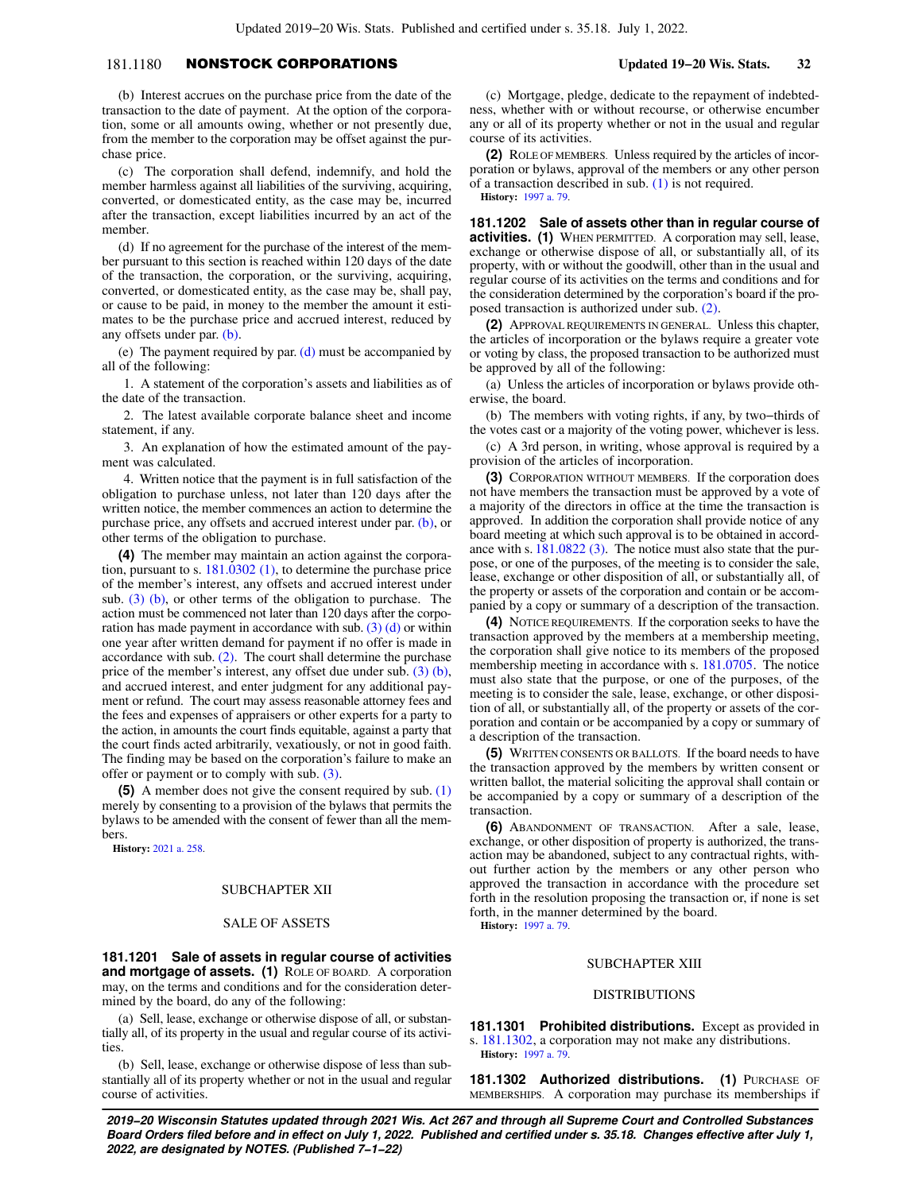# 181.1180 NONSTOCK CORPORATIONS **Updated 19−20 Wis. Stats. 32**

(b) Interest accrues on the purchase price from the date of the transaction to the date of payment. At the option of the corporation, some or all amounts owing, whether or not presently due, from the member to the corporation may be offset against the purchase price.

(c) The corporation shall defend, indemnify, and hold the member harmless against all liabilities of the surviving, acquiring, converted, or domesticated entity, as the case may be, incurred after the transaction, except liabilities incurred by an act of the member.

(d) If no agreement for the purchase of the interest of the member pursuant to this section is reached within 120 days of the date of the transaction, the corporation, or the surviving, acquiring, converted, or domesticated entity, as the case may be, shall pay, or cause to be paid, in money to the member the amount it estimates to be the purchase price and accrued interest, reduced by any offsets under par. [\(b\)](https://docs.legis.wisconsin.gov/document/statutes/181.1180(3)(b)).

(e) The payment required by par.  $(d)$  must be accompanied by all of the following:

1. A statement of the corporation's assets and liabilities as of the date of the transaction.

2. The latest available corporate balance sheet and income statement, if any.

3. An explanation of how the estimated amount of the payment was calculated.

4. Written notice that the payment is in full satisfaction of the obligation to purchase unless, not later than 120 days after the written notice, the member commences an action to determine the purchase price, any offsets and accrued interest under par. [\(b\)](https://docs.legis.wisconsin.gov/document/statutes/181.1180(3)(b)), or other terms of the obligation to purchase.

**(4)** The member may maintain an action against the corporation, pursuant to s. [181.0302 \(1\),](https://docs.legis.wisconsin.gov/document/statutes/181.0302(1)) to determine the purchase price of the member's interest, any offsets and accrued interest under sub.  $(3)$  (b), or other terms of the obligation to purchase. The action must be commenced not later than 120 days after the corporation has made payment in accordance with sub. [\(3\) \(d\)](https://docs.legis.wisconsin.gov/document/statutes/181.1180(3)(d)) or within one year after written demand for payment if no offer is made in accordance with sub.  $(2)$ . The court shall determine the purchase price of the member's interest, any offset due under sub. [\(3\) \(b\),](https://docs.legis.wisconsin.gov/document/statutes/181.1180(3)(b)) and accrued interest, and enter judgment for any additional payment or refund. The court may assess reasonable attorney fees and the fees and expenses of appraisers or other experts for a party to the action, in amounts the court finds equitable, against a party that the court finds acted arbitrarily, vexatiously, or not in good faith. The finding may be based on the corporation's failure to make an offer or payment or to comply with sub. [\(3\)](https://docs.legis.wisconsin.gov/document/statutes/181.1180(3)).

**(5)** A member does not give the consent required by sub. [\(1\)](https://docs.legis.wisconsin.gov/document/statutes/181.1180(1)) merely by consenting to a provision of the bylaws that permits the bylaws to be amended with the consent of fewer than all the members.

**History:** [2021 a. 258.](https://docs.legis.wisconsin.gov/document/acts/2021/258)

## SUBCHAPTER XII

### SALE OF ASSETS

**181.1201 Sale of assets in regular course of activities and mortgage of assets. (1)** ROLE OF BOARD. A corporation may, on the terms and conditions and for the consideration determined by the board, do any of the following:

(a) Sell, lease, exchange or otherwise dispose of all, or substantially all, of its property in the usual and regular course of its activities.

(b) Sell, lease, exchange or otherwise dispose of less than substantially all of its property whether or not in the usual and regular course of activities.

(c) Mortgage, pledge, dedicate to the repayment of indebtedness, whether with or without recourse, or otherwise encumber any or all of its property whether or not in the usual and regular course of its activities.

**(2)** ROLE OF MEMBERS. Unless required by the articles of incorporation or bylaws, approval of the members or any other person of a transaction described in sub. [\(1\)](https://docs.legis.wisconsin.gov/document/statutes/181.1201(1)) is not required. **History:** [1997 a. 79](https://docs.legis.wisconsin.gov/document/acts/1997/79).

**181.1202 Sale of assets other than in regular course of activities. (1)** WHEN PERMITTED. A corporation may sell, lease, exchange or otherwise dispose of all, or substantially all, of its property, with or without the goodwill, other than in the usual and regular course of its activities on the terms and conditions and for the consideration determined by the corporation's board if the proposed transaction is authorized under sub. [\(2\).](https://docs.legis.wisconsin.gov/document/statutes/181.1202(2))

**(2)** APPROVAL REQUIREMENTS IN GENERAL. Unless this chapter, the articles of incorporation or the bylaws require a greater vote or voting by class, the proposed transaction to be authorized must be approved by all of the following:

(a) Unless the articles of incorporation or bylaws provide otherwise, the board.

(b) The members with voting rights, if any, by two−thirds of the votes cast or a majority of the voting power, whichever is less.

(c) A 3rd person, in writing, whose approval is required by a provision of the articles of incorporation.

**(3)** CORPORATION WITHOUT MEMBERS. If the corporation does not have members the transaction must be approved by a vote of a majority of the directors in office at the time the transaction is approved. In addition the corporation shall provide notice of any board meeting at which such approval is to be obtained in accordance with s. [181.0822 \(3\).](https://docs.legis.wisconsin.gov/document/statutes/181.0822(3)) The notice must also state that the purpose, or one of the purposes, of the meeting is to consider the sale, lease, exchange or other disposition of all, or substantially all, of the property or assets of the corporation and contain or be accompanied by a copy or summary of a description of the transaction.

**(4)** NOTICE REQUIREMENTS. If the corporation seeks to have the transaction approved by the members at a membership meeting, the corporation shall give notice to its members of the proposed membership meeting in accordance with s. [181.0705](https://docs.legis.wisconsin.gov/document/statutes/181.0705). The notice must also state that the purpose, or one of the purposes, of the meeting is to consider the sale, lease, exchange, or other disposition of all, or substantially all, of the property or assets of the corporation and contain or be accompanied by a copy or summary of a description of the transaction.

**(5)** WRITTEN CONSENTS OR BALLOTS. If the board needs to have the transaction approved by the members by written consent or written ballot, the material soliciting the approval shall contain or be accompanied by a copy or summary of a description of the transaction.

**(6)** ABANDONMENT OF TRANSACTION. After a sale, lease, exchange, or other disposition of property is authorized, the transaction may be abandoned, subject to any contractual rights, without further action by the members or any other person who approved the transaction in accordance with the procedure set forth in the resolution proposing the transaction or, if none is set forth, in the manner determined by the board.

**History:** [1997 a. 79](https://docs.legis.wisconsin.gov/document/acts/1997/79).

### SUBCHAPTER XIII

## DISTRIBUTIONS

**181.1301 Prohibited distributions.** Except as provided in s. [181.1302](https://docs.legis.wisconsin.gov/document/statutes/181.1302), a corporation may not make any distributions.

**History:** [1997 a. 79](https://docs.legis.wisconsin.gov/document/acts/1997/79).

**181.1302 Authorized distributions. (1)** PURCHASE OF MEMBERSHIPS. A corporation may purchase its memberships if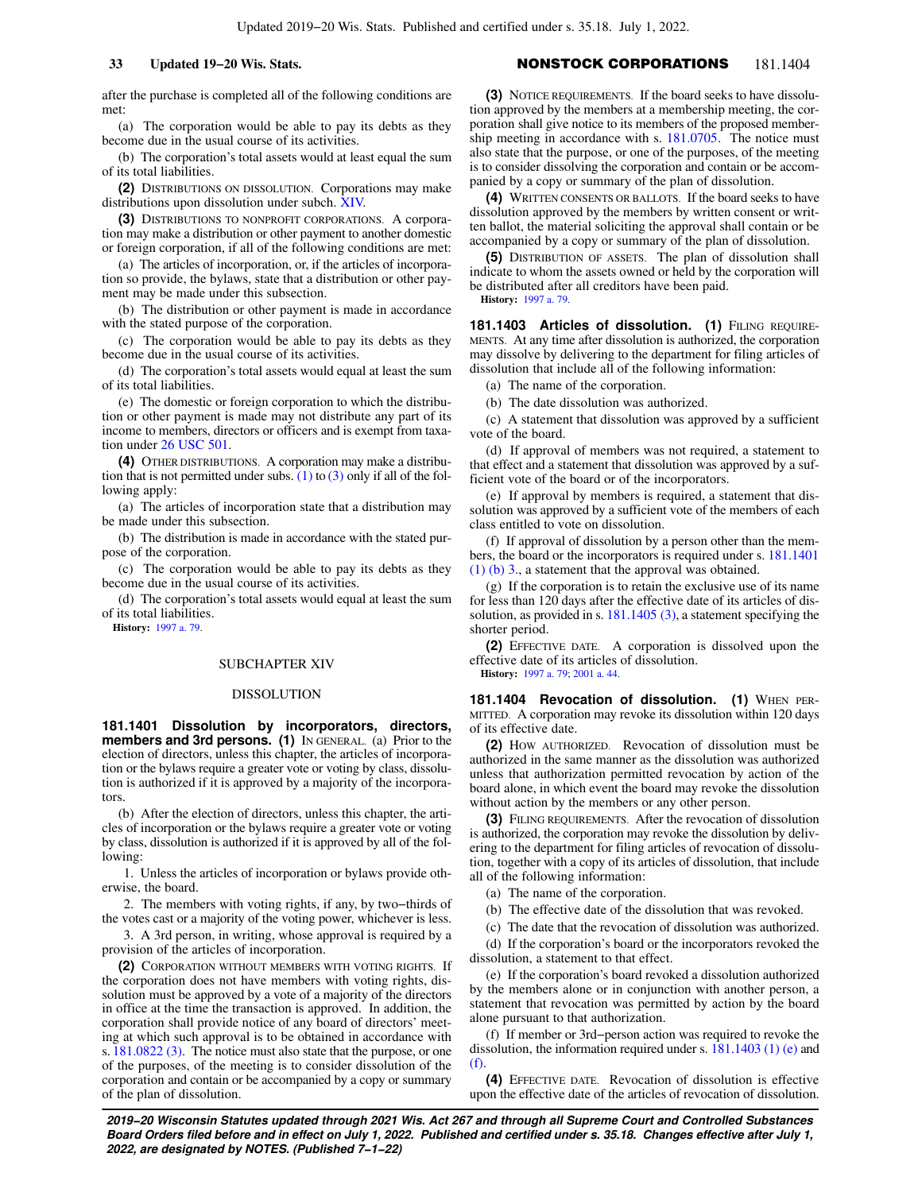# **33 Updated 19−20 Wis. Stats.** NONSTOCK CORPORATIONS 181.1404

after the purchase is completed all of the following conditions are met:

(a) The corporation would be able to pay its debts as they become due in the usual course of its activities.

(b) The corporation's total assets would at least equal the sum of its total liabilities.

**(2)** DISTRIBUTIONS ON DISSOLUTION. Corporations may make distributions upon dissolution under subch. [XIV.](https://docs.legis.wisconsin.gov/document/statutes/subch.%20XIV%20of%20ch.%20181)

**(3)** DISTRIBUTIONS TO NONPROFIT CORPORATIONS. A corporation may make a distribution or other payment to another domestic or foreign corporation, if all of the following conditions are met:

(a) The articles of incorporation, or, if the articles of incorporation so provide, the bylaws, state that a distribution or other payment may be made under this subsection.

(b) The distribution or other payment is made in accordance with the stated purpose of the corporation.

(c) The corporation would be able to pay its debts as they become due in the usual course of its activities.

(d) The corporation's total assets would equal at least the sum of its total liabilities.

(e) The domestic or foreign corporation to which the distribution or other payment is made may not distribute any part of its income to members, directors or officers and is exempt from taxation under [26 USC 501.](https://docs.legis.wisconsin.gov/document/usc/26%20USC%20501)

**(4)** OTHER DISTRIBUTIONS. A corporation may make a distribution that is not permitted under subs.  $(1)$  to  $(3)$  only if all of the following apply:

(a) The articles of incorporation state that a distribution may be made under this subsection.

(b) The distribution is made in accordance with the stated purpose of the corporation.

(c) The corporation would be able to pay its debts as they become due in the usual course of its activities.

(d) The corporation's total assets would equal at least the sum of its total liabilities.

**History:** [1997 a. 79.](https://docs.legis.wisconsin.gov/document/acts/1997/79)

### SUBCHAPTER XIV

## DISSOLUTION

**181.1401 Dissolution by incorporators, directors, members and 3rd persons. (1)** IN GENERAL. (a) Prior to the election of directors, unless this chapter, the articles of incorporation or the bylaws require a greater vote or voting by class, dissolution is authorized if it is approved by a majority of the incorporators.

(b) After the election of directors, unless this chapter, the articles of incorporation or the bylaws require a greater vote or voting by class, dissolution is authorized if it is approved by all of the following:

1. Unless the articles of incorporation or bylaws provide otherwise, the board.

2. The members with voting rights, if any, by two–thirds of the votes cast or a majority of the voting power, whichever is less.

3. A 3rd person, in writing, whose approval is required by a provision of the articles of incorporation.

**(2)** CORPORATION WITHOUT MEMBERS WITH VOTING RIGHTS. If the corporation does not have members with voting rights, dissolution must be approved by a vote of a majority of the directors in office at the time the transaction is approved. In addition, the corporation shall provide notice of any board of directors' meeting at which such approval is to be obtained in accordance with s. [181.0822 \(3\).](https://docs.legis.wisconsin.gov/document/statutes/181.0822(3)) The notice must also state that the purpose, or one of the purposes, of the meeting is to consider dissolution of the corporation and contain or be accompanied by a copy or summary of the plan of dissolution.

**(3)** NOTICE REQUIREMENTS. If the board seeks to have dissolution approved by the members at a membership meeting, the corporation shall give notice to its members of the proposed member-ship meeting in accordance with s. [181.0705.](https://docs.legis.wisconsin.gov/document/statutes/181.0705) The notice must also state that the purpose, or one of the purposes, of the meeting is to consider dissolving the corporation and contain or be accompanied by a copy or summary of the plan of dissolution.

**(4)** WRITTEN CONSENTS OR BALLOTS. If the board seeks to have dissolution approved by the members by written consent or written ballot, the material soliciting the approval shall contain or be accompanied by a copy or summary of the plan of dissolution.

**(5)** DISTRIBUTION OF ASSETS. The plan of dissolution shall indicate to whom the assets owned or held by the corporation will be distributed after all creditors have been paid. **History:** [1997 a. 79](https://docs.legis.wisconsin.gov/document/acts/1997/79).

181.1403 Articles of dissolution. (1) FILING REQUIRE-MENTS. At any time after dissolution is authorized, the corporation may dissolve by delivering to the department for filing articles of dissolution that include all of the following information:

(a) The name of the corporation.

(b) The date dissolution was authorized.

(c) A statement that dissolution was approved by a sufficient vote of the board.

(d) If approval of members was not required, a statement to that effect and a statement that dissolution was approved by a sufficient vote of the board or of the incorporators.

(e) If approval by members is required, a statement that dissolution was approved by a sufficient vote of the members of each class entitled to vote on dissolution.

(f) If approval of dissolution by a person other than the members, the board or the incorporators is required under s. [181.1401](https://docs.legis.wisconsin.gov/document/statutes/181.1401(1)(b)3.) [\(1\) \(b\) 3.](https://docs.legis.wisconsin.gov/document/statutes/181.1401(1)(b)3.), a statement that the approval was obtained.

(g) If the corporation is to retain the exclusive use of its name for less than 120 days after the effective date of its articles of dissolution, as provided in s. [181.1405 \(3\)](https://docs.legis.wisconsin.gov/document/statutes/181.1405(3)), a statement specifying the shorter period.

**(2)** EFFECTIVE DATE. A corporation is dissolved upon the effective date of its articles of dissolution.

**History:** [1997 a. 79](https://docs.legis.wisconsin.gov/document/acts/1997/79); [2001 a. 44](https://docs.legis.wisconsin.gov/document/acts/2001/44).

181.1404 Revocation of dissolution. (1) WHEN PER-MITTED. A corporation may revoke its dissolution within 120 days of its effective date.

**(2)** HOW AUTHORIZED. Revocation of dissolution must be authorized in the same manner as the dissolution was authorized unless that authorization permitted revocation by action of the board alone, in which event the board may revoke the dissolution without action by the members or any other person.

**(3)** FILING REQUIREMENTS. After the revocation of dissolution is authorized, the corporation may revoke the dissolution by delivering to the department for filing articles of revocation of dissolution, together with a copy of its articles of dissolution, that include all of the following information:

(a) The name of the corporation.

(b) The effective date of the dissolution that was revoked.

(c) The date that the revocation of dissolution was authorized.

(d) If the corporation's board or the incorporators revoked the dissolution, a statement to that effect.

(e) If the corporation's board revoked a dissolution authorized by the members alone or in conjunction with another person, a statement that revocation was permitted by action by the board alone pursuant to that authorization.

(f) If member or 3rd−person action was required to revoke the dissolution, the information required under s.  $181.1403$  (1) (e) and [\(f\).](https://docs.legis.wisconsin.gov/document/statutes/181.1403(1)(f))

**(4)** EFFECTIVE DATE. Revocation of dissolution is effective upon the effective date of the articles of revocation of dissolution.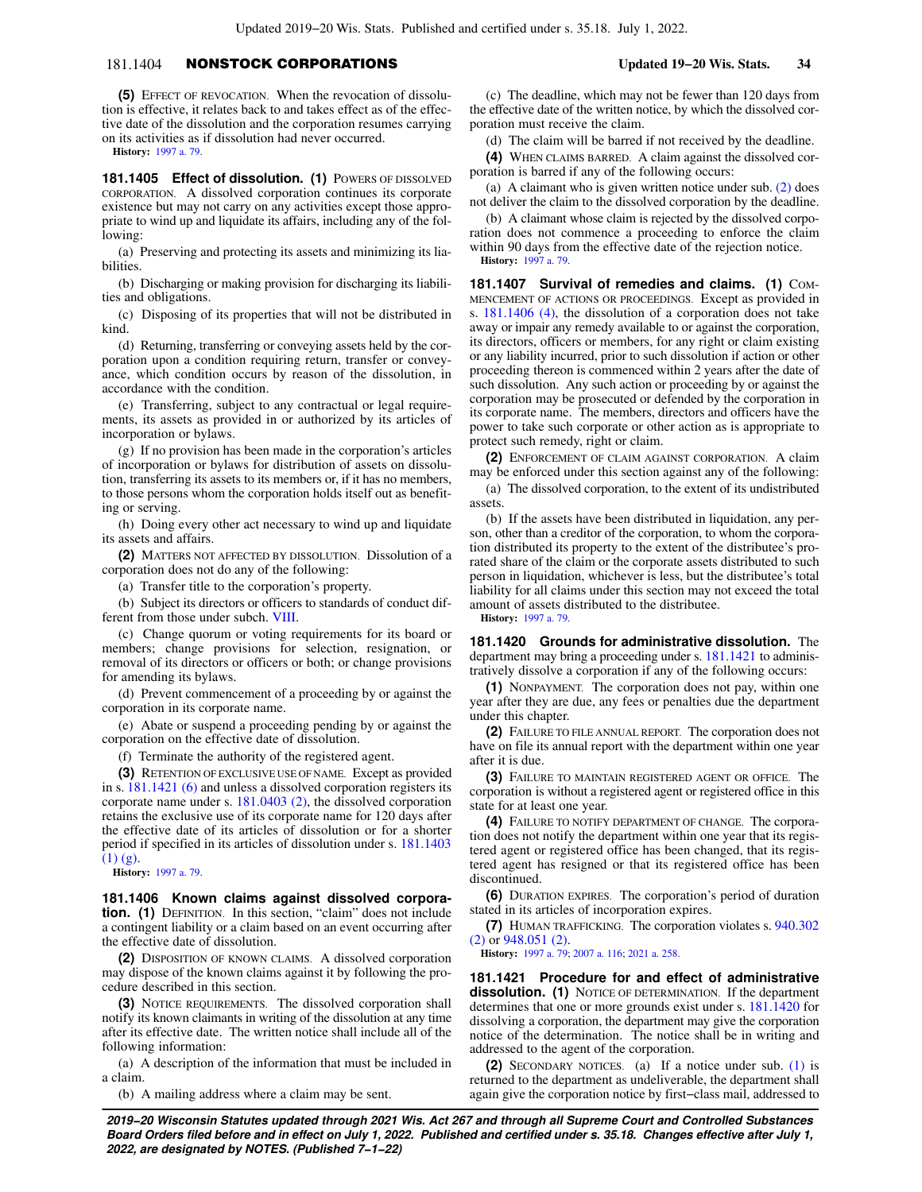# 181.1404 NONSTOCK CORPORATIONS **Updated 19−20 Wis. Stats. 34**

**(5)** EFFECT OF REVOCATION. When the revocation of dissolution is effective, it relates back to and takes effect as of the effective date of the dissolution and the corporation resumes carrying on its activities as if dissolution had never occurred.

**History:** [1997 a. 79.](https://docs.legis.wisconsin.gov/document/acts/1997/79)

181.1405 Effect of dissolution. (1) POWERS OF DISSOLVED CORPORATION. A dissolved corporation continues its corporate existence but may not carry on any activities except those appropriate to wind up and liquidate its affairs, including any of the following:

(a) Preserving and protecting its assets and minimizing its liabilities.

(b) Discharging or making provision for discharging its liabilities and obligations.

(c) Disposing of its properties that will not be distributed in kind.

(d) Returning, transferring or conveying assets held by the corporation upon a condition requiring return, transfer or conveyance, which condition occurs by reason of the dissolution, in accordance with the condition.

(e) Transferring, subject to any contractual or legal requirements, its assets as provided in or authorized by its articles of incorporation or bylaws.

(g) If no provision has been made in the corporation's articles of incorporation or bylaws for distribution of assets on dissolution, transferring its assets to its members or, if it has no members, to those persons whom the corporation holds itself out as benefiting or serving.

(h) Doing every other act necessary to wind up and liquidate its assets and affairs.

**(2)** MATTERS NOT AFFECTED BY DISSOLUTION. Dissolution of a corporation does not do any of the following:

(a) Transfer title to the corporation's property.

(b) Subject its directors or officers to standards of conduct different from those under subch. [VIII](https://docs.legis.wisconsin.gov/document/statutes/subch.%20VIII%20of%20ch.%20181).

(c) Change quorum or voting requirements for its board or members; change provisions for selection, resignation, or removal of its directors or officers or both; or change provisions for amending its bylaws.

(d) Prevent commencement of a proceeding by or against the corporation in its corporate name.

(e) Abate or suspend a proceeding pending by or against the corporation on the effective date of dissolution.

(f) Terminate the authority of the registered agent.

**(3)** RETENTION OF EXCLUSIVE USE OF NAME. Except as provided in s. [181.1421 \(6\)](https://docs.legis.wisconsin.gov/document/statutes/181.1421(6)) and unless a dissolved corporation registers its corporate name under s. [181.0403 \(2\),](https://docs.legis.wisconsin.gov/document/statutes/181.0403(2)) the dissolved corporation retains the exclusive use of its corporate name for 120 days after the effective date of its articles of dissolution or for a shorter period if specified in its articles of dissolution under s. [181.1403](https://docs.legis.wisconsin.gov/document/statutes/181.1403(1)(g))  $(1)$   $(g)$ .

**History:** [1997 a. 79.](https://docs.legis.wisconsin.gov/document/acts/1997/79)

**181.1406 Known claims against dissolved corporation.** (1) DEFINITION. In this section, "claim" does not include a contingent liability or a claim based on an event occurring after the effective date of dissolution.

**(2)** DISPOSITION OF KNOWN CLAIMS. A dissolved corporation may dispose of the known claims against it by following the procedure described in this section.

**(3)** NOTICE REQUIREMENTS. The dissolved corporation shall notify its known claimants in writing of the dissolution at any time after its effective date. The written notice shall include all of the following information:

(a) A description of the information that must be included in a claim.

(b) A mailing address where a claim may be sent.

(c) The deadline, which may not be fewer than 120 days from the effective date of the written notice, by which the dissolved corporation must receive the claim.

(d) The claim will be barred if not received by the deadline.

**(4)** WHEN CLAIMS BARRED. A claim against the dissolved corporation is barred if any of the following occurs:

(a) A claimant who is given written notice under sub. [\(2\)](https://docs.legis.wisconsin.gov/document/statutes/181.1406(2)) does not deliver the claim to the dissolved corporation by the deadline.

(b) A claimant whose claim is rejected by the dissolved corporation does not commence a proceeding to enforce the claim within 90 days from the effective date of the rejection notice. **History:** [1997 a. 79](https://docs.legis.wisconsin.gov/document/acts/1997/79).

**181.1407** Survival of remedies and claims. (1) COM-MENCEMENT OF ACTIONS OR PROCEEDINGS. Except as provided in s. [181.1406 \(4\),](https://docs.legis.wisconsin.gov/document/statutes/181.1406(4)) the dissolution of a corporation does not take away or impair any remedy available to or against the corporation, its directors, officers or members, for any right or claim existing or any liability incurred, prior to such dissolution if action or other proceeding thereon is commenced within 2 years after the date of such dissolution. Any such action or proceeding by or against the corporation may be prosecuted or defended by the corporation in its corporate name. The members, directors and officers have the power to take such corporate or other action as is appropriate to protect such remedy, right or claim.

**(2)** ENFORCEMENT OF CLAIM AGAINST CORPORATION. A claim may be enforced under this section against any of the following:

(a) The dissolved corporation, to the extent of its undistributed assets.

(b) If the assets have been distributed in liquidation, any person, other than a creditor of the corporation, to whom the corporation distributed its property to the extent of the distributee's prorated share of the claim or the corporate assets distributed to such person in liquidation, whichever is less, but the distributee's total liability for all claims under this section may not exceed the total amount of assets distributed to the distributee.

**History:** [1997 a. 79](https://docs.legis.wisconsin.gov/document/acts/1997/79).

**181.1420 Grounds for administrative dissolution.** The department may bring a proceeding under s. [181.1421](https://docs.legis.wisconsin.gov/document/statutes/181.1421) to administratively dissolve a corporation if any of the following occurs:

**(1)** NONPAYMENT. The corporation does not pay, within one year after they are due, any fees or penalties due the department under this chapter.

**(2)** FAILURE TO FILE ANNUAL REPORT. The corporation does not have on file its annual report with the department within one year after it is due.

**(3)** FAILURE TO MAINTAIN REGISTERED AGENT OR OFFICE. The corporation is without a registered agent or registered office in this state for at least one year.

**(4)** FAILURE TO NOTIFY DEPARTMENT OF CHANGE. The corporation does not notify the department within one year that its registered agent or registered office has been changed, that its registered agent has resigned or that its registered office has been discontinued.

**(6)** DURATION EXPIRES. The corporation's period of duration stated in its articles of incorporation expires.

**(7)** HUMAN TRAFFICKING. The corporation violates s. [940.302](https://docs.legis.wisconsin.gov/document/statutes/940.302(2)) [\(2\)](https://docs.legis.wisconsin.gov/document/statutes/940.302(2)) or [948.051 \(2\).](https://docs.legis.wisconsin.gov/document/statutes/948.051(2))

**History:** [1997 a. 79](https://docs.legis.wisconsin.gov/document/acts/1997/79); [2007 a. 116](https://docs.legis.wisconsin.gov/document/acts/2007/116); [2021 a. 258](https://docs.legis.wisconsin.gov/document/acts/2021/258).

**181.1421 Procedure for and effect of administrative dissolution. (1)** NOTICE OF DETERMINATION. If the department determines that one or more grounds exist under s. [181.1420](https://docs.legis.wisconsin.gov/document/statutes/181.1420) for dissolving a corporation, the department may give the corporation notice of the determination. The notice shall be in writing and addressed to the agent of the corporation.

**(2)** SECONDARY NOTICES. (a) If a notice under sub. [\(1\)](https://docs.legis.wisconsin.gov/document/statutes/181.1421(1)) is returned to the department as undeliverable, the department shall again give the corporation notice by first−class mail, addressed to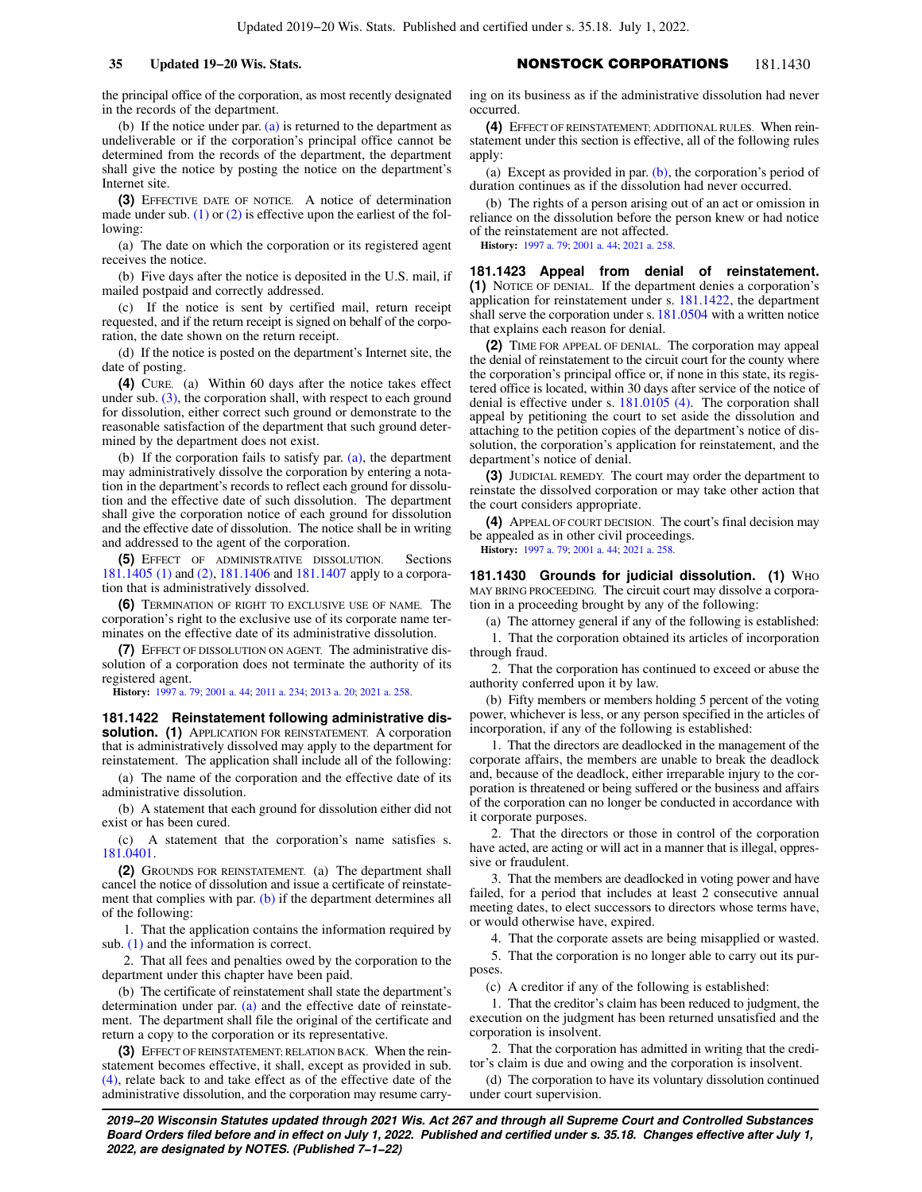the principal office of the corporation, as most recently designated in the records of the department.

(b) If the notice under par.  $(a)$  is returned to the department as undeliverable or if the corporation's principal office cannot be determined from the records of the department, the department shall give the notice by posting the notice on the department's Internet site.

**(3)** EFFECTIVE DATE OF NOTICE. A notice of determination made under sub.  $(1)$  or  $(2)$  is effective upon the earliest of the following:

(a) The date on which the corporation or its registered agent receives the notice.

(b) Five days after the notice is deposited in the U.S. mail, if mailed postpaid and correctly addressed.

(c) If the notice is sent by certified mail, return receipt requested, and if the return receipt is signed on behalf of the corporation, the date shown on the return receipt.

(d) If the notice is posted on the department's Internet site, the date of posting.

**(4)** CURE. (a) Within 60 days after the notice takes effect under sub. [\(3\),](https://docs.legis.wisconsin.gov/document/statutes/181.1421(3)) the corporation shall, with respect to each ground for dissolution, either correct such ground or demonstrate to the reasonable satisfaction of the department that such ground determined by the department does not exist.

(b) If the corporation fails to satisfy par. [\(a\),](https://docs.legis.wisconsin.gov/document/statutes/181.1421(4)(a)) the department may administratively dissolve the corporation by entering a notation in the department's records to reflect each ground for dissolution and the effective date of such dissolution. The department shall give the corporation notice of each ground for dissolution and the effective date of dissolution. The notice shall be in writing and addressed to the agent of the corporation.

**(5)** EFFECT OF ADMINISTRATIVE DISSOLUTION. Sections [181.1405 \(1\)](https://docs.legis.wisconsin.gov/document/statutes/181.1405(1)) and [\(2\),](https://docs.legis.wisconsin.gov/document/statutes/181.1405(2)) [181.1406](https://docs.legis.wisconsin.gov/document/statutes/181.1406) and [181.1407](https://docs.legis.wisconsin.gov/document/statutes/181.1407) apply to a corporation that is administratively dissolved.

**(6)** TERMINATION OF RIGHT TO EXCLUSIVE USE OF NAME. The corporation's right to the exclusive use of its corporate name terminates on the effective date of its administrative dissolution.

**(7)** EFFECT OF DISSOLUTION ON AGENT. The administrative dissolution of a corporation does not terminate the authority of its registered agent.

**History:** [1997 a. 79;](https://docs.legis.wisconsin.gov/document/acts/1997/79) [2001 a. 44;](https://docs.legis.wisconsin.gov/document/acts/2001/44) [2011 a. 234](https://docs.legis.wisconsin.gov/document/acts/2011/234); [2013 a. 20;](https://docs.legis.wisconsin.gov/document/acts/2013/20) [2021 a. 258](https://docs.legis.wisconsin.gov/document/acts/2021/258).

**181.1422 Reinstatement following administrative dissolution. (1)** APPLICATION FOR REINSTATEMENT. A corporation that is administratively dissolved may apply to the department for reinstatement. The application shall include all of the following:

(a) The name of the corporation and the effective date of its administrative dissolution.

(b) A statement that each ground for dissolution either did not exist or has been cured.

(c) A statement that the corporation's name satisfies s. [181.0401.](https://docs.legis.wisconsin.gov/document/statutes/181.0401)

**(2)** GROUNDS FOR REINSTATEMENT. (a) The department shall cancel the notice of dissolution and issue a certificate of reinstate-ment that complies with par. [\(b\)](https://docs.legis.wisconsin.gov/document/statutes/181.1422(2)(b)) if the department determines all of the following:

1. That the application contains the information required by sub. [\(1\)](https://docs.legis.wisconsin.gov/document/statutes/181.1422(1)) and the information is correct.

2. That all fees and penalties owed by the corporation to the department under this chapter have been paid.

(b) The certificate of reinstatement shall state the department's determination under par. [\(a\)](https://docs.legis.wisconsin.gov/document/statutes/181.1422(2)(a)) and the effective date of reinstatement. The department shall file the original of the certificate and return a copy to the corporation or its representative.

**(3)** EFFECT OF REINSTATEMENT; RELATION BACK. When the reinstatement becomes effective, it shall, except as provided in sub. [\(4\)](https://docs.legis.wisconsin.gov/document/statutes/181.1422(4)), relate back to and take effect as of the effective date of the administrative dissolution, and the corporation may resume carry-

**35 Updated 19−20 Wis. Stats.** NONSTOCK CORPORATIONS 181.1430

ing on its business as if the administrative dissolution had never occurred.

**(4)** EFFECT OF REINSTATEMENT; ADDITIONAL RULES. When reinstatement under this section is effective, all of the following rules apply:

(a) Except as provided in par.  $(b)$ , the corporation's period of duration continues as if the dissolution had never occurred.

(b) The rights of a person arising out of an act or omission in reliance on the dissolution before the person knew or had notice of the reinstatement are not affected.

**History:** [1997 a. 79](https://docs.legis.wisconsin.gov/document/acts/1997/79); [2001 a. 44](https://docs.legis.wisconsin.gov/document/acts/2001/44); [2021 a. 258.](https://docs.legis.wisconsin.gov/document/acts/2021/258)

**181.1423 Appeal from denial of reinstatement. (1)** NOTICE OF DENIAL. If the department denies a corporation's application for reinstatement under s. [181.1422,](https://docs.legis.wisconsin.gov/document/statutes/181.1422) the department shall serve the corporation under s. [181.0504](https://docs.legis.wisconsin.gov/document/statutes/181.0504) with a written notice that explains each reason for denial.

**(2)** TIME FOR APPEAL OF DENIAL. The corporation may appeal the denial of reinstatement to the circuit court for the county where the corporation's principal office or, if none in this state, its registered office is located, within 30 days after service of the notice of denial is effective under s. [181.0105 \(4\).](https://docs.legis.wisconsin.gov/document/statutes/181.0105(4)) The corporation shall appeal by petitioning the court to set aside the dissolution and attaching to the petition copies of the department's notice of dissolution, the corporation's application for reinstatement, and the department's notice of denial.

**(3)** JUDICIAL REMEDY. The court may order the department to reinstate the dissolved corporation or may take other action that the court considers appropriate.

**(4)** APPEAL OF COURT DECISION. The court's final decision may be appealed as in other civil proceedings.

**History:** [1997 a. 79](https://docs.legis.wisconsin.gov/document/acts/1997/79); [2001 a. 44](https://docs.legis.wisconsin.gov/document/acts/2001/44); [2021 a. 258.](https://docs.legis.wisconsin.gov/document/acts/2021/258)

**181.1430 Grounds for judicial dissolution. (1)** WHO MAY BRING PROCEEDING. The circuit court may dissolve a corporation in a proceeding brought by any of the following:

(a) The attorney general if any of the following is established:

1. That the corporation obtained its articles of incorporation through fraud.

2. That the corporation has continued to exceed or abuse the authority conferred upon it by law.

(b) Fifty members or members holding 5 percent of the voting power, whichever is less, or any person specified in the articles of incorporation, if any of the following is established:

1. That the directors are deadlocked in the management of the corporate affairs, the members are unable to break the deadlock and, because of the deadlock, either irreparable injury to the corporation is threatened or being suffered or the business and affairs of the corporation can no longer be conducted in accordance with it corporate purposes.

2. That the directors or those in control of the corporation have acted, are acting or will act in a manner that is illegal, oppressive or fraudulent.

3. That the members are deadlocked in voting power and have failed, for a period that includes at least 2 consecutive annual meeting dates, to elect successors to directors whose terms have, or would otherwise have, expired.

4. That the corporate assets are being misapplied or wasted.

5. That the corporation is no longer able to carry out its purposes.

(c) A creditor if any of the following is established:

1. That the creditor's claim has been reduced to judgment, the execution on the judgment has been returned unsatisfied and the corporation is insolvent.

2. That the corporation has admitted in writing that the creditor's claim is due and owing and the corporation is insolvent.

(d) The corporation to have its voluntary dissolution continued under court supervision.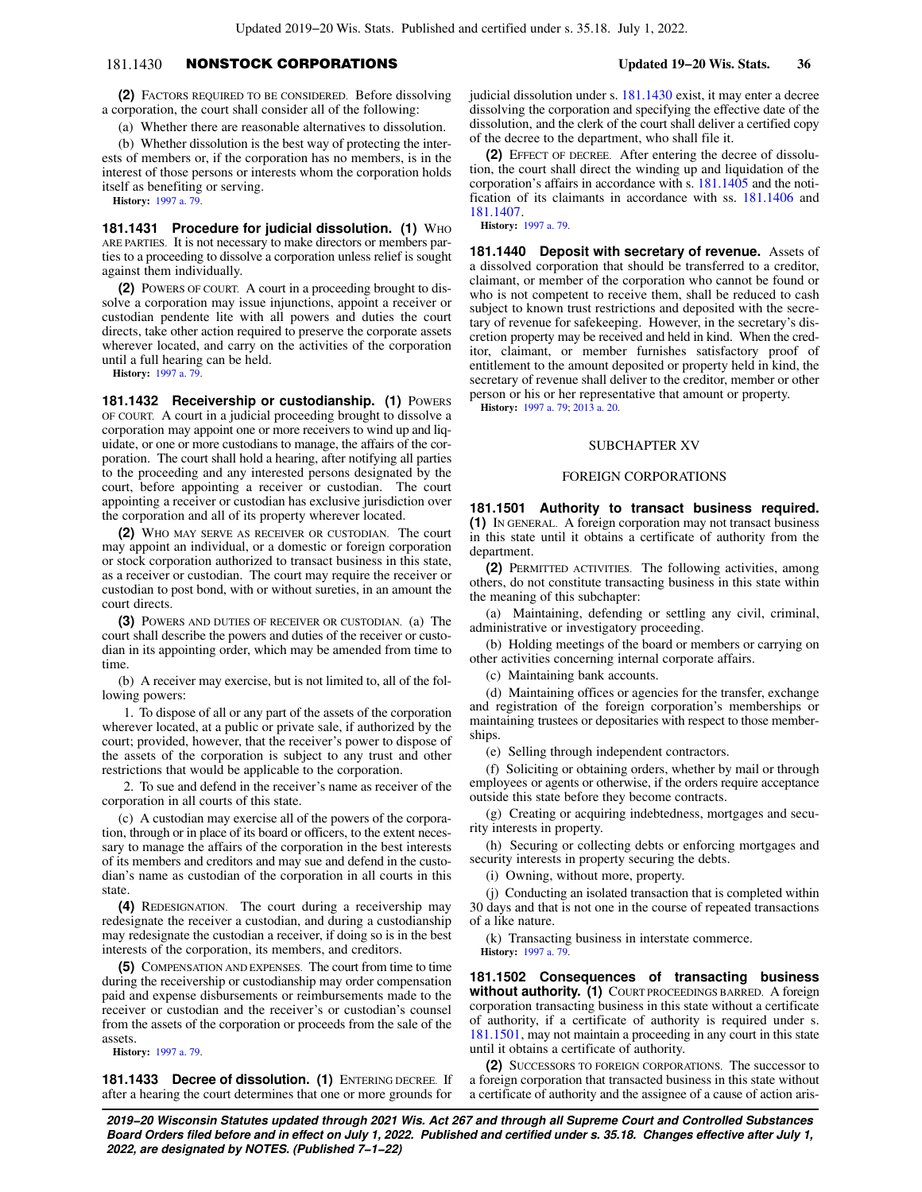# 181.1430 NONSTOCK CORPORATIONS **Updated 19−20 Wis. Stats. 36**

**(2)** FACTORS REQUIRED TO BE CONSIDERED. Before dissolving a corporation, the court shall consider all of the following:

(a) Whether there are reasonable alternatives to dissolution.

(b) Whether dissolution is the best way of protecting the interests of members or, if the corporation has no members, is in the interest of those persons or interests whom the corporation holds itself as benefiting or serving.

**History:** [1997 a. 79.](https://docs.legis.wisconsin.gov/document/acts/1997/79)

**181.1431 Procedure for judicial dissolution. (1) WHO** ARE PARTIES. It is not necessary to make directors or members parties to a proceeding to dissolve a corporation unless relief is sought against them individually.

**(2)** POWERS OF COURT. A court in a proceeding brought to dissolve a corporation may issue injunctions, appoint a receiver or custodian pendente lite with all powers and duties the court directs, take other action required to preserve the corporate assets wherever located, and carry on the activities of the corporation until a full hearing can be held.

**History:** [1997 a. 79.](https://docs.legis.wisconsin.gov/document/acts/1997/79)

**181.1432 Receivership or custodianship. (1) POWERS** OF COURT. A court in a judicial proceeding brought to dissolve a corporation may appoint one or more receivers to wind up and liquidate, or one or more custodians to manage, the affairs of the corporation. The court shall hold a hearing, after notifying all parties to the proceeding and any interested persons designated by the court, before appointing a receiver or custodian. The court appointing a receiver or custodian has exclusive jurisdiction over the corporation and all of its property wherever located.

**(2)** WHO MAY SERVE AS RECEIVER OR CUSTODIAN. The court may appoint an individual, or a domestic or foreign corporation or stock corporation authorized to transact business in this state, as a receiver or custodian. The court may require the receiver or custodian to post bond, with or without sureties, in an amount the court directs.

**(3)** POWERS AND DUTIES OF RECEIVER OR CUSTODIAN. (a) The court shall describe the powers and duties of the receiver or custodian in its appointing order, which may be amended from time to time.

(b) A receiver may exercise, but is not limited to, all of the following powers:

1. To dispose of all or any part of the assets of the corporation wherever located, at a public or private sale, if authorized by the court; provided, however, that the receiver's power to dispose of the assets of the corporation is subject to any trust and other restrictions that would be applicable to the corporation.

2. To sue and defend in the receiver's name as receiver of the corporation in all courts of this state.

(c) A custodian may exercise all of the powers of the corporation, through or in place of its board or officers, to the extent necessary to manage the affairs of the corporation in the best interests of its members and creditors and may sue and defend in the custodian's name as custodian of the corporation in all courts in this state.

**(4)** REDESIGNATION. The court during a receivership may redesignate the receiver a custodian, and during a custodianship may redesignate the custodian a receiver, if doing so is in the best interests of the corporation, its members, and creditors.

**(5)** COMPENSATION AND EXPENSES. The court from time to time during the receivership or custodianship may order compensation paid and expense disbursements or reimbursements made to the receiver or custodian and the receiver's or custodian's counsel from the assets of the corporation or proceeds from the sale of the assets.

**History:** [1997 a. 79.](https://docs.legis.wisconsin.gov/document/acts/1997/79)

**181.1433 Decree of dissolution. (1) ENTERING DECREE. If** after a hearing the court determines that one or more grounds for

judicial dissolution under s. [181.1430](https://docs.legis.wisconsin.gov/document/statutes/181.1430) exist, it may enter a decree dissolving the corporation and specifying the effective date of the dissolution, and the clerk of the court shall deliver a certified copy of the decree to the department, who shall file it.

**(2)** EFFECT OF DECREE. After entering the decree of dissolution, the court shall direct the winding up and liquidation of the corporation's affairs in accordance with s. [181.1405](https://docs.legis.wisconsin.gov/document/statutes/181.1405) and the notification of its claimants in accordance with ss. [181.1406](https://docs.legis.wisconsin.gov/document/statutes/181.1406) and [181.1407.](https://docs.legis.wisconsin.gov/document/statutes/181.1407)

**History:** [1997 a. 79](https://docs.legis.wisconsin.gov/document/acts/1997/79).

**181.1440 Deposit with secretary of revenue.** Assets of a dissolved corporation that should be transferred to a creditor, claimant, or member of the corporation who cannot be found or who is not competent to receive them, shall be reduced to cash subject to known trust restrictions and deposited with the secretary of revenue for safekeeping. However, in the secretary's discretion property may be received and held in kind. When the creditor, claimant, or member furnishes satisfactory proof of entitlement to the amount deposited or property held in kind, the secretary of revenue shall deliver to the creditor, member or other person or his or her representative that amount or property.

**History:** [1997 a. 79](https://docs.legis.wisconsin.gov/document/acts/1997/79); [2013 a. 20](https://docs.legis.wisconsin.gov/document/acts/2013/20).

## SUBCHAPTER XV

## FOREIGN CORPORATIONS

**181.1501 Authority to transact business required. (1)** IN GENERAL. A foreign corporation may not transact business in this state until it obtains a certificate of authority from the department.

**(2)** PERMITTED ACTIVITIES. The following activities, among others, do not constitute transacting business in this state within the meaning of this subchapter:

(a) Maintaining, defending or settling any civil, criminal, administrative or investigatory proceeding.

(b) Holding meetings of the board or members or carrying on other activities concerning internal corporate affairs.

(c) Maintaining bank accounts.

(d) Maintaining offices or agencies for the transfer, exchange and registration of the foreign corporation's memberships or maintaining trustees or depositaries with respect to those memberships.

(e) Selling through independent contractors.

(f) Soliciting or obtaining orders, whether by mail or through employees or agents or otherwise, if the orders require acceptance outside this state before they become contracts.

(g) Creating or acquiring indebtedness, mortgages and security interests in property.

(h) Securing or collecting debts or enforcing mortgages and security interests in property securing the debts.

(i) Owning, without more, property.

(j) Conducting an isolated transaction that is completed within 30 days and that is not one in the course of repeated transactions of a like nature.

(k) Transacting business in interstate commerce.

**History:** [1997 a. 79](https://docs.legis.wisconsin.gov/document/acts/1997/79).

**181.1502 Consequences of transacting business without authority. (1)** COURT PROCEEDINGS BARRED. A foreign corporation transacting business in this state without a certificate of authority, if a certificate of authority is required under s. [181.1501,](https://docs.legis.wisconsin.gov/document/statutes/181.1501) may not maintain a proceeding in any court in this state until it obtains a certificate of authority.

**(2)** SUCCESSORS TO FOREIGN CORPORATIONS. The successor to a foreign corporation that transacted business in this state without a certificate of authority and the assignee of a cause of action aris-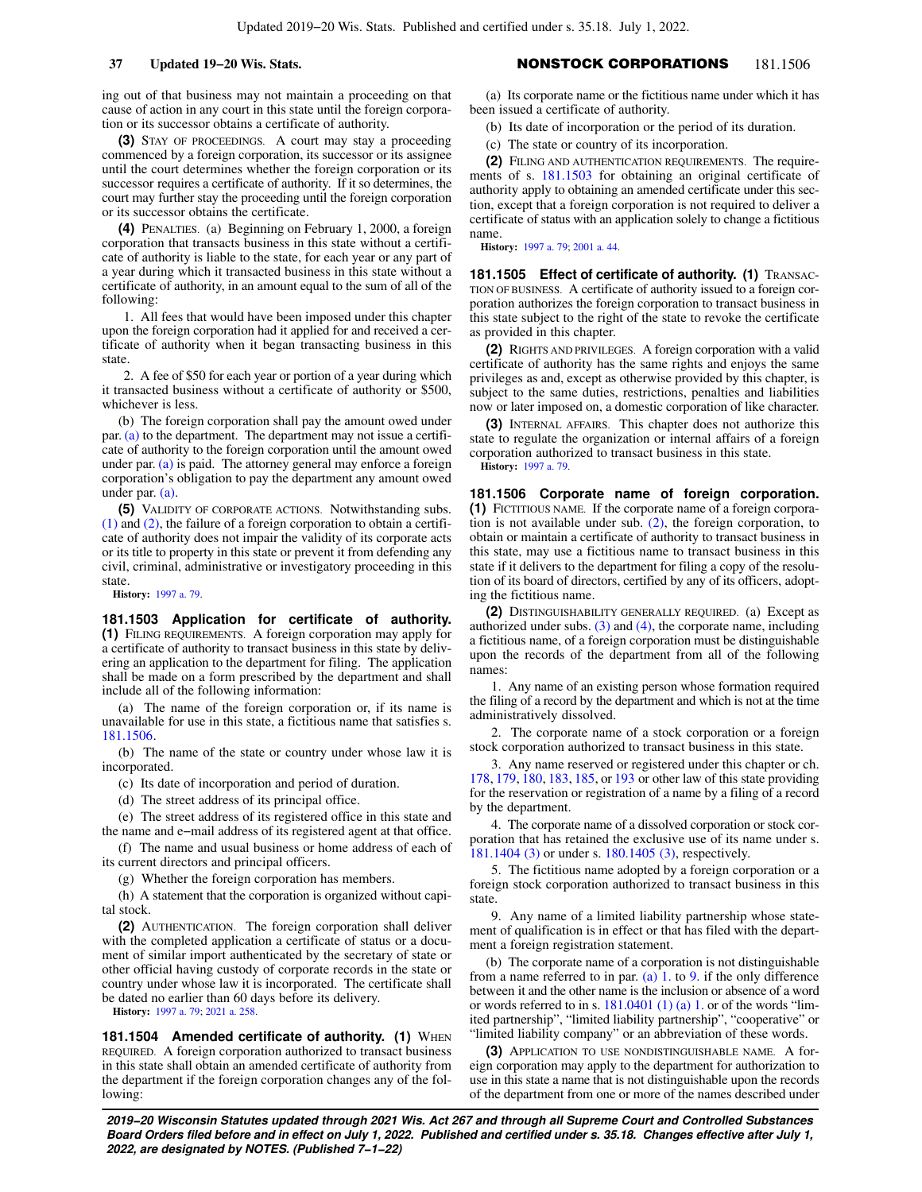ing out of that business may not maintain a proceeding on that cause of action in any court in this state until the foreign corporation or its successor obtains a certificate of authority.

**(3)** STAY OF PROCEEDINGS. A court may stay a proceeding commenced by a foreign corporation, its successor or its assignee until the court determines whether the foreign corporation or its successor requires a certificate of authority. If it so determines, the court may further stay the proceeding until the foreign corporation or its successor obtains the certificate.

**(4)** PENALTIES. (a) Beginning on February 1, 2000, a foreign corporation that transacts business in this state without a certificate of authority is liable to the state, for each year or any part of a year during which it transacted business in this state without a certificate of authority, in an amount equal to the sum of all of the following:

1. All fees that would have been imposed under this chapter upon the foreign corporation had it applied for and received a certificate of authority when it began transacting business in this state.

2. A fee of \$50 for each year or portion of a year during which it transacted business without a certificate of authority or \$500, whichever is less.

(b) The foreign corporation shall pay the amount owed under par. [\(a\)](https://docs.legis.wisconsin.gov/document/statutes/181.1502(4)(a)) to the department. The department may not issue a certificate of authority to the foreign corporation until the amount owed under par. [\(a\)](https://docs.legis.wisconsin.gov/document/statutes/181.1502(4)(a)) is paid. The attorney general may enforce a foreign corporation's obligation to pay the department any amount owed under par. [\(a\)](https://docs.legis.wisconsin.gov/document/statutes/181.1502(4)(a)).

**(5)** VALIDITY OF CORPORATE ACTIONS. Notwithstanding subs. [\(1\)](https://docs.legis.wisconsin.gov/document/statutes/181.1502(1)) and [\(2\),](https://docs.legis.wisconsin.gov/document/statutes/181.1502(2)) the failure of a foreign corporation to obtain a certificate of authority does not impair the validity of its corporate acts or its title to property in this state or prevent it from defending any civil, criminal, administrative or investigatory proceeding in this state.

**History:** [1997 a. 79.](https://docs.legis.wisconsin.gov/document/acts/1997/79)

**181.1503 Application for certificate of authority. (1)** FILING REQUIREMENTS. A foreign corporation may apply for a certificate of authority to transact business in this state by delivering an application to the department for filing. The application shall be made on a form prescribed by the department and shall include all of the following information:

(a) The name of the foreign corporation or, if its name is unavailable for use in this state, a fictitious name that satisfies s. [181.1506.](https://docs.legis.wisconsin.gov/document/statutes/181.1506)

(b) The name of the state or country under whose law it is incorporated.

(c) Its date of incorporation and period of duration.

(d) The street address of its principal office.

(e) The street address of its registered office in this state and the name and e−mail address of its registered agent at that office.

(f) The name and usual business or home address of each of its current directors and principal officers.

(g) Whether the foreign corporation has members.

(h) A statement that the corporation is organized without capital stock.

**(2)** AUTHENTICATION. The foreign corporation shall deliver with the completed application a certificate of status or a document of similar import authenticated by the secretary of state or other official having custody of corporate records in the state or country under whose law it is incorporated. The certificate shall be dated no earlier than 60 days before its delivery.

**History:** [1997 a. 79;](https://docs.legis.wisconsin.gov/document/acts/1997/79) [2021 a. 258.](https://docs.legis.wisconsin.gov/document/acts/2021/258)

**181.1504 Amended certificate of authority. (1) WHEN** REQUIRED. A foreign corporation authorized to transact business in this state shall obtain an amended certificate of authority from the department if the foreign corporation changes any of the following:

# **37 Updated 19−20 Wis. Stats.** NONSTOCK CORPORATIONS 181.1506

(a) Its corporate name or the fictitious name under which it has been issued a certificate of authority.

(b) Its date of incorporation or the period of its duration.

(c) The state or country of its incorporation.

**(2)** FILING AND AUTHENTICATION REQUIREMENTS. The requirements of s. [181.1503](https://docs.legis.wisconsin.gov/document/statutes/181.1503) for obtaining an original certificate of authority apply to obtaining an amended certificate under this section, except that a foreign corporation is not required to deliver a certificate of status with an application solely to change a fictitious name.

**History:** [1997 a. 79](https://docs.legis.wisconsin.gov/document/acts/1997/79); [2001 a. 44](https://docs.legis.wisconsin.gov/document/acts/2001/44).

**181.1505 Effect of certificate of authority. (1)** TRANSAC-TION OF BUSINESS. A certificate of authority issued to a foreign corporation authorizes the foreign corporation to transact business in this state subject to the right of the state to revoke the certificate as provided in this chapter.

**(2)** RIGHTS AND PRIVILEGES. A foreign corporation with a valid certificate of authority has the same rights and enjoys the same privileges as and, except as otherwise provided by this chapter, is subject to the same duties, restrictions, penalties and liabilities now or later imposed on, a domestic corporation of like character.

**(3)** INTERNAL AFFAIRS. This chapter does not authorize this state to regulate the organization or internal affairs of a foreign corporation authorized to transact business in this state. **History:** [1997 a. 79](https://docs.legis.wisconsin.gov/document/acts/1997/79).

**181.1506 Corporate name of foreign corporation. (1)** FICTITIOUS NAME. If the corporate name of a foreign corporation is not available under sub. [\(2\)](https://docs.legis.wisconsin.gov/document/statutes/181.1506(2)), the foreign corporation, to obtain or maintain a certificate of authority to transact business in this state, may use a fictitious name to transact business in this state if it delivers to the department for filing a copy of the resolution of its board of directors, certified by any of its officers, adopting the fictitious name.

**(2)** DISTINGUISHABILITY GENERALLY REQUIRED. (a) Except as authorized under subs.  $(3)$  and  $(4)$ , the corporate name, including a fictitious name, of a foreign corporation must be distinguishable upon the records of the department from all of the following names:

1. Any name of an existing person whose formation required the filing of a record by the department and which is not at the time administratively dissolved.

2. The corporate name of a stock corporation or a foreign stock corporation authorized to transact business in this state.

3. Any name reserved or registered under this chapter or ch. [178,](https://docs.legis.wisconsin.gov/document/statutes/ch.%20178) [179,](https://docs.legis.wisconsin.gov/document/statutes/ch.%20179) [180](https://docs.legis.wisconsin.gov/document/statutes/ch.%20180), [183,](https://docs.legis.wisconsin.gov/document/statutes/ch.%20183) [185](https://docs.legis.wisconsin.gov/document/statutes/ch.%20185), or [193](https://docs.legis.wisconsin.gov/document/statutes/ch.%20193) or other law of this state providing for the reservation or registration of a name by a filing of a record by the department.

4. The corporate name of a dissolved corporation or stock corporation that has retained the exclusive use of its name under s. [181.1404 \(3\)](https://docs.legis.wisconsin.gov/document/statutes/181.1404(3)) or under s. [180.1405 \(3\),](https://docs.legis.wisconsin.gov/document/statutes/180.1405(3)) respectively.

5. The fictitious name adopted by a foreign corporation or a foreign stock corporation authorized to transact business in this state.

9. Any name of a limited liability partnership whose statement of qualification is in effect or that has filed with the department a foreign registration statement.

(b) The corporate name of a corporation is not distinguishable from a name referred to in par. [\(a\) 1.](https://docs.legis.wisconsin.gov/document/statutes/181.1506(2)(a)1.) to [9.](https://docs.legis.wisconsin.gov/document/statutes/181.1506(2)(a)9.) if the only difference between it and the other name is the inclusion or absence of a word or words referred to in s.  $181.0401(1)(a) 1$ . or of the words "limited partnership", "limited liability partnership", "cooperative" or "limited liability company" or an abbreviation of these words.

**(3)** APPLICATION TO USE NONDISTINGUISHABLE NAME. A foreign corporation may apply to the department for authorization to use in this state a name that is not distinguishable upon the records of the department from one or more of the names described under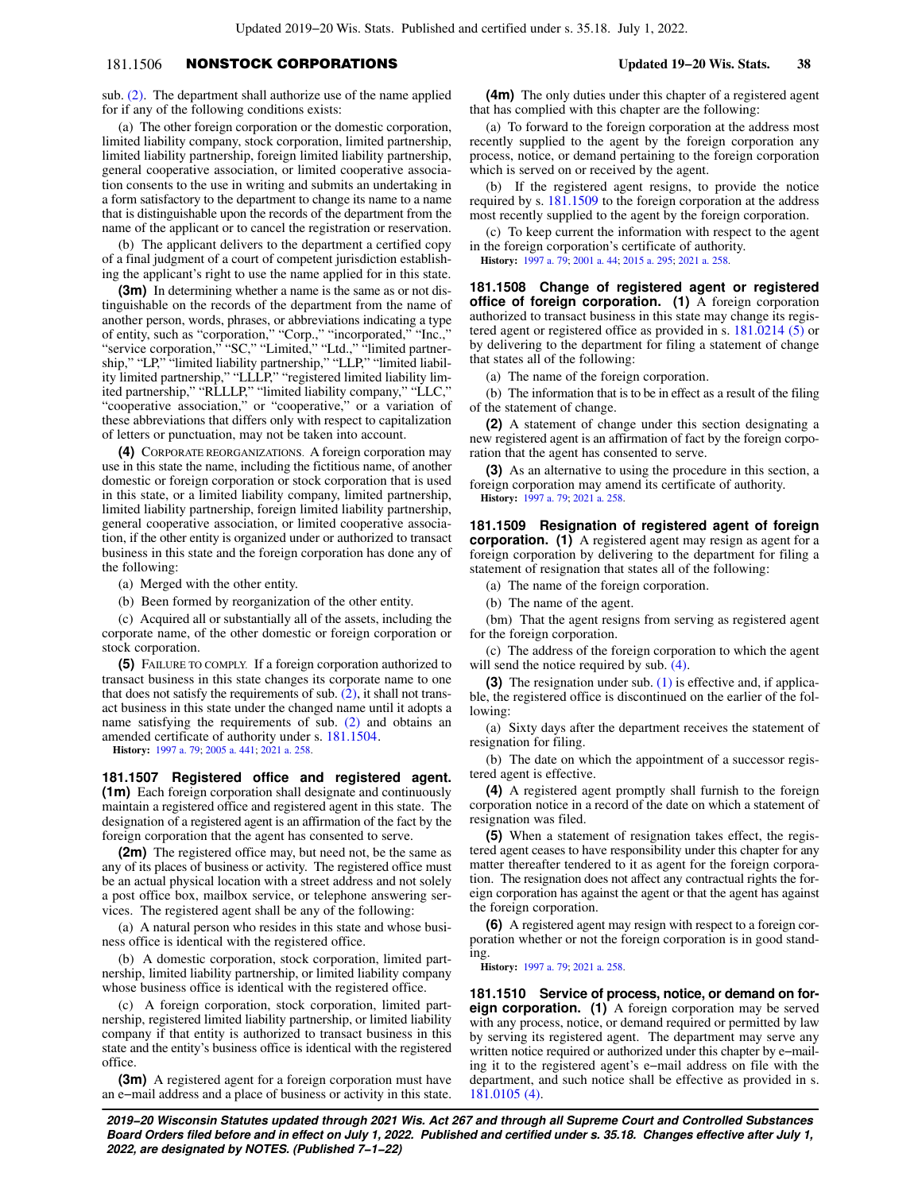# 181.1506 NONSTOCK CORPORATIONS **Updated 19−20 Wis. Stats. 38**

sub. [\(2\)](https://docs.legis.wisconsin.gov/document/statutes/181.1506(2)). The department shall authorize use of the name applied for if any of the following conditions exists:

(a) The other foreign corporation or the domestic corporation, limited liability company, stock corporation, limited partnership, limited liability partnership, foreign limited liability partnership, general cooperative association, or limited cooperative association consents to the use in writing and submits an undertaking in a form satisfactory to the department to change its name to a name that is distinguishable upon the records of the department from the name of the applicant or to cancel the registration or reservation.

(b) The applicant delivers to the department a certified copy of a final judgment of a court of competent jurisdiction establishing the applicant's right to use the name applied for in this state.

**(3m)** In determining whether a name is the same as or not distinguishable on the records of the department from the name of another person, words, phrases, or abbreviations indicating a type of entity, such as "corporation," "Corp.," "incorporated," "Inc.," "service corporation," "SC," "Limited," "Ltd.," "limited partnership," "LP," "limited liability partnership," "LLP," "limited liability limited partnership," "LLLP," "registered limited liability limited partnership," "RLLLP," "limited liability company," "LLC," "cooperative association," or "cooperative," or a variation of these abbreviations that differs only with respect to capitalization of letters or punctuation, may not be taken into account.

**(4)** CORPORATE REORGANIZATIONS. A foreign corporation may use in this state the name, including the fictitious name, of another domestic or foreign corporation or stock corporation that is used in this state, or a limited liability company, limited partnership, limited liability partnership, foreign limited liability partnership, general cooperative association, or limited cooperative association, if the other entity is organized under or authorized to transact business in this state and the foreign corporation has done any of the following:

(a) Merged with the other entity.

(b) Been formed by reorganization of the other entity.

(c) Acquired all or substantially all of the assets, including the corporate name, of the other domestic or foreign corporation or stock corporation.

**(5)** FAILURE TO COMPLY. If a foreign corporation authorized to transact business in this state changes its corporate name to one that does not satisfy the requirements of sub.  $(2)$ , it shall not transact business in this state under the changed name until it adopts a name satisfying the requirements of sub. [\(2\)](https://docs.legis.wisconsin.gov/document/statutes/181.1506(2)) and obtains an amended certificate of authority under s. [181.1504.](https://docs.legis.wisconsin.gov/document/statutes/181.1504)

**History:** [1997 a. 79;](https://docs.legis.wisconsin.gov/document/acts/1997/79) [2005 a. 441;](https://docs.legis.wisconsin.gov/document/acts/2005/441) [2021 a. 258](https://docs.legis.wisconsin.gov/document/acts/2021/258).

**181.1507 Registered office and registered agent. (1m)** Each foreign corporation shall designate and continuously maintain a registered office and registered agent in this state. The designation of a registered agent is an affirmation of the fact by the foreign corporation that the agent has consented to serve.

**(2m)** The registered office may, but need not, be the same as any of its places of business or activity. The registered office must be an actual physical location with a street address and not solely a post office box, mailbox service, or telephone answering services. The registered agent shall be any of the following:

(a) A natural person who resides in this state and whose business office is identical with the registered office.

(b) A domestic corporation, stock corporation, limited partnership, limited liability partnership, or limited liability company whose business office is identical with the registered office.

(c) A foreign corporation, stock corporation, limited partnership, registered limited liability partnership, or limited liability company if that entity is authorized to transact business in this state and the entity's business office is identical with the registered office.

**(3m)** A registered agent for a foreign corporation must have an e−mail address and a place of business or activity in this state.

**(4m)** The only duties under this chapter of a registered agent that has complied with this chapter are the following:

(a) To forward to the foreign corporation at the address most recently supplied to the agent by the foreign corporation any process, notice, or demand pertaining to the foreign corporation which is served on or received by the agent.

(b) If the registered agent resigns, to provide the notice required by s. [181.1509](https://docs.legis.wisconsin.gov/document/statutes/181.1509) to the foreign corporation at the address most recently supplied to the agent by the foreign corporation.

(c) To keep current the information with respect to the agent in the foreign corporation's certificate of authority. **History:** [1997 a. 79](https://docs.legis.wisconsin.gov/document/acts/1997/79); [2001 a. 44](https://docs.legis.wisconsin.gov/document/acts/2001/44); [2015 a. 295;](https://docs.legis.wisconsin.gov/document/acts/2015/295) [2021 a. 258.](https://docs.legis.wisconsin.gov/document/acts/2021/258)

**181.1508 Change of registered agent or registered office of foreign corporation. (1)** A foreign corporation authorized to transact business in this state may change its registered agent or registered office as provided in s. [181.0214 \(5\)](https://docs.legis.wisconsin.gov/document/statutes/181.0214(5)) or by delivering to the department for filing a statement of change that states all of the following:

(a) The name of the foreign corporation.

(b) The information that is to be in effect as a result of the filing of the statement of change.

**(2)** A statement of change under this section designating a new registered agent is an affirmation of fact by the foreign corporation that the agent has consented to serve.

**(3)** As an alternative to using the procedure in this section, a foreign corporation may amend its certificate of authority. **History:** [1997 a. 79](https://docs.legis.wisconsin.gov/document/acts/1997/79); [2021 a. 258.](https://docs.legis.wisconsin.gov/document/acts/2021/258)

**181.1509 Resignation of registered agent of foreign corporation.** (1) A registered agent may resign as agent for a foreign corporation by delivering to the department for filing a statement of resignation that states all of the following:

(a) The name of the foreign corporation.

(b) The name of the agent.

(bm) That the agent resigns from serving as registered agent for the foreign corporation.

(c) The address of the foreign corporation to which the agent will send the notice required by sub.  $(4)$ .

**(3)** The resignation under sub. [\(1\)](https://docs.legis.wisconsin.gov/document/statutes/181.1509(1)) is effective and, if applicable, the registered office is discontinued on the earlier of the following:

(a) Sixty days after the department receives the statement of resignation for filing.

(b) The date on which the appointment of a successor registered agent is effective.

**(4)** A registered agent promptly shall furnish to the foreign corporation notice in a record of the date on which a statement of resignation was filed.

**(5)** When a statement of resignation takes effect, the registered agent ceases to have responsibility under this chapter for any matter thereafter tendered to it as agent for the foreign corporation. The resignation does not affect any contractual rights the foreign corporation has against the agent or that the agent has against the foreign corporation.

**(6)** A registered agent may resign with respect to a foreign corporation whether or not the foreign corporation is in good standing.

**History:** [1997 a. 79](https://docs.legis.wisconsin.gov/document/acts/1997/79); [2021 a. 258.](https://docs.legis.wisconsin.gov/document/acts/2021/258)

**181.1510 Service of process, notice, or demand on foreign corporation. (1)** A foreign corporation may be served with any process, notice, or demand required or permitted by law by serving its registered agent. The department may serve any written notice required or authorized under this chapter by e−mailing it to the registered agent's e−mail address on file with the department, and such notice shall be effective as provided in s. [181.0105 \(4\).](https://docs.legis.wisconsin.gov/document/statutes/181.0105(4))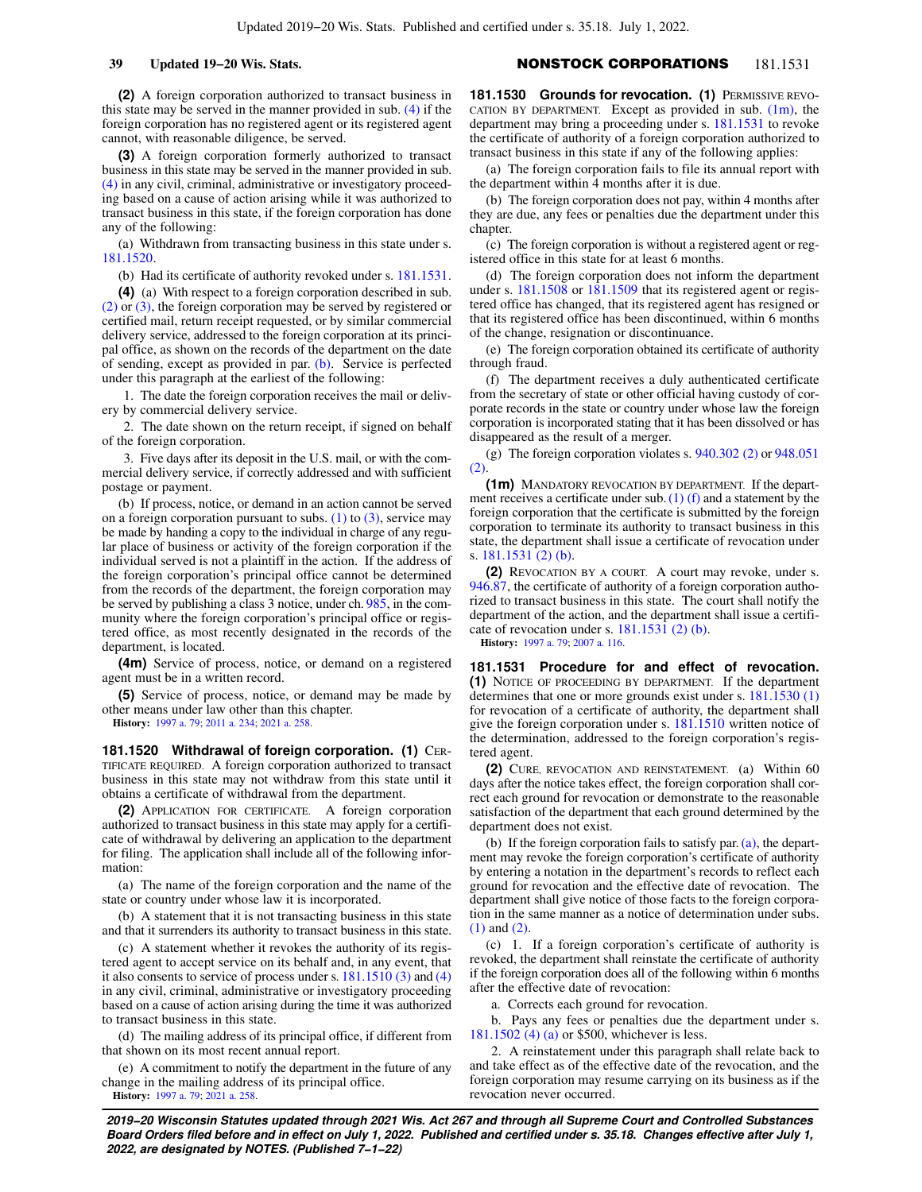# **39 Updated 19−20 Wis. Stats.** NONSTOCK CORPORATIONS 181.1531

**(2)** A foreign corporation authorized to transact business in this state may be served in the manner provided in sub. [\(4\)](https://docs.legis.wisconsin.gov/document/statutes/181.1510(4)) if the foreign corporation has no registered agent or its registered agent cannot, with reasonable diligence, be served.

**(3)** A foreign corporation formerly authorized to transact business in this state may be served in the manner provided in sub. [\(4\)](https://docs.legis.wisconsin.gov/document/statutes/181.1510(4)) in any civil, criminal, administrative or investigatory proceeding based on a cause of action arising while it was authorized to transact business in this state, if the foreign corporation has done any of the following:

(a) Withdrawn from transacting business in this state under s. [181.1520.](https://docs.legis.wisconsin.gov/document/statutes/181.1520)

(b) Had its certificate of authority revoked under s. [181.1531.](https://docs.legis.wisconsin.gov/document/statutes/181.1531)

**(4)** (a) With respect to a foreign corporation described in sub. [\(2\)](https://docs.legis.wisconsin.gov/document/statutes/181.1510(2)) or [\(3\)](https://docs.legis.wisconsin.gov/document/statutes/181.1510(3)), the foreign corporation may be served by registered or certified mail, return receipt requested, or by similar commercial delivery service, addressed to the foreign corporation at its principal office, as shown on the records of the department on the date of sending, except as provided in par. [\(b\).](https://docs.legis.wisconsin.gov/document/statutes/181.1510(4)(b)) Service is perfected under this paragraph at the earliest of the following:

1. The date the foreign corporation receives the mail or delivery by commercial delivery service.

2. The date shown on the return receipt, if signed on behalf of the foreign corporation.

3. Five days after its deposit in the U.S. mail, or with the commercial delivery service, if correctly addressed and with sufficient postage or payment.

(b) If process, notice, or demand in an action cannot be served on a foreign corporation pursuant to subs.  $(1)$  to  $(3)$ , service may be made by handing a copy to the individual in charge of any regular place of business or activity of the foreign corporation if the individual served is not a plaintiff in the action. If the address of the foreign corporation's principal office cannot be determined from the records of the department, the foreign corporation may be served by publishing a class 3 notice, under ch. [985,](https://docs.legis.wisconsin.gov/document/statutes/ch.%20985) in the community where the foreign corporation's principal office or registered office, as most recently designated in the records of the department, is located.

**(4m)** Service of process, notice, or demand on a registered agent must be in a written record.

**(5)** Service of process, notice, or demand may be made by other means under law other than this chapter.

**History:** [1997 a. 79;](https://docs.legis.wisconsin.gov/document/acts/1997/79) [2011 a. 234](https://docs.legis.wisconsin.gov/document/acts/2011/234); [2021 a. 258.](https://docs.legis.wisconsin.gov/document/acts/2021/258)

**181.1520 Withdrawal of foreign corporation. (1)** CER-TIFICATE REQUIRED. A foreign corporation authorized to transact business in this state may not withdraw from this state until it obtains a certificate of withdrawal from the department.

**(2)** APPLICATION FOR CERTIFICATE. A foreign corporation authorized to transact business in this state may apply for a certificate of withdrawal by delivering an application to the department for filing. The application shall include all of the following information:

(a) The name of the foreign corporation and the name of the state or country under whose law it is incorporated.

(b) A statement that it is not transacting business in this state and that it surrenders its authority to transact business in this state.

(c) A statement whether it revokes the authority of its registered agent to accept service on its behalf and, in any event, that it also consents to service of process under s. [181.1510 \(3\)](https://docs.legis.wisconsin.gov/document/statutes/181.1510(3)) and [\(4\)](https://docs.legis.wisconsin.gov/document/statutes/181.1510(4)) in any civil, criminal, administrative or investigatory proceeding based on a cause of action arising during the time it was authorized to transact business in this state.

(d) The mailing address of its principal office, if different from that shown on its most recent annual report.

(e) A commitment to notify the department in the future of any change in the mailing address of its principal office. **History:** [1997 a. 79;](https://docs.legis.wisconsin.gov/document/acts/1997/79) [2021 a. 258.](https://docs.legis.wisconsin.gov/document/acts/2021/258)

**181.1530 Grounds for revocation. (1) PERMISSIVE REVO-**CATION BY DEPARTMENT. Except as provided in sub.  $(1m)$ , the department may bring a proceeding under s. [181.1531](https://docs.legis.wisconsin.gov/document/statutes/181.1531) to revoke the certificate of authority of a foreign corporation authorized to transact business in this state if any of the following applies:

(a) The foreign corporation fails to file its annual report with the department within 4 months after it is due.

(b) The foreign corporation does not pay, within 4 months after they are due, any fees or penalties due the department under this chapter.

(c) The foreign corporation is without a registered agent or registered office in this state for at least 6 months.

(d) The foreign corporation does not inform the department under s. [181.1508](https://docs.legis.wisconsin.gov/document/statutes/181.1508) or [181.1509](https://docs.legis.wisconsin.gov/document/statutes/181.1509) that its registered agent or registered office has changed, that its registered agent has resigned or that its registered office has been discontinued, within 6 months of the change, resignation or discontinuance.

(e) The foreign corporation obtained its certificate of authority through fraud.

(f) The department receives a duly authenticated certificate from the secretary of state or other official having custody of corporate records in the state or country under whose law the foreign corporation is incorporated stating that it has been dissolved or has disappeared as the result of a merger.

(g) The foreign corporation violates s. [940.302 \(2\)](https://docs.legis.wisconsin.gov/document/statutes/940.302(2)) or [948.051](https://docs.legis.wisconsin.gov/document/statutes/948.051(2)) [\(2\).](https://docs.legis.wisconsin.gov/document/statutes/948.051(2))

**(1m)** MANDATORY REVOCATION BY DEPARTMENT. If the department receives a certificate under sub.  $(1)$  (f) and a statement by the foreign corporation that the certificate is submitted by the foreign corporation to terminate its authority to transact business in this state, the department shall issue a certificate of revocation under s. [181.1531 \(2\) \(b\).](https://docs.legis.wisconsin.gov/document/statutes/181.1531(2)(b))

**(2)** REVOCATION BY A COURT. A court may revoke, under s. [946.87,](https://docs.legis.wisconsin.gov/document/statutes/946.87) the certificate of authority of a foreign corporation authorized to transact business in this state. The court shall notify the department of the action, and the department shall issue a certificate of revocation under s. [181.1531 \(2\) \(b\).](https://docs.legis.wisconsin.gov/document/statutes/181.1531(2)(b))

**History:** [1997 a. 79](https://docs.legis.wisconsin.gov/document/acts/1997/79); [2007 a. 116](https://docs.legis.wisconsin.gov/document/acts/2007/116).

**181.1531 Procedure for and effect of revocation. (1)** NOTICE OF PROCEEDING BY DEPARTMENT. If the department determines that one or more grounds exist under s. [181.1530 \(1\)](https://docs.legis.wisconsin.gov/document/statutes/181.1530(1)) for revocation of a certificate of authority, the department shall give the foreign corporation under s. [181.1510](https://docs.legis.wisconsin.gov/document/statutes/181.1510) written notice of the determination, addressed to the foreign corporation's registered agent.

**(2)** CURE, REVOCATION AND REINSTATEMENT. (a) Within 60 days after the notice takes effect, the foreign corporation shall correct each ground for revocation or demonstrate to the reasonable satisfaction of the department that each ground determined by the department does not exist.

(b) If the foreign corporation fails to satisfy par. [\(a\)](https://docs.legis.wisconsin.gov/document/statutes/181.1531(2)(a)), the department may revoke the foreign corporation's certificate of authority by entering a notation in the department's records to reflect each ground for revocation and the effective date of revocation. The department shall give notice of those facts to the foreign corporation in the same manner as a notice of determination under subs. [\(1\)](https://docs.legis.wisconsin.gov/document/statutes/181.1531(1)) and [\(2\).](https://docs.legis.wisconsin.gov/document/statutes/181.1531(2))

(c) 1. If a foreign corporation's certificate of authority is revoked, the department shall reinstate the certificate of authority if the foreign corporation does all of the following within 6 months after the effective date of revocation:

a. Corrects each ground for revocation.

b. Pays any fees or penalties due the department under s. [181.1502 \(4\) \(a\)](https://docs.legis.wisconsin.gov/document/statutes/181.1502(4)(a)) or \$500, whichever is less.

2. A reinstatement under this paragraph shall relate back to and take effect as of the effective date of the revocation, and the foreign corporation may resume carrying on its business as if the revocation never occurred.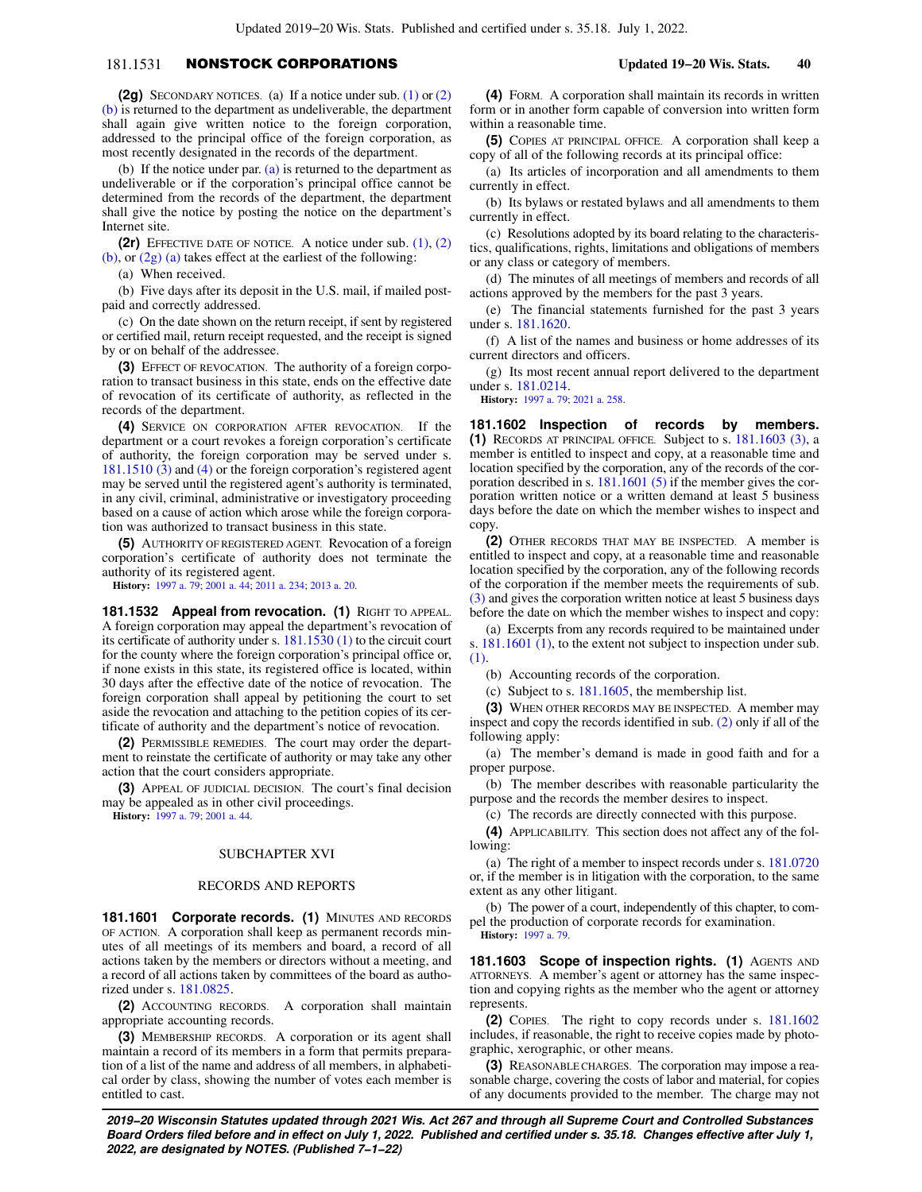# 181.1531 NONSTOCK CORPORATIONS **Updated 19−20 Wis. Stats. 40**

**(2g)** SECONDARY NOTICES. (a) If a notice under sub. [\(1\)](https://docs.legis.wisconsin.gov/document/statutes/181.1531(1)) or [\(2\)](https://docs.legis.wisconsin.gov/document/statutes/181.1531(2)(b)) [\(b\)](https://docs.legis.wisconsin.gov/document/statutes/181.1531(2)(b)) is returned to the department as undeliverable, the department shall again give written notice to the foreign corporation, addressed to the principal office of the foreign corporation, as most recently designated in the records of the department.

(b) If the notice under par.  $(a)$  is returned to the department as undeliverable or if the corporation's principal office cannot be determined from the records of the department, the department shall give the notice by posting the notice on the department's Internet site.

**(2r)** EFFECTIVE DATE OF NOTICE. A notice under sub. [\(1\),](https://docs.legis.wisconsin.gov/document/statutes/181.1531(1)) [\(2\)](https://docs.legis.wisconsin.gov/document/statutes/181.1531(2)(b)) [\(b\)](https://docs.legis.wisconsin.gov/document/statutes/181.1531(2)(b)), or [\(2g\) \(a\)](https://docs.legis.wisconsin.gov/document/statutes/181.1531(2g)(a)) takes effect at the earliest of the following:

(a) When received.

(b) Five days after its deposit in the U.S. mail, if mailed postpaid and correctly addressed.

(c) On the date shown on the return receipt, if sent by registered or certified mail, return receipt requested, and the receipt is signed by or on behalf of the addressee.

**(3)** EFFECT OF REVOCATION. The authority of a foreign corporation to transact business in this state, ends on the effective date of revocation of its certificate of authority, as reflected in the records of the department.

**(4)** SERVICE ON CORPORATION AFTER REVOCATION. If the department or a court revokes a foreign corporation's certificate of authority, the foreign corporation may be served under s. [181.1510 \(3\)](https://docs.legis.wisconsin.gov/document/statutes/181.1510(3)) and [\(4\)](https://docs.legis.wisconsin.gov/document/statutes/181.1510(4)) or the foreign corporation's registered agent may be served until the registered agent's authority is terminated, in any civil, criminal, administrative or investigatory proceeding based on a cause of action which arose while the foreign corporation was authorized to transact business in this state.

**(5)** AUTHORITY OF REGISTERED AGENT. Revocation of a foreign corporation's certificate of authority does not terminate the authority of its registered agent.

**History:** [1997 a. 79;](https://docs.legis.wisconsin.gov/document/acts/1997/79) [2001 a. 44;](https://docs.legis.wisconsin.gov/document/acts/2001/44) [2011 a. 234](https://docs.legis.wisconsin.gov/document/acts/2011/234); [2013 a. 20.](https://docs.legis.wisconsin.gov/document/acts/2013/20)

181.1532 Appeal from revocation. (1) RIGHT TO APPEAL. A foreign corporation may appeal the department's revocation of its certificate of authority under s. [181.1530 \(1\)](https://docs.legis.wisconsin.gov/document/statutes/181.1530(1)) to the circuit court for the county where the foreign corporation's principal office or, if none exists in this state, its registered office is located, within 30 days after the effective date of the notice of revocation. The foreign corporation shall appeal by petitioning the court to set aside the revocation and attaching to the petition copies of its certificate of authority and the department's notice of revocation.

**(2)** PERMISSIBLE REMEDIES. The court may order the department to reinstate the certificate of authority or may take any other action that the court considers appropriate.

**(3)** APPEAL OF JUDICIAL DECISION. The court's final decision may be appealed as in other civil proceedings.

**History:** [1997 a. 79;](https://docs.legis.wisconsin.gov/document/acts/1997/79) [2001 a. 44.](https://docs.legis.wisconsin.gov/document/acts/2001/44)

# SUBCHAPTER XVI

## RECORDS AND REPORTS

**181.1601 Corporate records. (1)** MINUTES AND RECORDS OF ACTION. A corporation shall keep as permanent records minutes of all meetings of its members and board, a record of all actions taken by the members or directors without a meeting, and a record of all actions taken by committees of the board as authorized under s. [181.0825](https://docs.legis.wisconsin.gov/document/statutes/181.0825).

**(2)** ACCOUNTING RECORDS. A corporation shall maintain appropriate accounting records.

**(3)** MEMBERSHIP RECORDS. A corporation or its agent shall maintain a record of its members in a form that permits preparation of a list of the name and address of all members, in alphabetical order by class, showing the number of votes each member is entitled to cast.

**(4)** FORM. A corporation shall maintain its records in written form or in another form capable of conversion into written form within a reasonable time.

**(5)** COPIES AT PRINCIPAL OFFICE. A corporation shall keep a copy of all of the following records at its principal office:

(a) Its articles of incorporation and all amendments to them currently in effect.

(b) Its bylaws or restated bylaws and all amendments to them currently in effect.

(c) Resolutions adopted by its board relating to the characteristics, qualifications, rights, limitations and obligations of members or any class or category of members.

(d) The minutes of all meetings of members and records of all actions approved by the members for the past 3 years.

(e) The financial statements furnished for the past 3 years under s. [181.1620.](https://docs.legis.wisconsin.gov/document/statutes/181.1620)

(f) A list of the names and business or home addresses of its current directors and officers.

(g) Its most recent annual report delivered to the department under s. [181.0214.](https://docs.legis.wisconsin.gov/document/statutes/181.0214)

**History:** [1997 a. 79](https://docs.legis.wisconsin.gov/document/acts/1997/79); [2021 a. 258.](https://docs.legis.wisconsin.gov/document/acts/2021/258)

**181.1602 Inspection of records by members. (1)** RECORDS AT PRINCIPAL OFFICE. Subject to s. [181.1603 \(3\)](https://docs.legis.wisconsin.gov/document/statutes/181.1603(3)), a member is entitled to inspect and copy, at a reasonable time and location specified by the corporation, any of the records of the corporation described in s. [181.1601 \(5\)](https://docs.legis.wisconsin.gov/document/statutes/181.1601(5)) if the member gives the corporation written notice or a written demand at least 5 business days before the date on which the member wishes to inspect and copy.

**(2)** OTHER RECORDS THAT MAY BE INSPECTED. A member is entitled to inspect and copy, at a reasonable time and reasonable location specified by the corporation, any of the following records of the corporation if the member meets the requirements of sub. [\(3\)](https://docs.legis.wisconsin.gov/document/statutes/181.1602(3)) and gives the corporation written notice at least 5 business days before the date on which the member wishes to inspect and copy:

(a) Excerpts from any records required to be maintained under s. [181.1601 \(1\)](https://docs.legis.wisconsin.gov/document/statutes/181.1601(1)), to the extent not subject to inspection under sub. [\(1\).](https://docs.legis.wisconsin.gov/document/statutes/181.1602(1))

(b) Accounting records of the corporation.

(c) Subject to s. [181.1605](https://docs.legis.wisconsin.gov/document/statutes/181.1605), the membership list.

**(3)** WHEN OTHER RECORDS MAY BE INSPECTED. A member may inspect and copy the records identified in sub. [\(2\)](https://docs.legis.wisconsin.gov/document/statutes/181.1602(2)) only if all of the following apply:

(a) The member's demand is made in good faith and for a proper purpose.

(b) The member describes with reasonable particularity the purpose and the records the member desires to inspect.

(c) The records are directly connected with this purpose.

**(4)** APPLICABILITY. This section does not affect any of the following:

(a) The right of a member to inspect records under s. [181.0720](https://docs.legis.wisconsin.gov/document/statutes/181.0720) or, if the member is in litigation with the corporation, to the same extent as any other litigant.

(b) The power of a court, independently of this chapter, to compel the production of corporate records for examination. **History:** [1997 a. 79](https://docs.legis.wisconsin.gov/document/acts/1997/79).

**181.1603 Scope of inspection rights. (1)** AGENTS AND ATTORNEYS. A member's agent or attorney has the same inspection and copying rights as the member who the agent or attorney represents.

**(2)** COPIES. The right to copy records under s. [181.1602](https://docs.legis.wisconsin.gov/document/statutes/181.1602) includes, if reasonable, the right to receive copies made by photographic, xerographic, or other means.

**(3)** REASONABLE CHARGES. The corporation may impose a reasonable charge, covering the costs of labor and material, for copies of any documents provided to the member. The charge may not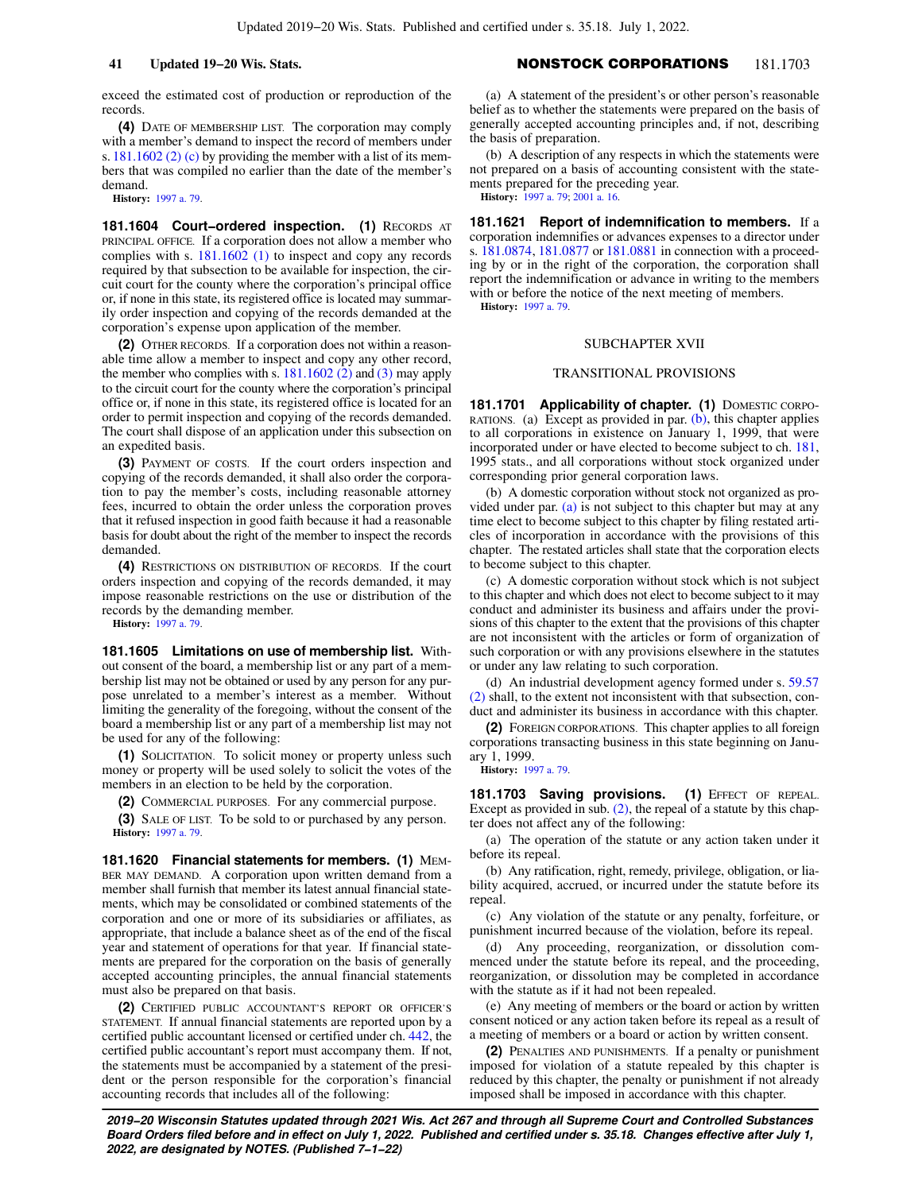# **41 Updated 19−20 Wis. Stats.** NONSTOCK CORPORATIONS 181.1703

exceed the estimated cost of production or reproduction of the records.

**(4)** DATE OF MEMBERSHIP LIST. The corporation may comply with a member's demand to inspect the record of members under s. [181.1602 \(2\) \(c\)](https://docs.legis.wisconsin.gov/document/statutes/181.1602(2)(c)) by providing the member with a list of its members that was compiled no earlier than the date of the member's demand.

**History:** [1997 a. 79.](https://docs.legis.wisconsin.gov/document/acts/1997/79)

**181.1604 Court−ordered inspection. (1)** RECORDS AT PRINCIPAL OFFICE. If a corporation does not allow a member who complies with s. [181.1602 \(1\)](https://docs.legis.wisconsin.gov/document/statutes/181.1602(1)) to inspect and copy any records required by that subsection to be available for inspection, the circuit court for the county where the corporation's principal office or, if none in this state, its registered office is located may summarily order inspection and copying of the records demanded at the corporation's expense upon application of the member.

**(2)** OTHER RECORDS. If a corporation does not within a reasonable time allow a member to inspect and copy any other record, the member who complies with s.  $181.1602$  (2) and [\(3\)](https://docs.legis.wisconsin.gov/document/statutes/181.1602(3)) may apply to the circuit court for the county where the corporation's principal office or, if none in this state, its registered office is located for an order to permit inspection and copying of the records demanded. The court shall dispose of an application under this subsection on an expedited basis.

**(3)** PAYMENT OF COSTS. If the court orders inspection and copying of the records demanded, it shall also order the corporation to pay the member's costs, including reasonable attorney fees, incurred to obtain the order unless the corporation proves that it refused inspection in good faith because it had a reasonable basis for doubt about the right of the member to inspect the records demanded.

**(4)** RESTRICTIONS ON DISTRIBUTION OF RECORDS. If the court orders inspection and copying of the records demanded, it may impose reasonable restrictions on the use or distribution of the records by the demanding member.

**History:** [1997 a. 79.](https://docs.legis.wisconsin.gov/document/acts/1997/79)

**181.1605 Limitations on use of membership list.** Without consent of the board, a membership list or any part of a membership list may not be obtained or used by any person for any purpose unrelated to a member's interest as a member. Without limiting the generality of the foregoing, without the consent of the board a membership list or any part of a membership list may not be used for any of the following:

**(1)** SOLICITATION. To solicit money or property unless such money or property will be used solely to solicit the votes of the members in an election to be held by the corporation.

**(2)** COMMERCIAL PURPOSES. For any commercial purpose.

**(3)** SALE OF LIST. To be sold to or purchased by any person. **History:** [1997 a. 79.](https://docs.legis.wisconsin.gov/document/acts/1997/79)

**181.1620 Financial statements for members. (1)** MEM-BER MAY DEMAND. A corporation upon written demand from a member shall furnish that member its latest annual financial statements, which may be consolidated or combined statements of the corporation and one or more of its subsidiaries or affiliates, as appropriate, that include a balance sheet as of the end of the fiscal year and statement of operations for that year. If financial statements are prepared for the corporation on the basis of generally accepted accounting principles, the annual financial statements must also be prepared on that basis.

**(2)** CERTIFIED PUBLIC ACCOUNTANT'S REPORT OR OFFICER'S STATEMENT. If annual financial statements are reported upon by a certified public accountant licensed or certified under ch. [442](https://docs.legis.wisconsin.gov/document/statutes/ch.%20442), the certified public accountant's report must accompany them. If not, the statements must be accompanied by a statement of the president or the person responsible for the corporation's financial accounting records that includes all of the following:

(a) A statement of the president's or other person's reasonable belief as to whether the statements were prepared on the basis of generally accepted accounting principles and, if not, describing the basis of preparation.

(b) A description of any respects in which the statements were not prepared on a basis of accounting consistent with the statements prepared for the preceding year. **History:** [1997 a. 79](https://docs.legis.wisconsin.gov/document/acts/1997/79); [2001 a. 16](https://docs.legis.wisconsin.gov/document/acts/2001/16).

**181.1621 Report of indemnification to members.** If a corporation indemnifies or advances expenses to a director under s. [181.0874,](https://docs.legis.wisconsin.gov/document/statutes/181.0874) [181.0877](https://docs.legis.wisconsin.gov/document/statutes/181.0877) or [181.0881](https://docs.legis.wisconsin.gov/document/statutes/181.0881) in connection with a proceeding by or in the right of the corporation, the corporation shall report the indemnification or advance in writing to the members with or before the notice of the next meeting of members. **History:** [1997 a. 79](https://docs.legis.wisconsin.gov/document/acts/1997/79).

### SUBCHAPTER XVII

### TRANSITIONAL PROVISIONS

181.1701 Applicability of chapter. (1) DOMESTIC CORPO-RATIONS. (a) Except as provided in par.  $(b)$ , this chapter applies to all corporations in existence on January 1, 1999, that were incorporated under or have elected to become subject to ch. [181,](https://docs.legis.wisconsin.gov/document/statutes/1995/ch.%20181) 1995 stats., and all corporations without stock organized under corresponding prior general corporation laws.

(b) A domestic corporation without stock not organized as provided under par.  $(a)$  is not subject to this chapter but may at any time elect to become subject to this chapter by filing restated articles of incorporation in accordance with the provisions of this chapter. The restated articles shall state that the corporation elects to become subject to this chapter.

(c) A domestic corporation without stock which is not subject to this chapter and which does not elect to become subject to it may conduct and administer its business and affairs under the provisions of this chapter to the extent that the provisions of this chapter are not inconsistent with the articles or form of organization of such corporation or with any provisions elsewhere in the statutes or under any law relating to such corporation.

(d) An industrial development agency formed under s. [59.57](https://docs.legis.wisconsin.gov/document/statutes/59.57(2)) [\(2\)](https://docs.legis.wisconsin.gov/document/statutes/59.57(2)) shall, to the extent not inconsistent with that subsection, conduct and administer its business in accordance with this chapter.

**(2)** FOREIGN CORPORATIONS. This chapter applies to all foreign corporations transacting business in this state beginning on January 1, 1999.

**History:** [1997 a. 79](https://docs.legis.wisconsin.gov/document/acts/1997/79).

181.1703 Saving provisions. (1) EFFECT OF REPEAL. Except as provided in sub.  $(2)$ , the repeal of a statute by this chapter does not affect any of the following:

(a) The operation of the statute or any action taken under it before its repeal.

(b) Any ratification, right, remedy, privilege, obligation, or liability acquired, accrued, or incurred under the statute before its repeal.

(c) Any violation of the statute or any penalty, forfeiture, or punishment incurred because of the violation, before its repeal.

(d) Any proceeding, reorganization, or dissolution commenced under the statute before its repeal, and the proceeding, reorganization, or dissolution may be completed in accordance with the statute as if it had not been repealed.

(e) Any meeting of members or the board or action by written consent noticed or any action taken before its repeal as a result of a meeting of members or a board or action by written consent.

**(2)** PENALTIES AND PUNISHMENTS. If a penalty or punishment imposed for violation of a statute repealed by this chapter is reduced by this chapter, the penalty or punishment if not already imposed shall be imposed in accordance with this chapter.